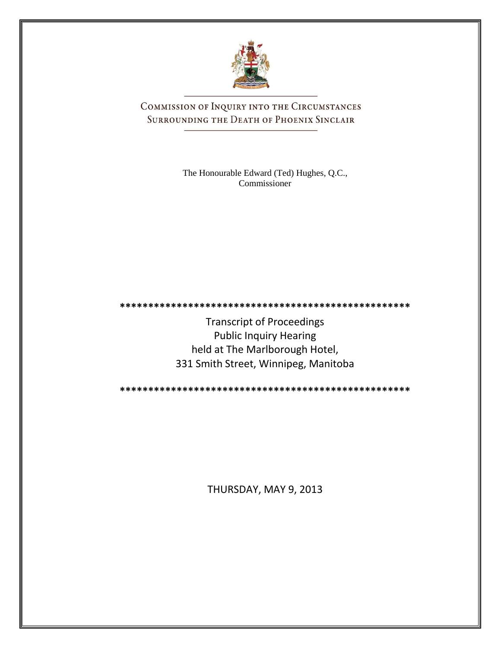

COMMISSION OF INQUIRY INTO THE CIRCUMSTANCES SURROUNDING THE DEATH OF PHOENIX SINCLAIR

> The Honourable Edward (Ted) Hughes, Q.C., Commissioner

**\*\*\*\*\*\*\*\*\*\*\*\*\*\*\*\*\*\*\*\*\*\*\*\*\*\*\*\*\*\*\*\*\*\*\*\*\*\*\*\*\*\*\*\*\*\*\*\*\*\*\***

Transcript of Proceedings Public Inquiry Hearing held at The Marlborough Hotel, 331 Smith Street, Winnipeg, Manitoba

**\*\*\*\*\*\*\*\*\*\*\*\*\*\*\*\*\*\*\*\*\*\*\*\*\*\*\*\*\*\*\*\*\*\*\*\*\*\*\*\*\*\*\*\*\*\*\*\*\*\*\***

THURSDAY, MAY 9, 2013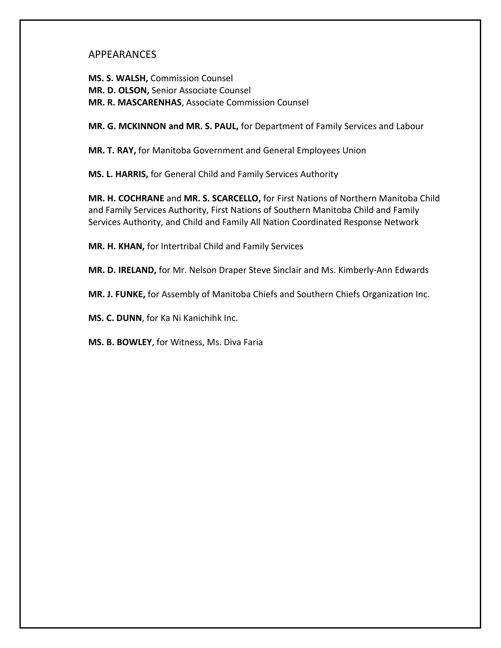# APPEARANCES

**MS. S. WALSH,** Commission Counsel **MR. D. OLSON,** Senior Associate Counsel **MR. R. MASCARENHAS**, Associate Commission Counsel

**MR. G. MCKINNON and MR. S. PAUL,** for Department of Family Services and Labour

**MR. T. RAY,** for Manitoba Government and General Employees Union

**MS. L. HARRIS,** for General Child and Family Services Authority

**MR. H. COCHRANE** and **MR. S. SCARCELLO,** for First Nations of Northern Manitoba Child and Family Services Authority, First Nations of Southern Manitoba Child and Family Services Authority, and Child and Family All Nation Coordinated Response Network

**MR. H. KHAN,** for Intertribal Child and Family Services

**MR. D. IRELAND,** for Mr. Nelson Draper Steve Sinclair and Ms. Kimberly-Ann Edwards

**MR. J. FUNKE,** for Assembly of Manitoba Chiefs and Southern Chiefs Organization Inc.

**MS. C. DUNN**, for Ka Ni Kanichihk Inc.

**MS. B. BOWLEY**, for Witness, Ms. Diva Faria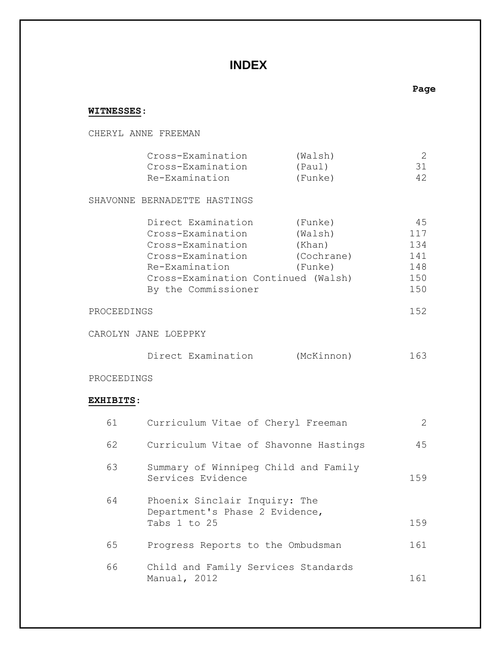# **INDEX**

## **WITNESSES**:

## CHERYL ANNE FREEMAN

|             | Cross-Examination                   | (Walsh)    | 2   |
|-------------|-------------------------------------|------------|-----|
|             | Cross-Examination                   | (Paul)     | 31  |
|             | Re-Examination                      | (Funke)    | 42  |
|             | SHAVONNE BERNADETTE HASTINGS        |            |     |
|             | Direct Examination                  | (Funke)    | 45  |
|             | Cross-Examination                   | (Walsh)    | 117 |
|             | Cross-Examination                   | (Khan)     | 134 |
|             | Cross-Examination                   | (Cochrane) | 141 |
|             | Re-Examination                      | (Funke)    | 148 |
|             | Cross-Examination Continued (Walsh) |            | 150 |
|             | By the Commissioner                 |            | 150 |
| PROCEEDINGS |                                     |            | 152 |
|             |                                     |            |     |

CAROLYN JANE LOEPPKY

| Direct Examination | (McKinnon) | 163 |
|--------------------|------------|-----|
|--------------------|------------|-----|

## PROCEEDINGS

## **EXHIBITS**:

| 61 | Curriculum Vitae of Cheryl Freeman                                              | 2   |
|----|---------------------------------------------------------------------------------|-----|
| 62 | Curriculum Vitae of Shavonne Hastings                                           | 45  |
| 63 | Summary of Winnipeg Child and Family<br>Services Evidence                       | 159 |
| 64 | Phoenix Sinclair Inquiry: The<br>Department's Phase 2 Evidence,<br>Tabs 1 to 25 | 159 |
| 65 | Progress Reports to the Ombudsman                                               | 161 |
| 66 | Child and Family Services Standards<br>Manual, 2012                             | 161 |

**Page**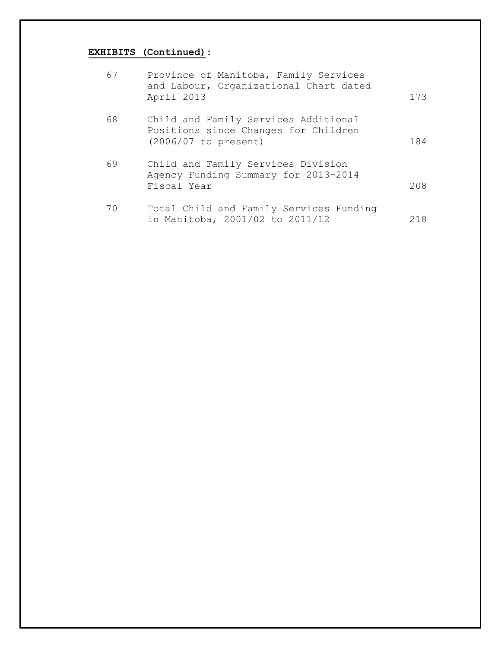# **EXHIBITS (Continued)**:

| 67 | Province of Manitoba, Family Services<br>and Labour, Organizational Chart dated<br>April 2013        | 173 |
|----|------------------------------------------------------------------------------------------------------|-----|
| 68 | Child and Family Services Additional<br>Positions since Changes for Children<br>(2006/07 to present) | 184 |
| 69 | Child and Family Services Division<br>Agency Funding Summary for 2013-2014<br>Fiscal Year            | 208 |
| 70 | Total Child and Family Services Funding<br>in Manitoba, 2001/02 to 2011/12                           | 218 |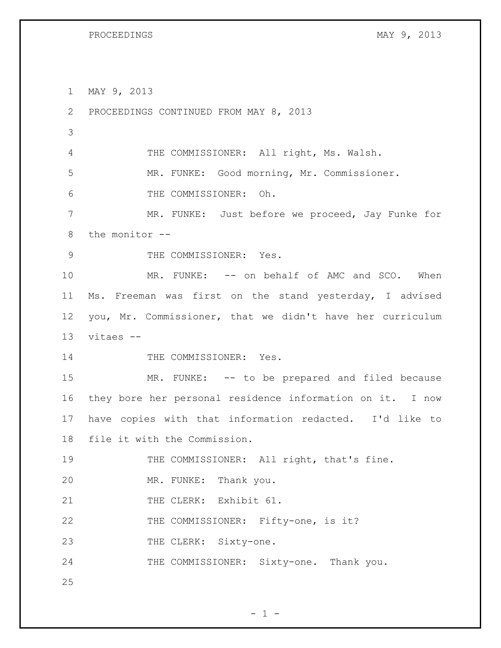MAY 9, 2013

 PROCEEDINGS CONTINUED FROM MAY 8, 2013 THE COMMISSIONER: All right, Ms. Walsh. MR. FUNKE: Good morning, Mr. Commissioner. THE COMMISSIONER: Oh. MR. FUNKE: Just before we proceed, Jay Funke for the monitor -- 9 THE COMMISSIONER: Yes. 10 MR. FUNKE: -- on behalf of AMC and SCO. When Ms. Freeman was first on the stand yesterday, I advised you, Mr. Commissioner, that we didn't have her curriculum vitaes -- 14 THE COMMISSIONER: Yes. MR. FUNKE: -- to be prepared and filed because they bore her personal residence information on it. I now have copies with that information redacted. I'd like to file it with the Commission. 19 THE COMMISSIONER: All right, that's fine. MR. FUNKE: Thank you. 21 THE CLERK: Exhibit 61. 22 THE COMMISSIONER: Fifty-one, is it? 23 THE CLERK: Sixty-one. THE COMMISSIONER: Sixty-one. Thank you. 

 $- 1 -$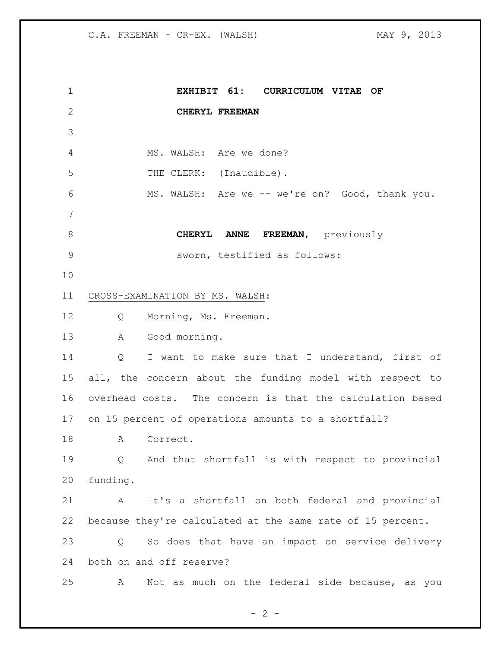**EXHIBIT 61: CURRICULUM VITAE OF CHERYL FREEMAN** 4 MS. WALSH: Are we done? 5 THE CLERK: (Inaudible). MS. WALSH: Are we -- we're on? Good, thank you. **CHERYL ANNE FREEMAN,** previously sworn, testified as follows: CROSS-EXAMINATION BY MS. WALSH: 12 Q Morning, Ms. Freeman. A Good morning. Q I want to make sure that I understand, first of all, the concern about the funding model with respect to overhead costs. The concern is that the calculation based on 15 percent of operations amounts to a shortfall? 18 A Correct. Q And that shortfall is with respect to provincial funding. A It's a shortfall on both federal and provincial because they're calculated at the same rate of 15 percent. Q So does that have an impact on service delivery both on and off reserve? A Not as much on the federal side because, as you

 $- 2 -$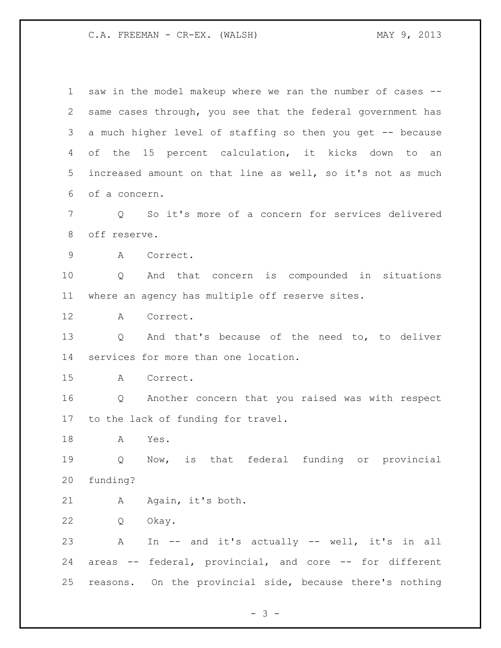saw in the model makeup where we ran the number of cases -- same cases through, you see that the federal government has a much higher level of staffing so then you get -- because of the 15 percent calculation, it kicks down to an increased amount on that line as well, so it's not as much of a concern. Q So it's more of a concern for services delivered off reserve. A Correct. Q And that concern is compounded in situations where an agency has multiple off reserve sites. A Correct. Q And that's because of the need to, to deliver services for more than one location. A Correct. Q Another concern that you raised was with respect to the lack of funding for travel. A Yes. Q Now, is that federal funding or provincial funding? A Again, it's both. Q Okay. A In -- and it's actually -- well, it's in all areas -- federal, provincial, and core -- for different reasons. On the provincial side, because there's nothing

- 3 -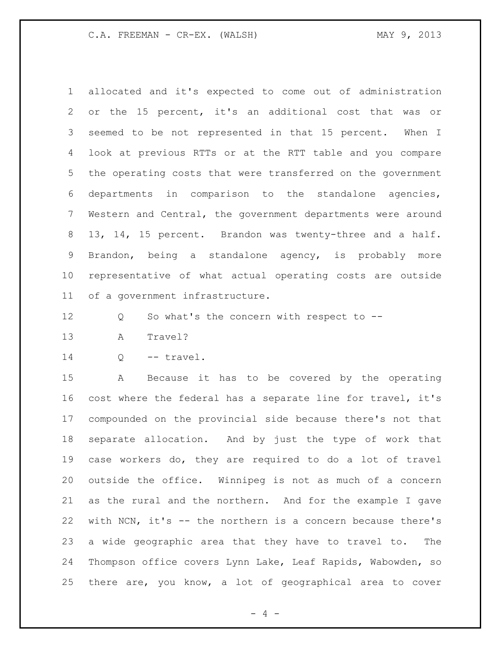allocated and it's expected to come out of administration or the 15 percent, it's an additional cost that was or seemed to be not represented in that 15 percent. When I look at previous RTTs or at the RTT table and you compare the operating costs that were transferred on the government departments in comparison to the standalone agencies, Western and Central, the government departments were around 13, 14, 15 percent. Brandon was twenty-three and a half. Brandon, being a standalone agency, is probably more representative of what actual operating costs are outside of a government infrastructure.

Q So what's the concern with respect to --

A Travel?

14 Q -- travel.

 A Because it has to be covered by the operating cost where the federal has a separate line for travel, it's compounded on the provincial side because there's not that separate allocation. And by just the type of work that case workers do, they are required to do a lot of travel outside the office. Winnipeg is not as much of a concern as the rural and the northern. And for the example I gave with NCN, it's -- the northern is a concern because there's a wide geographic area that they have to travel to. The Thompson office covers Lynn Lake, Leaf Rapids, Wabowden, so there are, you know, a lot of geographical area to cover

 $- 4 -$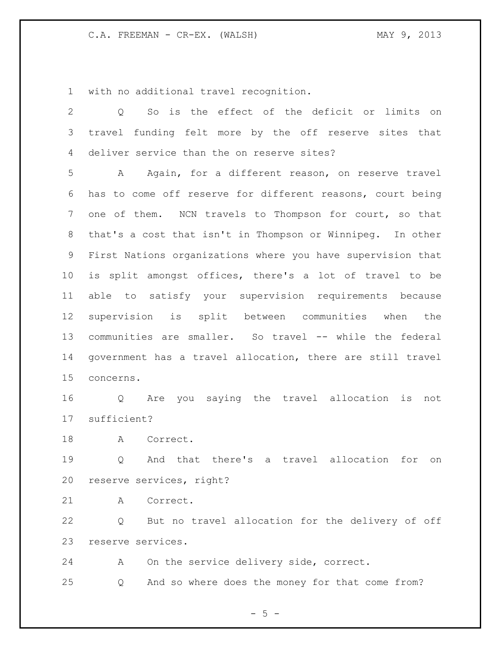with no additional travel recognition.

| 2               | So is the effect of the deficit or limits on<br>$\circ$     |
|-----------------|-------------------------------------------------------------|
| 3               | travel funding felt more by the off reserve sites that      |
| 4               | deliver service than the on reserve sites?                  |
| 5               | Again, for a different reason, on reserve travel<br>A       |
| 6               | has to come off reserve for different reasons, court being  |
| 7               | one of them. NCN travels to Thompson for court, so that     |
| 8               | that's a cost that isn't in Thompson or Winnipeg. In other  |
| 9               | First Nations organizations where you have supervision that |
| 10 <sub>o</sub> | is split amongst offices, there's a lot of travel to be     |
| 11              | able to satisfy your supervision requirements because       |
| 12              | supervision is split between communities when the           |
| 13              | communities are smaller. So travel -- while the federal     |
| 14              | government has a travel allocation, there are still travel  |
| 15              | concerns.                                                   |
| 16              | Are you saying the travel allocation<br>is<br>not<br>Q      |
| 17              | sufficient?                                                 |
| 18              | A Correct.                                                  |
| 19              | And that there's a travel allocation<br>for<br>Q<br>on      |
|                 | 20 reserve services, right?                                 |
| 21              | Correct.<br>A                                               |
| 22              | But no travel allocation for the delivery of off<br>Q       |
| 23              | reserve services.                                           |
| 24              | On the service delivery side, correct.<br>A                 |

Q And so where does the money for that come from?

 $- 5 -$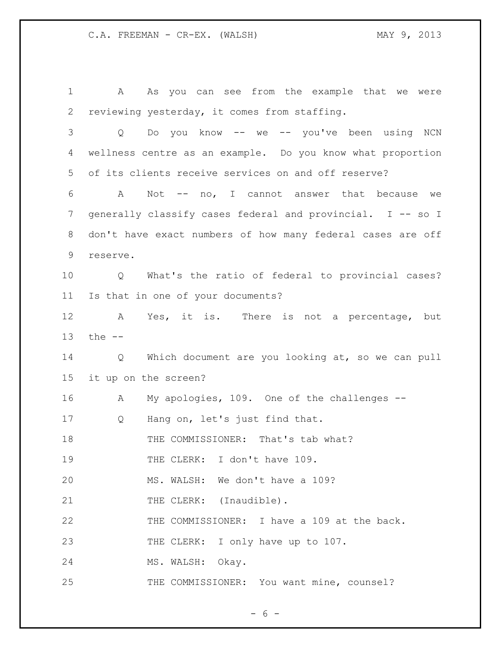A As you can see from the example that we were reviewing yesterday, it comes from staffing. Q Do you know -- we -- you've been using NCN wellness centre as an example. Do you know what proportion of its clients receive services on and off reserve? A Not -- no, I cannot answer that because we 7 generally classify cases federal and provincial. I -- so I don't have exact numbers of how many federal cases are off reserve. Q What's the ratio of federal to provincial cases? Is that in one of your documents? A Yes, it is. There is not a percentage, but the -- Q Which document are you looking at, so we can pull it up on the screen? A My apologies, 109. One of the challenges -- Q Hang on, let's just find that. 18 THE COMMISSIONER: That's tab what? 19 THE CLERK: I don't have 109. MS. WALSH: We don't have a 109? 21 THE CLERK: (Inaudible). THE COMMISSIONER: I have a 109 at the back. 23 THE CLERK: I only have up to 107. MS. WALSH: Okay. THE COMMISSIONER: You want mine, counsel?

 $- 6 -$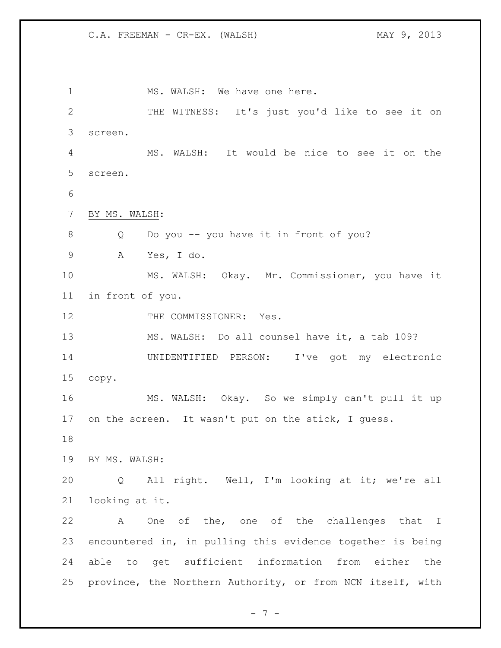1 MS. WALSH: We have one here. THE WITNESS: It's just you'd like to see it on screen. MS. WALSH: It would be nice to see it on the screen. BY MS. WALSH: Q Do you -- you have it in front of you? A Yes, I do. MS. WALSH: Okay. Mr. Commissioner, you have it in front of you. 12 THE COMMISSIONER: Yes. MS. WALSH: Do all counsel have it, a tab 109? UNIDENTIFIED PERSON: I've got my electronic copy. MS. WALSH: Okay. So we simply can't pull it up 17 on the screen. It wasn't put on the stick, I quess. BY MS. WALSH: Q All right. Well, I'm looking at it; we're all looking at it. A One of the, one of the challenges that I encountered in, in pulling this evidence together is being able to get sufficient information from either the province, the Northern Authority, or from NCN itself, with

- 7 -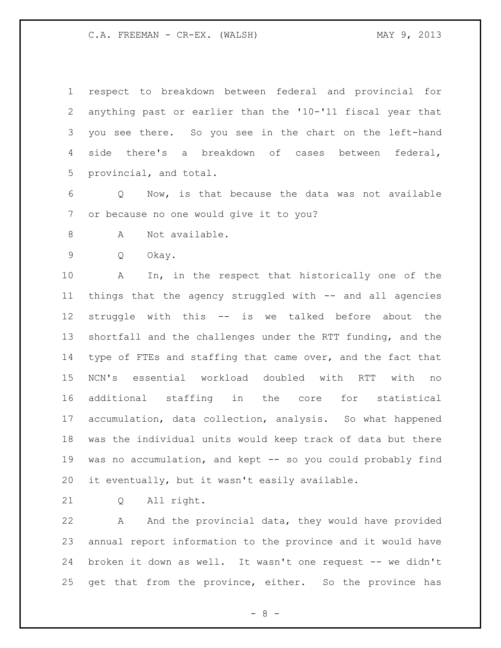respect to breakdown between federal and provincial for anything past or earlier than the '10-'11 fiscal year that you see there. So you see in the chart on the left-hand side there's a breakdown of cases between federal, provincial, and total.

 Q Now, is that because the data was not available or because no one would give it to you?

- 8 A Not available.
- Q Okay.

 A In, in the respect that historically one of the things that the agency struggled with -- and all agencies struggle with this -- is we talked before about the shortfall and the challenges under the RTT funding, and the type of FTEs and staffing that came over, and the fact that NCN's essential workload doubled with RTT with no additional staffing in the core for statistical accumulation, data collection, analysis. So what happened was the individual units would keep track of data but there was no accumulation, and kept -- so you could probably find it eventually, but it wasn't easily available.

Q All right.

 A And the provincial data, they would have provided annual report information to the province and it would have broken it down as well. It wasn't one request -- we didn't get that from the province, either. So the province has

- 8 -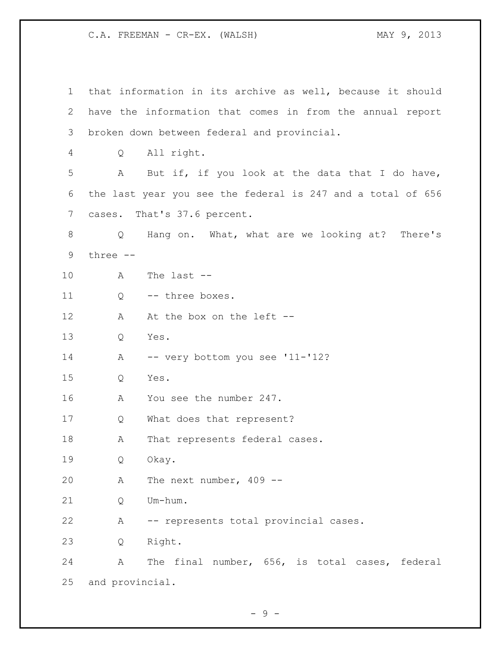| 1  |                 | that information in its archive as well, because it should  |
|----|-----------------|-------------------------------------------------------------|
| 2  |                 | have the information that comes in from the annual report   |
| 3  |                 | broken down between federal and provincial.                 |
| 4  | Q               | All right.                                                  |
| 5  | A               | But if, if you look at the data that I do have,             |
| 6  |                 | the last year you see the federal is 247 and a total of 656 |
| 7  |                 | cases. That's 37.6 percent.                                 |
| 8  | Q               | Hang on. What, what are we looking at? There's              |
| 9  | three --        |                                                             |
| 10 | Α               | The last $--$                                               |
| 11 | Q               | -- three boxes.                                             |
| 12 | A               | At the box on the left --                                   |
| 13 | Q               | Yes.                                                        |
| 14 | A               | -- very bottom you see '11-'12?                             |
| 15 | Q               | Yes.                                                        |
| 16 | А               | You see the number 247.                                     |
| 17 | Q               | What does that represent?                                   |
| 18 | Α               | That represents federal cases.                              |
| 19 | Q               | Okay.                                                       |
| 20 | Α               | The next number, $409$ --                                   |
| 21 | Q               | Um-hum.                                                     |
| 22 | Α               | -- represents total provincial cases.                       |
| 23 | Q               | Right.                                                      |
| 24 | Α               | The final number, 656, is total cases, federal              |
| 25 | and provincial. |                                                             |

- 9 -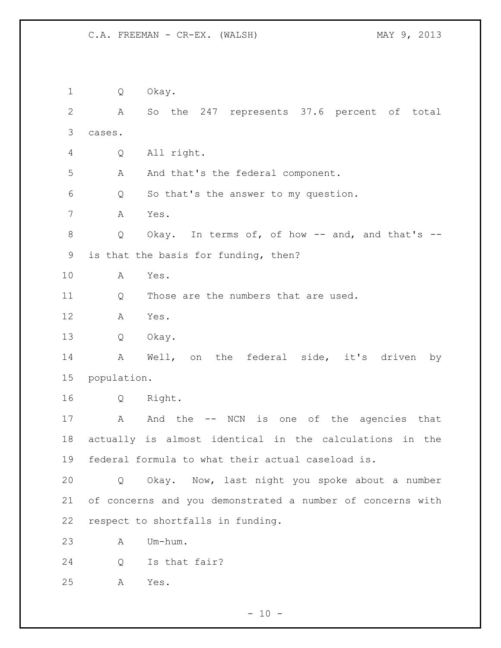Q Okay. A So the 247 represents 37.6 percent of total cases. Q All right. A And that's the federal component. Q So that's the answer to my question. A Yes. Q Okay. In terms of, of how -- and, and that's -- is that the basis for funding, then? A Yes. 11 O Those are the numbers that are used. A Yes. Q Okay. A Well, on the federal side, it's driven by population. Q Right. 17 A And the -- NCN is one of the agencies that actually is almost identical in the calculations in the federal formula to what their actual caseload is. Q Okay. Now, last night you spoke about a number of concerns and you demonstrated a number of concerns with respect to shortfalls in funding. A Um-hum. Q Is that fair? A Yes.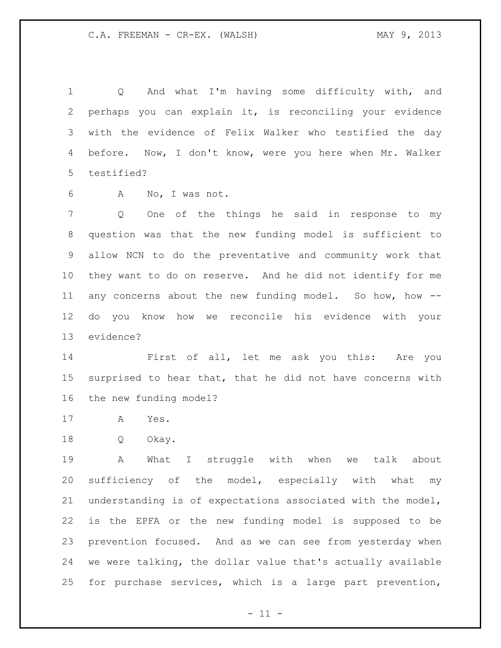Q And what I'm having some difficulty with, and perhaps you can explain it, is reconciling your evidence with the evidence of Felix Walker who testified the day before. Now, I don't know, were you here when Mr. Walker testified?

A No, I was not.

 Q One of the things he said in response to my question was that the new funding model is sufficient to allow NCN to do the preventative and community work that they want to do on reserve. And he did not identify for me any concerns about the new funding model. So how, how -- do you know how we reconcile his evidence with your evidence?

 First of all, let me ask you this: Are you surprised to hear that, that he did not have concerns with the new funding model?

- A Yes.
- Q Okay.

 A What I struggle with when we talk about sufficiency of the model, especially with what my understanding is of expectations associated with the model, is the EPFA or the new funding model is supposed to be prevention focused. And as we can see from yesterday when we were talking, the dollar value that's actually available for purchase services, which is a large part prevention,

 $-11 -$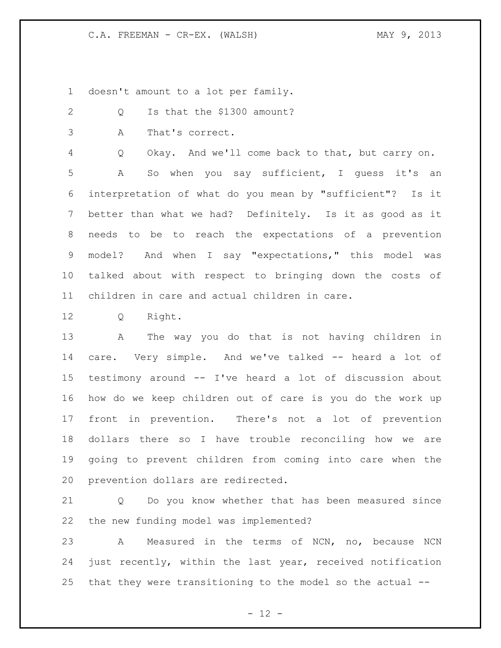doesn't amount to a lot per family.

- 2 Q Is that the \$1300 amount?
- A That's correct.

Q Okay. And we'll come back to that, but carry on.

 A So when you say sufficient, I guess it's an interpretation of what do you mean by "sufficient"? Is it better than what we had? Definitely. Is it as good as it needs to be to reach the expectations of a prevention model? And when I say "expectations," this model was talked about with respect to bringing down the costs of children in care and actual children in care.

Q Right.

 A The way you do that is not having children in care. Very simple. And we've talked -- heard a lot of testimony around -- I've heard a lot of discussion about how do we keep children out of care is you do the work up front in prevention. There's not a lot of prevention dollars there so I have trouble reconciling how we are going to prevent children from coming into care when the prevention dollars are redirected.

 Q Do you know whether that has been measured since the new funding model was implemented?

 A Measured in the terms of NCN, no, because NCN just recently, within the last year, received notification that they were transitioning to the model so the actual --

 $- 12 -$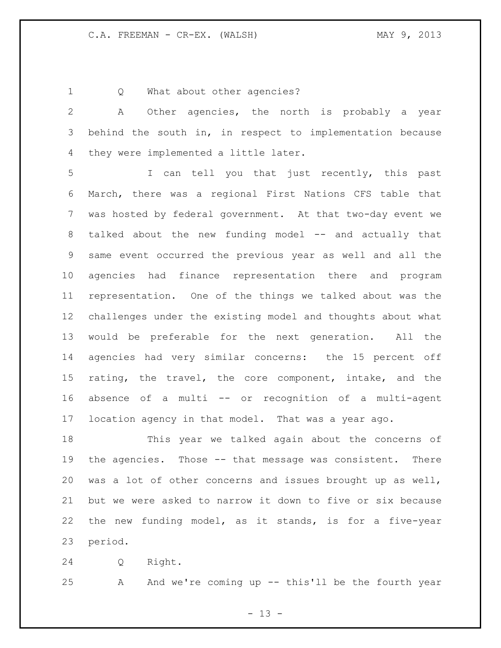1 Q What about other agencies?

 A Other agencies, the north is probably a year behind the south in, in respect to implementation because they were implemented a little later.

 I can tell you that just recently, this past March, there was a regional First Nations CFS table that was hosted by federal government. At that two-day event we 8 talked about the new funding model -- and actually that same event occurred the previous year as well and all the agencies had finance representation there and program representation. One of the things we talked about was the challenges under the existing model and thoughts about what would be preferable for the next generation. All the agencies had very similar concerns: the 15 percent off rating, the travel, the core component, intake, and the absence of a multi -- or recognition of a multi-agent location agency in that model. That was a year ago.

 This year we talked again about the concerns of the agencies. Those -- that message was consistent. There was a lot of other concerns and issues brought up as well, but we were asked to narrow it down to five or six because the new funding model, as it stands, is for a five-year period.

Q Right.

A And we're coming up -- this'll be the fourth year

 $- 13 -$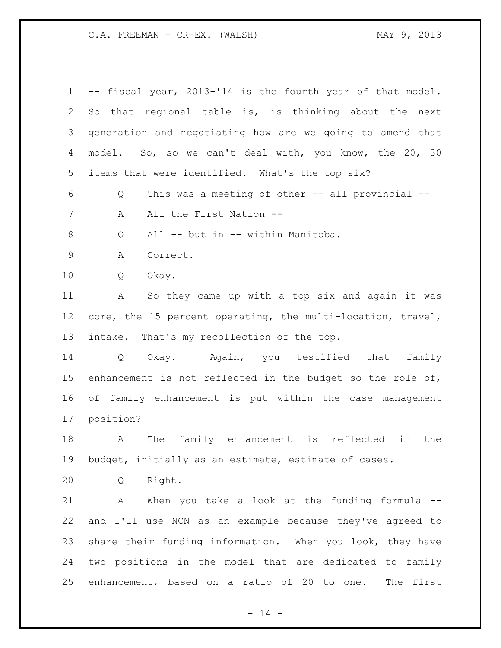-- fiscal year, 2013-'14 is the fourth year of that model. So that regional table is, is thinking about the next generation and negotiating how are we going to amend that 4 model. So, so we can't deal with, you know, the 20, 30 items that were identified. What's the top six? Q This was a meeting of other -- all provincial -- 7 A All the First Nation -- Q All -- but in -- within Manitoba. A Correct. Q Okay. A So they came up with a top six and again it was core, the 15 percent operating, the multi-location, travel, intake. That's my recollection of the top. Q Okay. Again, you testified that family enhancement is not reflected in the budget so the role of, of family enhancement is put within the case management position? A The family enhancement is reflected in the budget, initially as an estimate, estimate of cases. Q Right. A When you take a look at the funding formula -- and I'll use NCN as an example because they've agreed to share their funding information. When you look, they have two positions in the model that are dedicated to family enhancement, based on a ratio of 20 to one. The first

 $- 14 -$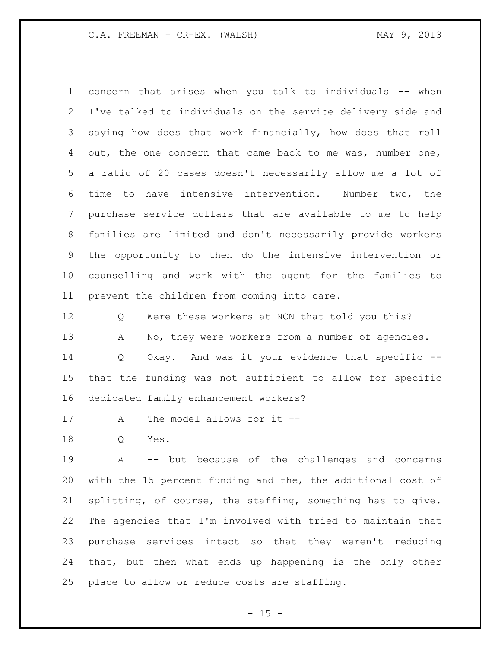concern that arises when you talk to individuals -- when I've talked to individuals on the service delivery side and saying how does that work financially, how does that roll out, the one concern that came back to me was, number one, a ratio of 20 cases doesn't necessarily allow me a lot of time to have intensive intervention. Number two, the purchase service dollars that are available to me to help families are limited and don't necessarily provide workers the opportunity to then do the intensive intervention or counselling and work with the agent for the families to prevent the children from coming into care.

12 Q Were these workers at NCN that told you this? 13 A No, they were workers from a number of agencies. Q Okay. And was it your evidence that specific -- that the funding was not sufficient to allow for specific dedicated family enhancement workers?

A The model allows for it --

Q Yes.

 A -- but because of the challenges and concerns with the 15 percent funding and the, the additional cost of splitting, of course, the staffing, something has to give. The agencies that I'm involved with tried to maintain that purchase services intact so that they weren't reducing that, but then what ends up happening is the only other place to allow or reduce costs are staffing.

 $- 15 -$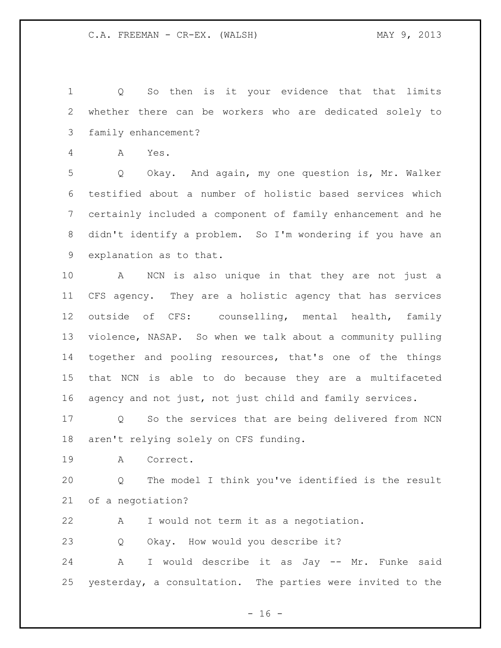Q So then is it your evidence that that limits whether there can be workers who are dedicated solely to family enhancement?

A Yes.

 Q Okay. And again, my one question is, Mr. Walker testified about a number of holistic based services which certainly included a component of family enhancement and he didn't identify a problem. So I'm wondering if you have an explanation as to that.

 A NCN is also unique in that they are not just a CFS agency. They are a holistic agency that has services outside of CFS: counselling, mental health, family violence, NASAP. So when we talk about a community pulling together and pooling resources, that's one of the things that NCN is able to do because they are a multifaceted agency and not just, not just child and family services.

 Q So the services that are being delivered from NCN aren't relying solely on CFS funding.

A Correct.

 Q The model I think you've identified is the result of a negotiation?

A I would not term it as a negotiation.

Q Okay. How would you describe it?

 A I would describe it as Jay -- Mr. Funke said yesterday, a consultation. The parties were invited to the

 $- 16 -$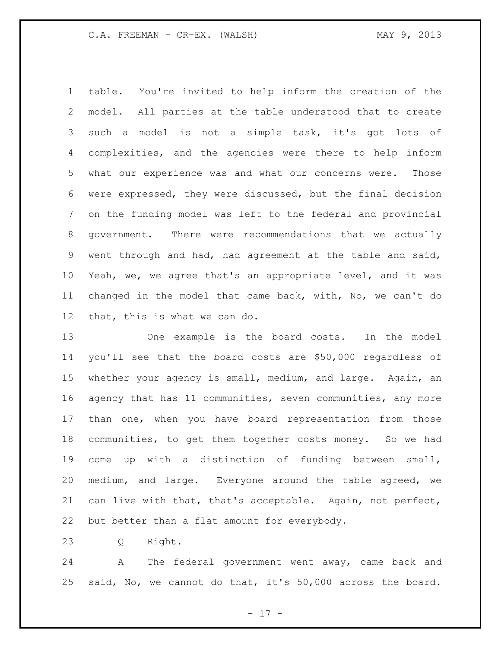table. You're invited to help inform the creation of the model. All parties at the table understood that to create such a model is not a simple task, it's got lots of complexities, and the agencies were there to help inform what our experience was and what our concerns were. Those were expressed, they were discussed, but the final decision on the funding model was left to the federal and provincial government. There were recommendations that we actually went through and had, had agreement at the table and said, Yeah, we, we agree that's an appropriate level, and it was changed in the model that came back, with, No, we can't do that, this is what we can do.

 One example is the board costs. In the model you'll see that the board costs are \$50,000 regardless of whether your agency is small, medium, and large. Again, an agency that has 11 communities, seven communities, any more than one, when you have board representation from those communities, to get them together costs money. So we had come up with a distinction of funding between small, medium, and large. Everyone around the table agreed, we can live with that, that's acceptable. Again, not perfect, but better than a flat amount for everybody.

Q Right.

 A The federal government went away, came back and said, No, we cannot do that, it's 50,000 across the board.

- 17 -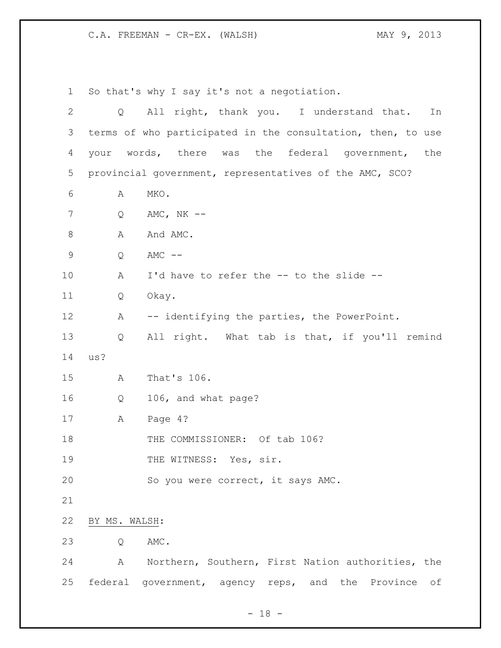So that's why I say it's not a negotiation. Q All right, thank you. I understand that. In terms of who participated in the consultation, then, to use your words, there was the federal government, the provincial government, representatives of the AMC, SCO? A MKO. Q AMC, NK -- 8 A And AMC. Q AMC -- A I'd have to refer the -- to the slide -- Q Okay. A -- identifying the parties, the PowerPoint. Q All right. What tab is that, if you'll remind us? A That's 106. Q 106, and what page? A Page 4? 18 THE COMMISSIONER: Of tab 106? 19 THE WITNESS: Yes, sir. 20 So you were correct, it says AMC. BY MS. WALSH: Q AMC. A Northern, Southern, First Nation authorities, the federal government, agency reps, and the Province of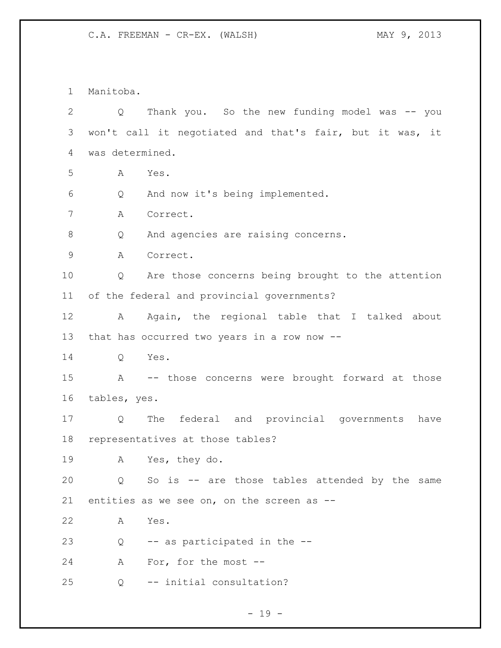Manitoba. Q Thank you. So the new funding model was -- you won't call it negotiated and that's fair, but it was, it was determined. A Yes. Q And now it's being implemented. A Correct. Q And agencies are raising concerns. A Correct. Q Are those concerns being brought to the attention of the federal and provincial governments? 12 A Again, the regional table that I talked about that has occurred two years in a row now -- Q Yes. A -- those concerns were brought forward at those tables, yes. Q The federal and provincial governments have representatives at those tables? A Yes, they do. Q So is -- are those tables attended by the same entities as we see on, on the screen as -- A Yes.  $Q \rightarrow -\text{as participated in the --}$  A For, for the most -- Q -- initial consultation?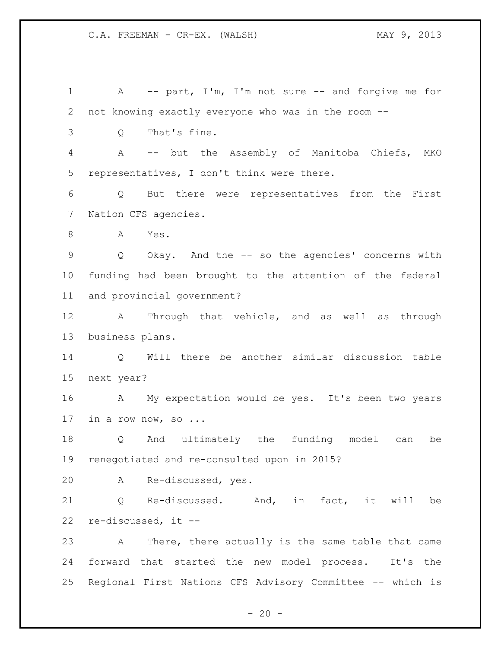A -- part, I'm, I'm not sure -- and forgive me for not knowing exactly everyone who was in the room -- Q That's fine. A -- but the Assembly of Manitoba Chiefs, MKO representatives, I don't think were there. Q But there were representatives from the First Nation CFS agencies. A Yes. Q Okay. And the -- so the agencies' concerns with funding had been brought to the attention of the federal and provincial government? A Through that vehicle, and as well as through business plans. Q Will there be another similar discussion table next year? A My expectation would be yes. It's been two years in a row now, so ... Q And ultimately the funding model can be renegotiated and re-consulted upon in 2015? A Re-discussed, yes. Q Re-discussed. And, in fact, it will be re-discussed, it -- A There, there actually is the same table that came forward that started the new model process. It's the Regional First Nations CFS Advisory Committee -- which is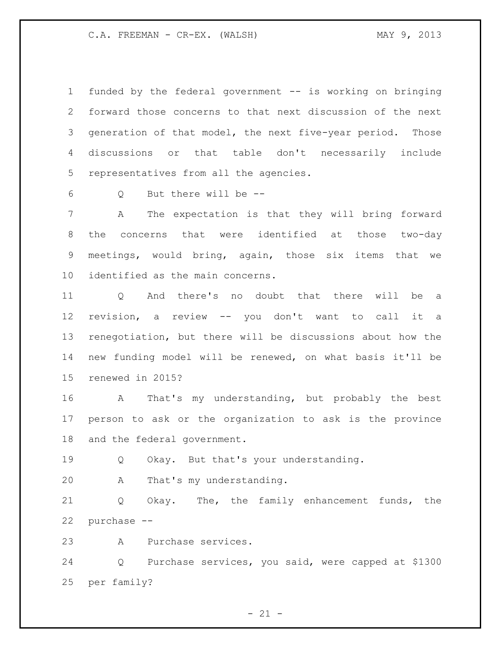funded by the federal government -- is working on bringing forward those concerns to that next discussion of the next generation of that model, the next five-year period. Those discussions or that table don't necessarily include representatives from all the agencies.

Q But there will be --

 A The expectation is that they will bring forward the concerns that were identified at those two-day meetings, would bring, again, those six items that we identified as the main concerns.

 Q And there's no doubt that there will be a revision, a review -- you don't want to call it a renegotiation, but there will be discussions about how the new funding model will be renewed, on what basis it'll be renewed in 2015?

 A That's my understanding, but probably the best person to ask or the organization to ask is the province and the federal government.

Q Okay. But that's your understanding.

A That's my understanding.

 Q Okay. The, the family enhancement funds, the purchase --

A Purchase services.

 Q Purchase services, you said, were capped at \$1300 per family?

 $- 21 -$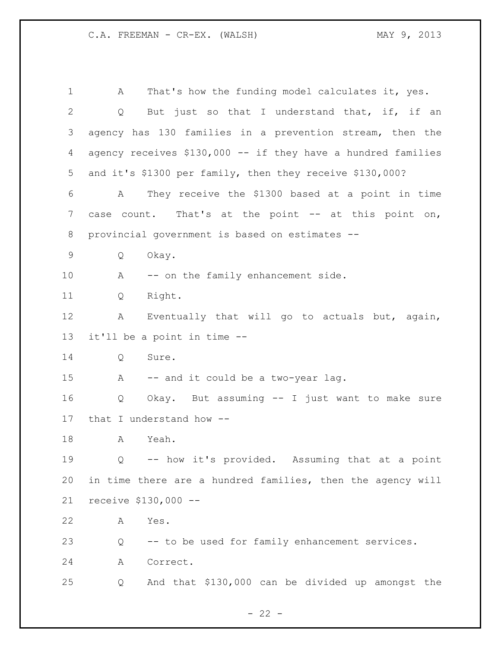A That's how the funding model calculates it, yes. 2 Q But just so that I understand that, if, if an agency has 130 families in a prevention stream, then the agency receives \$130,000 -- if they have a hundred families and it's \$1300 per family, then they receive \$130,000? A They receive the \$1300 based at a point in time 7 case count. That's at the point -- at this point on, provincial government is based on estimates -- Q Okay. 10 A -- on the family enhancement side. Q Right. A Eventually that will go to actuals but, again, it'll be a point in time -- Q Sure. A -- and it could be a two-year lag. Q Okay. But assuming -- I just want to make sure that I understand how -- A Yeah. Q -- how it's provided. Assuming that at a point in time there are a hundred families, then the agency will receive \$130,000 -- A Yes. Q -- to be used for family enhancement services. A Correct. Q And that \$130,000 can be divided up amongst the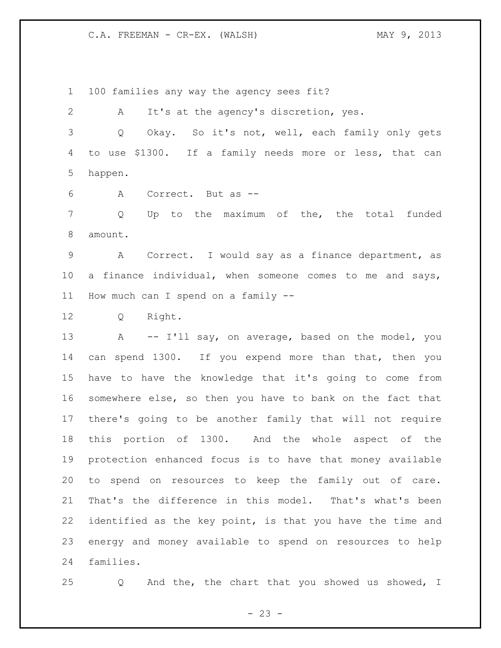100 families any way the agency sees fit?

 A It's at the agency's discretion, yes. Q Okay. So it's not, well, each family only gets to use \$1300. If a family needs more or less, that can happen.

A Correct. But as --

 Q Up to the maximum of the, the total funded amount.

 A Correct. I would say as a finance department, as a finance individual, when someone comes to me and says, How much can I spend on a family --

Q Right.

13 A -- I'll say, on average, based on the model, you can spend 1300. If you expend more than that, then you have to have the knowledge that it's going to come from somewhere else, so then you have to bank on the fact that there's going to be another family that will not require this portion of 1300. And the whole aspect of the protection enhanced focus is to have that money available to spend on resources to keep the family out of care. That's the difference in this model. That's what's been identified as the key point, is that you have the time and energy and money available to spend on resources to help families.

Q And the, the chart that you showed us showed, I

 $- 23 -$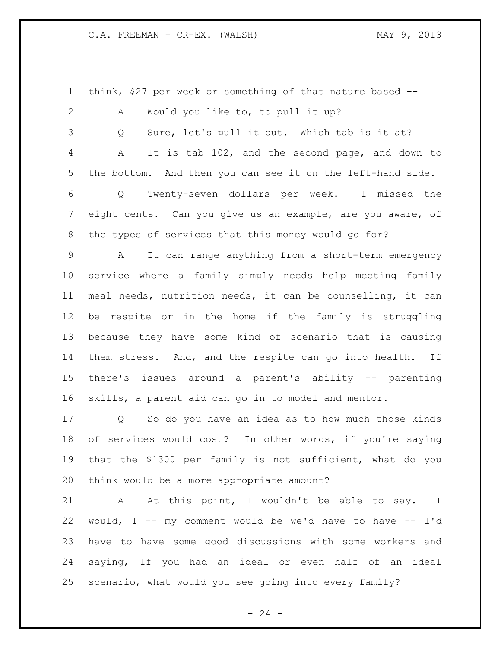think, \$27 per week or something of that nature based -- A Would you like to, to pull it up? Q Sure, let's pull it out. Which tab is it at? A It is tab 102, and the second page, and down to the bottom. And then you can see it on the left-hand side. Q Twenty-seven dollars per week. I missed the eight cents. Can you give us an example, are you aware, of the types of services that this money would go for? A It can range anything from a short-term emergency service where a family simply needs help meeting family meal needs, nutrition needs, it can be counselling, it can be respite or in the home if the family is struggling because they have some kind of scenario that is causing them stress. And, and the respite can go into health. If there's issues around a parent's ability -- parenting skills, a parent aid can go in to model and mentor. Q So do you have an idea as to how much those kinds of services would cost? In other words, if you're saying that the \$1300 per family is not sufficient, what do you think would be a more appropriate amount? 21 A At this point, I wouldn't be able to say. I would, I -- my comment would be we'd have to have -- I'd

 have to have some good discussions with some workers and saying, If you had an ideal or even half of an ideal scenario, what would you see going into every family?

 $- 24 -$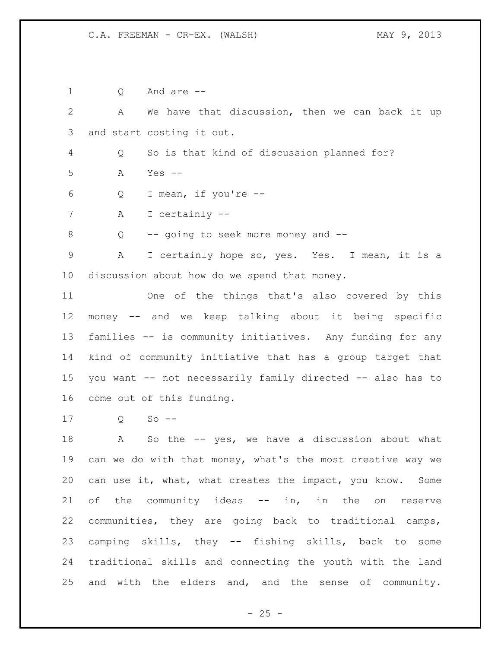Q And are -- A We have that discussion, then we can back it up and start costing it out. Q So is that kind of discussion planned for? A Yes -- Q I mean, if you're -- A I certainly -- Q -- going to seek more money and -- A I certainly hope so, yes. Yes. I mean, it is a discussion about how do we spend that money. One of the things that's also covered by this money -- and we keep talking about it being specific families -- is community initiatives. Any funding for any kind of community initiative that has a group target that you want -- not necessarily family directed -- also has to come out of this funding. Q So --

 A So the -- yes, we have a discussion about what can we do with that money, what's the most creative way we can use it, what, what creates the impact, you know. Some 21 of the community ideas -- in, in the on reserve communities, they are going back to traditional camps, camping skills, they -- fishing skills, back to some traditional skills and connecting the youth with the land and with the elders and, and the sense of community.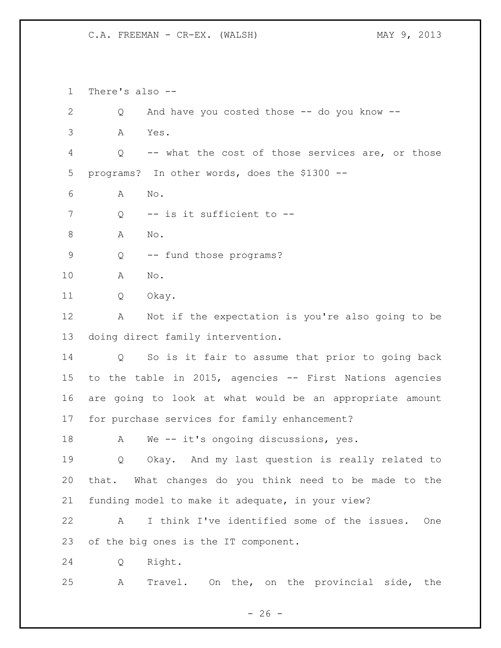There's also -- Q And have you costed those -- do you know -- A Yes. Q -- what the cost of those services are, or those programs? In other words, does the \$1300 -- A No. 7 Q -- is it sufficient to --8 A No. Q -- fund those programs? A No. Q Okay. A Not if the expectation is you're also going to be doing direct family intervention. Q So is it fair to assume that prior to going back to the table in 2015, agencies -- First Nations agencies are going to look at what would be an appropriate amount for purchase services for family enhancement? A We -- it's ongoing discussions, yes. Q Okay. And my last question is really related to that. What changes do you think need to be made to the funding model to make it adequate, in your view? A I think I've identified some of the issues. One of the big ones is the IT component. Q Right. A Travel. On the, on the provincial side, the

 $- 26 -$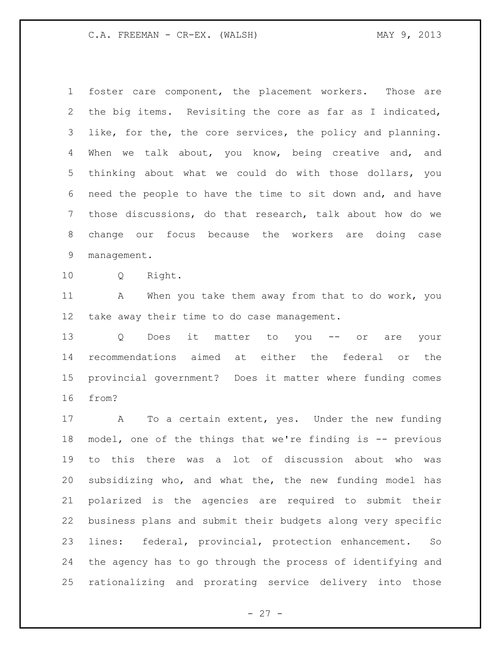foster care component, the placement workers. Those are the big items. Revisiting the core as far as I indicated, like, for the, the core services, the policy and planning. 4 When we talk about, you know, being creative and, and thinking about what we could do with those dollars, you need the people to have the time to sit down and, and have those discussions, do that research, talk about how do we change our focus because the workers are doing case management.

Q Right.

11 A When you take them away from that to do work, you take away their time to do case management.

 Q Does it matter to you -- or are your recommendations aimed at either the federal or the provincial government? Does it matter where funding comes from?

 A To a certain extent, yes. Under the new funding model, one of the things that we're finding is -- previous to this there was a lot of discussion about who was subsidizing who, and what the, the new funding model has polarized is the agencies are required to submit their business plans and submit their budgets along very specific lines: federal, provincial, protection enhancement. So the agency has to go through the process of identifying and rationalizing and prorating service delivery into those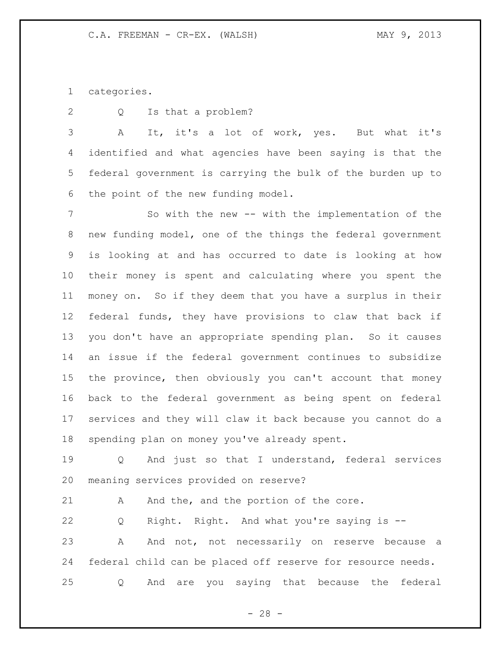categories.

Q Is that a problem?

 A It, it's a lot of work, yes. But what it's identified and what agencies have been saying is that the federal government is carrying the bulk of the burden up to the point of the new funding model.

 So with the new -- with the implementation of the new funding model, one of the things the federal government is looking at and has occurred to date is looking at how their money is spent and calculating where you spent the money on. So if they deem that you have a surplus in their federal funds, they have provisions to claw that back if you don't have an appropriate spending plan. So it causes an issue if the federal government continues to subsidize the province, then obviously you can't account that money back to the federal government as being spent on federal services and they will claw it back because you cannot do a spending plan on money you've already spent.

 Q And just so that I understand, federal services meaning services provided on reserve?

21 A And the, and the portion of the core.

 Q Right. Right. And what you're saying is -- 23 A And not, not necessarily on reserve because a federal child can be placed off reserve for resource needs. Q And are you saying that because the federal

 $- 28 -$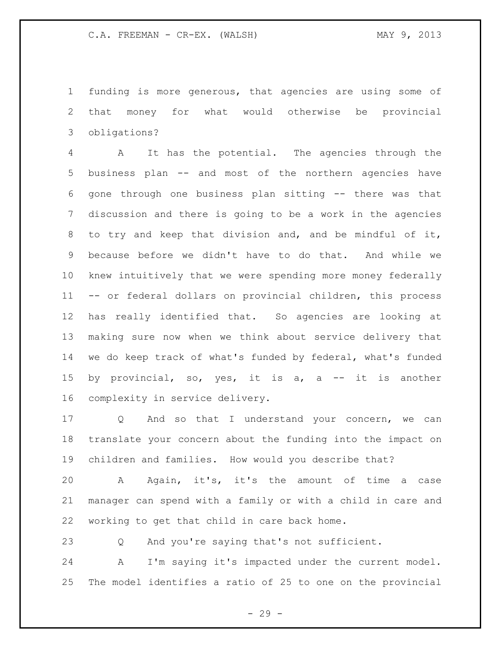funding is more generous, that agencies are using some of that money for what would otherwise be provincial obligations?

 A It has the potential. The agencies through the business plan -- and most of the northern agencies have gone through one business plan sitting -- there was that discussion and there is going to be a work in the agencies to try and keep that division and, and be mindful of it, because before we didn't have to do that. And while we knew intuitively that we were spending more money federally -- or federal dollars on provincial children, this process has really identified that. So agencies are looking at making sure now when we think about service delivery that we do keep track of what's funded by federal, what's funded by provincial, so, yes, it is a, a -- it is another complexity in service delivery.

 Q And so that I understand your concern, we can translate your concern about the funding into the impact on children and families. How would you describe that?

 A Again, it's, it's the amount of time a case manager can spend with a family or with a child in care and working to get that child in care back home.

Q And you're saying that's not sufficient.

 A I'm saying it's impacted under the current model. The model identifies a ratio of 25 to one on the provincial

- 29 -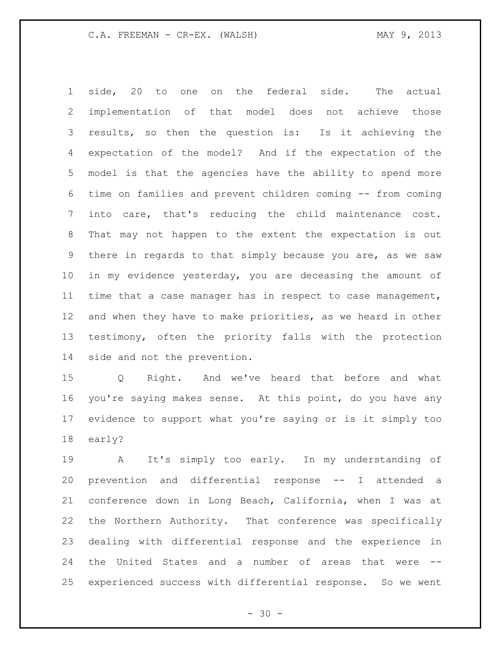side, 20 to one on the federal side. The actual implementation of that model does not achieve those results, so then the question is: Is it achieving the expectation of the model? And if the expectation of the model is that the agencies have the ability to spend more time on families and prevent children coming -- from coming into care, that's reducing the child maintenance cost. That may not happen to the extent the expectation is out there in regards to that simply because you are, as we saw in my evidence yesterday, you are deceasing the amount of time that a case manager has in respect to case management, and when they have to make priorities, as we heard in other testimony, often the priority falls with the protection side and not the prevention.

 Q Right. And we've heard that before and what you're saying makes sense. At this point, do you have any evidence to support what you're saying or is it simply too early?

 A It's simply too early. In my understanding of prevention and differential response -- I attended a conference down in Long Beach, California, when I was at the Northern Authority. That conference was specifically dealing with differential response and the experience in the United States and a number of areas that were -- experienced success with differential response. So we went

 $- 30 -$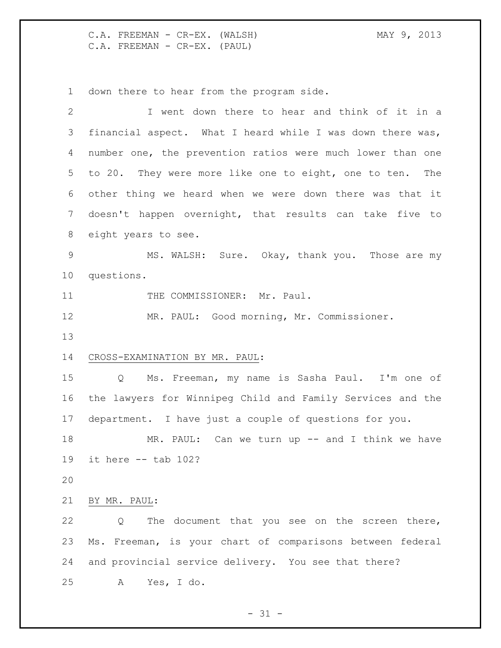C.A. FREEMAN - CR-EX. (WALSH) MAY 9, 2013 C.A. FREEMAN - CR-EX. (PAUL)

down there to hear from the program side.

| $\mathbf{2}$ | I went down there to hear and think of it in a               |
|--------------|--------------------------------------------------------------|
| 3            | financial aspect. What I heard while I was down there was,   |
| 4            | number one, the prevention ratios were much lower than one   |
| 5            | to 20. They were more like one to eight, one to ten. The     |
| 6            | other thing we heard when we were down there was that it     |
| 7            | doesn't happen overnight, that results can take five to      |
| 8            | eight years to see.                                          |
| $\mathsf 9$  | MS. WALSH: Sure. Okay, thank you. Those are my               |
| 10           | questions.                                                   |
| 11           | THE COMMISSIONER: Mr. Paul.                                  |
| 12           | MR. PAUL: Good morning, Mr. Commissioner.                    |
| 13           |                                                              |
| 14           | CROSS-EXAMINATION BY MR. PAUL:                               |
| 15           | Ms. Freeman, my name is Sasha Paul. I'm one of<br>$Q \qquad$ |
| 16           | the lawyers for Winnipeg Child and Family Services and the   |
| 17           | department. I have just a couple of questions for you.       |
| 18           | MR. PAUL: Can we turn up $-$ and I think we have             |
| 19           | it here $--$ tab 102?                                        |
| 20           |                                                              |
| 21           | BY MR. PAUL:                                                 |
| 22           | The document that you see on the screen there,<br>Q          |
| 23           | Ms. Freeman, is your chart of comparisons between federal    |
| 24           | and provincial service delivery. You see that there?         |
| 25           |                                                              |

- 31 -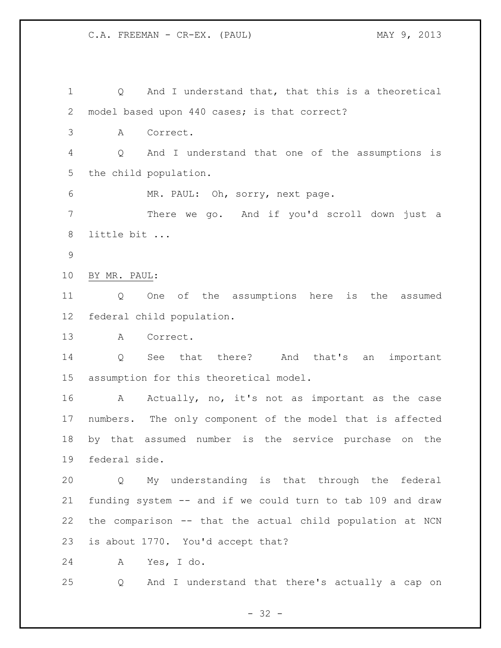Q And I understand that, that this is a theoretical model based upon 440 cases; is that correct? A Correct. Q And I understand that one of the assumptions is the child population. MR. PAUL: Oh, sorry, next page. There we go. And if you'd scroll down just a little bit ... BY MR. PAUL: Q One of the assumptions here is the assumed federal child population. A Correct. Q See that there? And that's an important assumption for this theoretical model. A Actually, no, it's not as important as the case numbers. The only component of the model that is affected by that assumed number is the service purchase on the federal side. Q My understanding is that through the federal funding system -- and if we could turn to tab 109 and draw the comparison -- that the actual child population at NCN is about 1770. You'd accept that? A Yes, I do. Q And I understand that there's actually a cap on

- 32 -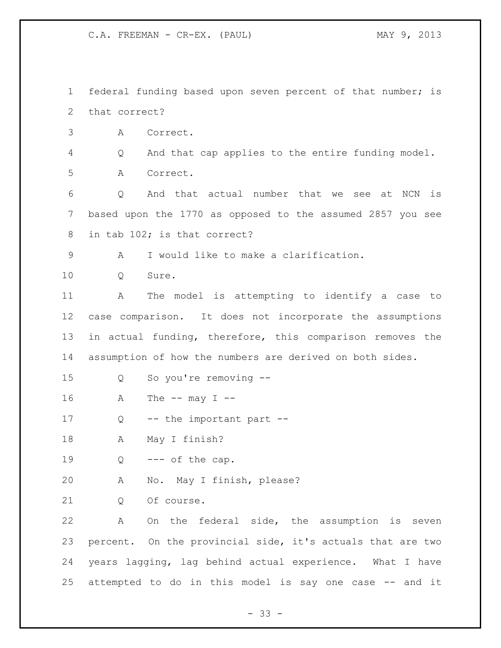federal funding based upon seven percent of that number; is that correct? A Correct. Q And that cap applies to the entire funding model. A Correct. Q And that actual number that we see at NCN is based upon the 1770 as opposed to the assumed 2857 you see in tab 102; is that correct? A I would like to make a clarification. 10 O Sure. A The model is attempting to identify a case to case comparison. It does not incorporate the assumptions in actual funding, therefore, this comparison removes the assumption of how the numbers are derived on both sides. Q So you're removing -- A The  $--$  may  $I$   $--$ 17 Q -- the important part -- A May I finish?  $Q \leftarrow -\text{- of the cap.}$  A No. May I finish, please? 21 0 Of course. A On the federal side, the assumption is seven percent. On the provincial side, it's actuals that are two years lagging, lag behind actual experience. What I have attempted to do in this model is say one case -- and it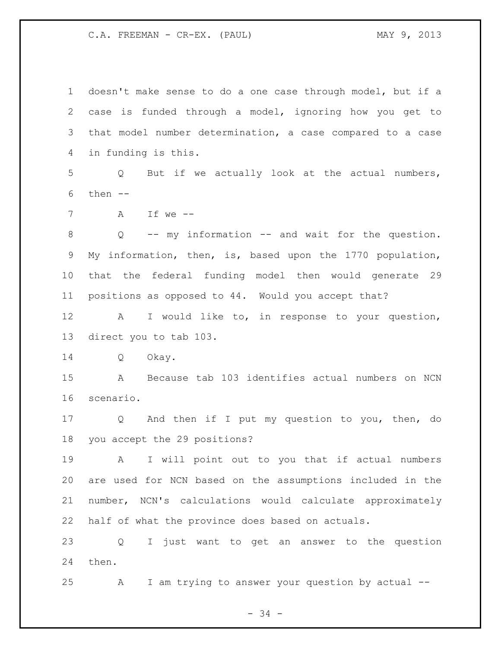doesn't make sense to do a one case through model, but if a case is funded through a model, ignoring how you get to that model number determination, a case compared to a case in funding is this. Q But if we actually look at the actual numbers, then  $--$  A If we -- Q -- my information -- and wait for the question. My information, then, is, based upon the 1770 population, that the federal funding model then would generate 29 positions as opposed to 44. Would you accept that? A I would like to, in response to your question, direct you to tab 103. Q Okay. A Because tab 103 identifies actual numbers on NCN scenario. Q And then if I put my question to you, then, do you accept the 29 positions? A I will point out to you that if actual numbers are used for NCN based on the assumptions included in the number, NCN's calculations would calculate approximately half of what the province does based on actuals. Q I just want to get an answer to the question then. A I am trying to answer your question by actual --

- 34 -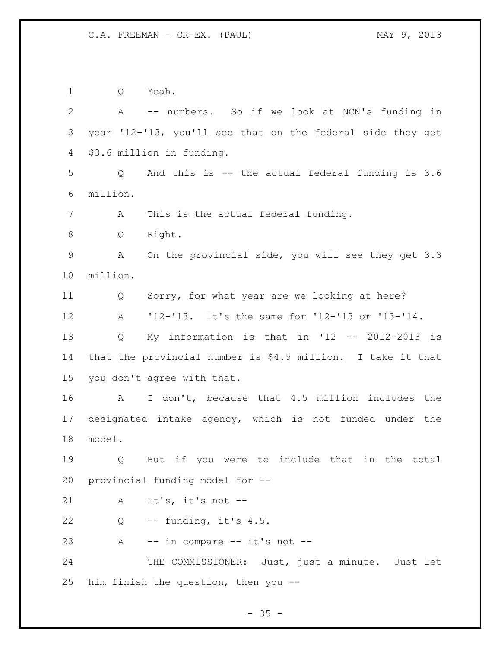Q Yeah. A -- numbers. So if we look at NCN's funding in year '12-'13, you'll see that on the federal side they get \$3.6 million in funding. Q And this is -- the actual federal funding is 3.6 million. A This is the actual federal funding. Q Right. A On the provincial side, you will see they get 3.3 million. Q Sorry, for what year are we looking at here? A '12-'13. It's the same for '12-'13 or '13-'14. Q My information is that in '12 -- 2012-2013 is that the provincial number is \$4.5 million. I take it that you don't agree with that. A I don't, because that 4.5 million includes the designated intake agency, which is not funded under the model. Q But if you were to include that in the total provincial funding model for -- A It's, it's not -- Q -- funding, it's 4.5. A -- in compare -- it's not -- 24 THE COMMISSIONER: Just, just a minute. Just let him finish the question, then you --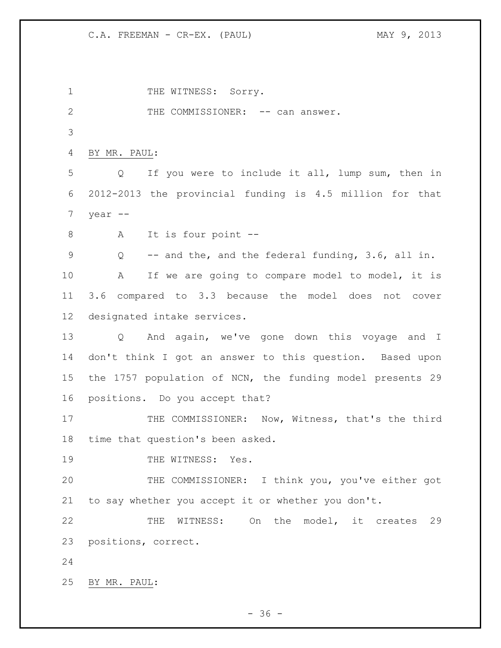1 THE WITNESS: Sorry. 2 THE COMMISSIONER: -- can answer. BY MR. PAUL: Q If you were to include it all, lump sum, then in 2012-2013 the provincial funding is 4.5 million for that year -- A It is four point -- Q -- and the, and the federal funding, 3.6, all in. 10 A If we are going to compare model to model, it is 3.6 compared to 3.3 because the model does not cover designated intake services. Q And again, we've gone down this voyage and I don't think I got an answer to this question. Based upon the 1757 population of NCN, the funding model presents 29 positions. Do you accept that? 17 THE COMMISSIONER: Now, Witness, that's the third time that question's been asked. 19 THE WITNESS: Yes. THE COMMISSIONER: I think you, you've either got to say whether you accept it or whether you don't. THE WITNESS: On the model, it creates 29 positions, correct. BY MR. PAUL:

 $- 36 -$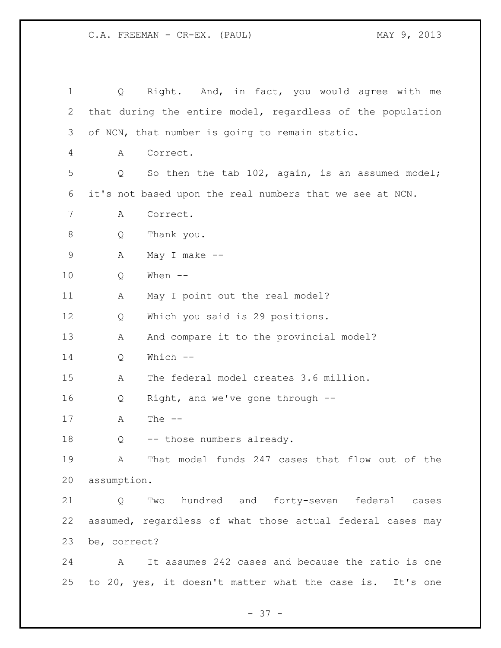| $\mathbf 1$ | Q                 | Right. And, in fact, you would agree with me               |
|-------------|-------------------|------------------------------------------------------------|
| 2           |                   | that during the entire model, regardless of the population |
| 3           |                   | of NCN, that number is going to remain static.             |
| 4           | Α                 | Correct.                                                   |
| 5           | Q                 | So then the tab 102, again, is an assumed model;           |
| 6           |                   | it's not based upon the real numbers that we see at NCN.   |
| 7           | Α                 | Correct.                                                   |
| 8           | Q                 | Thank you.                                                 |
| $\mathsf 9$ | Α                 | May I make $--$                                            |
| 10          | Q                 | When $--$                                                  |
| 11          | Α                 | May I point out the real model?                            |
| 12          | Q                 | Which you said is 29 positions.                            |
| 13          | Α                 | And compare it to the provincial model?                    |
| 14          | Q                 | Which --                                                   |
| 15          | Α                 | The federal model creates 3.6 million.                     |
| 16          | Q                 | Right, and we've gone through --                           |
| 17          | Α                 | The $--$                                                   |
| 18          | Q                 | -- those numbers already.                                  |
| 19          |                   | A That model funds 247 cases that flow out of the          |
| 20          | assumption.       |                                                            |
| 21          | $Q \qquad \qquad$ | Two hundred and forty-seven federal cases                  |
| 22          |                   | assumed, regardless of what those actual federal cases may |
| 23          | be, correct?      |                                                            |
| 24          | $\mathbf{A}$      | It assumes 242 cases and because the ratio is one          |
| 25          |                   | to 20, yes, it doesn't matter what the case is. It's one   |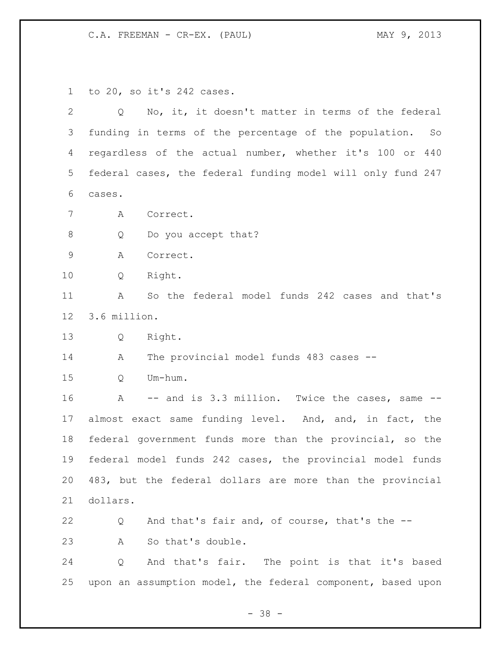to 20, so it's 242 cases.

| $\overline{2}$  | No, it, it doesn't matter in terms of the federal<br>Q         |
|-----------------|----------------------------------------------------------------|
| 3               | funding in terms of the percentage of the population.<br>So    |
| 4               | regardless of the actual number, whether it's 100 or 440       |
| 5               | federal cases, the federal funding model will only fund 247    |
| 6               | cases.                                                         |
| 7               | Correct.<br>A                                                  |
| $\,8\,$         | Do you accept that?<br>Q                                       |
| $\mathsf 9$     | Α<br>Correct.                                                  |
| 10              | Right.<br>Q                                                    |
| 11              | So the federal model funds 242 cases and that's<br>Α           |
| 12 <sup>°</sup> | 3.6 million.                                                   |
| 13              | Q<br>Right.                                                    |
| 14              | The provincial model funds 483 cases --<br>A                   |
| 15              | Um-hum.<br>Q                                                   |
| 16              | -- and is 3.3 million. Twice the cases, same --<br>$\mathbb A$ |
| 17              | almost exact same funding level. And, and, in fact, the        |
| 18              | federal government funds more than the provincial, so the      |
| 19              | federal model funds 242 cases, the provincial model funds      |
| 20              | 483, but the federal dollars are more than the provincial      |
| 21              | dollars.                                                       |
| 22              | And that's fair and, of course, that's the --<br>Q             |
| 23              | So that's double.<br>A                                         |
| 24              | And that's fair. The point is that it's based<br>Q             |
| 25              | upon an assumption model, the federal component, based upon    |

- 38 -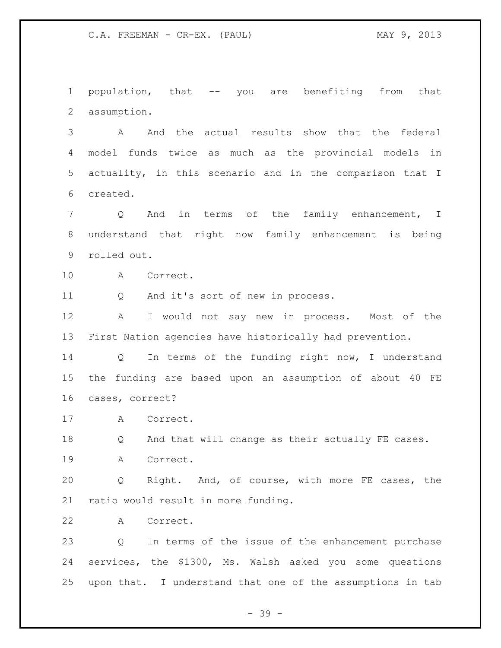population, that -- you are benefiting from that assumption.

 A And the actual results show that the federal model funds twice as much as the provincial models in actuality, in this scenario and in the comparison that I created.

 Q And in terms of the family enhancement, I understand that right now family enhancement is being rolled out.

A Correct.

Q And it's sort of new in process.

 A I would not say new in process. Most of the First Nation agencies have historically had prevention.

 Q In terms of the funding right now, I understand the funding are based upon an assumption of about 40 FE cases, correct?

A Correct.

18 Q And that will change as their actually FE cases.

A Correct.

 Q Right. And, of course, with more FE cases, the ratio would result in more funding.

A Correct.

 Q In terms of the issue of the enhancement purchase services, the \$1300, Ms. Walsh asked you some questions upon that. I understand that one of the assumptions in tab

- 39 -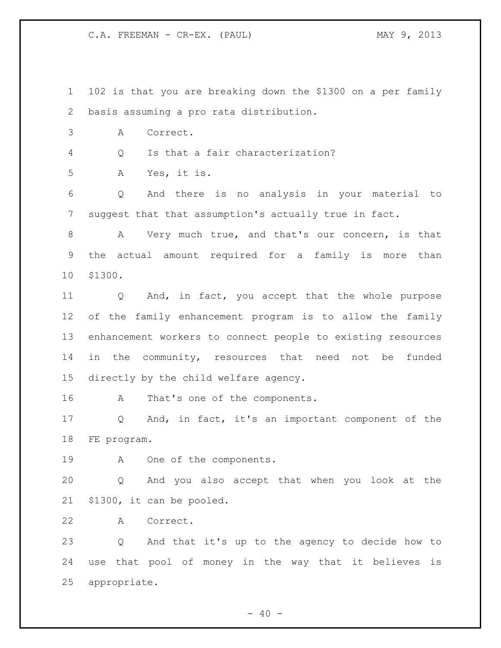102 is that you are breaking down the \$1300 on a per family basis assuming a pro rata distribution.

A Correct.

Q Is that a fair characterization?

A Yes, it is.

 Q And there is no analysis in your material to suggest that that assumption's actually true in fact.

 A Very much true, and that's our concern, is that the actual amount required for a family is more than \$1300.

 Q And, in fact, you accept that the whole purpose of the family enhancement program is to allow the family enhancement workers to connect people to existing resources 14 in the community, resources that need not be funded directly by the child welfare agency.

A That's one of the components.

 Q And, in fact, it's an important component of the FE program.

A One of the components.

 Q And you also accept that when you look at the \$1300, it can be pooled.

A Correct.

 Q And that it's up to the agency to decide how to use that pool of money in the way that it believes is appropriate.

 $- 40 -$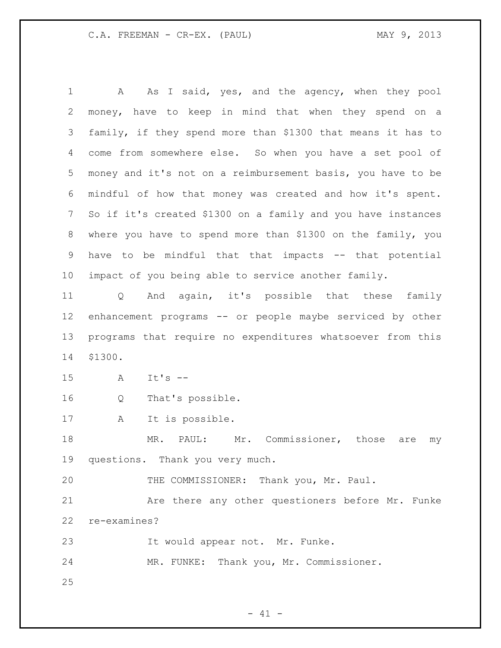1 A As I said, yes, and the agency, when they pool money, have to keep in mind that when they spend on a family, if they spend more than \$1300 that means it has to come from somewhere else. So when you have a set pool of money and it's not on a reimbursement basis, you have to be mindful of how that money was created and how it's spent. So if it's created \$1300 on a family and you have instances where you have to spend more than \$1300 on the family, you have to be mindful that that impacts -- that potential impact of you being able to service another family. Q And again, it's possible that these family enhancement programs -- or people maybe serviced by other

 programs that require no expenditures whatsoever from this \$1300.

- A It's --
- Q That's possible.
- A It is possible.

18 MR. PAUL: Mr. Commissioner, those are my questions. Thank you very much.

THE COMMISSIONER: Thank you, Mr. Paul.

 Are there any other questioners before Mr. Funke re-examines?

It would appear not. Mr. Funke.

MR. FUNKE: Thank you, Mr. Commissioner.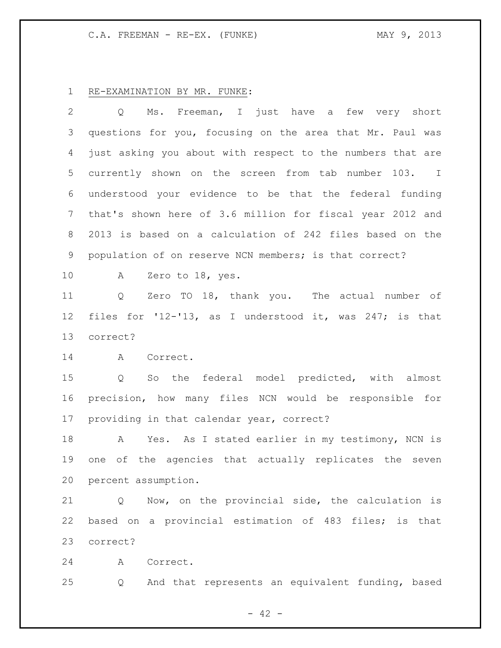## C.A. FREEMAN - RE-EX. (FUNKE) MAY 9, 2013

## RE-EXAMINATION BY MR. FUNKE:

 Q Ms. Freeman, I just have a few very short questions for you, focusing on the area that Mr. Paul was just asking you about with respect to the numbers that are currently shown on the screen from tab number 103. I understood your evidence to be that the federal funding that's shown here of 3.6 million for fiscal year 2012 and 2013 is based on a calculation of 242 files based on the population of on reserve NCN members; is that correct? A Zero to 18, yes. Q Zero TO 18, thank you. The actual number of files for '12-'13, as I understood it, was 247; is that correct? A Correct. Q So the federal model predicted, with almost precision, how many files NCN would be responsible for providing in that calendar year, correct? 18 A Yes. As I stated earlier in my testimony, NCN is one of the agencies that actually replicates the seven percent assumption. Q Now, on the provincial side, the calculation is based on a provincial estimation of 483 files; is that correct? A Correct. Q And that represents an equivalent funding, based

- 42 -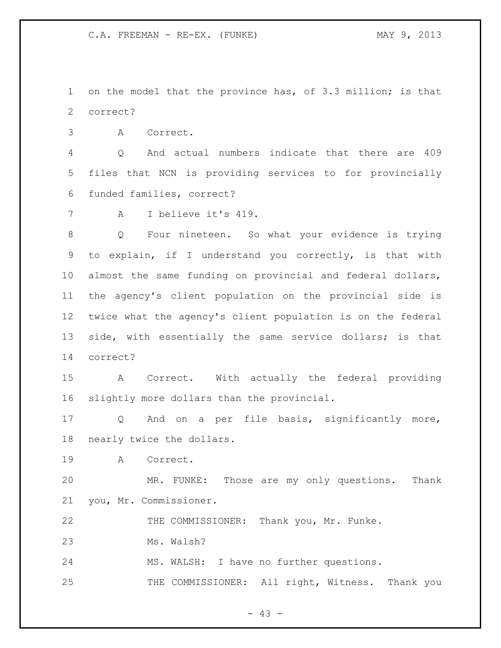on the model that the province has, of 3.3 million; is that correct?

A Correct.

 Q And actual numbers indicate that there are 409 files that NCN is providing services to for provincially funded families, correct?

A I believe it's 419.

 Q Four nineteen. So what your evidence is trying to explain, if I understand you correctly, is that with almost the same funding on provincial and federal dollars, the agency's client population on the provincial side is twice what the agency's client population is on the federal side, with essentially the same service dollars; is that correct?

 A Correct. With actually the federal providing slightly more dollars than the provincial.

 Q And on a per file basis, significantly more, nearly twice the dollars.

A Correct.

 MR. FUNKE: Those are my only questions. Thank you, Mr. Commissioner.

THE COMMISSIONER: Thank you, Mr. Funke.

Ms. Walsh?

MS. WALSH: I have no further questions.

25 THE COMMISSIONER: All right, Witness. Thank you

 $- 43 -$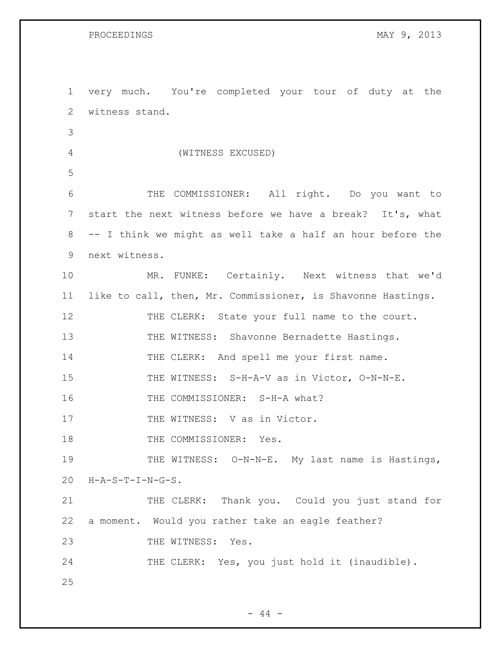1 very much. You're completed your tour of duty at the 2 witness stand. 3 4 (WITNESS EXCUSED) 5 6 THE COMMISSIONER: All right. Do you want to 7 start the next witness before we have a break? It's, what 8 -- I think we might as well take a half an hour before the 9 next witness. 10 MR. FUNKE: Certainly. Next witness that we'd 11 like to call, then, Mr. Commissioner, is Shavonne Hastings. 12 THE CLERK: State your full name to the court. 13 THE WITNESS: Shavonne Bernadette Hastings. 14 THE CLERK: And spell me your first name. 15 THE WITNESS: S-H-A-V as in Victor, O-N-N-E. 16 THE COMMISSIONER: S-H-A what? 17 THE WITNESS: V as in Victor. 18 THE COMMISSIONER: Yes. 19 THE WITNESS: O-N-N-E. My last name is Hastings, 20 H-A-S-T-I-N-G-S. 21 THE CLERK: Thank you. Could you just stand for 22 a moment. Would you rather take an eagle feather? 23 THE WITNESS: Yes. 24 THE CLERK: Yes, you just hold it (inaudible). 25

 $-44 -$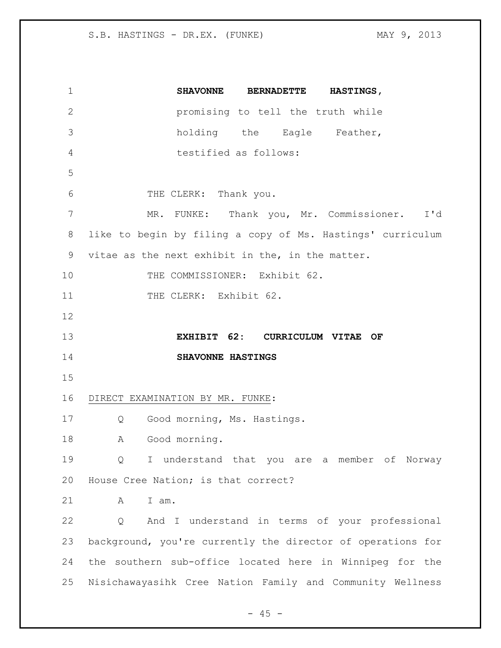**SHAVONNE BERNADETTE HASTINGS,** promising to tell the truth while holding the Eagle Feather, testified as follows: THE CLERK: Thank you. MR. FUNKE: Thank you, Mr. Commissioner. I'd like to begin by filing a copy of Ms. Hastings' curriculum vitae as the next exhibit in the, in the matter. 10 THE COMMISSIONER: Exhibit 62. 11 THE CLERK: Exhibit 62. **EXHIBIT 62: CURRICULUM VITAE OF SHAVONNE HASTINGS** DIRECT EXAMINATION BY MR. FUNKE: Q Good morning, Ms. Hastings. 18 A Good morning. Q I understand that you are a member of Norway House Cree Nation; is that correct? A I am. Q And I understand in terms of your professional background, you're currently the director of operations for the southern sub-office located here in Winnipeg for the Nisichawayasihk Cree Nation Family and Community Wellness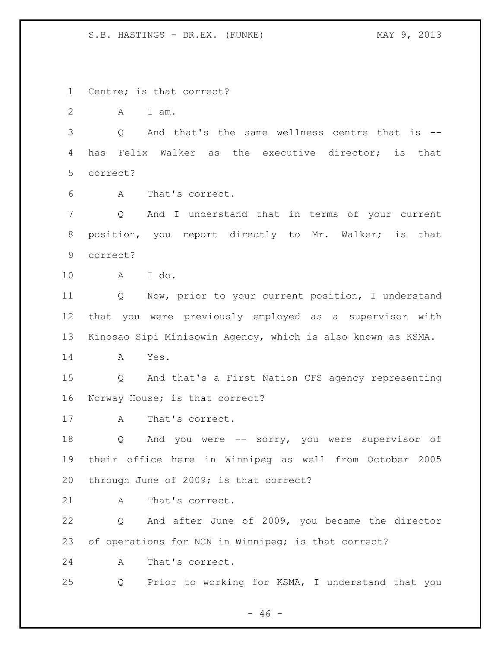Centre; is that correct? A I am. Q And that's the same wellness centre that is -- has Felix Walker as the executive director; is that correct? A That's correct. Q And I understand that in terms of your current 8 position, you report directly to Mr. Walker; is that correct? A I do. Q Now, prior to your current position, I understand that you were previously employed as a supervisor with Kinosao Sipi Minisowin Agency, which is also known as KSMA. A Yes. Q And that's a First Nation CFS agency representing Norway House; is that correct? 17 A That's correct. Q And you were -- sorry, you were supervisor of their office here in Winnipeg as well from October 2005 through June of 2009; is that correct? 21 A That's correct. Q And after June of 2009, you became the director of operations for NCN in Winnipeg; is that correct? A That's correct. Q Prior to working for KSMA, I understand that you

 $- 46 -$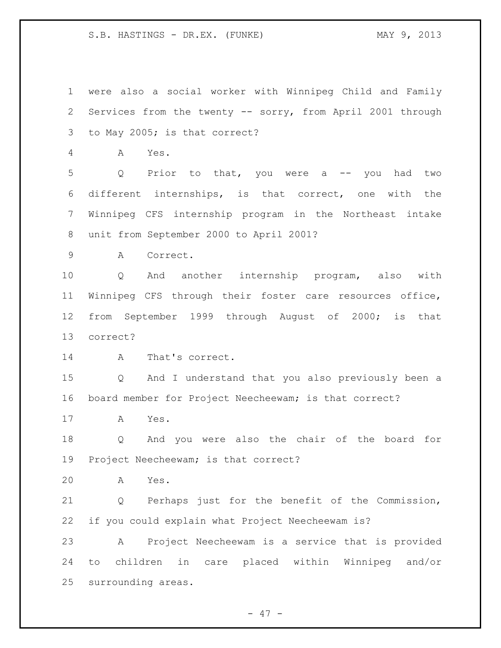were also a social worker with Winnipeg Child and Family Services from the twenty -- sorry, from April 2001 through to May 2005; is that correct? A Yes. Q Prior to that, you were a -- you had two different internships, is that correct, one with the Winnipeg CFS internship program in the Northeast intake unit from September 2000 to April 2001? A Correct. Q And another internship program, also with Winnipeg CFS through their foster care resources office, from September 1999 through August of 2000; is that correct? 14 A That's correct. Q And I understand that you also previously been a board member for Project Neecheewam; is that correct? A Yes. Q And you were also the chair of the board for Project Neecheewam; is that correct? A Yes. Q Perhaps just for the benefit of the Commission, if you could explain what Project Neecheewam is? A Project Neecheewam is a service that is provided to children in care placed within Winnipeg and/or surrounding areas.

 $- 47 -$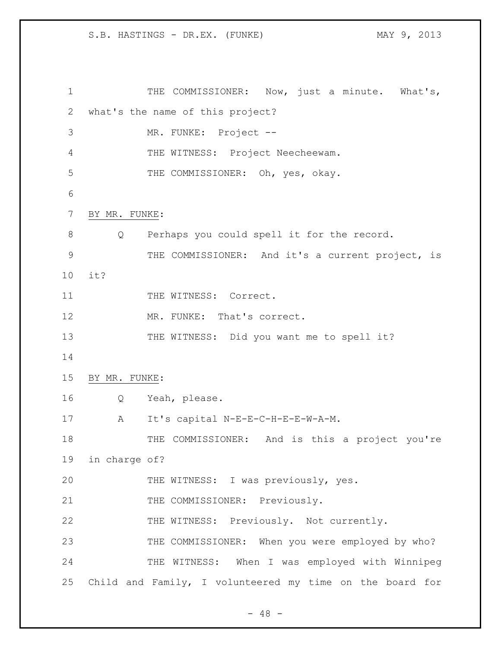1 THE COMMISSIONER: Now, just a minute. What's, 2 what's the name of this project? 3 MR. FUNKE: Project -- 4 THE WITNESS: Project Neecheewam. 5 THE COMMISSIONER: Oh, yes, okay. 6 7 BY MR. FUNKE: 8 Q Perhaps you could spell it for the record. 9 THE COMMISSIONER: And it's a current project, is 10 it? 11 THE WITNESS: Correct. 12 MR. FUNKE: That's correct. 13 THE WITNESS: Did you want me to spell it? 14 15 BY MR. FUNKE: 16 Q Yeah, please. 17 A It's capital N-E-E-C-H-E-E-W-A-M. 18 THE COMMISSIONER: And is this a project you're 19 in charge of? 20 THE WITNESS: I was previously, yes. 21 THE COMMISSIONER: Previously. 22 THE WITNESS: Previously. Not currently. 23 THE COMMISSIONER: When you were employed by who? 24 THE WITNESS: When I was employed with Winnipeg 25 Child and Family, I volunteered my time on the board for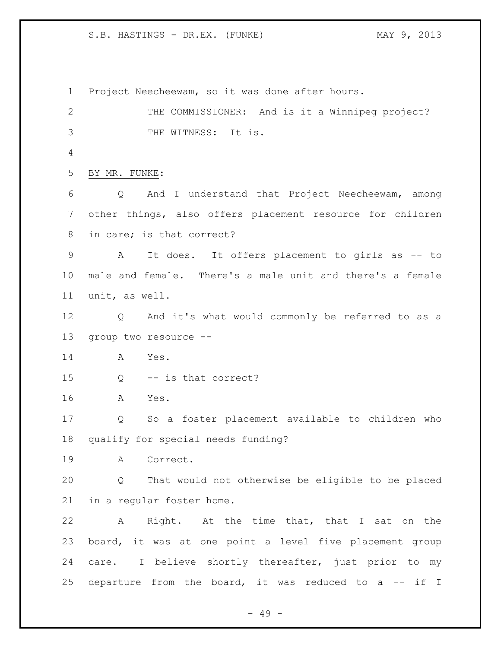Project Neecheewam, so it was done after hours. THE COMMISSIONER: And is it a Winnipeg project? THE WITNESS: It is. BY MR. FUNKE: Q And I understand that Project Neecheewam, among other things, also offers placement resource for children in care; is that correct? A It does. It offers placement to girls as -- to male and female. There's a male unit and there's a female unit, as well. Q And it's what would commonly be referred to as a group two resource -- A Yes. Q -- is that correct? A Yes. Q So a foster placement available to children who qualify for special needs funding? A Correct. Q That would not otherwise be eligible to be placed in a regular foster home. A Right. At the time that, that I sat on the board, it was at one point a level five placement group 24 care. I believe shortly thereafter, just prior to my 25 departure from the board, it was reduced to a -- if I

- 49 -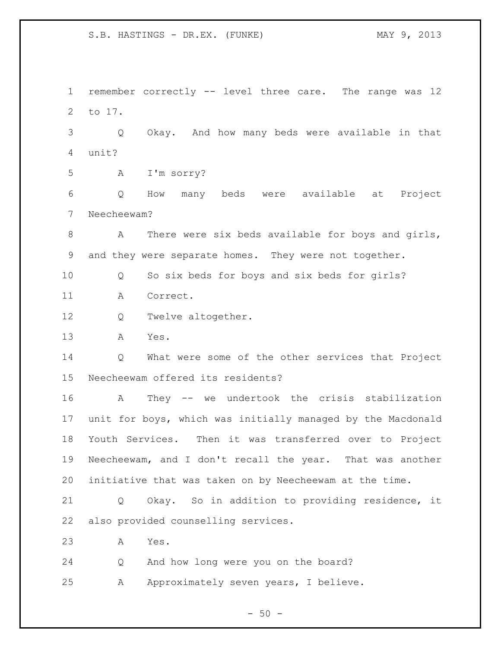remember correctly -- level three care. The range was 12 to 17. Q Okay. And how many beds were available in that unit? A I'm sorry? Q How many beds were available at Project Neecheewam? A There were six beds available for boys and girls, and they were separate homes. They were not together. Q So six beds for boys and six beds for girls? A Correct. Q Twelve altogether. A Yes. Q What were some of the other services that Project Neecheewam offered its residents? A They -- we undertook the crisis stabilization unit for boys, which was initially managed by the Macdonald Youth Services. Then it was transferred over to Project Neecheewam, and I don't recall the year. That was another initiative that was taken on by Neecheewam at the time. Q Okay. So in addition to providing residence, it also provided counselling services. A Yes. Q And how long were you on the board? A Approximately seven years, I believe.

 $-50 -$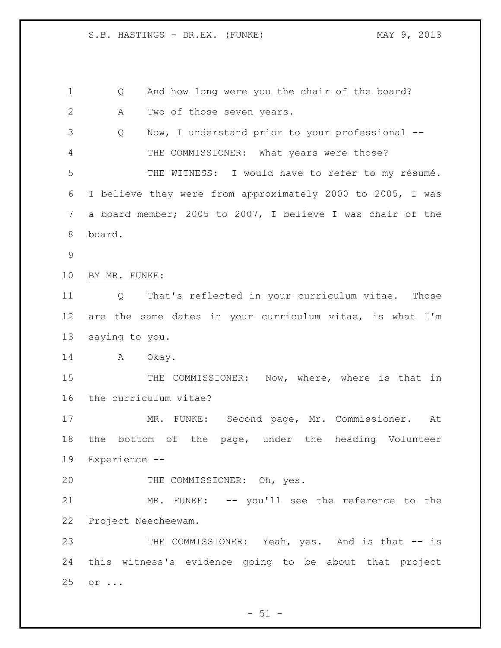Q And how long were you the chair of the board? A Two of those seven years. Q Now, I understand prior to your professional -- THE COMMISSIONER: What years were those? THE WITNESS: I would have to refer to my résumé. I believe they were from approximately 2000 to 2005, I was a board member; 2005 to 2007, I believe I was chair of the board. BY MR. FUNKE: Q That's reflected in your curriculum vitae. Those are the same dates in your curriculum vitae, is what I'm saying to you. 14 A Okay. THE COMMISSIONER: Now, where, where is that in the curriculum vitae? MR. FUNKE: Second page, Mr. Commissioner. At the bottom of the page, under the heading Volunteer Experience -- THE COMMISSIONER: Oh, yes. MR. FUNKE: -- you'll see the reference to the Project Neecheewam. 23 THE COMMISSIONER: Yeah, yes. And is that -- is this witness's evidence going to be about that project or ...

 $-51 -$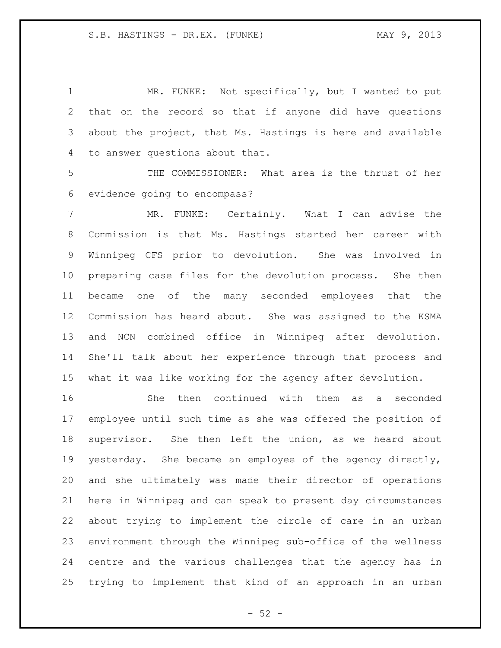1 MR. FUNKE: Not specifically, but I wanted to put that on the record so that if anyone did have questions about the project, that Ms. Hastings is here and available to answer questions about that.

 THE COMMISSIONER: What area is the thrust of her evidence going to encompass?

 MR. FUNKE: Certainly. What I can advise the Commission is that Ms. Hastings started her career with Winnipeg CFS prior to devolution. She was involved in preparing case files for the devolution process. She then became one of the many seconded employees that the Commission has heard about. She was assigned to the KSMA and NCN combined office in Winnipeg after devolution. She'll talk about her experience through that process and what it was like working for the agency after devolution.

 She then continued with them as a seconded employee until such time as she was offered the position of supervisor. She then left the union, as we heard about yesterday. She became an employee of the agency directly, and she ultimately was made their director of operations here in Winnipeg and can speak to present day circumstances about trying to implement the circle of care in an urban environment through the Winnipeg sub-office of the wellness centre and the various challenges that the agency has in trying to implement that kind of an approach in an urban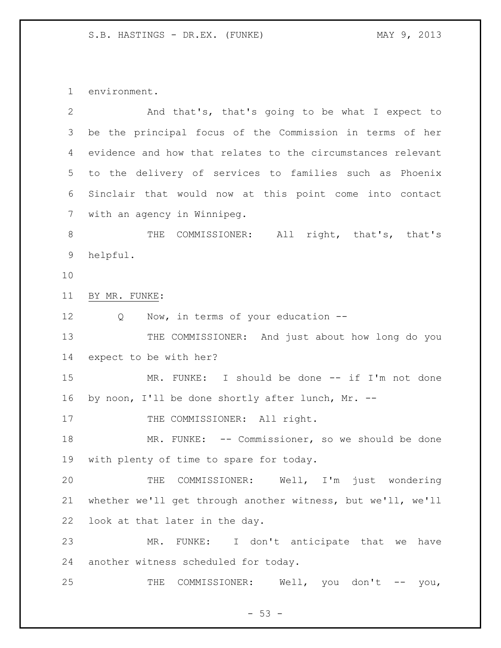environment.

| 2               | And that's, that's going to be what I expect to             |
|-----------------|-------------------------------------------------------------|
| 3               | be the principal focus of the Commission in terms of her    |
| 4               | evidence and how that relates to the circumstances relevant |
| 5               | to the delivery of services to families such as Phoenix     |
| 6               | Sinclair that would now at this point come into contact     |
| $7\phantom{.0}$ | with an agency in Winnipeg.                                 |
| 8               | THE COMMISSIONER: All right, that's, that's                 |
| 9               | helpful.                                                    |
| 10              |                                                             |
| 11              | BY MR. FUNKE:                                               |
| 12              | Now, in terms of your education --<br>Q                     |
| 13              | THE COMMISSIONER: And just about how long do you            |
| 14              | expect to be with her?                                      |
| 15              | MR. FUNKE: I should be done -- if I'm not done              |
| 16              | by noon, I'll be done shortly after lunch, Mr. --           |
| 17              | THE COMMISSIONER: All right.                                |
| 18              | MR. FUNKE: -- Commissioner, so we should be done            |
| 19              | with plenty of time to spare for today.                     |
| 20              | THE COMMISSIONER: Well, I'm just wondering                  |
| 21              | whether we'll get through another witness, but we'll, we'll |
| 22              | look at that later in the day.                              |
| 23              | FUNKE: I don't anticipate that we<br>MR.<br>have            |
| 24              | another witness scheduled for today.                        |
| 25              | Well, you don't $--$ you,<br>THE<br>COMMISSIONER:           |

- 53 -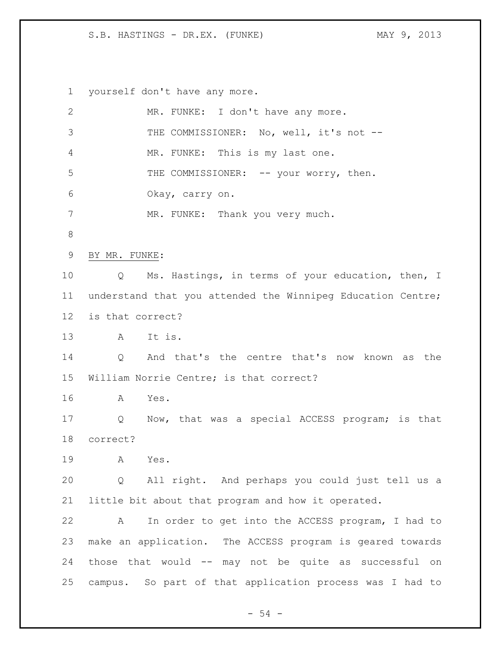yourself don't have any more.

| $\overline{2}$  | MR. FUNKE: I don't have any more.                           |
|-----------------|-------------------------------------------------------------|
| 3               | THE COMMISSIONER: No, well, it's not --                     |
| 4               | MR. FUNKE: This is my last one.                             |
| 5               | THE COMMISSIONER: -- your worry, then.                      |
| 6               | Okay, carry on.                                             |
| 7               | MR. FUNKE: Thank you very much.                             |
| 8               |                                                             |
| 9               | BY MR. FUNKE:                                               |
| 10              | Ms. Hastings, in terms of your education, then, I<br>Q      |
| 11              | understand that you attended the Winnipeg Education Centre; |
| 12 <sup>°</sup> | is that correct?                                            |
| 13              | A It is.                                                    |
| 14              | And that's the centre that's now known as the<br>Q          |
| 15              | William Norrie Centre; is that correct?                     |
| 16              | Yes.<br>A                                                   |
| 17              | Now, that was a special ACCESS program; is that<br>Q        |
| 18              | correct?                                                    |
| 19              | Yes.<br>А                                                   |
| 20              | All right. And perhaps you could just tell us a<br>Q        |
| 21              | little bit about that program and how it operated.          |
| 22              | In order to get into the ACCESS program, I had to<br>Α      |
| 23              | make an application. The ACCESS program is geared towards   |
| 24              | those that would -- may not be quite as successful on       |
| 25              | campus. So part of that application process was I had to    |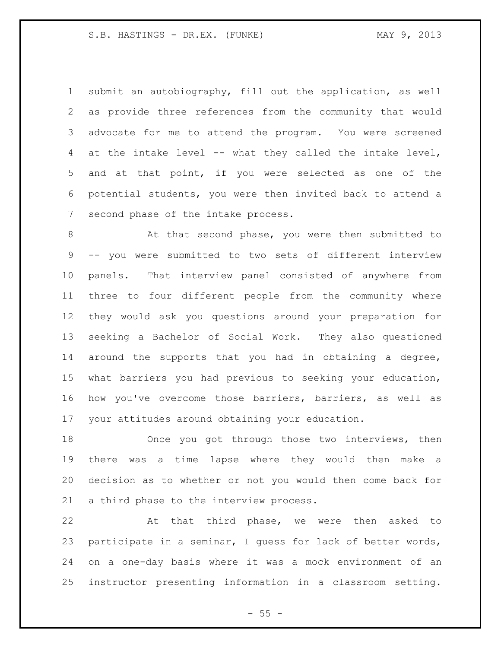submit an autobiography, fill out the application, as well as provide three references from the community that would advocate for me to attend the program. You were screened at the intake level -- what they called the intake level, and at that point, if you were selected as one of the potential students, you were then invited back to attend a second phase of the intake process.

8 At that second phase, you were then submitted to -- you were submitted to two sets of different interview panels. That interview panel consisted of anywhere from three to four different people from the community where they would ask you questions around your preparation for seeking a Bachelor of Social Work. They also questioned around the supports that you had in obtaining a degree, what barriers you had previous to seeking your education, how you've overcome those barriers, barriers, as well as your attitudes around obtaining your education.

 Once you got through those two interviews, then there was a time lapse where they would then make a decision as to whether or not you would then come back for a third phase to the interview process.

 At that third phase, we were then asked to participate in a seminar, I guess for lack of better words, on a one-day basis where it was a mock environment of an instructor presenting information in a classroom setting.

 $- 55 -$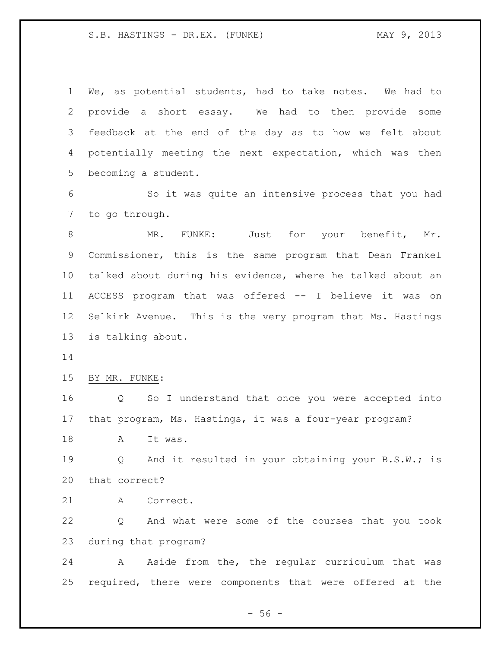We, as potential students, had to take notes. We had to provide a short essay. We had to then provide some feedback at the end of the day as to how we felt about potentially meeting the next expectation, which was then becoming a student.

 So it was quite an intensive process that you had to go through.

8 MR. FUNKE: Just for your benefit, Mr. Commissioner, this is the same program that Dean Frankel talked about during his evidence, where he talked about an ACCESS program that was offered -- I believe it was on Selkirk Avenue. This is the very program that Ms. Hastings is talking about.

BY MR. FUNKE:

 Q So I understand that once you were accepted into that program, Ms. Hastings, it was a four-year program?

18 A It was.

 Q And it resulted in your obtaining your B.S.W.; is that correct?

A Correct.

 Q And what were some of the courses that you took during that program?

24 A Aside from the, the regular curriculum that was required, there were components that were offered at the

 $-56 -$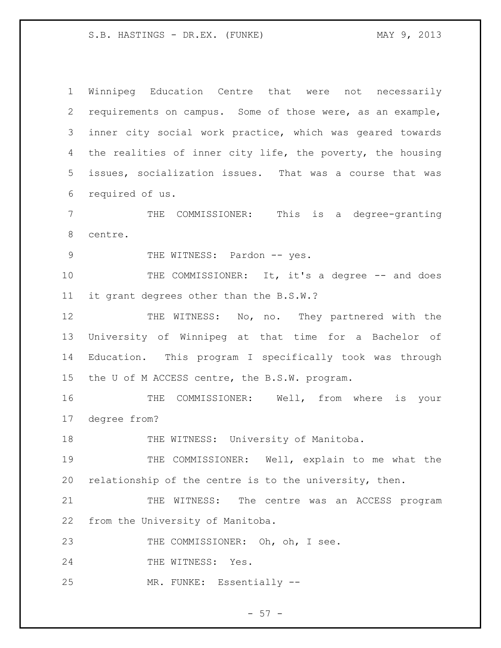1 Winnipeg Education Centre that were not necessarily 2 requirements on campus. Some of those were, as an example, 3 inner city social work practice, which was geared towards 4 the realities of inner city life, the poverty, the housing 5 issues, socialization issues. That was a course that was 6 required of us. 7 THE COMMISSIONER: This is a degree-granting 8 centre. 9 THE WITNESS: Pardon -- yes. 10 THE COMMISSIONER: It, it's a degree -- and does 11 it grant degrees other than the B.S.W.? 12 THE WITNESS: No, no. They partnered with the 13 University of Winnipeg at that time for a Bachelor of 14 Education. This program I specifically took was through 15 the U of M ACCESS centre, the B.S.W. program. 16 THE COMMISSIONER: Well, from where is your 17 degree from? 18 THE WITNESS: University of Manitoba. 19 THE COMMISSIONER: Well, explain to me what the 20 relationship of the centre is to the university, then. 21 THE WITNESS: The centre was an ACCESS program 22 from the University of Manitoba. 23 THE COMMISSIONER: Oh, oh, I see. 24 THE WITNESS: Yes. 25 MR. FUNKE: Essentially --

 $-57 -$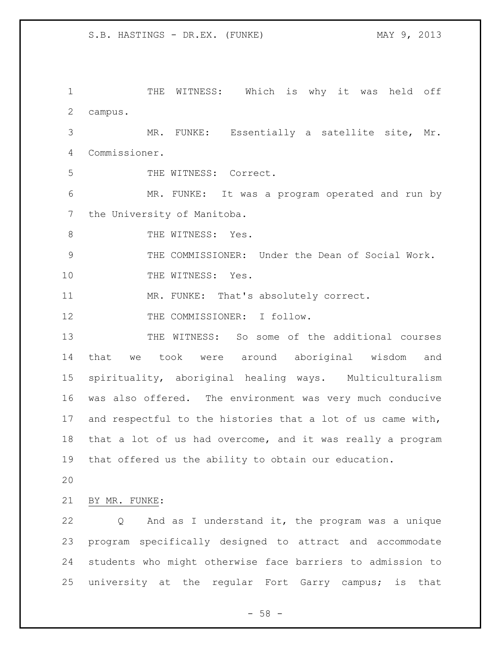THE WITNESS: Which is why it was held off campus. MR. FUNKE: Essentially a satellite site, Mr. Commissioner. THE WITNESS: Correct. MR. FUNKE: It was a program operated and run by 7 the University of Manitoba. 8 THE WITNESS: Yes. THE COMMISSIONER: Under the Dean of Social Work. 10 THE WITNESS: Yes. MR. FUNKE: That's absolutely correct. 12 THE COMMISSIONER: I follow. THE WITNESS: So some of the additional courses that we took were around aboriginal wisdom and spirituality, aboriginal healing ways. Multiculturalism was also offered. The environment was very much conducive and respectful to the histories that a lot of us came with, that a lot of us had overcome, and it was really a program that offered us the ability to obtain our education. BY MR. FUNKE: Q And as I understand it, the program was a unique program specifically designed to attract and accommodate students who might otherwise face barriers to admission to university at the regular Fort Garry campus; is that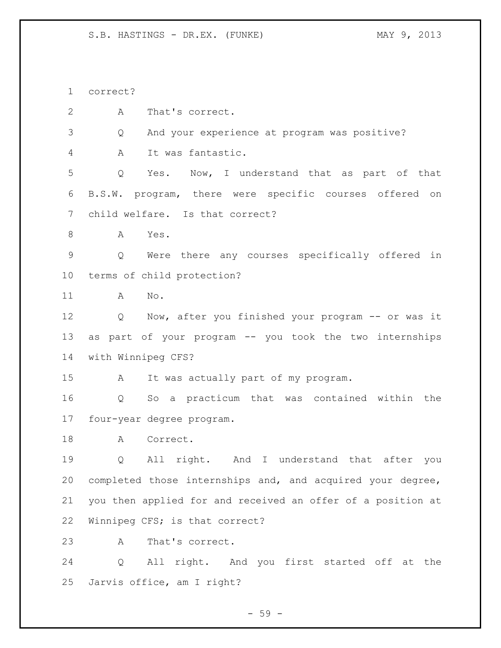correct?

A That's correct.

Q And your experience at program was positive?

A It was fantastic.

 Q Yes. Now, I understand that as part of that B.S.W. program, there were specific courses offered on child welfare. Is that correct?

A Yes.

 Q Were there any courses specifically offered in terms of child protection?

A No.

 Q Now, after you finished your program -- or was it as part of your program -- you took the two internships with Winnipeg CFS?

A It was actually part of my program.

 Q So a practicum that was contained within the four-year degree program.

18 A Correct.

 Q All right. And I understand that after you completed those internships and, and acquired your degree, you then applied for and received an offer of a position at Winnipeg CFS; is that correct?

A That's correct.

 Q All right. And you first started off at the Jarvis office, am I right?

- 59 -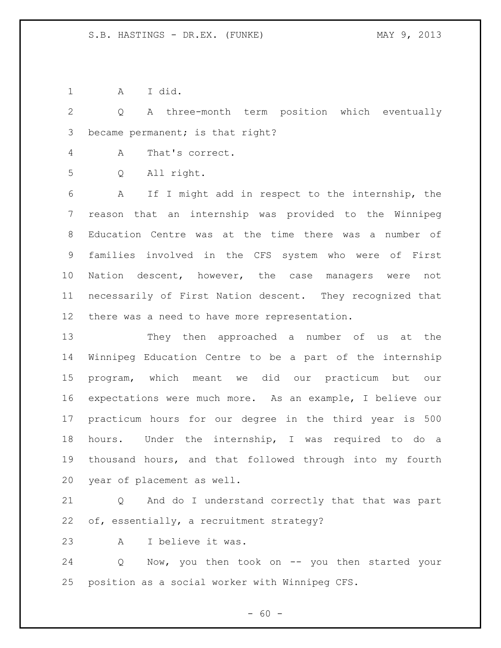A I did.

 Q A three-month term position which eventually became permanent; is that right?

A That's correct.

Q All right.

 A If I might add in respect to the internship, the reason that an internship was provided to the Winnipeg Education Centre was at the time there was a number of families involved in the CFS system who were of First Nation descent, however, the case managers were not necessarily of First Nation descent. They recognized that there was a need to have more representation.

 They then approached a number of us at the Winnipeg Education Centre to be a part of the internship program, which meant we did our practicum but our expectations were much more. As an example, I believe our practicum hours for our degree in the third year is 500 hours. Under the internship, I was required to do a thousand hours, and that followed through into my fourth year of placement as well.

 Q And do I understand correctly that that was part of, essentially, a recruitment strategy?

A I believe it was.

24 Q Now, you then took on -- you then started your position as a social worker with Winnipeg CFS.

 $- 60 -$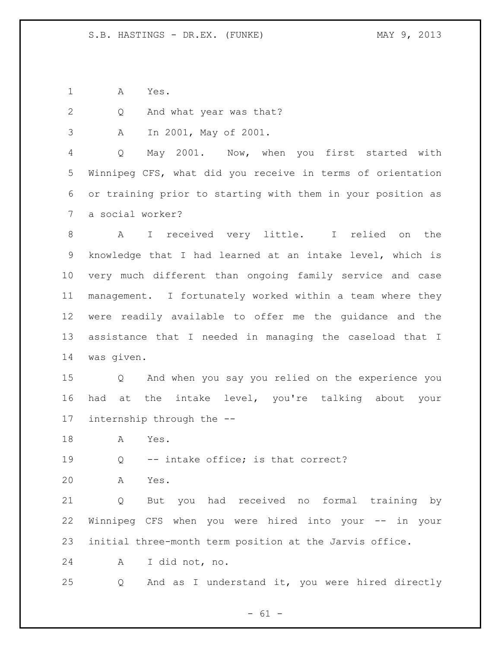A Yes.

Q And what year was that?

A In 2001, May of 2001.

 Q May 2001. Now, when you first started with Winnipeg CFS, what did you receive in terms of orientation or training prior to starting with them in your position as a social worker?

 A I received very little. I relied on the knowledge that I had learned at an intake level, which is very much different than ongoing family service and case management. I fortunately worked within a team where they were readily available to offer me the guidance and the assistance that I needed in managing the caseload that I was given.

 Q And when you say you relied on the experience you had at the intake level, you're talking about your internship through the --

A Yes.

Q -- intake office; is that correct?

A Yes.

 Q But you had received no formal training by Winnipeg CFS when you were hired into your -- in your initial three-month term position at the Jarvis office.

A I did not, no.

Q And as I understand it, you were hired directly

 $- 61 -$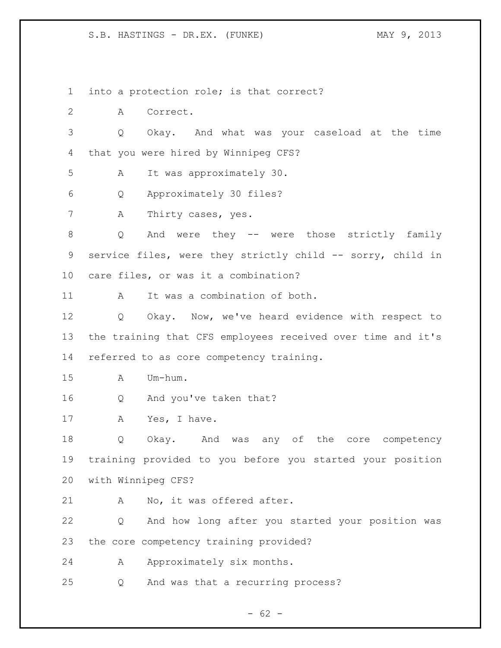into a protection role; is that correct?

A Correct.

 Q Okay. And what was your caseload at the time that you were hired by Winnipeg CFS?

A It was approximately 30.

Q Approximately 30 files?

A Thirty cases, yes.

 Q And were they -- were those strictly family 9 service files, were they strictly child -- sorry, child in care files, or was it a combination?

A It was a combination of both.

 Q Okay. Now, we've heard evidence with respect to the training that CFS employees received over time and it's referred to as core competency training.

A Um-hum.

Q And you've taken that?

17 A Yes, I have.

 Q Okay. And was any of the core competency training provided to you before you started your position with Winnipeg CFS?

A No, it was offered after.

 Q And how long after you started your position was the core competency training provided?

24 A Approximately six months.

Q And was that a recurring process?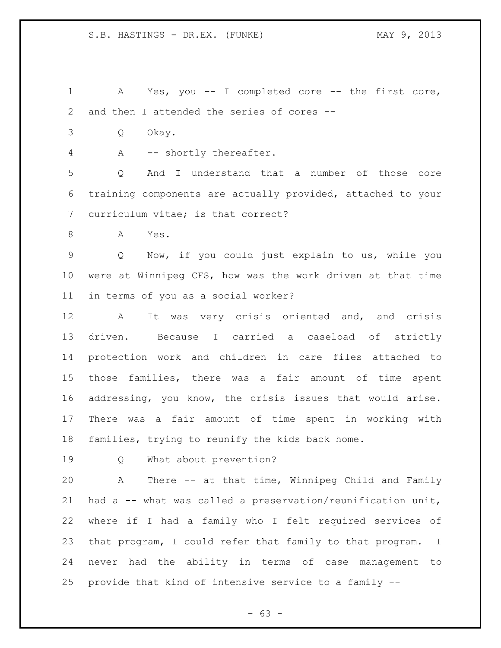A Yes, you -- I completed core -- the first core, and then I attended the series of cores --

- Q Okay.
- 4 A -- shortly thereafter.

 Q And I understand that a number of those core training components are actually provided, attached to your curriculum vitae; is that correct?

A Yes.

 Q Now, if you could just explain to us, while you were at Winnipeg CFS, how was the work driven at that time in terms of you as a social worker?

12 A It was very crisis oriented and, and crisis driven. Because I carried a caseload of strictly protection work and children in care files attached to those families, there was a fair amount of time spent addressing, you know, the crisis issues that would arise. There was a fair amount of time spent in working with families, trying to reunify the kids back home.

Q What about prevention?

 A There -- at that time, Winnipeg Child and Family had a -- what was called a preservation/reunification unit, where if I had a family who I felt required services of that program, I could refer that family to that program. I never had the ability in terms of case management to provide that kind of intensive service to a family --

 $- 63 -$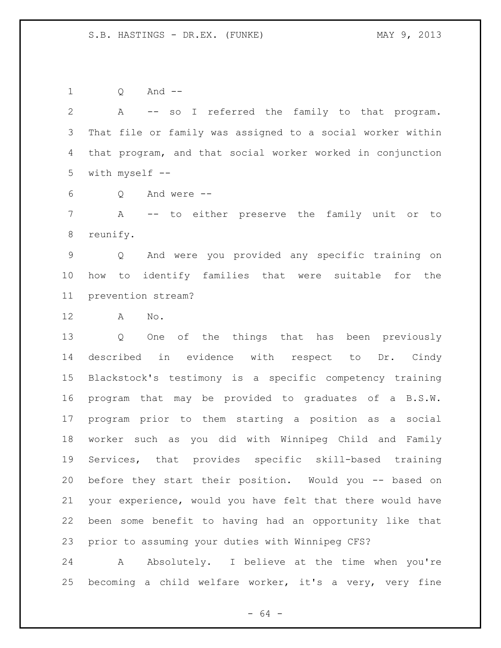Q And --

 A -- so I referred the family to that program. That file or family was assigned to a social worker within that program, and that social worker worked in conjunction with myself --

Q And were --

 A -- to either preserve the family unit or to reunify.

 Q And were you provided any specific training on how to identify families that were suitable for the prevention stream?

A No.

 Q One of the things that has been previously described in evidence with respect to Dr. Cindy Blackstock's testimony is a specific competency training program that may be provided to graduates of a B.S.W. program prior to them starting a position as a social worker such as you did with Winnipeg Child and Family Services, that provides specific skill-based training before they start their position. Would you -- based on your experience, would you have felt that there would have been some benefit to having had an opportunity like that prior to assuming your duties with Winnipeg CFS?

24 A Absolutely. I believe at the time when you're becoming a child welfare worker, it's a very, very fine

- 64 -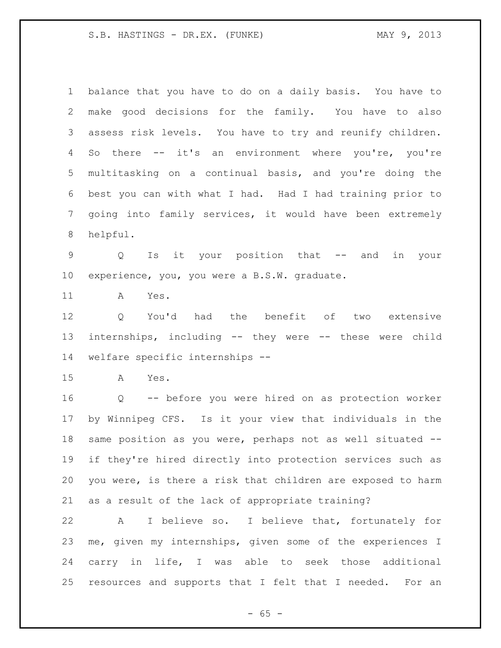balance that you have to do on a daily basis. You have to make good decisions for the family. You have to also assess risk levels. You have to try and reunify children. So there -- it's an environment where you're, you're multitasking on a continual basis, and you're doing the best you can with what I had. Had I had training prior to going into family services, it would have been extremely helpful.

 Q Is it your position that -- and in your experience, you, you were a B.S.W. graduate.

A Yes.

 Q You'd had the benefit of two extensive internships, including -- they were -- these were child welfare specific internships --

A Yes.

 Q -- before you were hired on as protection worker by Winnipeg CFS. Is it your view that individuals in the same position as you were, perhaps not as well situated -- if they're hired directly into protection services such as you were, is there a risk that children are exposed to harm as a result of the lack of appropriate training?

 A I believe so. I believe that, fortunately for me, given my internships, given some of the experiences I carry in life, I was able to seek those additional resources and supports that I felt that I needed. For an

 $- 65 -$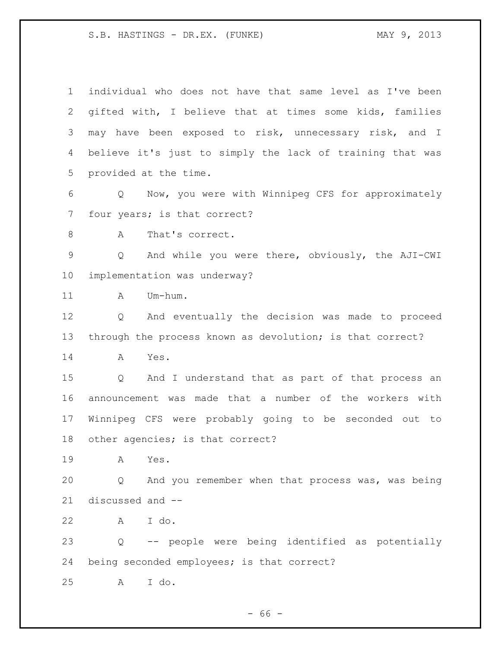| $\mathbf 1$   | individual who does not have that same level as I've been       |
|---------------|-----------------------------------------------------------------|
| 2             | gifted with, I believe that at times some kids, families        |
| 3             | may have been exposed to risk, unnecessary risk, and I          |
| 4             | believe it's just to simply the lack of training that was       |
| 5             | provided at the time.                                           |
| $\epsilon$    | Q Now, you were with Winnipeg CFS for approximately             |
| 7             | four years; is that correct?                                    |
| 8             | That's correct.<br>A                                            |
| $\mathcal{G}$ | And while you were there, obviously, the AJI-CWI<br>$Q_{\rm c}$ |
| 10            | implementation was underway?                                    |
| 11            | Um-hum.<br>A                                                    |
| 12            | And eventually the decision was made to proceed<br>Q            |
| 13            | through the process known as devolution; is that correct?       |
| 14            | Yes.<br>Α                                                       |
| 15            | And I understand that as part of that process an<br>Q           |
| 16            | announcement was made that a number of the workers with         |
| 17            | Winnipeg CFS were probably going to be seconded out to          |
| 18            | other agencies; is that correct?                                |
| 19            | Α<br>Yes.                                                       |
| 20            | And you remember when that process was, was being<br>Q          |
| 21            | discussed and --                                                |
| 22            | A I do.                                                         |
| 23            | Q -- people were being identified as potentially                |
| 24            | being seconded employees; is that correct?                      |
| 25            | I do.<br>A                                                      |

- 66 -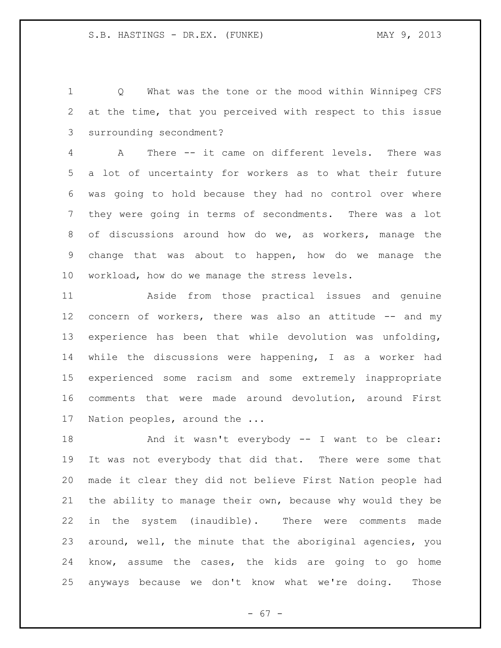Q What was the tone or the mood within Winnipeg CFS at the time, that you perceived with respect to this issue surrounding secondment?

 A There -- it came on different levels. There was a lot of uncertainty for workers as to what their future was going to hold because they had no control over where they were going in terms of secondments. There was a lot of discussions around how do we, as workers, manage the change that was about to happen, how do we manage the workload, how do we manage the stress levels.

 Aside from those practical issues and genuine 12 concern of workers, there was also an attitude -- and my experience has been that while devolution was unfolding, while the discussions were happening, I as a worker had experienced some racism and some extremely inappropriate comments that were made around devolution, around First Nation peoples, around the ...

18 And it wasn't everybody -- I want to be clear: It was not everybody that did that. There were some that made it clear they did not believe First Nation people had the ability to manage their own, because why would they be in the system (inaudible). There were comments made around, well, the minute that the aboriginal agencies, you know, assume the cases, the kids are going to go home anyways because we don't know what we're doing. Those

 $- 67 -$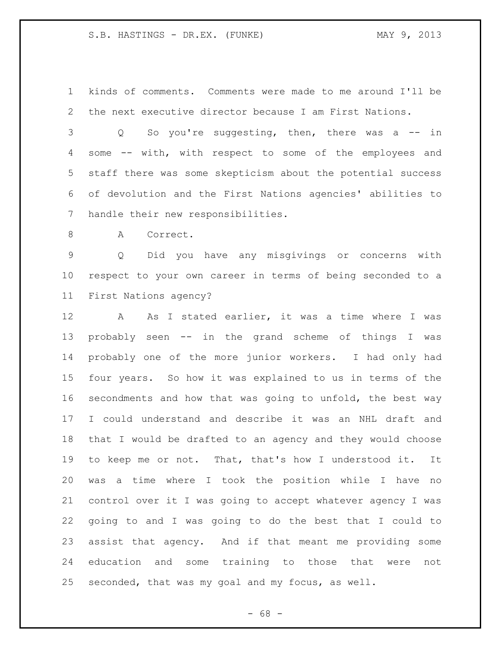kinds of comments. Comments were made to me around I'll be the next executive director because I am First Nations.

 Q So you're suggesting, then, there was a -- in some -- with, with respect to some of the employees and staff there was some skepticism about the potential success of devolution and the First Nations agencies' abilities to handle their new responsibilities.

8 A Correct.

 Q Did you have any misgivings or concerns with respect to your own career in terms of being seconded to a First Nations agency?

12 A As I stated earlier, it was a time where I was probably seen -- in the grand scheme of things I was probably one of the more junior workers. I had only had four years. So how it was explained to us in terms of the secondments and how that was going to unfold, the best way I could understand and describe it was an NHL draft and that I would be drafted to an agency and they would choose to keep me or not. That, that's how I understood it. It was a time where I took the position while I have no control over it I was going to accept whatever agency I was going to and I was going to do the best that I could to assist that agency. And if that meant me providing some education and some training to those that were not seconded, that was my goal and my focus, as well.

- 68 -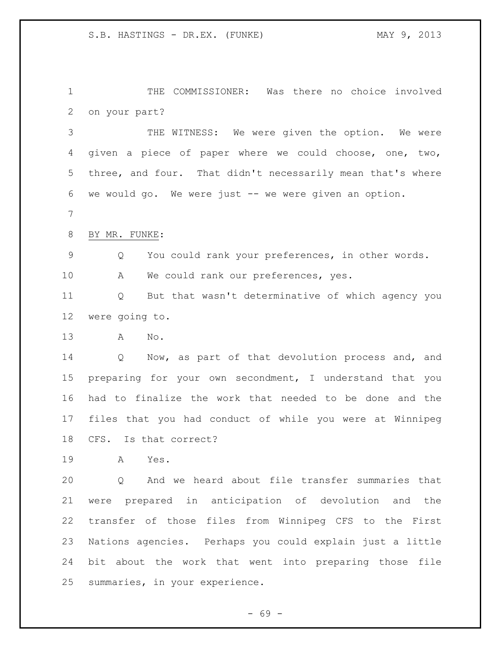THE COMMISSIONER: Was there no choice involved on your part?

 THE WITNESS: We were given the option. We were given a piece of paper where we could choose, one, two, three, and four. That didn't necessarily mean that's where we would go. We were just -- we were given an option.

BY MR. FUNKE:

Q You could rank your preferences, in other words.

A We could rank our preferences, yes.

 Q But that wasn't determinative of which agency you were going to.

A No.

 Q Now, as part of that devolution process and, and preparing for your own secondment, I understand that you had to finalize the work that needed to be done and the files that you had conduct of while you were at Winnipeg CFS. Is that correct?

A Yes.

 Q And we heard about file transfer summaries that were prepared in anticipation of devolution and the transfer of those files from Winnipeg CFS to the First Nations agencies. Perhaps you could explain just a little bit about the work that went into preparing those file summaries, in your experience.

- 69 -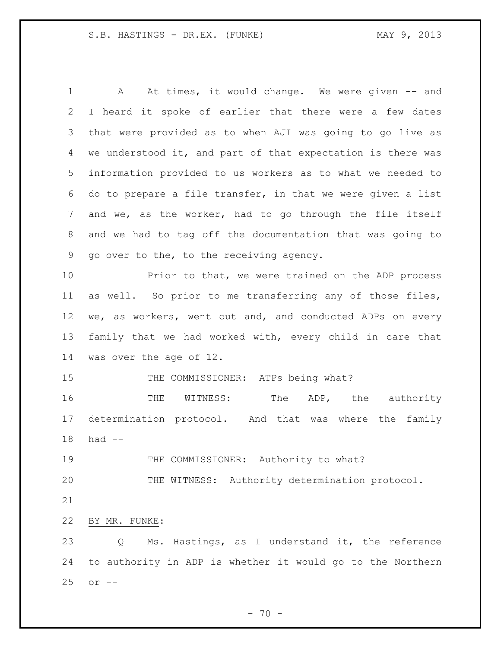1 A At times, it would change. We were given -- and I heard it spoke of earlier that there were a few dates that were provided as to when AJI was going to go live as we understood it, and part of that expectation is there was information provided to us workers as to what we needed to do to prepare a file transfer, in that we were given a list and we, as the worker, had to go through the file itself and we had to tag off the documentation that was going to go over to the, to the receiving agency.

 Prior to that, we were trained on the ADP process as well. So prior to me transferring any of those files, 12 we, as workers, went out and, and conducted ADPs on every family that we had worked with, every child in care that was over the age of 12.

15 THE COMMISSIONER: ATPs being what?

16 THE WITNESS: The ADP, the authority determination protocol. And that was where the family had --

THE COMMISSIONER: Authority to what?

THE WITNESS: Authority determination protocol.

BY MR. FUNKE:

 Q Ms. Hastings, as I understand it, the reference to authority in ADP is whether it would go to the Northern or --

 $- 70 -$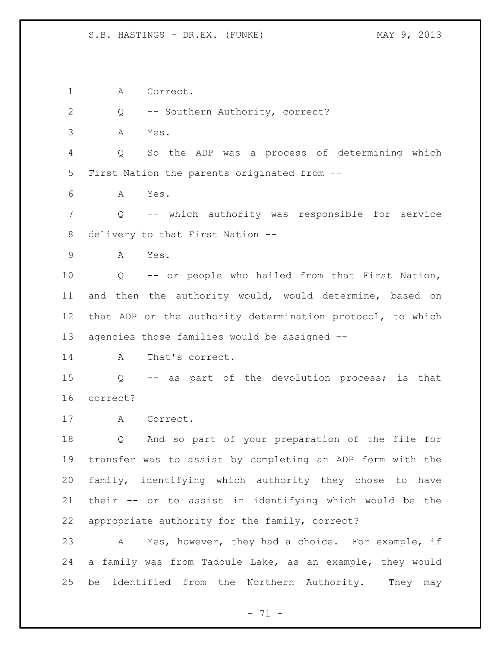A Correct.

2 Q -- Southern Authority, correct?

A Yes.

 Q So the ADP was a process of determining which First Nation the parents originated from --

A Yes.

 Q -- which authority was responsible for service delivery to that First Nation --

A Yes.

 Q -- or people who hailed from that First Nation, and then the authority would, would determine, based on that ADP or the authority determination protocol, to which agencies those families would be assigned --

14 A That's correct.

 Q -- as part of the devolution process; is that correct?

A Correct.

 Q And so part of your preparation of the file for transfer was to assist by completing an ADP form with the family, identifying which authority they chose to have their -- or to assist in identifying which would be the appropriate authority for the family, correct?

 A Yes, however, they had a choice. For example, if a family was from Tadoule Lake, as an example, they would be identified from the Northern Authority. They may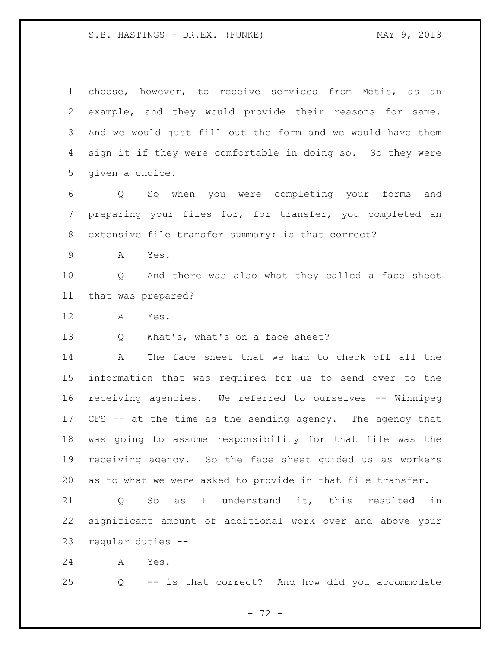choose, however, to receive services from Métis, as an example, and they would provide their reasons for same. And we would just fill out the form and we would have them sign it if they were comfortable in doing so. So they were given a choice.

 Q So when you were completing your forms and preparing your files for, for transfer, you completed an extensive file transfer summary; is that correct?

A Yes.

 Q And there was also what they called a face sheet that was prepared?

A Yes.

13 Q What's, what's on a face sheet?

 A The face sheet that we had to check off all the information that was required for us to send over to the receiving agencies. We referred to ourselves -- Winnipeg CFS -- at the time as the sending agency. The agency that was going to assume responsibility for that file was the receiving agency. So the face sheet guided us as workers as to what we were asked to provide in that file transfer.

 Q So as I understand it, this resulted in significant amount of additional work over and above your regular duties --

A Yes.

Q -- is that correct? And how did you accommodate

- 72 -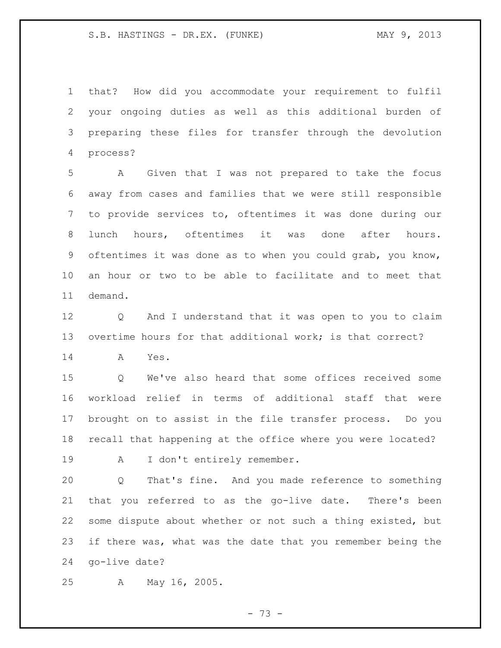that? How did you accommodate your requirement to fulfil your ongoing duties as well as this additional burden of preparing these files for transfer through the devolution process?

 A Given that I was not prepared to take the focus away from cases and families that we were still responsible to provide services to, oftentimes it was done during our lunch hours, oftentimes it was done after hours. oftentimes it was done as to when you could grab, you know, an hour or two to be able to facilitate and to meet that demand.

 Q And I understand that it was open to you to claim overtime hours for that additional work; is that correct?

A Yes.

 Q We've also heard that some offices received some workload relief in terms of additional staff that were brought on to assist in the file transfer process. Do you recall that happening at the office where you were located?

19 A I don't entirely remember.

 Q That's fine. And you made reference to something that you referred to as the go-live date. There's been some dispute about whether or not such a thing existed, but if there was, what was the date that you remember being the go-live date?

A May 16, 2005.

- 73 -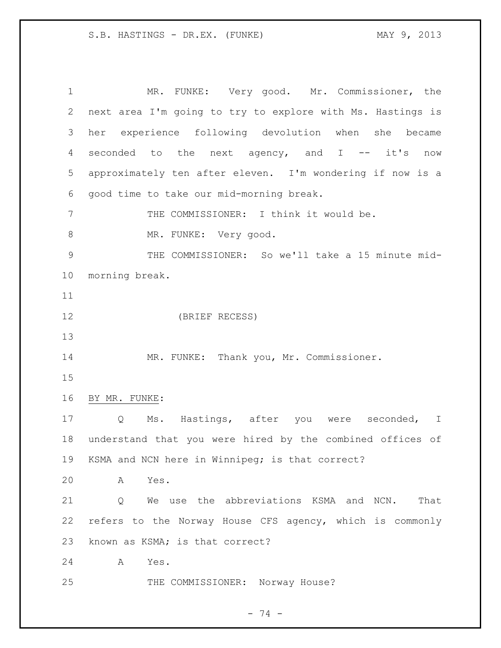MR. FUNKE: Very good. Mr. Commissioner, the next area I'm going to try to explore with Ms. Hastings is her experience following devolution when she became 4 seconded to the next agency, and I -- it's now approximately ten after eleven. I'm wondering if now is a good time to take our mid-morning break. 7 THE COMMISSIONER: I think it would be. 8 MR. FUNKE: Very good. THE COMMISSIONER: So we'll take a 15 minute mid- morning break. (BRIEF RECESS) MR. FUNKE: Thank you, Mr. Commissioner. BY MR. FUNKE: Q Ms. Hastings, after you were seconded, I understand that you were hired by the combined offices of KSMA and NCN here in Winnipeg; is that correct? A Yes. 21 0 We use the abbreviations KSMA and NCN. That refers to the Norway House CFS agency, which is commonly known as KSMA; is that correct? A Yes. 25 THE COMMISSIONER: Norway House?

 $- 74 -$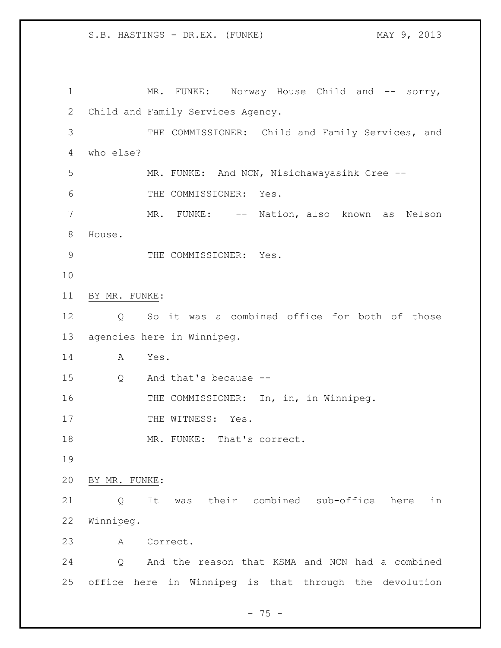1 MR. FUNKE: Norway House Child and -- sorry, Child and Family Services Agency. THE COMMISSIONER: Child and Family Services, and who else? MR. FUNKE: And NCN, Nisichawayasihk Cree -- THE COMMISSIONER: Yes. 7 MR. FUNKE: -- Nation, also known as Nelson House. 9 THE COMMISSIONER: Yes. BY MR. FUNKE: Q So it was a combined office for both of those agencies here in Winnipeg. A Yes. Q And that's because -- 16 THE COMMISSIONER: In, in, in Winnipeg. 17 THE WITNESS: Yes. 18 MR. FUNKE: That's correct. BY MR. FUNKE: Q It was their combined sub-office here in Winnipeg. A Correct. Q And the reason that KSMA and NCN had a combined office here in Winnipeg is that through the devolution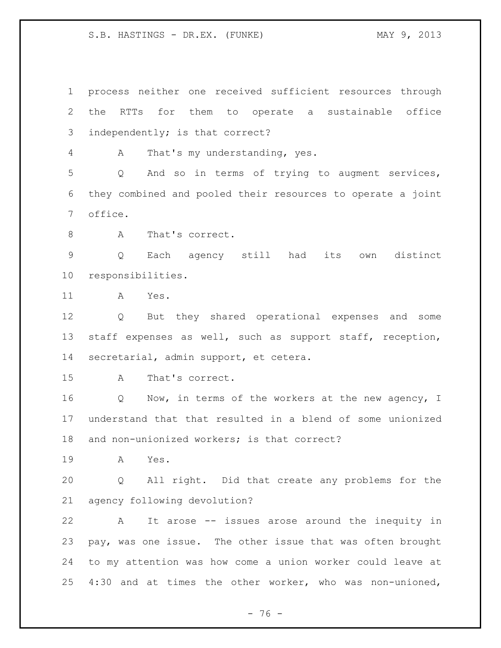process neither one received sufficient resources through the RTTs for them to operate a sustainable office independently; is that correct? A That's my understanding, yes. Q And so in terms of trying to augment services, they combined and pooled their resources to operate a joint office. 8 A That's correct. Q Each agency still had its own distinct responsibilities. A Yes. Q But they shared operational expenses and some staff expenses as well, such as support staff, reception, secretarial, admin support, et cetera. A That's correct. 16 Q Now, in terms of the workers at the new agency, I understand that that resulted in a blend of some unionized and non-unionized workers; is that correct? A Yes. Q All right. Did that create any problems for the agency following devolution? A It arose -- issues arose around the inequity in pay, was one issue. The other issue that was often brought to my attention was how come a union worker could leave at 4:30 and at times the other worker, who was non-unioned,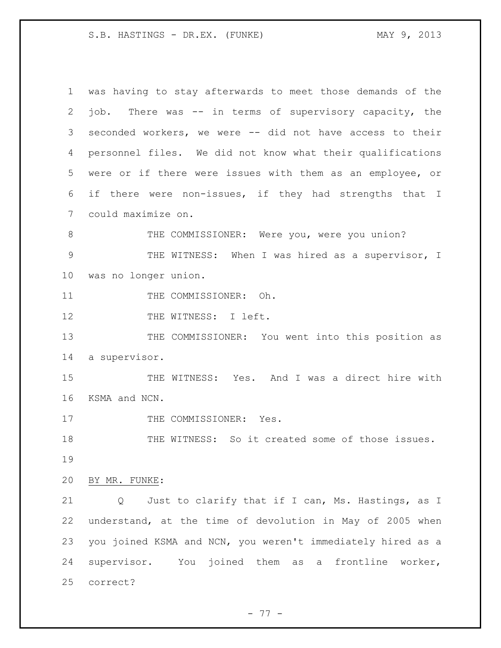was having to stay afterwards to meet those demands of the job. There was -- in terms of supervisory capacity, the seconded workers, we were -- did not have access to their personnel files. We did not know what their qualifications were or if there were issues with them as an employee, or if there were non-issues, if they had strengths that I could maximize on. 8 THE COMMISSIONER: Were you, were you union? THE WITNESS: When I was hired as a supervisor, I was no longer union. 11 THE COMMISSIONER: Oh. 12 THE WITNESS: I left. 13 THE COMMISSIONER: You went into this position as a supervisor. THE WITNESS: Yes. And I was a direct hire with KSMA and NCN. 17 THE COMMISSIONER: Yes. THE WITNESS: So it created some of those issues. BY MR. FUNKE: Q Just to clarify that if I can, Ms. Hastings, as I understand, at the time of devolution in May of 2005 when you joined KSMA and NCN, you weren't immediately hired as a supervisor. You joined them as a frontline worker, correct?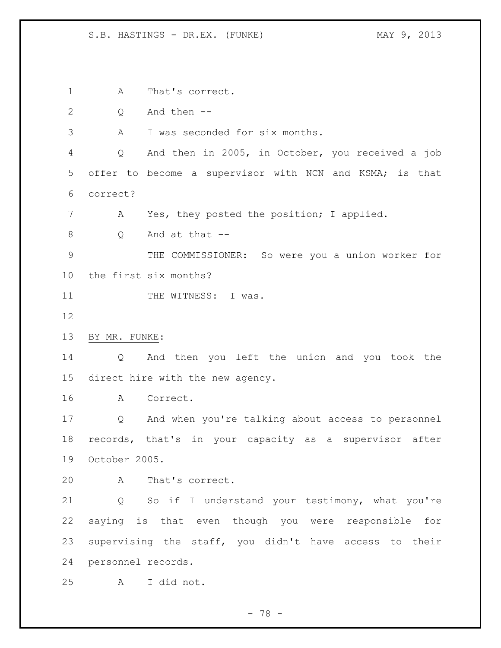A That's correct. Q And then -- A I was seconded for six months. Q And then in 2005, in October, you received a job offer to become a supervisor with NCN and KSMA; is that correct? A Yes, they posted the position; I applied. Q And at that -- THE COMMISSIONER: So were you a union worker for the first six months? 11 THE WITNESS: I was. BY MR. FUNKE: Q And then you left the union and you took the direct hire with the new agency. A Correct. Q And when you're talking about access to personnel records, that's in your capacity as a supervisor after October 2005. A That's correct. Q So if I understand your testimony, what you're saying is that even though you were responsible for supervising the staff, you didn't have access to their personnel records. A I did not.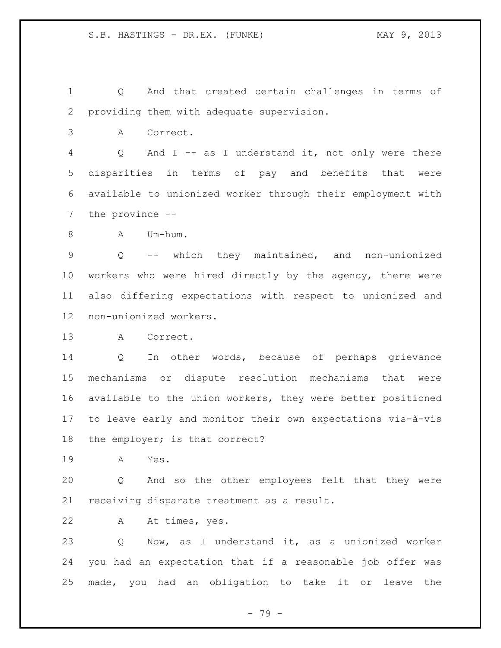Q And that created certain challenges in terms of providing them with adequate supervision.

A Correct.

 Q And I -- as I understand it, not only were there disparities in terms of pay and benefits that were available to unionized worker through their employment with the province --

A Um-hum.

 Q -- which they maintained, and non-unionized workers who were hired directly by the agency, there were also differing expectations with respect to unionized and non-unionized workers.

A Correct.

 Q In other words, because of perhaps grievance mechanisms or dispute resolution mechanisms that were available to the union workers, they were better positioned to leave early and monitor their own expectations vis-à-vis the employer; is that correct?

A Yes.

 Q And so the other employees felt that they were receiving disparate treatment as a result.

A At times, yes.

 Q Now, as I understand it, as a unionized worker you had an expectation that if a reasonable job offer was made, you had an obligation to take it or leave the

- 79 -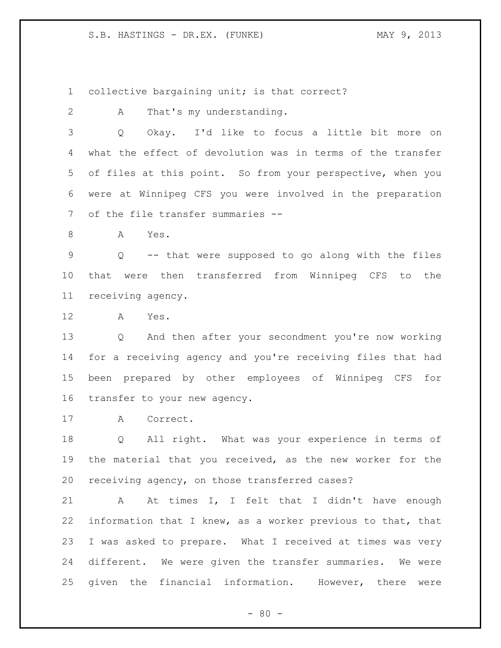collective bargaining unit; is that correct?

A That's my understanding.

 Q Okay. I'd like to focus a little bit more on what the effect of devolution was in terms of the transfer of files at this point. So from your perspective, when you were at Winnipeg CFS you were involved in the preparation of the file transfer summaries --

A Yes.

 Q -- that were supposed to go along with the files that were then transferred from Winnipeg CFS to the receiving agency.

A Yes.

 Q And then after your secondment you're now working for a receiving agency and you're receiving files that had been prepared by other employees of Winnipeg CFS for transfer to your new agency.

A Correct.

 Q All right. What was your experience in terms of the material that you received, as the new worker for the receiving agency, on those transferred cases?

21 A At times I, I felt that I didn't have enough information that I knew, as a worker previous to that, that I was asked to prepare. What I received at times was very different. We were given the transfer summaries. We were given the financial information. However, there were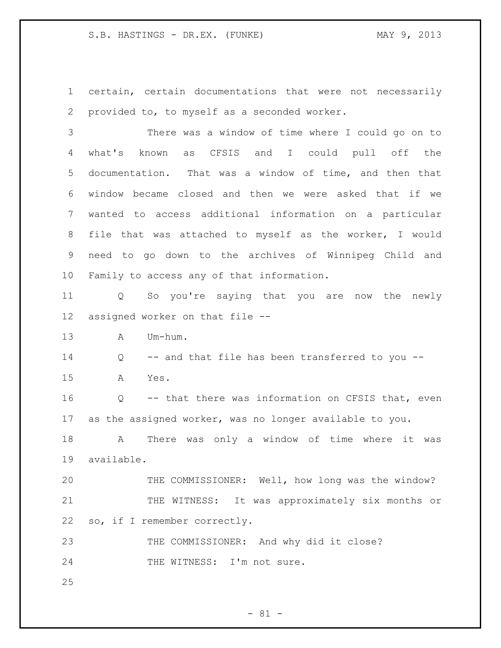certain, certain documentations that were not necessarily provided to, to myself as a seconded worker.

 There was a window of time where I could go on to what's known as CFSIS and I could pull off the documentation. That was a window of time, and then that window became closed and then we were asked that if we wanted to access additional information on a particular file that was attached to myself as the worker, I would need to go down to the archives of Winnipeg Child and Family to access any of that information.

 Q So you're saying that you are now the newly assigned worker on that file --

A Um-hum.

 Q -- and that file has been transferred to you -- A Yes.

 Q -- that there was information on CFSIS that, even as the assigned worker, was no longer available to you.

 A There was only a window of time where it was available.

 THE COMMISSIONER: Well, how long was the window? THE WITNESS: It was approximately six months or so, if I remember correctly.

 THE COMMISSIONER: And why did it close? 24 THE WITNESS: I'm not sure.

 $- 81 -$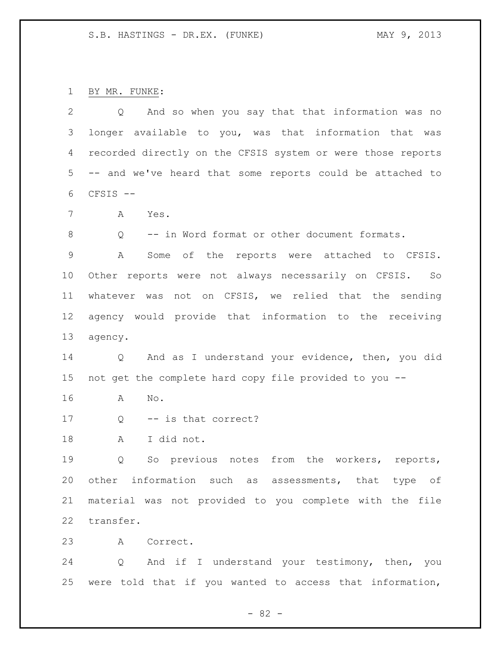BY MR. FUNKE:

| 2               | And so when you say that that information was no<br>Q       |
|-----------------|-------------------------------------------------------------|
| 3               | longer available to you, was that information that was      |
| 4               | recorded directly on the CFSIS system or were those reports |
| 5               | -- and we've heard that some reports could be attached to   |
| 6               | CFSIS --                                                    |
| 7               | Α<br>Yes.                                                   |
| 8               | Q<br>-- in Word format or other document formats.           |
| $\mathsf 9$     | Α<br>Some of the reports were attached to CFSIS.            |
| 10 <sub>o</sub> | Other reports were not always necessarily on CFSIS. So      |
| 11              | whatever was not on CFSIS, we relied that the sending       |
| 12              | agency would provide that information to the receiving      |
| 13              | agency.                                                     |
| 14              | And as I understand your evidence, then, you did<br>Q       |
| 15              | not get the complete hard copy file provided to you --      |
| 16              | Α<br>No.                                                    |
| 17              | -- is that correct?<br>Q                                    |
| 18              | I did not.<br>A                                             |
| 19              | notes from<br>the workers, reports,<br>So previous<br>Q     |
| 20              | other information such as assessments, that type of         |
| 21              | material was not provided to you complete with the file     |
| 22              | transfer.                                                   |
| 23              | A Correct.                                                  |
| 24              | Q And if I understand your testimony, then, you             |
|                 | 25 were told that if you wanted to access that information, |

- 82 -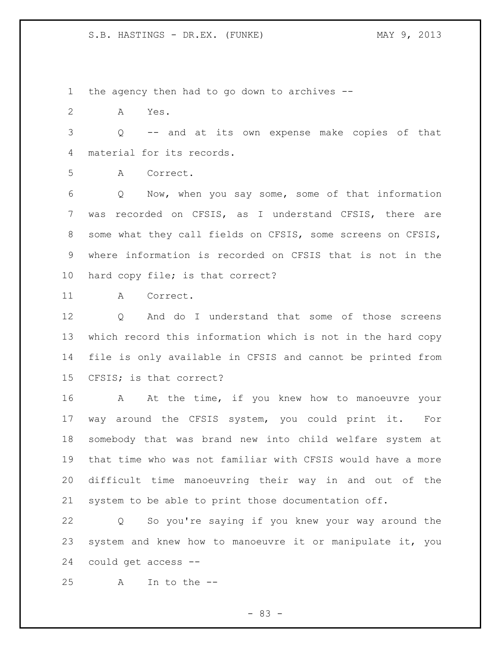the agency then had to go down to archives --

A Yes.

 Q -- and at its own expense make copies of that material for its records.

A Correct.

 Q Now, when you say some, some of that information was recorded on CFSIS, as I understand CFSIS, there are some what they call fields on CFSIS, some screens on CFSIS, where information is recorded on CFSIS that is not in the hard copy file; is that correct?

A Correct.

 Q And do I understand that some of those screens which record this information which is not in the hard copy file is only available in CFSIS and cannot be printed from CFSIS; is that correct?

16 A At the time, if you knew how to manoeuvre your way around the CFSIS system, you could print it. For somebody that was brand new into child welfare system at that time who was not familiar with CFSIS would have a more difficult time manoeuvring their way in and out of the system to be able to print those documentation off.

 Q So you're saying if you knew your way around the system and knew how to manoeuvre it or manipulate it, you could get access --

A In to the --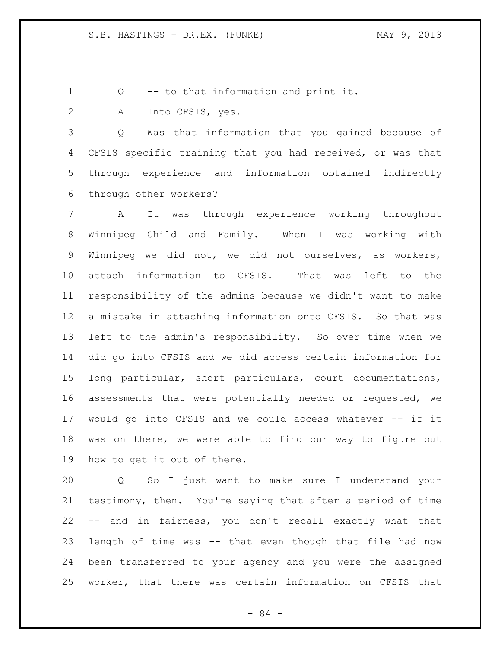Q -- to that information and print it.

A Into CFSIS, yes.

 Q Was that information that you gained because of CFSIS specific training that you had received, or was that through experience and information obtained indirectly through other workers?

 A It was through experience working throughout Winnipeg Child and Family. When I was working with Winnipeg we did not, we did not ourselves, as workers, attach information to CFSIS. That was left to the responsibility of the admins because we didn't want to make a mistake in attaching information onto CFSIS. So that was left to the admin's responsibility. So over time when we did go into CFSIS and we did access certain information for long particular, short particulars, court documentations, assessments that were potentially needed or requested, we would go into CFSIS and we could access whatever -- if it was on there, we were able to find our way to figure out how to get it out of there.

 Q So I just want to make sure I understand your testimony, then. You're saying that after a period of time -- and in fairness, you don't recall exactly what that length of time was -- that even though that file had now been transferred to your agency and you were the assigned worker, that there was certain information on CFSIS that

- 84 -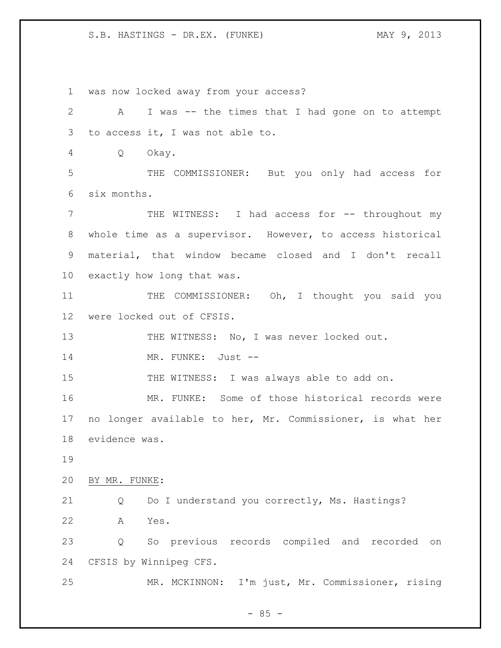was now locked away from your access? A I was -- the times that I had gone on to attempt to access it, I was not able to. Q Okay. THE COMMISSIONER: But you only had access for six months. THE WITNESS: I had access for -- throughout my whole time as a supervisor. However, to access historical material, that window became closed and I don't recall exactly how long that was. 11 THE COMMISSIONER: Oh, I thought you said you were locked out of CFSIS. 13 THE WITNESS: No, I was never locked out. MR. FUNKE: Just -- 15 THE WITNESS: I was always able to add on. MR. FUNKE: Some of those historical records were no longer available to her, Mr. Commissioner, is what her evidence was. BY MR. FUNKE: Q Do I understand you correctly, Ms. Hastings? A Yes. Q So previous records compiled and recorded on CFSIS by Winnipeg CFS. MR. MCKINNON: I'm just, Mr. Commissioner, rising

 $- 85 -$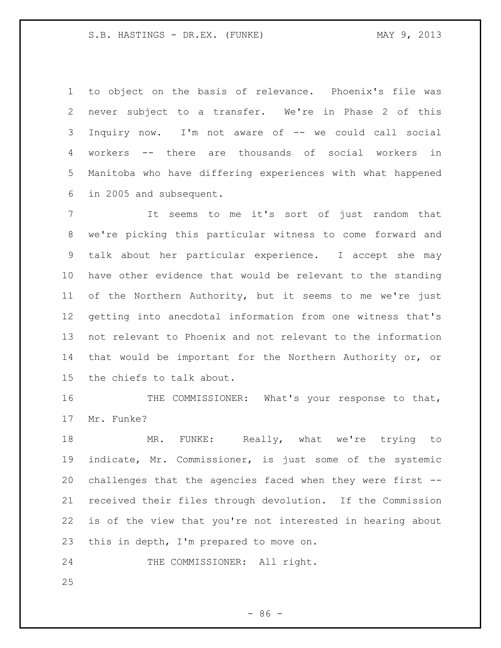to object on the basis of relevance. Phoenix's file was never subject to a transfer. We're in Phase 2 of this Inquiry now. I'm not aware of -- we could call social workers -- there are thousands of social workers in Manitoba who have differing experiences with what happened in 2005 and subsequent.

 It seems to me it's sort of just random that we're picking this particular witness to come forward and talk about her particular experience. I accept she may have other evidence that would be relevant to the standing of the Northern Authority, but it seems to me we're just getting into anecdotal information from one witness that's not relevant to Phoenix and not relevant to the information that would be important for the Northern Authority or, or the chiefs to talk about.

 THE COMMISSIONER: What's your response to that, Mr. Funke?

18 MR. FUNKE: Really, what we're trying to indicate, Mr. Commissioner, is just some of the systemic challenges that the agencies faced when they were first -- received their files through devolution. If the Commission is of the view that you're not interested in hearing about this in depth, I'm prepared to move on.

24 THE COMMISSIONER: All right.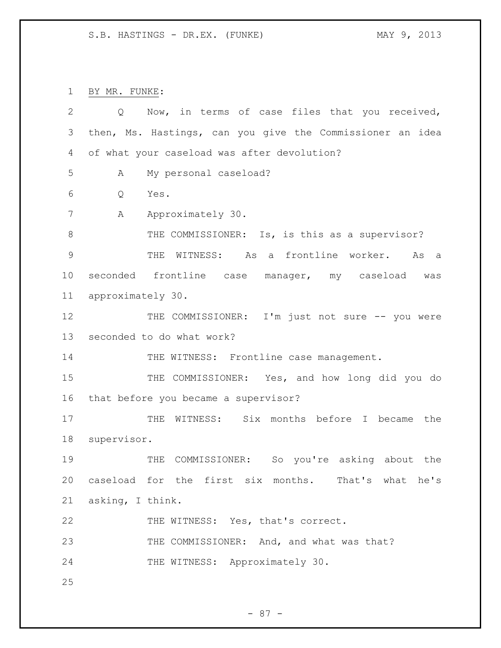BY MR. FUNKE:

| $\overline{2}$ | Now, in terms of case files that you received,<br>Q       |
|----------------|-----------------------------------------------------------|
| 3              | then, Ms. Hastings, can you give the Commissioner an idea |
| 4              | of what your caseload was after devolution?               |
| 5              | My personal caseload?<br>A                                |
| 6              | Yes.<br>Q                                                 |
| 7              | Approximately 30.<br>Α                                    |
| 8              | THE COMMISSIONER: Is, is this as a supervisor?            |
| 9              | THE WITNESS: As a frontline worker.<br>As<br>a a          |
| 10             | seconded frontline case manager, my caseload was          |
| 11             | approximately 30.                                         |
| 12             | THE COMMISSIONER: I'm just not sure -- you were           |
| 13             | seconded to do what work?                                 |
| 14             | THE WITNESS: Frontline case management.                   |
| 15             | THE COMMISSIONER: Yes, and how long did you do            |
| 16             | that before you became a supervisor?                      |
| 17             | THE WITNESS: Six months before I became the               |
| 18             | supervisor.                                               |
| 19             | THE COMMISSIONER: So you're asking about the              |
| 20             | caseload for the first six months. That's what he's       |
| 21             | asking, I think.                                          |
| 22             | THE WITNESS: Yes, that's correct.                         |
| 23             | THE COMMISSIONER: And, and what was that?                 |
| 24             | THE WITNESS: Approximately 30.                            |
| 25             |                                                           |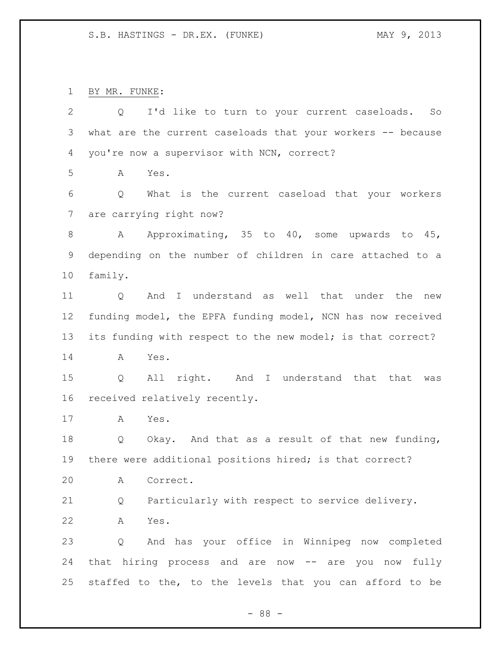BY MR. FUNKE:

| $\mathbf{2}$   | I'd like to turn to your current caseloads.<br>Q<br>So      |
|----------------|-------------------------------------------------------------|
| $\mathfrak{Z}$ | what are the current caseloads that your workers -- because |
| 4              | you're now a supervisor with NCN, correct?                  |
| 5              | Yes.<br>A                                                   |
| 6              | What is the current caseload that your workers<br>Q         |
| 7              | are carrying right now?                                     |
| 8              | Approximating, 35 to 40, some upwards to 45,<br>Α           |
| 9              | depending on the number of children in care attached to a   |
| 10             | family.                                                     |
| 11             | And I understand as well that under the<br>new<br>Q         |
| 12             | funding model, the EPFA funding model, NCN has now received |
| 13             | its funding with respect to the new model; is that correct? |
| 14             | Yes.<br>Α                                                   |
| 15             | All right. And I understand that that<br>Q<br>was           |
| 16             | received relatively recently.                               |
| 17             | Yes.<br>A                                                   |
| 18             | Okay. And that as a result of that new funding,<br>Q        |
| 19             | there were additional positions hired; is that correct?     |
| 20             | Α<br>Correct.                                               |
| 21             | Particularly with respect to service delivery.<br>Q         |
| 22             | Yes.<br>Α                                                   |
| 23             | And has your office in Winnipeg now completed<br>Q          |
| 24             | that hiring process and are now -- are you now fully        |
| 25             | staffed to the, to the levels that you can afford to be     |
|                | $-88 -$                                                     |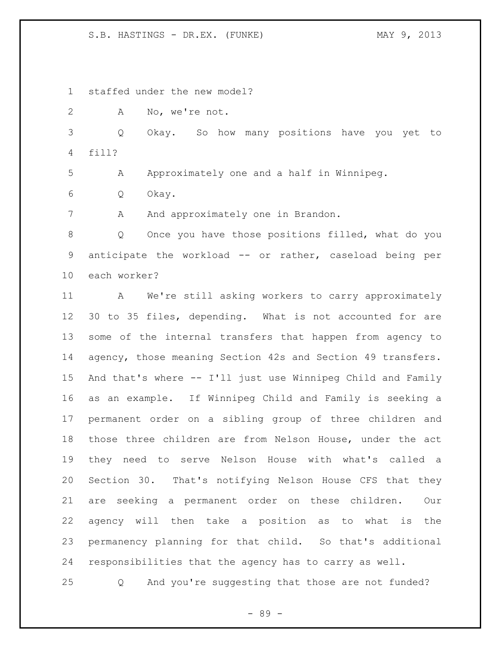staffed under the new model?

A No, we're not.

 Q Okay. So how many positions have you yet to fill?

A Approximately one and a half in Winnipeg.

Q Okay.

7 A And approximately one in Brandon.

 Q Once you have those positions filled, what do you anticipate the workload -- or rather, caseload being per each worker?

 A We're still asking workers to carry approximately 30 to 35 files, depending. What is not accounted for are some of the internal transfers that happen from agency to agency, those meaning Section 42s and Section 49 transfers. And that's where -- I'll just use Winnipeg Child and Family as an example. If Winnipeg Child and Family is seeking a permanent order on a sibling group of three children and those three children are from Nelson House, under the act they need to serve Nelson House with what's called a Section 30. That's notifying Nelson House CFS that they are seeking a permanent order on these children. Our agency will then take a position as to what is the permanency planning for that child. So that's additional responsibilities that the agency has to carry as well.

Q And you're suggesting that those are not funded?

- 89 -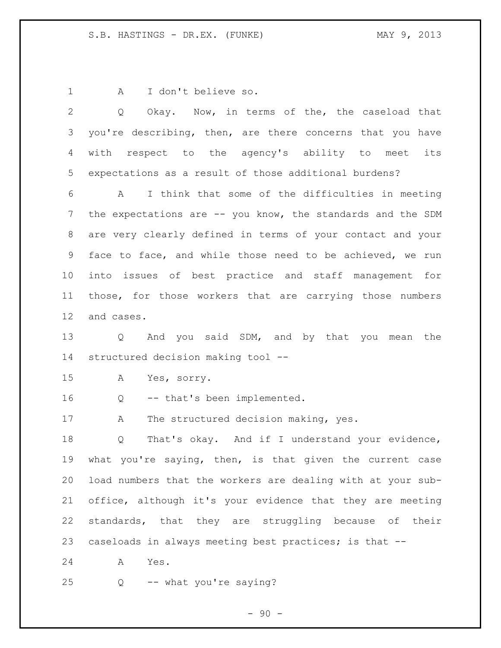A I don't believe so.

 Q Okay. Now, in terms of the, the caseload that 3 you're describing, then, are there concerns that you have with respect to the agency's ability to meet its expectations as a result of those additional burdens? A I think that some of the difficulties in meeting 7 the expectations are -- you know, the standards and the SDM are very clearly defined in terms of your contact and your face to face, and while those need to be achieved, we run into issues of best practice and staff management for those, for those workers that are carrying those numbers and cases. Q And you said SDM, and by that you mean the structured decision making tool -- A Yes, sorry. Q -- that's been implemented. 17 A The structured decision making, yes. Q That's okay. And if I understand your evidence, what you're saying, then, is that given the current case load numbers that the workers are dealing with at your sub- office, although it's your evidence that they are meeting standards, that they are struggling because of their caseloads in always meeting best practices; is that -- A Yes.

Q -- what you're saying?

 $-90 -$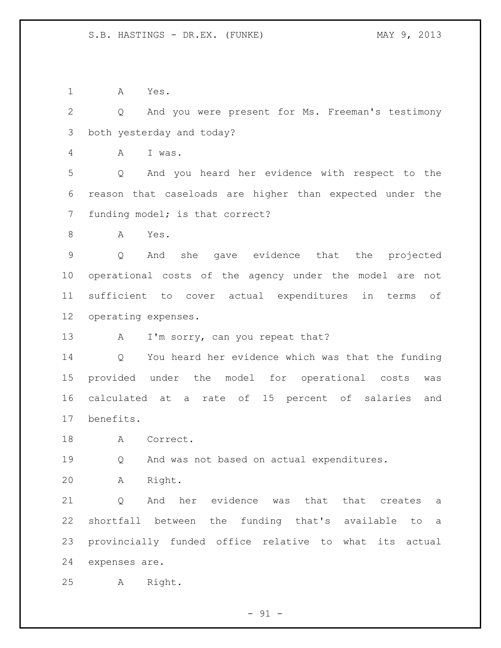A Yes.

 Q And you were present for Ms. Freeman's testimony both yesterday and today?

A I was.

 Q And you heard her evidence with respect to the reason that caseloads are higher than expected under the funding model; is that correct?

A Yes.

 Q And she gave evidence that the projected operational costs of the agency under the model are not sufficient to cover actual expenditures in terms of operating expenses.

13 A I'm sorry, can you repeat that?

 Q You heard her evidence which was that the funding provided under the model for operational costs was calculated at a rate of 15 percent of salaries and benefits.

18 A Correct.

Q And was not based on actual expenditures.

A Right.

21 0 And her evidence was that that creates a shortfall between the funding that's available to a provincially funded office relative to what its actual expenses are.

A Right.

 $-91 -$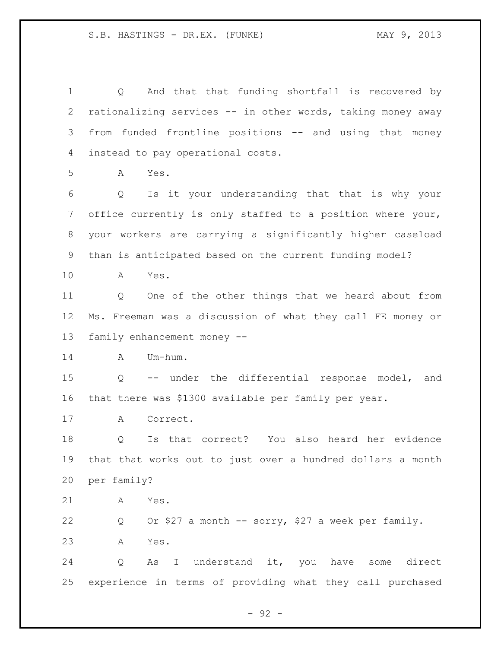Q And that that funding shortfall is recovered by rationalizing services -- in other words, taking money away from funded frontline positions -- and using that money instead to pay operational costs. A Yes. Q Is it your understanding that that is why your office currently is only staffed to a position where your, your workers are carrying a significantly higher caseload than is anticipated based on the current funding model? A Yes. Q One of the other things that we heard about from Ms. Freeman was a discussion of what they call FE money or family enhancement money -- A Um-hum. Q -- under the differential response model, and that there was \$1300 available per family per year. A Correct. Q Is that correct? You also heard her evidence that that works out to just over a hundred dollars a month per family? A Yes. Q Or \$27 a month -- sorry, \$27 a week per family. A Yes. Q As I understand it, you have some direct experience in terms of providing what they call purchased

- 92 -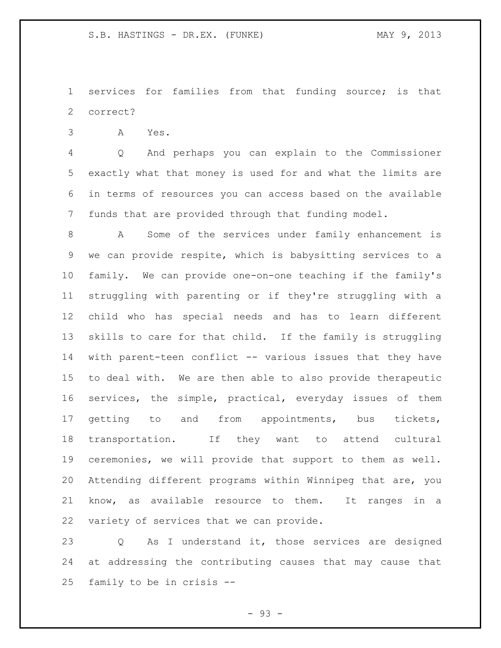services for families from that funding source; is that correct?

A Yes.

 Q And perhaps you can explain to the Commissioner exactly what that money is used for and what the limits are in terms of resources you can access based on the available funds that are provided through that funding model.

 A Some of the services under family enhancement is we can provide respite, which is babysitting services to a family. We can provide one-on-one teaching if the family's struggling with parenting or if they're struggling with a child who has special needs and has to learn different skills to care for that child. If the family is struggling with parent-teen conflict -- various issues that they have to deal with. We are then able to also provide therapeutic services, the simple, practical, everyday issues of them 17 getting to and from appointments, bus tickets, transportation. If they want to attend cultural ceremonies, we will provide that support to them as well. Attending different programs within Winnipeg that are, you know, as available resource to them. It ranges in a variety of services that we can provide.

 Q As I understand it, those services are designed at addressing the contributing causes that may cause that family to be in crisis --

- 93 -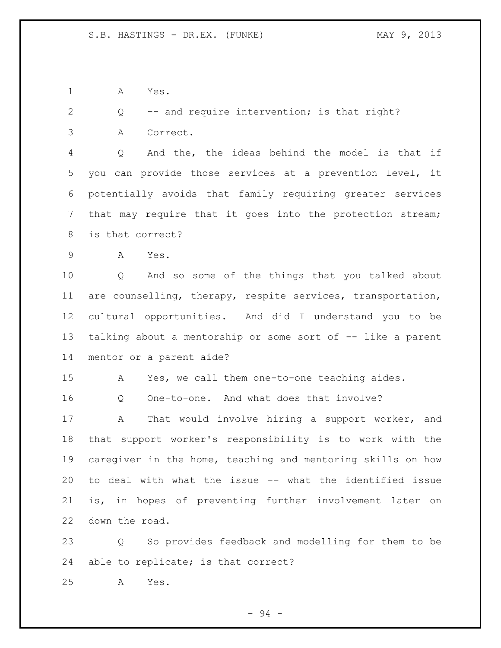A Yes.

Q -- and require intervention; is that right?

A Correct.

 Q And the, the ideas behind the model is that if you can provide those services at a prevention level, it potentially avoids that family requiring greater services that may require that it goes into the protection stream; is that correct?

A Yes.

 Q And so some of the things that you talked about are counselling, therapy, respite services, transportation, cultural opportunities. And did I understand you to be talking about a mentorship or some sort of -- like a parent mentor or a parent aide?

A Yes, we call them one-to-one teaching aides.

Q One-to-one. And what does that involve?

 A That would involve hiring a support worker, and that support worker's responsibility is to work with the caregiver in the home, teaching and mentoring skills on how to deal with what the issue -- what the identified issue is, in hopes of preventing further involvement later on down the road.

 Q So provides feedback and modelling for them to be able to replicate; is that correct?

A Yes.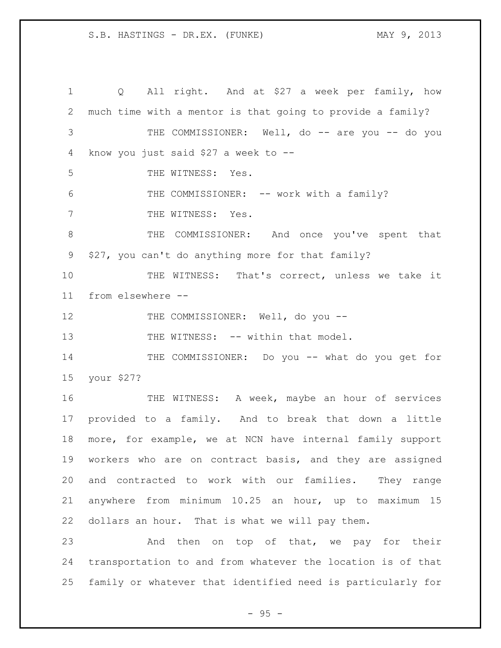Q All right. And at \$27 a week per family, how much time with a mentor is that going to provide a family? 3 THE COMMISSIONER: Well, do -- are you -- do you know you just said \$27 a week to -- THE WITNESS: Yes. 6 THE COMMISSIONER: -- work with a family? 7 THE WITNESS: Yes. THE COMMISSIONER: And once you've spent that \$27, you can't do anything more for that family? THE WITNESS: That's correct, unless we take it from elsewhere -- 12 THE COMMISSIONER: Well, do you --13 THE WITNESS: -- within that model. THE COMMISSIONER: Do you -- what do you get for your \$27? THE WITNESS: A week, maybe an hour of services provided to a family. And to break that down a little more, for example, we at NCN have internal family support workers who are on contract basis, and they are assigned and contracted to work with our families. They range anywhere from minimum 10.25 an hour, up to maximum 15 dollars an hour. That is what we will pay them. 23 And then on top of that, we pay for their transportation to and from whatever the location is of that family or whatever that identified need is particularly for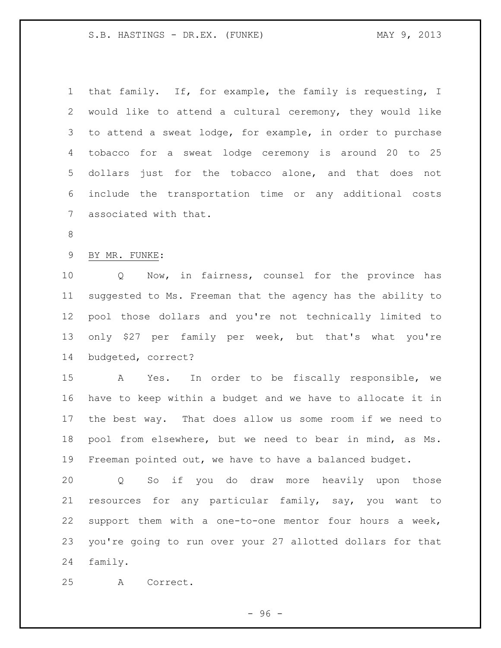that family. If, for example, the family is requesting, I would like to attend a cultural ceremony, they would like to attend a sweat lodge, for example, in order to purchase tobacco for a sweat lodge ceremony is around 20 to 25 dollars just for the tobacco alone, and that does not include the transportation time or any additional costs associated with that. BY MR. FUNKE:

 Q Now, in fairness, counsel for the province has suggested to Ms. Freeman that the agency has the ability to pool those dollars and you're not technically limited to only \$27 per family per week, but that's what you're budgeted, correct?

 A Yes. In order to be fiscally responsible, we have to keep within a budget and we have to allocate it in the best way. That does allow us some room if we need to pool from elsewhere, but we need to bear in mind, as Ms. Freeman pointed out, we have to have a balanced budget.

 Q So if you do draw more heavily upon those resources for any particular family, say, you want to support them with a one-to-one mentor four hours a week, you're going to run over your 27 allotted dollars for that family.

A Correct.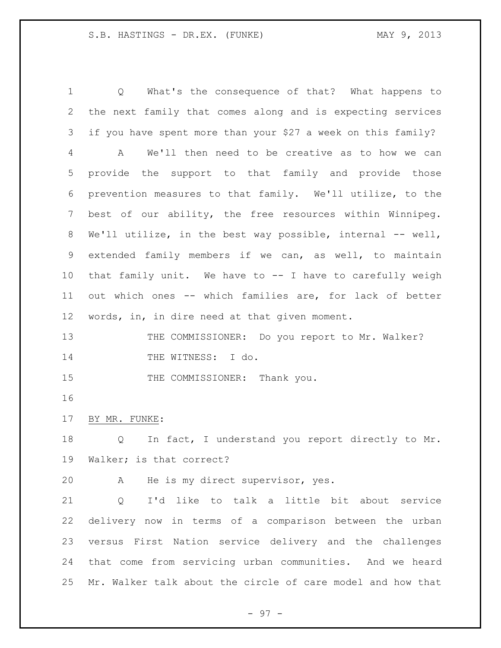Q What's the consequence of that? What happens to the next family that comes along and is expecting services if you have spent more than your \$27 a week on this family? A We'll then need to be creative as to how we can provide the support to that family and provide those prevention measures to that family. We'll utilize, to the best of our ability, the free resources within Winnipeg. We'll utilize, in the best way possible, internal -- well, extended family members if we can, as well, to maintain that family unit. We have to -- I have to carefully weigh out which ones -- which families are, for lack of better words, in, in dire need at that given moment. 13 THE COMMISSIONER: Do you report to Mr. Walker? 14 THE WITNESS: I do. 15 THE COMMISSIONER: Thank you. BY MR. FUNKE: Q In fact, I understand you report directly to Mr. Walker; is that correct?

A He is my direct supervisor, yes.

 Q I'd like to talk a little bit about service delivery now in terms of a comparison between the urban versus First Nation service delivery and the challenges that come from servicing urban communities. And we heard Mr. Walker talk about the circle of care model and how that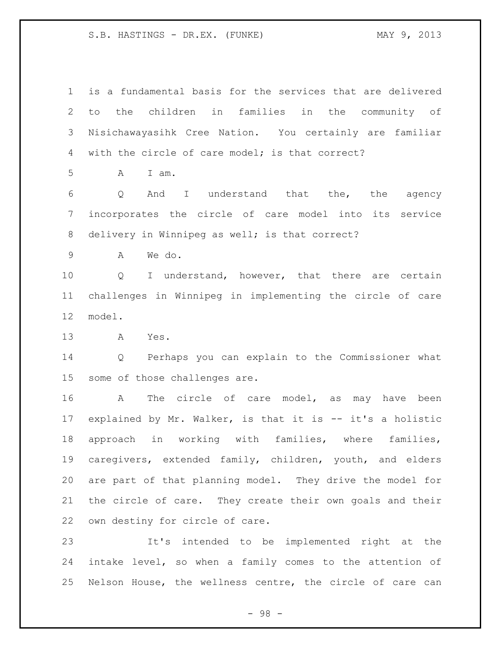is a fundamental basis for the services that are delivered to the children in families in the community of Nisichawayasihk Cree Nation. You certainly are familiar with the circle of care model; is that correct?

A I am.

 Q And I understand that the, the agency incorporates the circle of care model into its service 8 delivery in Winnipeg as well; is that correct?

A We do.

10 0 I understand, however, that there are certain challenges in Winnipeg in implementing the circle of care model.

A Yes.

 Q Perhaps you can explain to the Commissioner what some of those challenges are.

 A The circle of care model, as may have been explained by Mr. Walker, is that it is -- it's a holistic approach in working with families, where families, caregivers, extended family, children, youth, and elders are part of that planning model. They drive the model for the circle of care. They create their own goals and their own destiny for circle of care.

 It's intended to be implemented right at the intake level, so when a family comes to the attention of Nelson House, the wellness centre, the circle of care can

- 98 -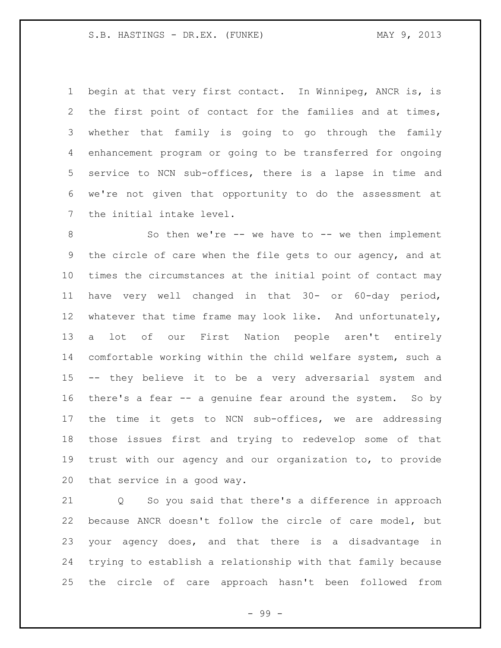begin at that very first contact. In Winnipeg, ANCR is, is the first point of contact for the families and at times, whether that family is going to go through the family enhancement program or going to be transferred for ongoing service to NCN sub-offices, there is a lapse in time and we're not given that opportunity to do the assessment at the initial intake level.

8 So then we're -- we have to -- we then implement the circle of care when the file gets to our agency, and at times the circumstances at the initial point of contact may have very well changed in that 30- or 60-day period, 12 whatever that time frame may look like. And unfortunately, a lot of our First Nation people aren't entirely comfortable working within the child welfare system, such a -- they believe it to be a very adversarial system and there's a fear -- a genuine fear around the system. So by the time it gets to NCN sub-offices, we are addressing those issues first and trying to redevelop some of that trust with our agency and our organization to, to provide that service in a good way.

 Q So you said that there's a difference in approach because ANCR doesn't follow the circle of care model, but your agency does, and that there is a disadvantage in trying to establish a relationship with that family because the circle of care approach hasn't been followed from

- 99 -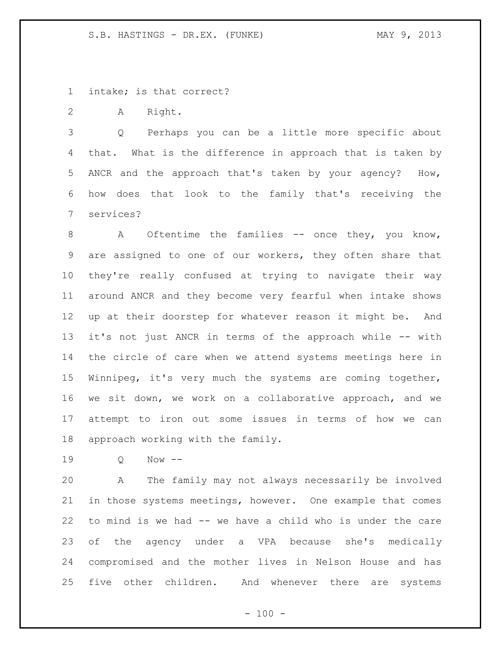intake; is that correct?

A Right.

 Q Perhaps you can be a little more specific about that. What is the difference in approach that is taken by ANCR and the approach that's taken by your agency? How, how does that look to the family that's receiving the services?

8 A Oftentime the families -- once they, you know, are assigned to one of our workers, they often share that they're really confused at trying to navigate their way around ANCR and they become very fearful when intake shows up at their doorstep for whatever reason it might be. And it's not just ANCR in terms of the approach while -- with the circle of care when we attend systems meetings here in Winnipeg, it's very much the systems are coming together, we sit down, we work on a collaborative approach, and we attempt to iron out some issues in terms of how we can approach working with the family.

Q Now --

 A The family may not always necessarily be involved in those systems meetings, however. One example that comes to mind is we had -- we have a child who is under the care of the agency under a VPA because she's medically compromised and the mother lives in Nelson House and has five other children. And whenever there are systems

 $- 100 -$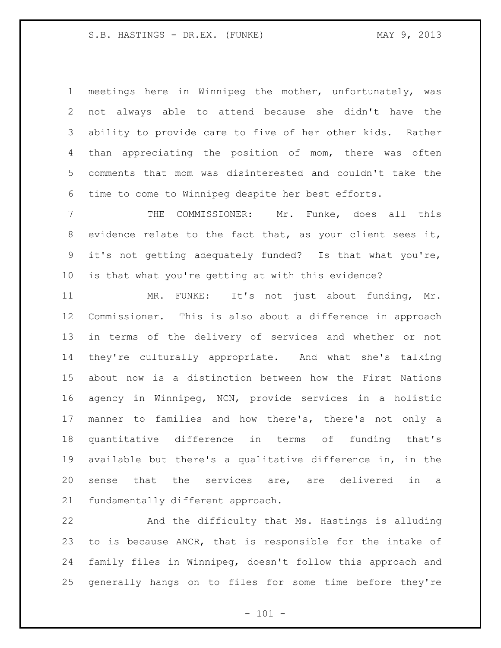meetings here in Winnipeg the mother, unfortunately, was not always able to attend because she didn't have the ability to provide care to five of her other kids. Rather than appreciating the position of mom, there was often comments that mom was disinterested and couldn't take the time to come to Winnipeg despite her best efforts.

 THE COMMISSIONER: Mr. Funke, does all this evidence relate to the fact that, as your client sees it, it's not getting adequately funded? Is that what you're, is that what you're getting at with this evidence?

 MR. FUNKE: It's not just about funding, Mr. Commissioner. This is also about a difference in approach in terms of the delivery of services and whether or not they're culturally appropriate. And what she's talking about now is a distinction between how the First Nations agency in Winnipeg, NCN, provide services in a holistic manner to families and how there's, there's not only a quantitative difference in terms of funding that's available but there's a qualitative difference in, in the sense that the services are, are delivered in a fundamentally different approach.

 And the difficulty that Ms. Hastings is alluding to is because ANCR, that is responsible for the intake of family files in Winnipeg, doesn't follow this approach and generally hangs on to files for some time before they're

 $- 101 -$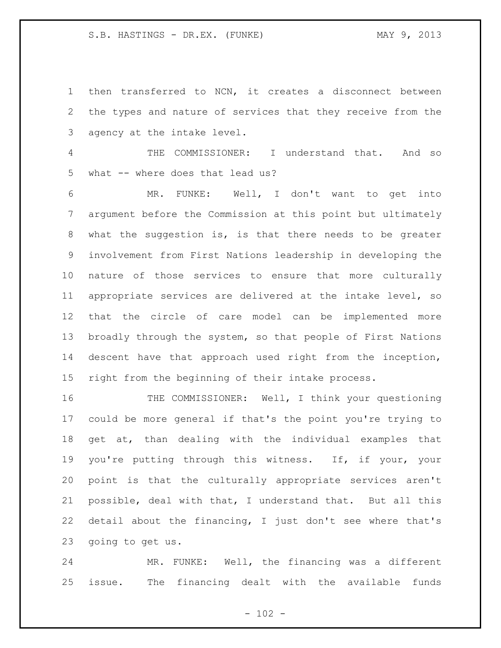then transferred to NCN, it creates a disconnect between the types and nature of services that they receive from the agency at the intake level.

 THE COMMISSIONER: I understand that. And so what -- where does that lead us?

 MR. FUNKE: Well, I don't want to get into argument before the Commission at this point but ultimately what the suggestion is, is that there needs to be greater involvement from First Nations leadership in developing the nature of those services to ensure that more culturally appropriate services are delivered at the intake level, so that the circle of care model can be implemented more broadly through the system, so that people of First Nations descent have that approach used right from the inception, right from the beginning of their intake process.

 THE COMMISSIONER: Well, I think your questioning could be more general if that's the point you're trying to get at, than dealing with the individual examples that you're putting through this witness. If, if your, your point is that the culturally appropriate services aren't possible, deal with that, I understand that. But all this detail about the financing, I just don't see where that's going to get us.

 MR. FUNKE: Well, the financing was a different issue. The financing dealt with the available funds

 $- 102 -$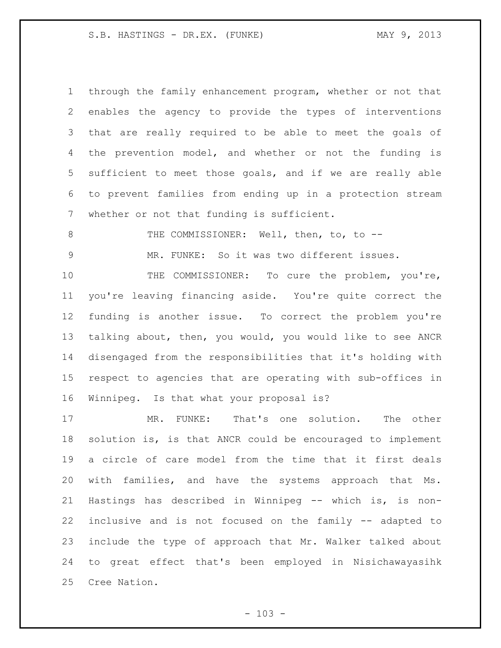through the family enhancement program, whether or not that enables the agency to provide the types of interventions that are really required to be able to meet the goals of the prevention model, and whether or not the funding is sufficient to meet those goals, and if we are really able to prevent families from ending up in a protection stream whether or not that funding is sufficient.

8 THE COMMISSIONER: Well, then, to, to --

MR. FUNKE: So it was two different issues.

10 THE COMMISSIONER: To cure the problem, you're, you're leaving financing aside. You're quite correct the funding is another issue. To correct the problem you're talking about, then, you would, you would like to see ANCR disengaged from the responsibilities that it's holding with respect to agencies that are operating with sub-offices in Winnipeg. Is that what your proposal is?

 MR. FUNKE: That's one solution. The other solution is, is that ANCR could be encouraged to implement a circle of care model from the time that it first deals with families, and have the systems approach that Ms. Hastings has described in Winnipeg -- which is, is non- inclusive and is not focused on the family -- adapted to include the type of approach that Mr. Walker talked about to great effect that's been employed in Nisichawayasihk Cree Nation.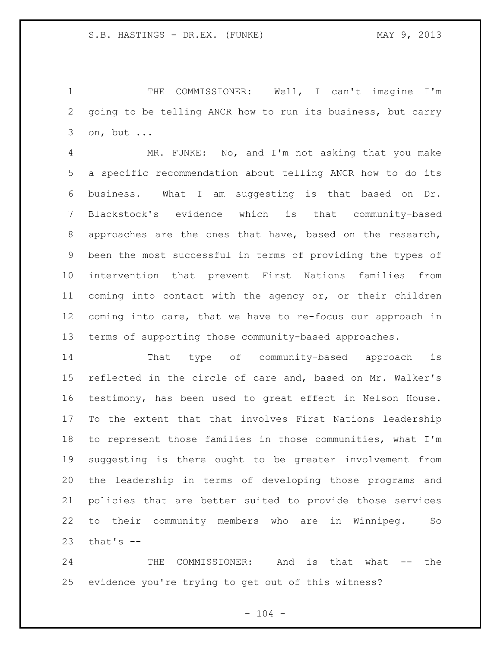THE COMMISSIONER: Well, I can't imagine I'm going to be telling ANCR how to run its business, but carry on, but ...

 MR. FUNKE: No, and I'm not asking that you make a specific recommendation about telling ANCR how to do its business. What I am suggesting is that based on Dr. Blackstock's evidence which is that community-based approaches are the ones that have, based on the research, been the most successful in terms of providing the types of intervention that prevent First Nations families from coming into contact with the agency or, or their children coming into care, that we have to re-focus our approach in terms of supporting those community-based approaches.

 That type of community-based approach is reflected in the circle of care and, based on Mr. Walker's testimony, has been used to great effect in Nelson House. To the extent that that involves First Nations leadership to represent those families in those communities, what I'm suggesting is there ought to be greater involvement from the leadership in terms of developing those programs and policies that are better suited to provide those services to their community members who are in Winnipeg. So that's  $-$ 

 THE COMMISSIONER: And is that what -- the evidence you're trying to get out of this witness?

 $- 104 -$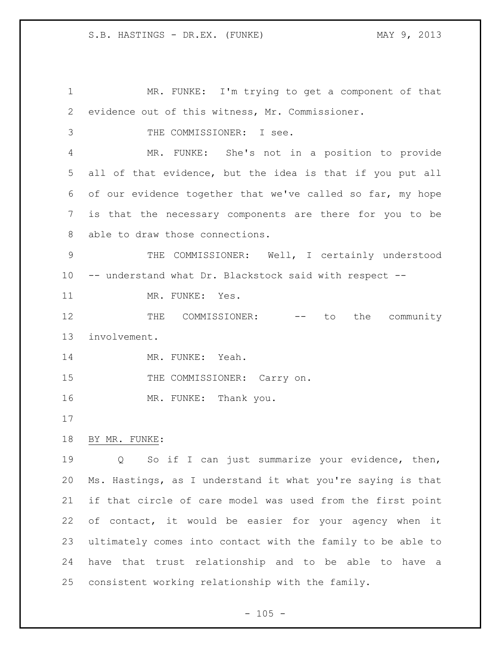MR. FUNKE: I'm trying to get a component of that evidence out of this witness, Mr. Commissioner. THE COMMISSIONER: I see. MR. FUNKE: She's not in a position to provide all of that evidence, but the idea is that if you put all of our evidence together that we've called so far, my hope is that the necessary components are there for you to be able to draw those connections. THE COMMISSIONER: Well, I certainly understood -- understand what Dr. Blackstock said with respect -- 11 MR. FUNKE: Yes. 12 THE COMMISSIONER: -- to the community involvement. 14 MR. FUNKE: Yeah. 15 THE COMMISSIONER: Carry on. 16 MR. FUNKE: Thank you. BY MR. FUNKE: Q So if I can just summarize your evidence, then, Ms. Hastings, as I understand it what you're saying is that if that circle of care model was used from the first point of contact, it would be easier for your agency when it ultimately comes into contact with the family to be able to have that trust relationship and to be able to have a consistent working relationship with the family.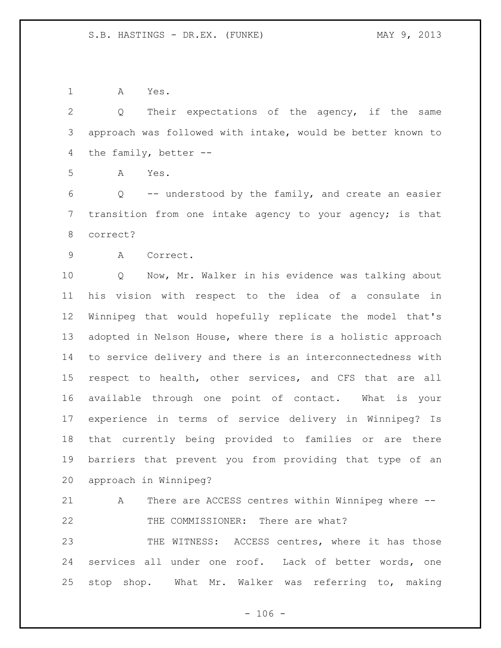A Yes.

 Q Their expectations of the agency, if the same approach was followed with intake, would be better known to the family, better --

A Yes.

 Q -- understood by the family, and create an easier transition from one intake agency to your agency; is that correct?

A Correct.

 Q Now, Mr. Walker in his evidence was talking about his vision with respect to the idea of a consulate in Winnipeg that would hopefully replicate the model that's adopted in Nelson House, where there is a holistic approach to service delivery and there is an interconnectedness with respect to health, other services, and CFS that are all available through one point of contact. What is your experience in terms of service delivery in Winnipeg? Is that currently being provided to families or are there barriers that prevent you from providing that type of an approach in Winnipeg?

 A There are ACCESS centres within Winnipeg where -- THE COMMISSIONER: There are what?

23 THE WITNESS: ACCESS centres, where it has those services all under one roof. Lack of better words, one stop shop. What Mr. Walker was referring to, making

 $- 106 -$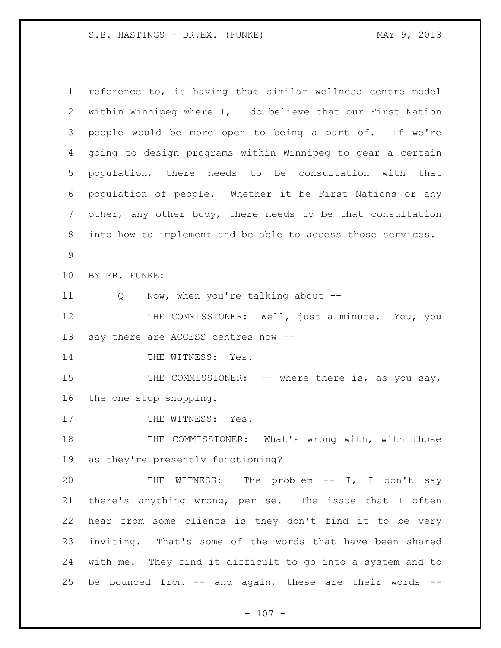reference to, is having that similar wellness centre model within Winnipeg where I, I do believe that our First Nation people would be more open to being a part of. If we're going to design programs within Winnipeg to gear a certain population, there needs to be consultation with that population of people. Whether it be First Nations or any other, any other body, there needs to be that consultation into how to implement and be able to access those services. BY MR. FUNKE: Q Now, when you're talking about -- 12 THE COMMISSIONER: Well, just a minute. You, you say there are ACCESS centres now -- 14 THE WITNESS: Yes. 15 THE COMMISSIONER: -- where there is, as you say, the one stop shopping. 17 THE WITNESS: Yes. 18 THE COMMISSIONER: What's wrong with, with those as they're presently functioning? THE WITNESS: The problem -- I, I don't say there's anything wrong, per se. The issue that I often hear from some clients is they don't find it to be very inviting. That's some of the words that have been shared with me. They find it difficult to go into a system and to 25 be bounced from  $--$  and again, these are their words  $--$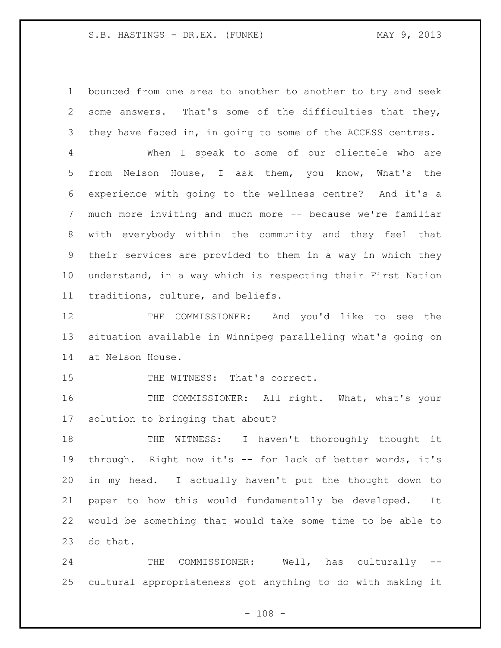bounced from one area to another to another to try and seek some answers. That's some of the difficulties that they, they have faced in, in going to some of the ACCESS centres.

 When I speak to some of our clientele who are from Nelson House, I ask them, you know, What's the experience with going to the wellness centre? And it's a much more inviting and much more -- because we're familiar with everybody within the community and they feel that their services are provided to them in a way in which they understand, in a way which is respecting their First Nation traditions, culture, and beliefs.

12 THE COMMISSIONER: And you'd like to see the situation available in Winnipeg paralleling what's going on at Nelson House.

15 THE WITNESS: That's correct.

16 THE COMMISSIONER: All right. What, what's your solution to bringing that about?

 THE WITNESS: I haven't thoroughly thought it through. Right now it's -- for lack of better words, it's in my head. I actually haven't put the thought down to paper to how this would fundamentally be developed. It would be something that would take some time to be able to do that.

24 THE COMMISSIONER: Well, has culturally --cultural appropriateness got anything to do with making it

 $- 108 -$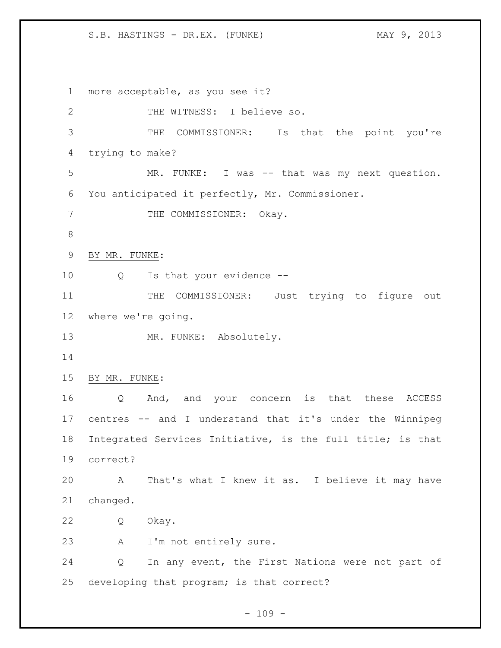more acceptable, as you see it? THE WITNESS: I believe so. THE COMMISSIONER: Is that the point you're trying to make? MR. FUNKE: I was -- that was my next question. You anticipated it perfectly, Mr. Commissioner. 7 THE COMMISSIONER: Okay. BY MR. FUNKE: Q Is that your evidence -- 11 THE COMMISSIONER: Just trying to figure out where we're going. 13 MR. FUNKE: Absolutely. BY MR. FUNKE: Q And, and your concern is that these ACCESS centres -- and I understand that it's under the Winnipeg Integrated Services Initiative, is the full title; is that correct? A That's what I knew it as. I believe it may have changed. Q Okay. A I'm not entirely sure. Q In any event, the First Nations were not part of developing that program; is that correct?

 $- 109 -$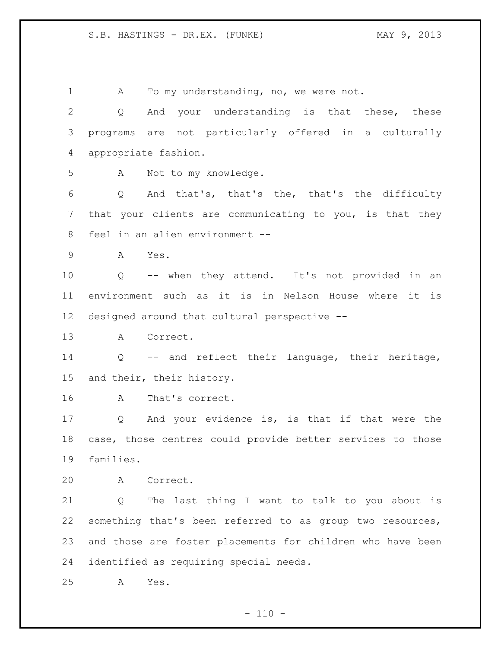1 A To my understanding, no, we were not. Q And your understanding is that these, these programs are not particularly offered in a culturally appropriate fashion. A Not to my knowledge. Q And that's, that's the, that's the difficulty that your clients are communicating to you, is that they feel in an alien environment -- A Yes. Q -- when they attend. It's not provided in an environment such as it is in Nelson House where it is designed around that cultural perspective -- A Correct. Q -- and reflect their language, their heritage, and their, their history. A That's correct. Q And your evidence is, is that if that were the case, those centres could provide better services to those families. A Correct. Q The last thing I want to talk to you about is something that's been referred to as group two resources, and those are foster placements for children who have been identified as requiring special needs. A Yes.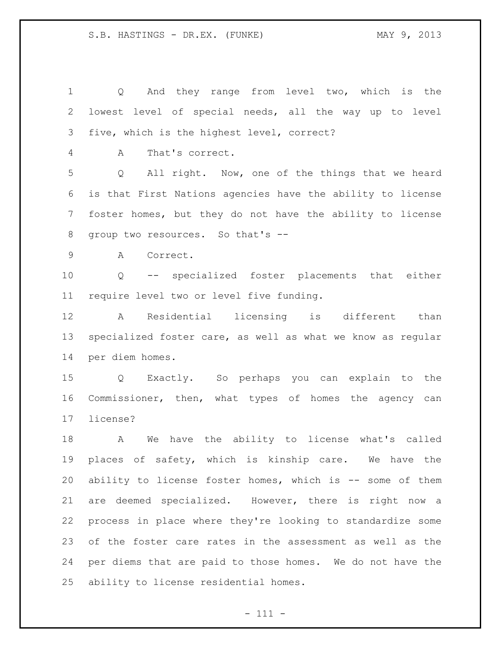| 1            | And they range from level two, which is the<br>Q                     |
|--------------|----------------------------------------------------------------------|
| $\mathbf{2}$ | lowest level of special needs, all the way up to level               |
| 3            | five, which is the highest level, correct?                           |
| 4            | That's correct.<br>A                                                 |
| 5            | All right. Now, one of the things that we heard<br>$Q \qquad \qquad$ |
| 6            | is that First Nations agencies have the ability to license           |
| 7            | foster homes, but they do not have the ability to license            |
| $8\,$        | group two resources. So that's --                                    |
| 9            | A<br>Correct.                                                        |
| 10           | Q -- specialized foster placements that either                       |
| 11           | require level two or level five funding.                             |
| 12           | Residential licensing is different than<br>$\mathbf{A}$              |
| 13           | specialized foster care, as well as what we know as regular          |
| 14           | per diem homes.                                                      |
| 15           | Q Exactly. So perhaps you can explain to the                         |
| 16           | Commissioner, then, what types of homes the agency can               |
| 17           | license?                                                             |
| 18           | We have the ability to license what's called<br>A                    |
| 19           | places of safety, which is kinship care. We have the                 |
| 20           | ability to license foster homes, which is -- some of them            |
| 21           | are deemed specialized. However, there is right now a                |
| 22           | process in place where they're looking to standardize some           |
| 23           | of the foster care rates in the assessment as well as the            |
| 24           | per diems that are paid to those homes. We do not have the           |
| 25           | ability to license residential homes.                                |

- 111 -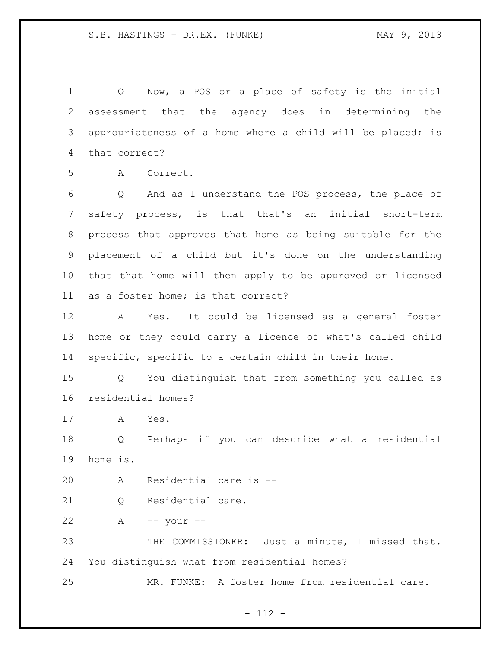Q Now, a POS or a place of safety is the initial assessment that the agency does in determining the appropriateness of a home where a child will be placed; is that correct?

A Correct.

 Q And as I understand the POS process, the place of safety process, is that that's an initial short-term process that approves that home as being suitable for the placement of a child but it's done on the understanding that that home will then apply to be approved or licensed as a foster home; is that correct?

 A Yes. It could be licensed as a general foster home or they could carry a licence of what's called child specific, specific to a certain child in their home.

 Q You distinguish that from something you called as residential homes?

A Yes.

 Q Perhaps if you can describe what a residential home is.

A Residential care is --

21 0 Residential care.

A -- your --

 THE COMMISSIONER: Just a minute, I missed that. You distinguish what from residential homes?

MR. FUNKE: A foster home from residential care.

- 112 -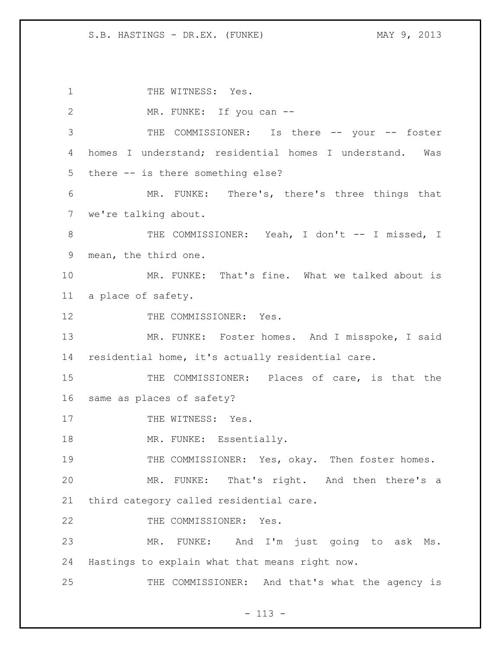1 THE WITNESS: Yes. 2 MR. FUNKE: If you can -- THE COMMISSIONER: Is there -- your -- foster homes I understand; residential homes I understand. Was there -- is there something else? MR. FUNKE: There's, there's three things that we're talking about. 8 THE COMMISSIONER: Yeah, I don't -- I missed, I mean, the third one. MR. FUNKE: That's fine. What we talked about is a place of safety. 12 THE COMMISSIONER: Yes. 13 MR. FUNKE: Foster homes. And I misspoke, I said residential home, it's actually residential care. THE COMMISSIONER: Places of care, is that the same as places of safety? 17 THE WITNESS: Yes. 18 MR. FUNKE: Essentially. 19 THE COMMISSIONER: Yes, okay. Then foster homes. MR. FUNKE: That's right. And then there's a third category called residential care. 22 THE COMMISSIONER: Yes. MR. FUNKE: And I'm just going to ask Ms. Hastings to explain what that means right now. THE COMMISSIONER: And that's what the agency is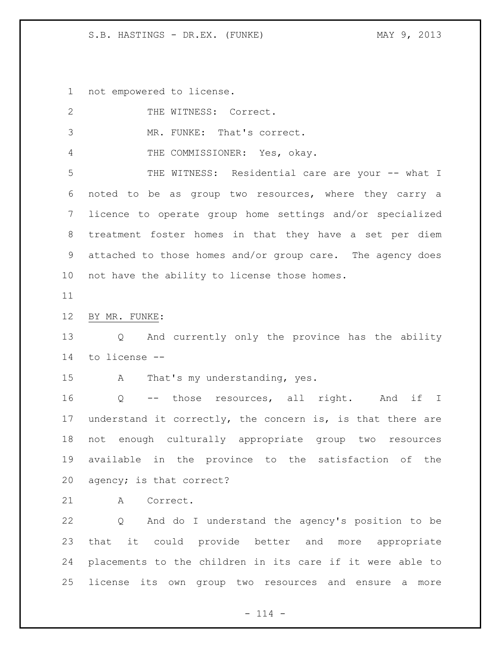not empowered to license.

| 2               | THE WITNESS: Correct.                                      |
|-----------------|------------------------------------------------------------|
| 3               | MR. FUNKE: That's correct.                                 |
| 4               | THE COMMISSIONER: Yes, okay.                               |
| 5               | THE WITNESS: Residential care are your -- what I           |
| 6               | noted to be as group two resources, where they carry a     |
| $7\phantom{.0}$ | licence to operate group home settings and/or specialized  |
| 8               | treatment foster homes in that they have a set per diem    |
| 9               | attached to those homes and/or group care. The agency does |
| 10 <sub>o</sub> | not have the ability to license those homes.               |
| 11              |                                                            |
| 12              | BY MR. FUNKE:                                              |
| 13              | Q And currently only the province has the ability          |
| 14              | to license --                                              |
| 15              | That's my understanding, yes.<br>$\mathbf{A}$              |
| 16              | Q -- those resources, all right. And if I                  |
| 17              | understand it correctly, the concern is, is that there are |
| 18              | not enough culturally appropriate group two resources      |
| 19              | available in the province to the satisfaction of the       |
|                 | 20 agency; is that correct?                                |
| 21              | Correct.<br>A                                              |
| 22              | Q And do I understand the agency's position to be          |
| 23              | that it could provide better and more appropriate          |
| 24              | placements to the children in its care if it were able to  |
| 25              | license its own group two resources and ensure a<br>more   |

- 114 -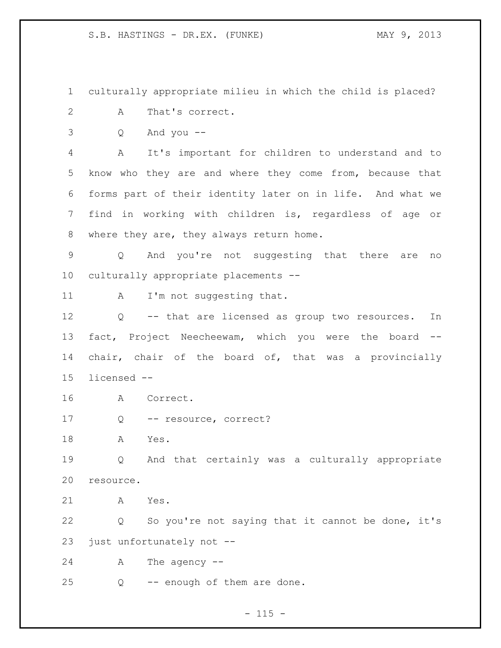culturally appropriate milieu in which the child is placed?

- A That's correct.
- Q And you --

 A It's important for children to understand and to know who they are and where they come from, because that forms part of their identity later on in life. And what we find in working with children is, regardless of age or 8 where they are, they always return home.

 Q And you're not suggesting that there are no culturally appropriate placements --

11 A I'm not suggesting that.

 Q -- that are licensed as group two resources. In fact, Project Neecheewam, which you were the board -- chair, chair of the board of, that was a provincially licensed --

- A Correct.
- Q -- resource, correct?

A Yes.

 Q And that certainly was a culturally appropriate resource.

A Yes.

 Q So you're not saying that it cannot be done, it's just unfortunately not --

A The agency --

Q -- enough of them are done.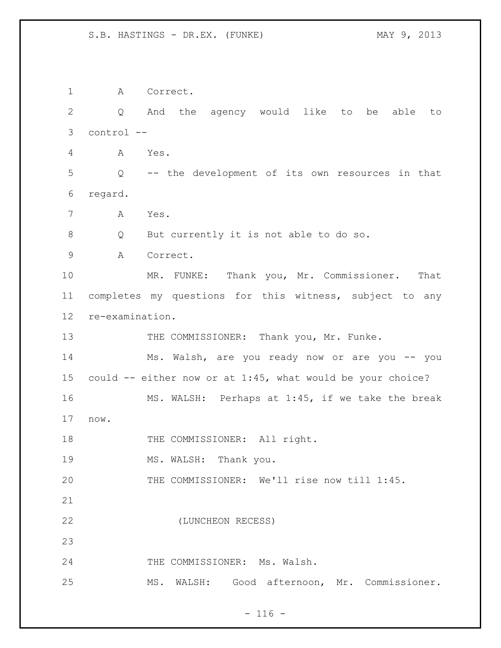A Correct. Q And the agency would like to be able to control -- A Yes. Q -- the development of its own resources in that regard. A Yes. Q But currently it is not able to do so. A Correct. MR. FUNKE: Thank you, Mr. Commissioner. That completes my questions for this witness, subject to any re-examination. 13 THE COMMISSIONER: Thank you, Mr. Funke. Ms. Walsh, are you ready now or are you -- you could -- either now or at 1:45, what would be your choice? MS. WALSH: Perhaps at 1:45, if we take the break now. 18 THE COMMISSIONER: All right. 19 MS. WALSH: Thank you. THE COMMISSIONER: We'll rise now till 1:45. (LUNCHEON RECESS) THE COMMISSIONER: Ms. Walsh. MS. WALSH: Good afternoon, Mr. Commissioner.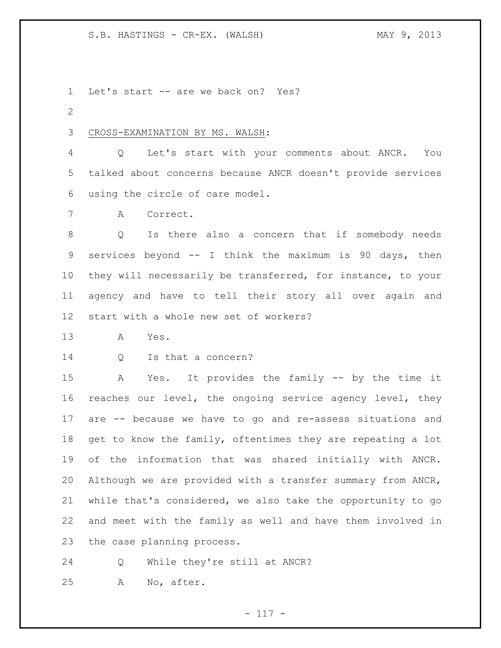Let's start -- are we back on? Yes?

## CROSS-EXAMINATION BY MS. WALSH:

 Q Let's start with your comments about ANCR. You talked about concerns because ANCR doesn't provide services using the circle of care model.

A Correct.

 Q Is there also a concern that if somebody needs services beyond -- I think the maximum is 90 days, then they will necessarily be transferred, for instance, to your agency and have to tell their story all over again and start with a whole new set of workers?

A Yes.

Q Is that a concern?

 A Yes. It provides the family -- by the time it reaches our level, the ongoing service agency level, they are -- because we have to go and re-assess situations and get to know the family, oftentimes they are repeating a lot of the information that was shared initially with ANCR. Although we are provided with a transfer summary from ANCR, while that's considered, we also take the opportunity to go and meet with the family as well and have them involved in the case planning process.

Q While they're still at ANCR?

A No, after.

- 117 -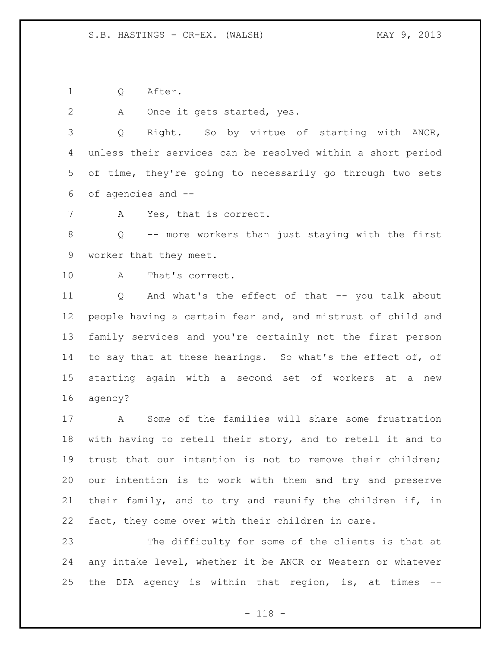Q After.

A Once it gets started, yes.

 Q Right. So by virtue of starting with ANCR, unless their services can be resolved within a short period of time, they're going to necessarily go through two sets of agencies and --

A Yes, that is correct.

 Q -- more workers than just staying with the first worker that they meet.

A That's correct.

 Q And what's the effect of that -- you talk about people having a certain fear and, and mistrust of child and family services and you're certainly not the first person 14 to say that at these hearings. So what's the effect of, of starting again with a second set of workers at a new agency?

 A Some of the families will share some frustration with having to retell their story, and to retell it and to trust that our intention is not to remove their children; our intention is to work with them and try and preserve their family, and to try and reunify the children if, in fact, they come over with their children in care.

 The difficulty for some of the clients is that at any intake level, whether it be ANCR or Western or whatever the DIA agency is within that region, is, at times --

- 118 -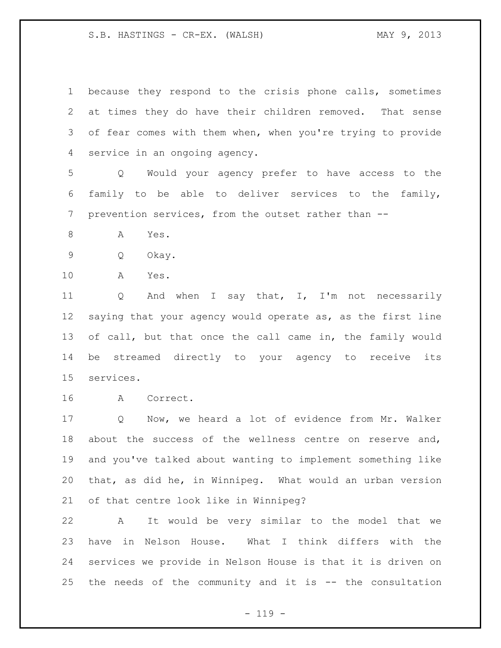because they respond to the crisis phone calls, sometimes at times they do have their children removed. That sense of fear comes with them when, when you're trying to provide service in an ongoing agency.

 Q Would your agency prefer to have access to the family to be able to deliver services to the family, prevention services, from the outset rather than --

8 A Yes.

Q Okay.

A Yes.

11 Q And when I say that, I, I'm not necessarily saying that your agency would operate as, as the first line of call, but that once the call came in, the family would be streamed directly to your agency to receive its services.

A Correct.

 Q Now, we heard a lot of evidence from Mr. Walker about the success of the wellness centre on reserve and, and you've talked about wanting to implement something like that, as did he, in Winnipeg. What would an urban version of that centre look like in Winnipeg?

 A It would be very similar to the model that we have in Nelson House. What I think differs with the services we provide in Nelson House is that it is driven on the needs of the community and it is -- the consultation

 $- 119 -$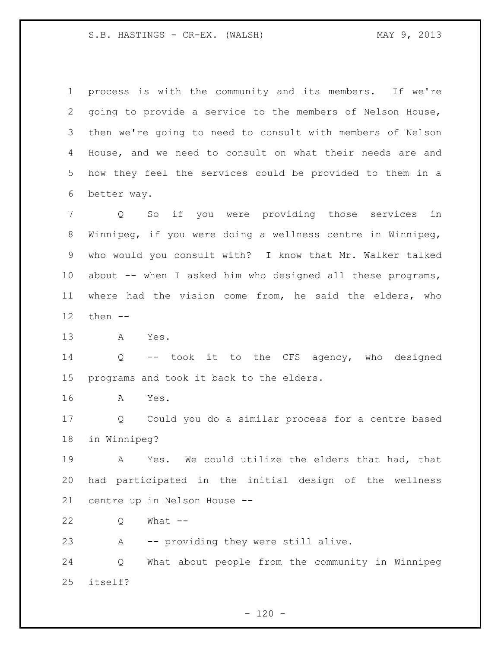process is with the community and its members. If we're going to provide a service to the members of Nelson House, then we're going to need to consult with members of Nelson House, and we need to consult on what their needs are and how they feel the services could be provided to them in a better way.

 Q So if you were providing those services in Winnipeg, if you were doing a wellness centre in Winnipeg, who would you consult with? I know that Mr. Walker talked 10 about -- when I asked him who designed all these programs, where had the vision come from, he said the elders, who then --

A Yes.

 Q -- took it to the CFS agency, who designed programs and took it back to the elders.

A Yes.

 Q Could you do a similar process for a centre based in Winnipeg?

 A Yes. We could utilize the elders that had, that had participated in the initial design of the wellness centre up in Nelson House --

Q What --

A -- providing they were still alive.

 Q What about people from the community in Winnipeg itself?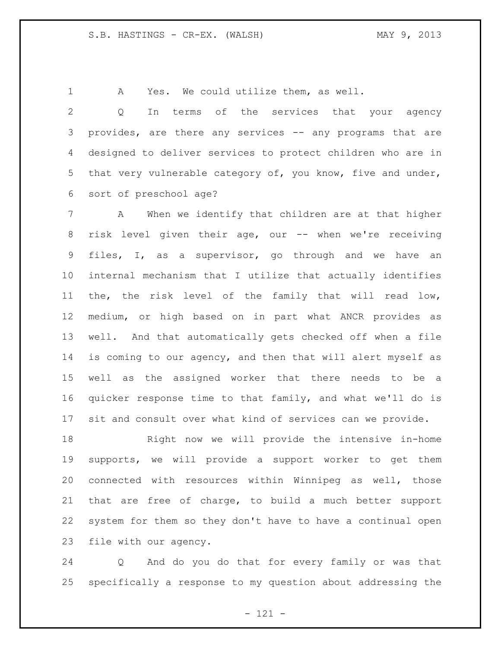A Yes. We could utilize them, as well.

 Q In terms of the services that your agency provides, are there any services -- any programs that are designed to deliver services to protect children who are in that very vulnerable category of, you know, five and under, sort of preschool age?

 A When we identify that children are at that higher 8 risk level given their age, our -- when we're receiving files, I, as a supervisor, go through and we have an internal mechanism that I utilize that actually identifies the, the risk level of the family that will read low, medium, or high based on in part what ANCR provides as well. And that automatically gets checked off when a file is coming to our agency, and then that will alert myself as well as the assigned worker that there needs to be a quicker response time to that family, and what we'll do is sit and consult over what kind of services can we provide.

 Right now we will provide the intensive in-home supports, we will provide a support worker to get them connected with resources within Winnipeg as well, those that are free of charge, to build a much better support system for them so they don't have to have a continual open file with our agency.

 Q And do you do that for every family or was that specifically a response to my question about addressing the

- 121 -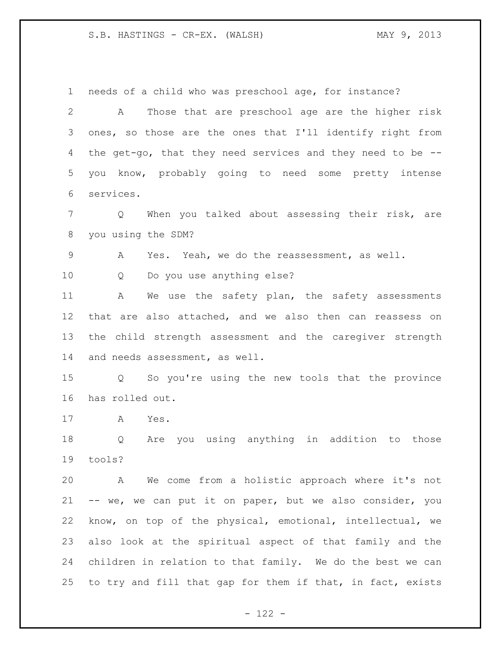needs of a child who was preschool age, for instance? A Those that are preschool age are the higher risk ones, so those are the ones that I'll identify right from the get-go, that they need services and they need to be -- you know, probably going to need some pretty intense services. Q When you talked about assessing their risk, are you using the SDM? A Yes. Yeah, we do the reassessment, as well. Q Do you use anything else? 11 A We use the safety plan, the safety assessments that are also attached, and we also then can reassess on the child strength assessment and the caregiver strength and needs assessment, as well. Q So you're using the new tools that the province has rolled out. A Yes. Q Are you using anything in addition to those tools? A We come from a holistic approach where it's not -- we, we can put it on paper, but we also consider, you know, on top of the physical, emotional, intellectual, we also look at the spiritual aspect of that family and the children in relation to that family. We do the best we can 25 to try and fill that gap for them if that, in fact, exists

 $- 122 -$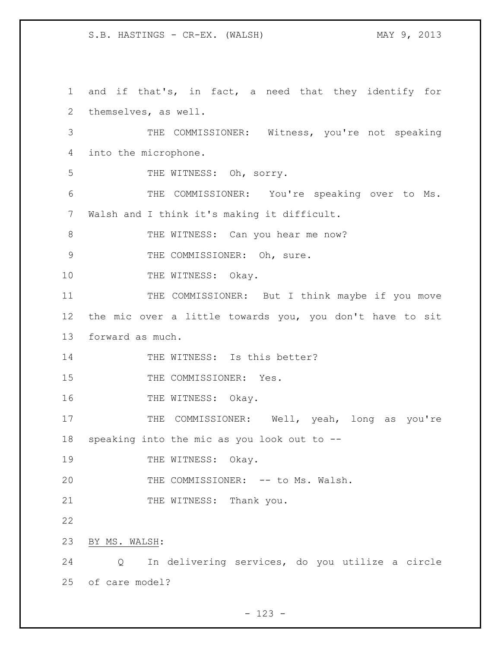1 and if that's, in fact, a need that they identify for 2 themselves, as well. 3 THE COMMISSIONER: Witness, you're not speaking 4 into the microphone. 5 THE WITNESS: Oh, sorry. 6 THE COMMISSIONER: You're speaking over to Ms. 7 Walsh and I think it's making it difficult. 8 THE WITNESS: Can you hear me now? 9 THE COMMISSIONER: Oh, sure. 10 THE WITNESS: Okay. 11 THE COMMISSIONER: But I think maybe if you move 12 the mic over a little towards you, you don't have to sit 13 forward as much. 14 THE WITNESS: Is this better? 15 THE COMMISSIONER: Yes. 16 THE WITNESS: Okay. 17 THE COMMISSIONER: Well, yeah, long as you're 18 speaking into the mic as you look out to -- 19 THE WITNESS: Okay. 20 THE COMMISSIONER: -- to Ms. Walsh. 21 THE WITNESS: Thank you. 22 23 BY MS. WALSH: 24 Q In delivering services, do you utilize a circle 25 of care model?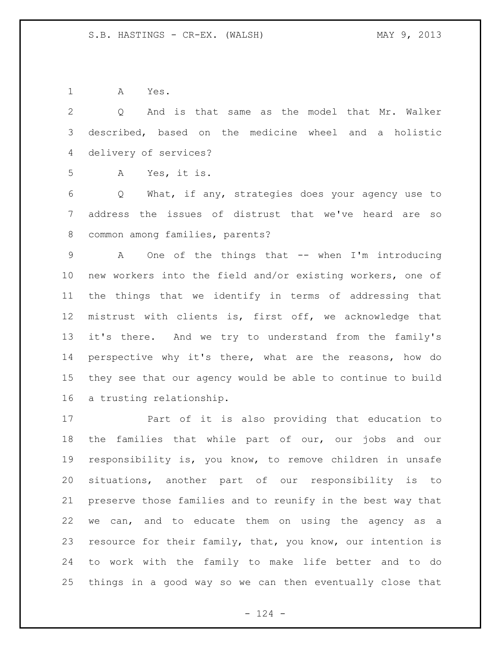A Yes.

 Q And is that same as the model that Mr. Walker described, based on the medicine wheel and a holistic delivery of services?

A Yes, it is.

 Q What, if any, strategies does your agency use to address the issues of distrust that we've heard are so common among families, parents?

 A One of the things that -- when I'm introducing new workers into the field and/or existing workers, one of the things that we identify in terms of addressing that mistrust with clients is, first off, we acknowledge that it's there. And we try to understand from the family's perspective why it's there, what are the reasons, how do they see that our agency would be able to continue to build a trusting relationship.

 Part of it is also providing that education to the families that while part of our, our jobs and our responsibility is, you know, to remove children in unsafe situations, another part of our responsibility is to preserve those families and to reunify in the best way that we can, and to educate them on using the agency as a 23 resource for their family, that, you know, our intention is to work with the family to make life better and to do things in a good way so we can then eventually close that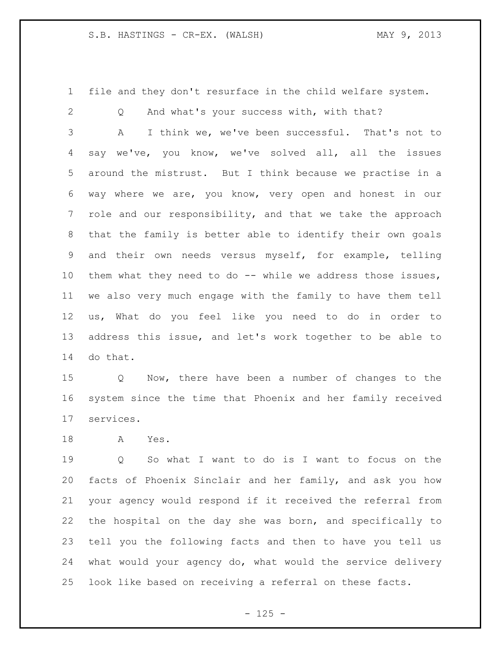file and they don't resurface in the child welfare system.

Q And what's your success with, with that?

 A I think we, we've been successful. That's not to say we've, you know, we've solved all, all the issues around the mistrust. But I think because we practise in a way where we are, you know, very open and honest in our role and our responsibility, and that we take the approach that the family is better able to identify their own goals and their own needs versus myself, for example, telling them what they need to do -- while we address those issues, we also very much engage with the family to have them tell us, What do you feel like you need to do in order to address this issue, and let's work together to be able to do that.

 Q Now, there have been a number of changes to the system since the time that Phoenix and her family received services.

A Yes.

 Q So what I want to do is I want to focus on the facts of Phoenix Sinclair and her family, and ask you how your agency would respond if it received the referral from the hospital on the day she was born, and specifically to tell you the following facts and then to have you tell us what would your agency do, what would the service delivery look like based on receiving a referral on these facts.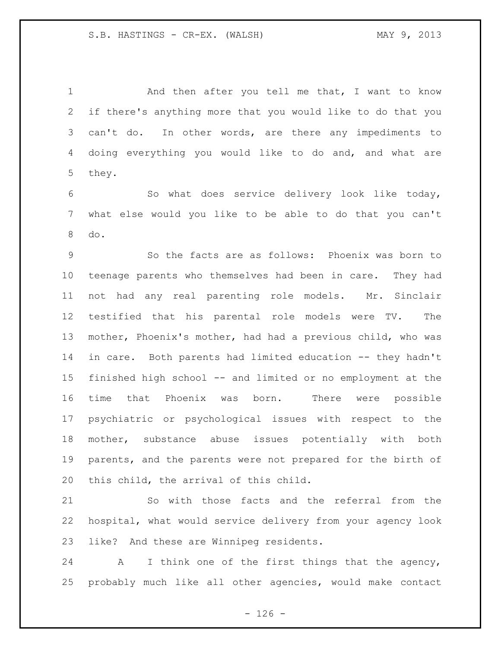1 And then after you tell me that, I want to know if there's anything more that you would like to do that you can't do. In other words, are there any impediments to doing everything you would like to do and, and what are they.

 So what does service delivery look like today, what else would you like to be able to do that you can't do.

 So the facts are as follows: Phoenix was born to teenage parents who themselves had been in care. They had not had any real parenting role models. Mr. Sinclair testified that his parental role models were TV. The mother, Phoenix's mother, had had a previous child, who was in care. Both parents had limited education -- they hadn't finished high school -- and limited or no employment at the time that Phoenix was born. There were possible psychiatric or psychological issues with respect to the mother, substance abuse issues potentially with both parents, and the parents were not prepared for the birth of this child, the arrival of this child.

 So with those facts and the referral from the hospital, what would service delivery from your agency look like? And these are Winnipeg residents.

 A I think one of the first things that the agency, probably much like all other agencies, would make contact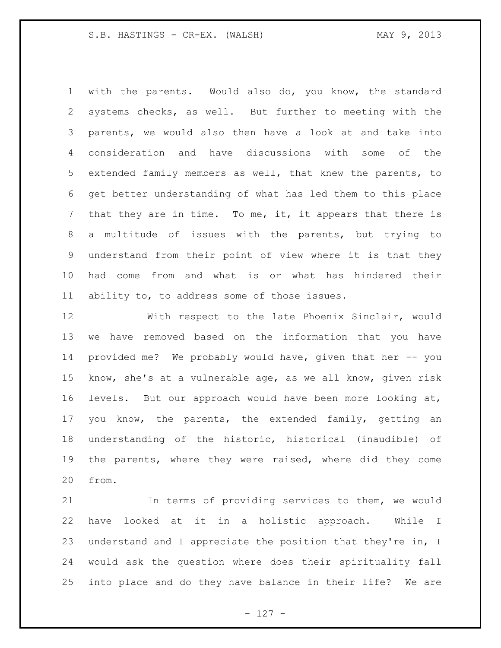with the parents. Would also do, you know, the standard systems checks, as well. But further to meeting with the parents, we would also then have a look at and take into consideration and have discussions with some of the extended family members as well, that knew the parents, to get better understanding of what has led them to this place that they are in time. To me, it, it appears that there is a multitude of issues with the parents, but trying to understand from their point of view where it is that they had come from and what is or what has hindered their ability to, to address some of those issues.

 With respect to the late Phoenix Sinclair, would we have removed based on the information that you have provided me? We probably would have, given that her -- you know, she's at a vulnerable age, as we all know, given risk levels. But our approach would have been more looking at, you know, the parents, the extended family, getting an understanding of the historic, historical (inaudible) of the parents, where they were raised, where did they come from.

 In terms of providing services to them, we would have looked at it in a holistic approach. While I understand and I appreciate the position that they're in, I would ask the question where does their spirituality fall into place and do they have balance in their life? We are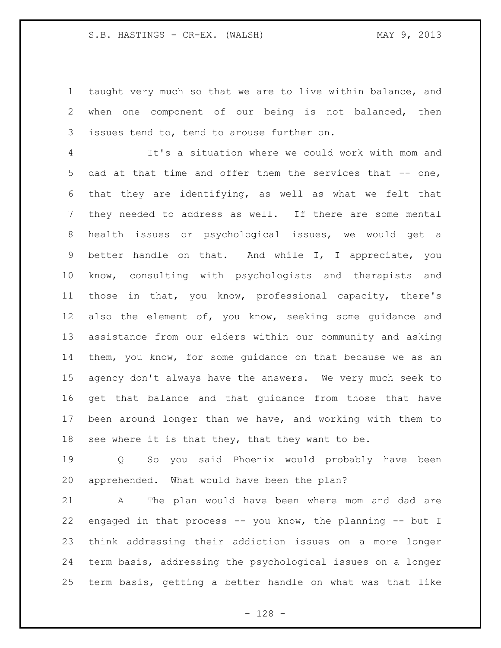taught very much so that we are to live within balance, and when one component of our being is not balanced, then issues tend to, tend to arouse further on.

 It's a situation where we could work with mom and 5 dad at that time and offer them the services that -- one, that they are identifying, as well as what we felt that they needed to address as well. If there are some mental health issues or psychological issues, we would get a better handle on that. And while I, I appreciate, you know, consulting with psychologists and therapists and those in that, you know, professional capacity, there's also the element of, you know, seeking some guidance and assistance from our elders within our community and asking them, you know, for some guidance on that because we as an agency don't always have the answers. We very much seek to get that balance and that guidance from those that have been around longer than we have, and working with them to 18 see where it is that they, that they want to be.

 Q So you said Phoenix would probably have been apprehended. What would have been the plan?

 A The plan would have been where mom and dad are engaged in that process -- you know, the planning -- but I think addressing their addiction issues on a more longer term basis, addressing the psychological issues on a longer term basis, getting a better handle on what was that like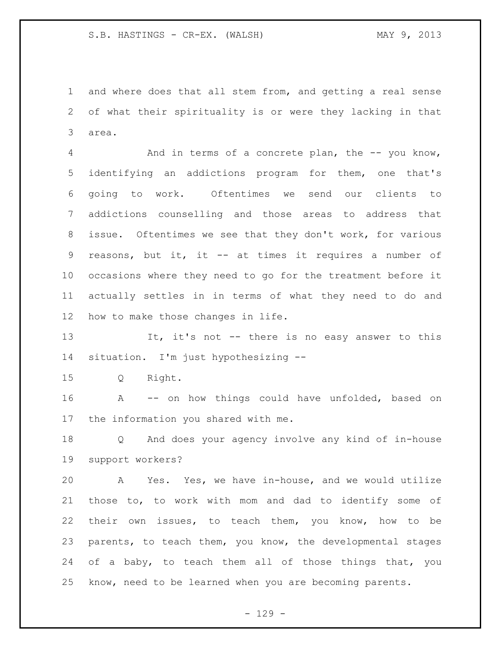and where does that all stem from, and getting a real sense of what their spirituality is or were they lacking in that area.

 And in terms of a concrete plan, the -- you know, identifying an addictions program for them, one that's going to work. Oftentimes we send our clients to addictions counselling and those areas to address that issue. Oftentimes we see that they don't work, for various reasons, but it, it -- at times it requires a number of occasions where they need to go for the treatment before it actually settles in in terms of what they need to do and how to make those changes in life.

13 It, it's not -- there is no easy answer to this situation. I'm just hypothesizing --

Q Right.

 A -- on how things could have unfolded, based on the information you shared with me.

 Q And does your agency involve any kind of in-house support workers?

 A Yes. Yes, we have in-house, and we would utilize those to, to work with mom and dad to identify some of their own issues, to teach them, you know, how to be parents, to teach them, you know, the developmental stages 24 of a baby, to teach them all of those things that, you know, need to be learned when you are becoming parents.

- 129 -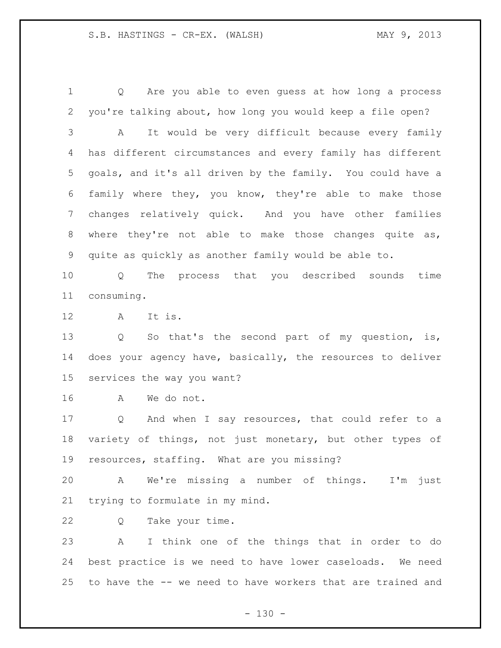Q Are you able to even guess at how long a process you're talking about, how long you would keep a file open? A It would be very difficult because every family has different circumstances and every family has different goals, and it's all driven by the family. You could have a family where they, you know, they're able to make those changes relatively quick. And you have other families where they're not able to make those changes quite as, quite as quickly as another family would be able to.

 Q The process that you described sounds time consuming.

A It is.

 Q So that's the second part of my question, is, does your agency have, basically, the resources to deliver services the way you want?

A We do not.

 Q And when I say resources, that could refer to a variety of things, not just monetary, but other types of resources, staffing. What are you missing?

 A We're missing a number of things. I'm just trying to formulate in my mind.

Q Take your time.

 A I think one of the things that in order to do best practice is we need to have lower caseloads. We need to have the -- we need to have workers that are trained and

 $- 130 -$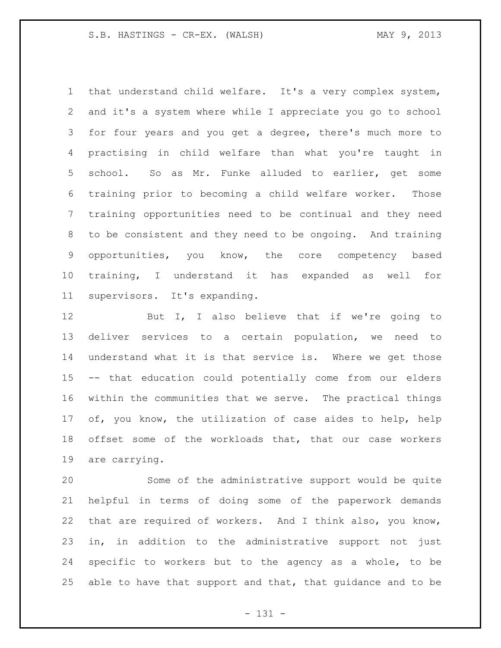that understand child welfare. It's a very complex system, and it's a system where while I appreciate you go to school for four years and you get a degree, there's much more to practising in child welfare than what you're taught in school. So as Mr. Funke alluded to earlier, get some training prior to becoming a child welfare worker. Those training opportunities need to be continual and they need to be consistent and they need to be ongoing. And training opportunities, you know, the core competency based training, I understand it has expanded as well for supervisors. It's expanding.

12 But I, I also believe that if we're going to deliver services to a certain population, we need to understand what it is that service is. Where we get those -- that education could potentially come from our elders within the communities that we serve. The practical things of, you know, the utilization of case aides to help, help offset some of the workloads that, that our case workers are carrying.

 Some of the administrative support would be quite helpful in terms of doing some of the paperwork demands that are required of workers. And I think also, you know, in, in addition to the administrative support not just specific to workers but to the agency as a whole, to be able to have that support and that, that guidance and to be

- 131 -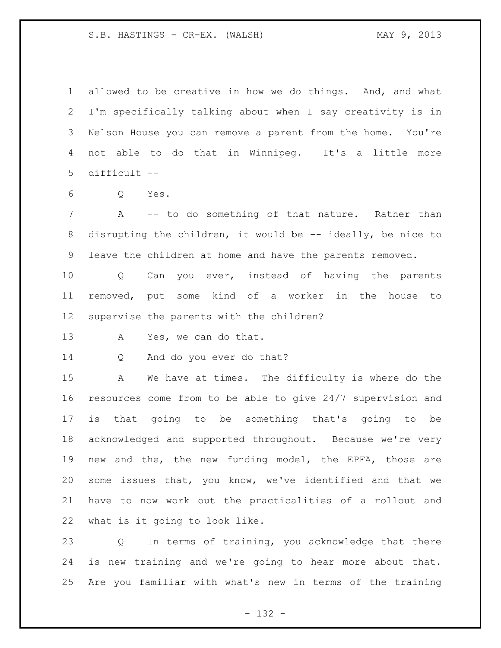allowed to be creative in how we do things. And, and what I'm specifically talking about when I say creativity is in Nelson House you can remove a parent from the home. You're not able to do that in Winnipeg. It's a little more difficult --

Q Yes.

7 A -- to do something of that nature. Rather than disrupting the children, it would be -- ideally, be nice to leave the children at home and have the parents removed.

 Q Can you ever, instead of having the parents removed, put some kind of a worker in the house to supervise the parents with the children?

A Yes, we can do that.

Q And do you ever do that?

 A We have at times. The difficulty is where do the resources come from to be able to give 24/7 supervision and is that going to be something that's going to be acknowledged and supported throughout. Because we're very new and the, the new funding model, the EPFA, those are some issues that, you know, we've identified and that we have to now work out the practicalities of a rollout and what is it going to look like.

 Q In terms of training, you acknowledge that there is new training and we're going to hear more about that. Are you familiar with what's new in terms of the training

- 132 -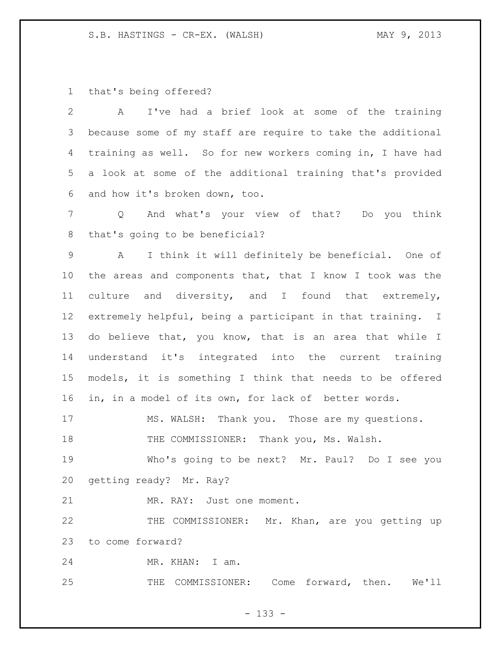that's being offered?

 A I've had a brief look at some of the training because some of my staff are require to take the additional training as well. So for new workers coming in, I have had a look at some of the additional training that's provided and how it's broken down, too. Q And what's your view of that? Do you think that's going to be beneficial? A I think it will definitely be beneficial. One of the areas and components that, that I know I took was the culture and diversity, and I found that extremely, extremely helpful, being a participant in that training. I do believe that, you know, that is an area that while I understand it's integrated into the current training models, it is something I think that needs to be offered in, in a model of its own, for lack of better words. MS. WALSH: Thank you. Those are my questions. THE COMMISSIONER: Thank you, Ms. Walsh. Who's going to be next? Mr. Paul? Do I see you getting ready? Mr. Ray? MR. RAY: Just one moment. 22 THE COMMISSIONER: Mr. Khan, are you getting up to come forward? 24 MR. KHAN: I am. THE COMMISSIONER: Come forward, then. We'll

- 133 -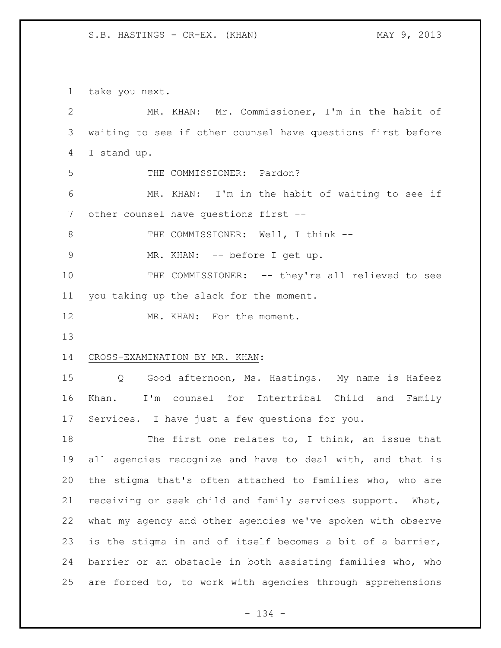take you next.

| $\mathbf{2}$ | MR. KHAN: Mr. Commissioner, I'm in the habit of             |
|--------------|-------------------------------------------------------------|
| 3            | waiting to see if other counsel have questions first before |
| 4            | I stand up.                                                 |
| 5            | THE COMMISSIONER: Pardon?                                   |
| 6            | MR. KHAN: I'm in the habit of waiting to see if             |
| 7            | other counsel have questions first --                       |
| $8\,$        | THE COMMISSIONER: Well, I think --                          |
| $\mathsf 9$  | MR. KHAN: -- before I get up.                               |
| 10           | THE COMMISSIONER: -- they're all relieved to see            |
| 11           | you taking up the slack for the moment.                     |
| 12           | MR. KHAN: For the moment.                                   |
| 13           |                                                             |
| 14           | CROSS-EXAMINATION BY MR. KHAN:                              |
| 15           | Q Good afternoon, Ms. Hastings. My name is Hafeez           |
| 16           | I'm counsel for Intertribal Child and Family<br>Khan.       |
|              |                                                             |
| 17           | Services. I have just a few questions for you.              |
| 18           | The first one relates to, I think, an issue that            |
| 19           | all agencies recognize and have to deal with, and that is   |
| 20           | the stigma that's often attached to families who, who are   |
| 21           | receiving or seek child and family services support. What,  |
| 22           | what my agency and other agencies we've spoken with observe |
| 23           | is the stigma in and of itself becomes a bit of a barrier,  |
| 24           | barrier or an obstacle in both assisting families who, who  |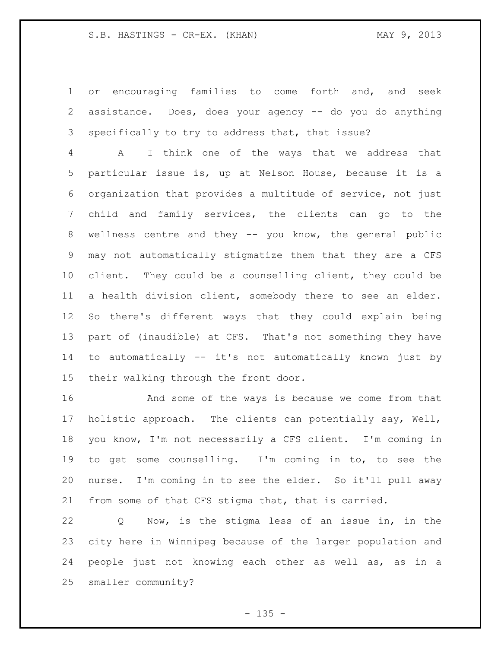or encouraging families to come forth and, and seek assistance. Does, does your agency -- do you do anything specifically to try to address that, that issue?

 A I think one of the ways that we address that particular issue is, up at Nelson House, because it is a organization that provides a multitude of service, not just child and family services, the clients can go to the wellness centre and they -- you know, the general public may not automatically stigmatize them that they are a CFS client. They could be a counselling client, they could be a health division client, somebody there to see an elder. So there's different ways that they could explain being part of (inaudible) at CFS. That's not something they have to automatically -- it's not automatically known just by their walking through the front door.

 And some of the ways is because we come from that holistic approach. The clients can potentially say, Well, you know, I'm not necessarily a CFS client. I'm coming in to get some counselling. I'm coming in to, to see the nurse. I'm coming in to see the elder. So it'll pull away from some of that CFS stigma that, that is carried.

 Q Now, is the stigma less of an issue in, in the city here in Winnipeg because of the larger population and people just not knowing each other as well as, as in a smaller community?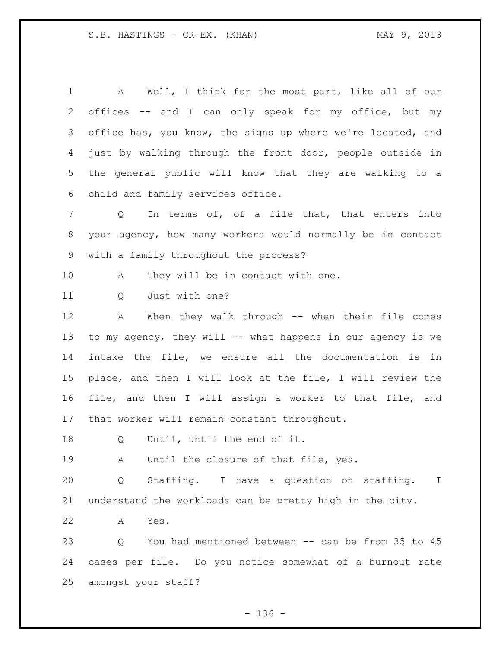A Well, I think for the most part, like all of our offices -- and I can only speak for my office, but my 3 office has, you know, the signs up where we're located, and just by walking through the front door, people outside in the general public will know that they are walking to a child and family services office. 7 Q In terms of, of a file that, that enters into your agency, how many workers would normally be in contact with a family throughout the process? 10 A They will be in contact with one. 11 0 Just with one? A When they walk through -- when their file comes to my agency, they will -- what happens in our agency is we intake the file, we ensure all the documentation is in place, and then I will look at the file, I will review the file, and then I will assign a worker to that file, and that worker will remain constant throughout. Q Until, until the end of it. A Until the closure of that file, yes. Q Staffing. I have a question on staffing. I understand the workloads can be pretty high in the city. A Yes. Q You had mentioned between -- can be from 35 to 45 cases per file. Do you notice somewhat of a burnout rate amongst your staff?

- 136 -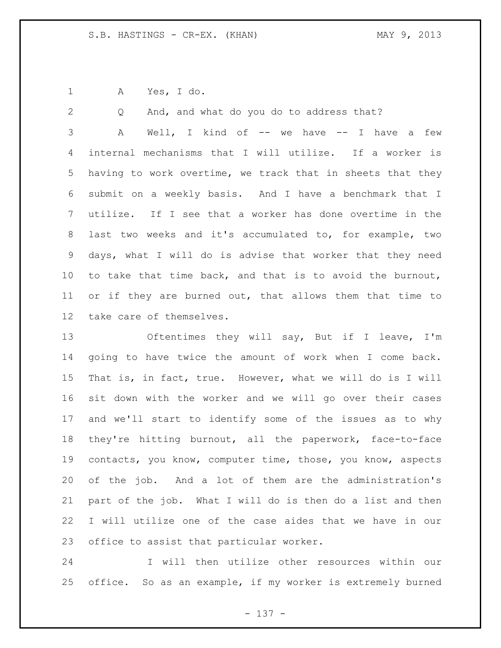A Yes, I do.

Q And, and what do you do to address that?

 A Well, I kind of -- we have -- I have a few internal mechanisms that I will utilize. If a worker is having to work overtime, we track that in sheets that they submit on a weekly basis. And I have a benchmark that I utilize. If I see that a worker has done overtime in the last two weeks and it's accumulated to, for example, two days, what I will do is advise that worker that they need to take that time back, and that is to avoid the burnout, or if they are burned out, that allows them that time to take care of themselves.

13 Oftentimes they will say, But if I leave, I'm going to have twice the amount of work when I come back. That is, in fact, true. However, what we will do is I will sit down with the worker and we will go over their cases and we'll start to identify some of the issues as to why they're hitting burnout, all the paperwork, face-to-face contacts, you know, computer time, those, you know, aspects of the job. And a lot of them are the administration's part of the job. What I will do is then do a list and then I will utilize one of the case aides that we have in our office to assist that particular worker.

 I will then utilize other resources within our office. So as an example, if my worker is extremely burned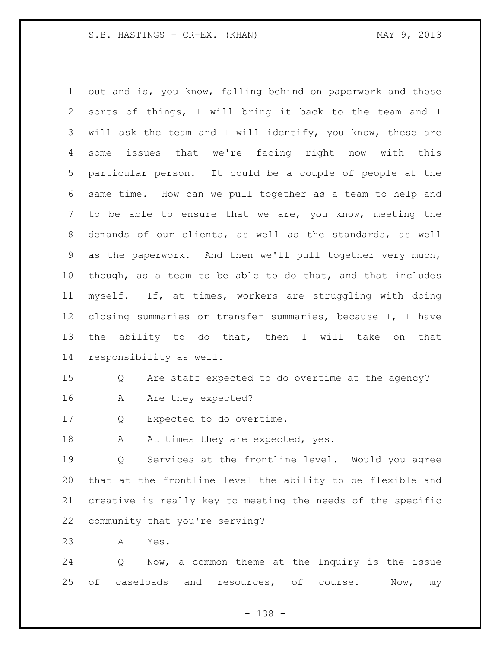out and is, you know, falling behind on paperwork and those sorts of things, I will bring it back to the team and I will ask the team and I will identify, you know, these are some issues that we're facing right now with this particular person. It could be a couple of people at the same time. How can we pull together as a team to help and to be able to ensure that we are, you know, meeting the demands of our clients, as well as the standards, as well as the paperwork. And then we'll pull together very much, though, as a team to be able to do that, and that includes myself. If, at times, workers are struggling with doing closing summaries or transfer summaries, because I, I have the ability to do that, then I will take on that responsibility as well. Q Are staff expected to do overtime at the agency? 16 A Are they expected? Q Expected to do overtime.

18 A At times they are expected, yes.

 Q Services at the frontline level. Would you agree that at the frontline level the ability to be flexible and creative is really key to meeting the needs of the specific community that you're serving?

A Yes.

 Q Now, a common theme at the Inquiry is the issue 25 of caseloads and resources, of course. Now, my

- 138 -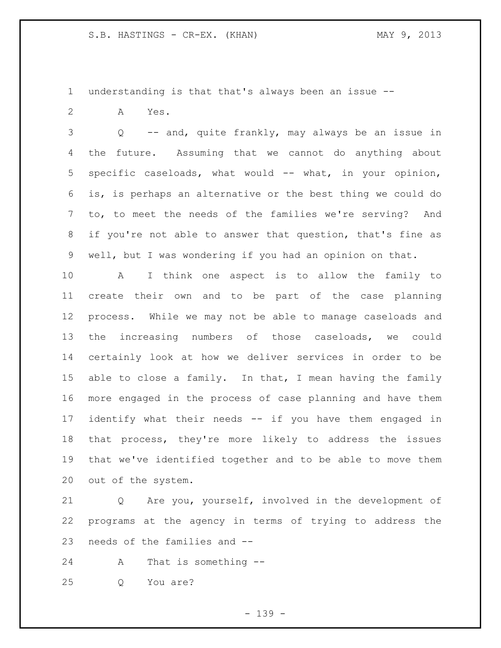understanding is that that's always been an issue --

A Yes.

 Q -- and, quite frankly, may always be an issue in the future. Assuming that we cannot do anything about specific caseloads, what would -- what, in your opinion, is, is perhaps an alternative or the best thing we could do to, to meet the needs of the families we're serving? And if you're not able to answer that question, that's fine as well, but I was wondering if you had an opinion on that.

 A I think one aspect is to allow the family to create their own and to be part of the case planning process. While we may not be able to manage caseloads and the increasing numbers of those caseloads, we could certainly look at how we deliver services in order to be 15 able to close a family. In that, I mean having the family more engaged in the process of case planning and have them identify what their needs -- if you have them engaged in that process, they're more likely to address the issues that we've identified together and to be able to move them out of the system.

 Q Are you, yourself, involved in the development of programs at the agency in terms of trying to address the needs of the families and --

A That is something --

Q You are?

- 139 -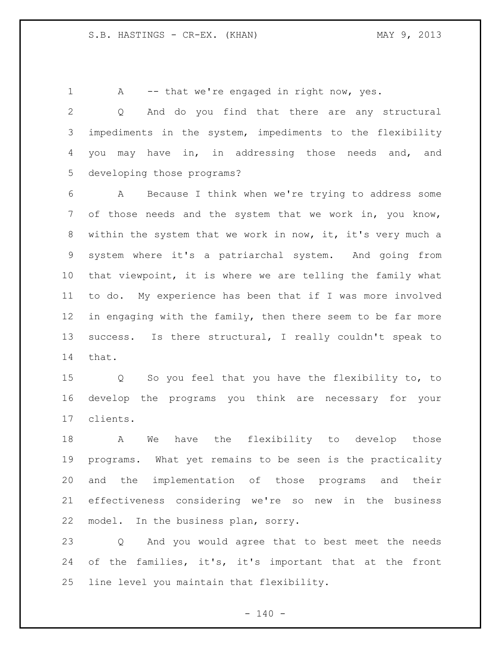1 A -- that we're engaged in right now, yes.

 Q And do you find that there are any structural impediments in the system, impediments to the flexibility you may have in, in addressing those needs and, and developing those programs?

 A Because I think when we're trying to address some of those needs and the system that we work in, you know, within the system that we work in now, it, it's very much a system where it's a patriarchal system. And going from that viewpoint, it is where we are telling the family what to do. My experience has been that if I was more involved in engaging with the family, then there seem to be far more success. Is there structural, I really couldn't speak to that.

 Q So you feel that you have the flexibility to, to develop the programs you think are necessary for your clients.

 A We have the flexibility to develop those programs. What yet remains to be seen is the practicality and the implementation of those programs and their effectiveness considering we're so new in the business model. In the business plan, sorry.

 Q And you would agree that to best meet the needs of the families, it's, it's important that at the front line level you maintain that flexibility.

 $- 140 -$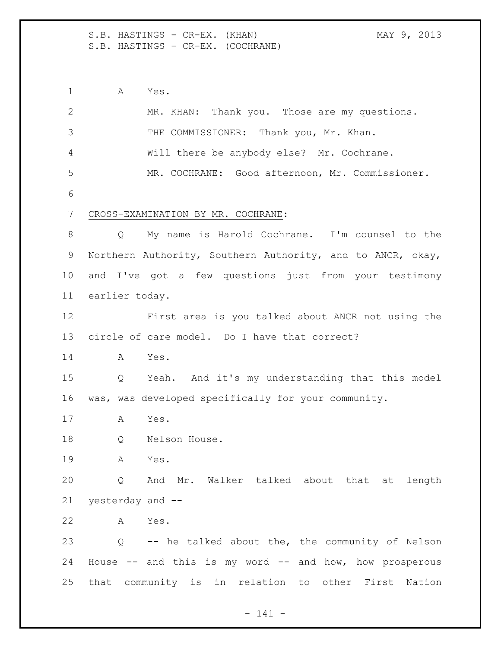S.B. HASTINGS - CR-EX. (KHAN) MAY 9, 2013 S.B. HASTINGS - CR-EX. (COCHRANE)

 A Yes. MR. KHAN: Thank you. Those are my questions. 3 THE COMMISSIONER: Thank you, Mr. Khan. Will there be anybody else? Mr. Cochrane. MR. COCHRANE: Good afternoon, Mr. Commissioner. CROSS-EXAMINATION BY MR. COCHRANE: Q My name is Harold Cochrane. I'm counsel to the Northern Authority, Southern Authority, and to ANCR, okay, and I've got a few questions just from your testimony earlier today. First area is you talked about ANCR not using the circle of care model. Do I have that correct? A Yes. Q Yeah. And it's my understanding that this model was, was developed specifically for your community. A Yes. 18 Q Nelson House. A Yes. Q And Mr. Walker talked about that at length yesterday and -- A Yes. Q -- he talked about the, the community of Nelson House -- and this is my word -- and how, how prosperous that community is in relation to other First Nation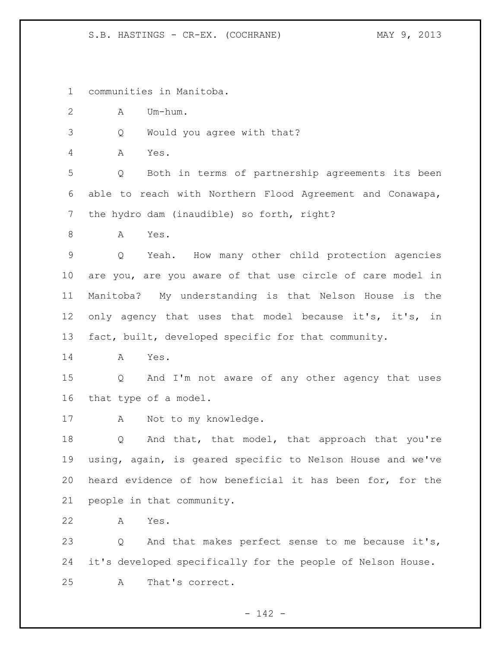communities in Manitoba.

A Um-hum.

Q Would you agree with that?

A Yes.

 Q Both in terms of partnership agreements its been able to reach with Northern Flood Agreement and Conawapa, the hydro dam (inaudible) so forth, right?

A Yes.

 Q Yeah. How many other child protection agencies are you, are you aware of that use circle of care model in Manitoba? My understanding is that Nelson House is the only agency that uses that model because it's, it's, in fact, built, developed specific for that community.

A Yes.

 Q And I'm not aware of any other agency that uses that type of a model.

A Not to my knowledge.

18 Q And that, that model, that approach that you're using, again, is geared specific to Nelson House and we've heard evidence of how beneficial it has been for, for the people in that community.

A Yes.

 Q And that makes perfect sense to me because it's, it's developed specifically for the people of Nelson House. A That's correct.

- 142 -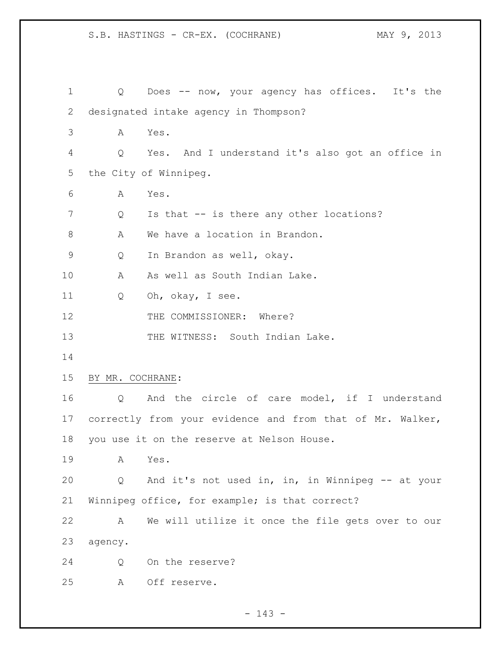| $\mathbf 1$ | Q                | Does -- now, your agency has offices. It's the            |
|-------------|------------------|-----------------------------------------------------------|
| 2           |                  | designated intake agency in Thompson?                     |
| 3           | Α                | Yes.                                                      |
| 4           | Q                | Yes. And I understand it's also got an office in          |
| 5           |                  | the City of Winnipeg.                                     |
| 6           | Α                | Yes.                                                      |
| 7           | Q                | Is that -- is there any other locations?                  |
| 8           | Α                | We have a location in Brandon.                            |
| 9           | Q                | In Brandon as well, okay.                                 |
| 10          | Α                | As well as South Indian Lake.                             |
| 11          | Q                | Oh, okay, I see.                                          |
| 12          |                  | THE COMMISSIONER: Where?                                  |
| 13          |                  | THE WITNESS: South Indian Lake.                           |
| 14          |                  |                                                           |
| 15          | BY MR. COCHRANE: |                                                           |
| 16          | Q                | And the circle of care model, if I understand             |
| 17          |                  | correctly from your evidence and from that of Mr. Walker, |
| 18          |                  | you use it on the reserve at Nelson House.                |
| 19          | A                | Yes.                                                      |
| 20          | Q                | And it's not used in, in, in Winnipeg -- at your          |
| 21          |                  | Winnipeg office, for example; is that correct?            |
| 22          | A                | We will utilize it once the file gets over to our         |
| 23          | agency.          |                                                           |
| 24          | Q                | On the reserve?                                           |
| 25          | А                | Off reserve.                                              |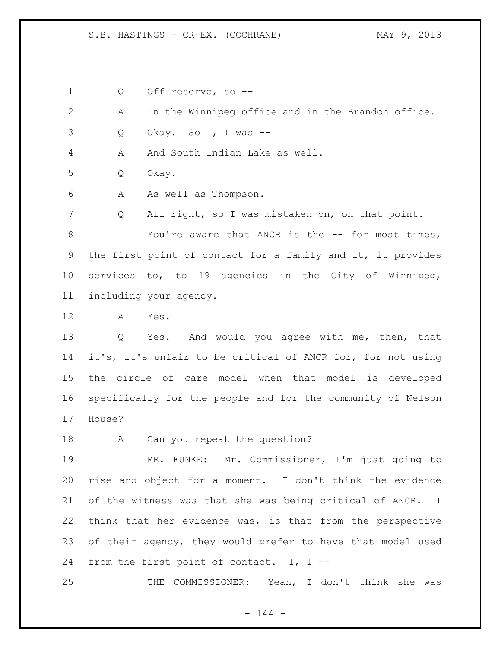Q Off reserve, so --

A In the Winnipeg office and in the Brandon office.

Q Okay. So I, I was --

4 A And South Indian Lake as well.

Q Okay.

A As well as Thompson.

 Q All right, so I was mistaken on, on that point. You're aware that ANCR is the -- for most times, the first point of contact for a family and it, it provides services to, to 19 agencies in the City of Winnipeg, including your agency.

A Yes.

 Q Yes. And would you agree with me, then, that it's, it's unfair to be critical of ANCR for, for not using the circle of care model when that model is developed specifically for the people and for the community of Nelson House?

18 A Can you repeat the question?

 MR. FUNKE: Mr. Commissioner, I'm just going to rise and object for a moment. I don't think the evidence of the witness was that she was being critical of ANCR. I think that her evidence was, is that from the perspective of their agency, they would prefer to have that model used from the first point of contact. I, I --

THE COMMISSIONER: Yeah, I don't think she was

- 144 -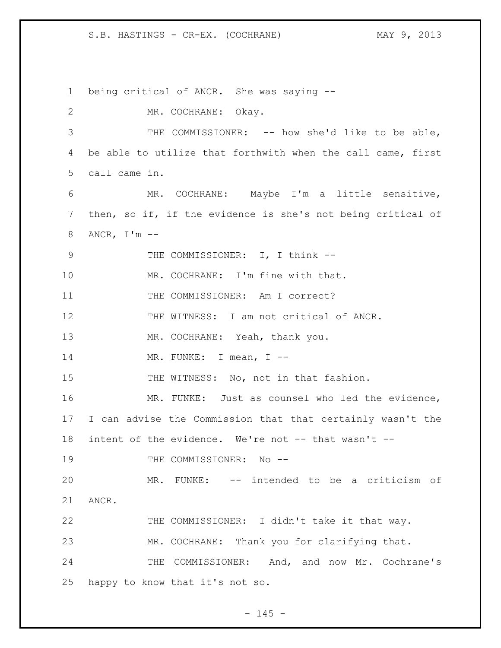being critical of ANCR. She was saying -- MR. COCHRANE: Okay. THE COMMISSIONER: -- how she'd like to be able, be able to utilize that forthwith when the call came, first call came in. MR. COCHRANE: Maybe I'm a little sensitive, then, so if, if the evidence is she's not being critical of ANCR, I'm -- 9 THE COMMISSIONER: I, I think --10 MR. COCHRANE: I'm fine with that. 11 THE COMMISSIONER: Am I correct? THE WITNESS: I am not critical of ANCR. 13 MR. COCHRANE: Yeah, thank you. 14 MR. FUNKE: I mean, I --15 THE WITNESS: No, not in that fashion. MR. FUNKE: Just as counsel who led the evidence, I can advise the Commission that that certainly wasn't the intent of the evidence. We're not -- that wasn't -- 19 THE COMMISSIONER: No -- MR. FUNKE: -- intended to be a criticism of ANCR. THE COMMISSIONER: I didn't take it that way. MR. COCHRANE: Thank you for clarifying that. 24 THE COMMISSIONER: And, and now Mr. Cochrane's happy to know that it's not so.

 $- 145 -$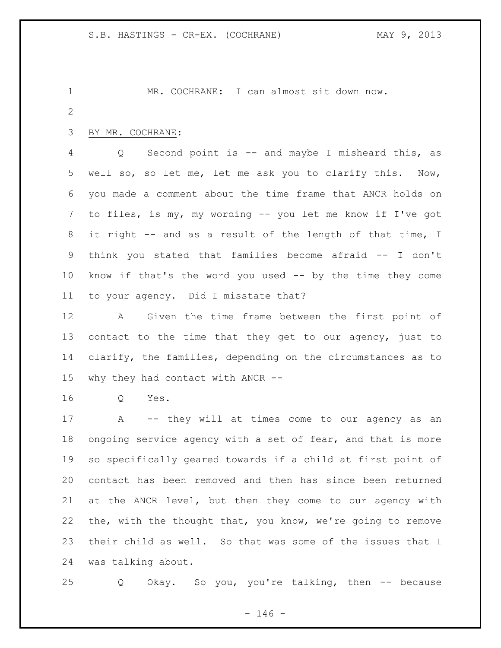MR. COCHRANE: I can almost sit down now.

### BY MR. COCHRANE:

 Q Second point is -- and maybe I misheard this, as well so, so let me, let me ask you to clarify this. Now, you made a comment about the time frame that ANCR holds on to files, is my, my wording -- you let me know if I've got it right -- and as a result of the length of that time, I think you stated that families become afraid -- I don't know if that's the word you used -- by the time they come to your agency. Did I misstate that?

 A Given the time frame between the first point of contact to the time that they get to our agency, just to clarify, the families, depending on the circumstances as to why they had contact with ANCR --

Q Yes.

 A -- they will at times come to our agency as an ongoing service agency with a set of fear, and that is more so specifically geared towards if a child at first point of contact has been removed and then has since been returned at the ANCR level, but then they come to our agency with the, with the thought that, you know, we're going to remove their child as well. So that was some of the issues that I was talking about.

Q Okay. So you, you're talking, then -- because

 $- 146 -$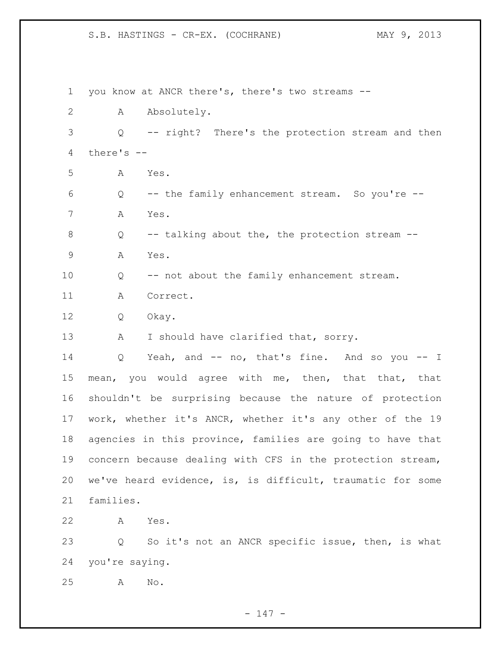you know at ANCR there's, there's two streams -- A Absolutely. Q -- right? There's the protection stream and then there's -- A Yes. Q -- the family enhancement stream. So you're -- A Yes. 8 Q -- talking about the, the protection stream -- A Yes. Q -- not about the family enhancement stream. A Correct. Q Okay. 13 A I should have clarified that, sorry. Q Yeah, and -- no, that's fine. And so you -- I mean, you would agree with me, then, that that, that shouldn't be surprising because the nature of protection work, whether it's ANCR, whether it's any other of the 19 agencies in this province, families are going to have that concern because dealing with CFS in the protection stream, we've heard evidence, is, is difficult, traumatic for some families. A Yes. Q So it's not an ANCR specific issue, then, is what you're saying. A No.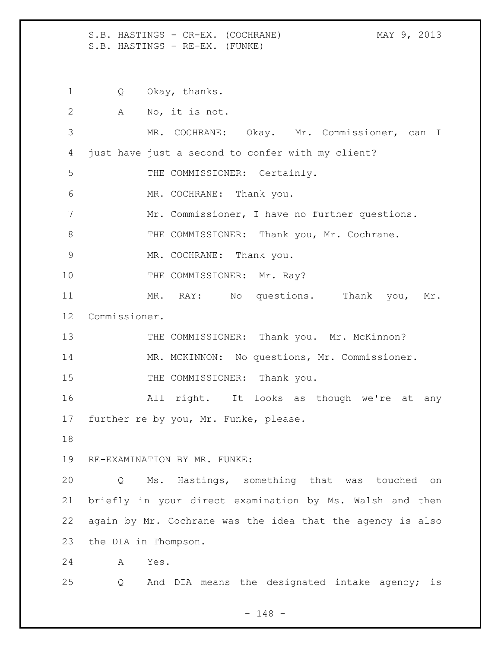S.B. HASTINGS - CR-EX. (COCHRANE) MAY 9, 2013 S.B. HASTINGS - RE-EX. (FUNKE)

1 Q Okay, thanks.

| $\mathbf{2}$ |                      | A No, it is not.                                           |
|--------------|----------------------|------------------------------------------------------------|
| 3            |                      | MR. COCHRANE: Okay. Mr. Commissioner, can I                |
| 4            |                      | just have just a second to confer with my client?          |
| 5            |                      | THE COMMISSIONER: Certainly.                               |
| 6            |                      | MR. COCHRANE: Thank you.                                   |
| 7            |                      | Mr. Commissioner, I have no further questions.             |
| 8            |                      | THE COMMISSIONER: Thank you, Mr. Cochrane.                 |
| $\mathsf 9$  |                      | MR. COCHRANE: Thank you.                                   |
| 10           |                      | THE COMMISSIONER: Mr. Ray?                                 |
| 11           |                      | MR. RAY: No questions. Thank you, Mr.                      |
| 12           | Commissioner.        |                                                            |
| 13           |                      | THE COMMISSIONER: Thank you. Mr. McKinnon?                 |
| 14           |                      | MR. MCKINNON: No questions, Mr. Commissioner.              |
| 15           |                      | THE COMMISSIONER: Thank you.                               |
|              |                      |                                                            |
| 16           |                      | All right. It looks as though we're at any                 |
| 17           |                      | further re by you, Mr. Funke, please.                      |
| 18           |                      |                                                            |
| 19           |                      | RE-EXAMINATION BY MR. FUNKE:                               |
| 20           | Q                    | Ms. Hastings, something that was touched on                |
| 21           |                      | briefly in your direct examination by Ms. Walsh and then   |
| 22           |                      | again by Mr. Cochrane was the idea that the agency is also |
| 23           | the DIA in Thompson. |                                                            |
| 24           | Α                    | Yes.                                                       |
| 25           | Q                    | And DIA means the designated intake agency; is             |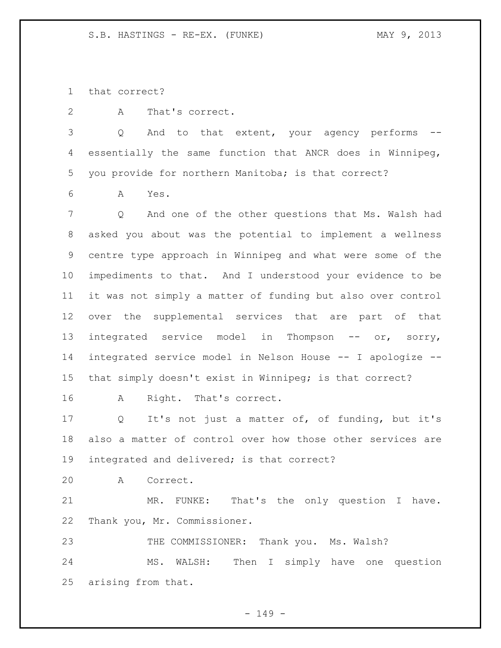that correct?

A That's correct.

 Q And to that extent, your agency performs -- essentially the same function that ANCR does in Winnipeg, you provide for northern Manitoba; is that correct?

A Yes.

 Q And one of the other questions that Ms. Walsh had asked you about was the potential to implement a wellness centre type approach in Winnipeg and what were some of the impediments to that. And I understood your evidence to be it was not simply a matter of funding but also over control over the supplemental services that are part of that 13 integrated service model in Thompson -- or, sorry, integrated service model in Nelson House -- I apologize -- that simply doesn't exist in Winnipeg; is that correct?

A Right. That's correct.

 Q It's not just a matter of, of funding, but it's also a matter of control over how those other services are integrated and delivered; is that correct?

A Correct.

 MR. FUNKE: That's the only question I have. Thank you, Mr. Commissioner.

THE COMMISSIONER: Thank you. Ms. Walsh?

 MS. WALSH: Then I simply have one question arising from that.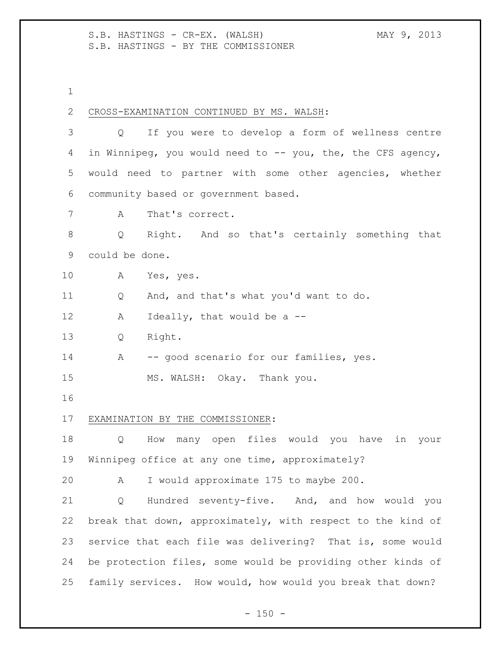S.B. HASTINGS - CR-EX. (WALSH) MAY 9, 2013 S.B. HASTINGS - BY THE COMMISSIONER

1

| 2           | CROSS-EXAMINATION CONTINUED BY MS. WALSH:                             |  |
|-------------|-----------------------------------------------------------------------|--|
| 3           | If you were to develop a form of wellness centre<br>$Q \qquad \qquad$ |  |
| 4           | in Winnipeg, you would need to -- you, the, the CFS agency,           |  |
| 5           | would need to partner with some other agencies, whether               |  |
| 6           | community based or government based.                                  |  |
| 7           | That's correct.<br>Α                                                  |  |
| 8           | Right. And so that's certainly something that<br>Q                    |  |
| $\mathsf 9$ | could be done.                                                        |  |
| 10          | Yes, yes.<br>A                                                        |  |
| 11          | And, and that's what you'd want to do.<br>Q                           |  |
| 12          | Ideally, that would be a --<br>Α                                      |  |
| 13          | Right.<br>Q                                                           |  |
| 14          | -- good scenario for our families, yes.<br>$\mathbf{A}$               |  |
| 15          | MS. WALSH: Okay. Thank you.                                           |  |
| 16          |                                                                       |  |
| 17          | EXAMINATION BY THE COMMISSIONER:                                      |  |
| 18          | How many open files would you have in your<br>Q                       |  |
| 19          | Winnipeg office at any one time, approximately?                       |  |
| 20          | I would approximate 175 to maybe 200.<br>Α                            |  |
| 21          | Hundred seventy-five. And, and how would you<br>Q                     |  |
| 22          | break that down, approximately, with respect to the kind of           |  |
| 23          | service that each file was delivering? That is, some would            |  |
| 24          | be protection files, some would be providing other kinds of           |  |
| 25          | family services. How would, how would you break that down?            |  |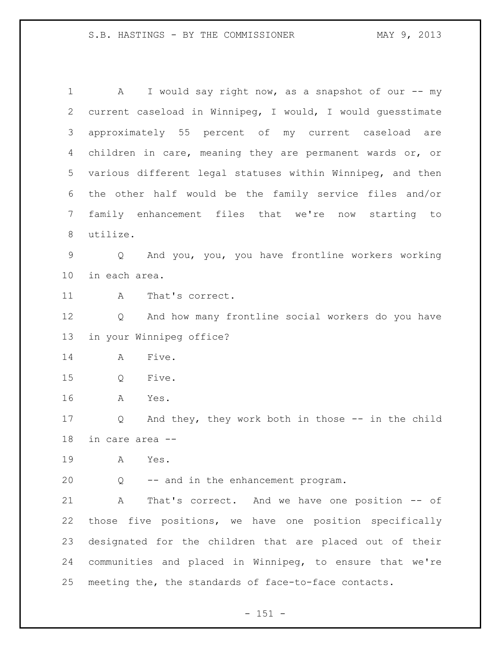A I would say right now, as a snapshot of our -- my current caseload in Winnipeg, I would, I would guesstimate approximately 55 percent of my current caseload are children in care, meaning they are permanent wards or, or various different legal statuses within Winnipeg, and then the other half would be the family service files and/or family enhancement files that we're now starting to utilize. Q And you, you, you have frontline workers working in each area. 11 A That's correct. Q And how many frontline social workers do you have in your Winnipeg office? A Five. Q Five. A Yes. Q And they, they work both in those -- in the child in care area -- A Yes. Q -- and in the enhancement program. A That's correct. And we have one position -- of those five positions, we have one position specifically designated for the children that are placed out of their communities and placed in Winnipeg, to ensure that we're meeting the, the standards of face-to-face contacts.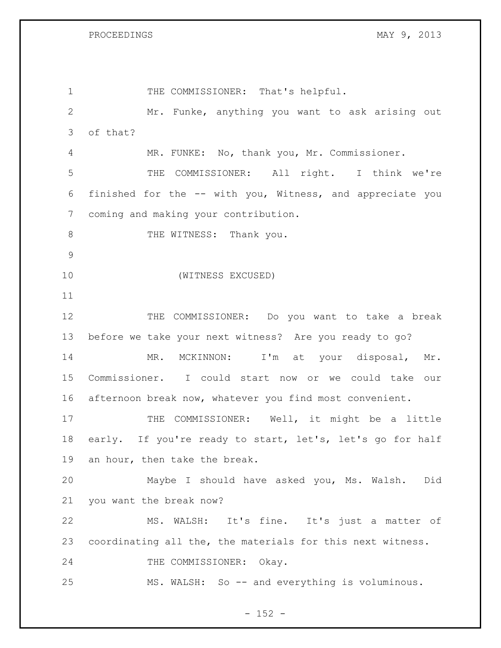1 THE COMMISSIONER: That's helpful. Mr. Funke, anything you want to ask arising out of that? MR. FUNKE: No, thank you, Mr. Commissioner. THE COMMISSIONER: All right. I think we're finished for the -- with you, Witness, and appreciate you coming and making your contribution. 8 THE WITNESS: Thank you. (WITNESS EXCUSED) THE COMMISSIONER: Do you want to take a break before we take your next witness? Are you ready to go? MR. MCKINNON: I'm at your disposal, Mr. Commissioner. I could start now or we could take our afternoon break now, whatever you find most convenient. 17 THE COMMISSIONER: Well, it might be a little early. If you're ready to start, let's, let's go for half an hour, then take the break. Maybe I should have asked you, Ms. Walsh. Did you want the break now? MS. WALSH: It's fine. It's just a matter of coordinating all the, the materials for this next witness. 24 THE COMMISSIONER: Okay. MS. WALSH: So -- and everything is voluminous.

 $- 152 -$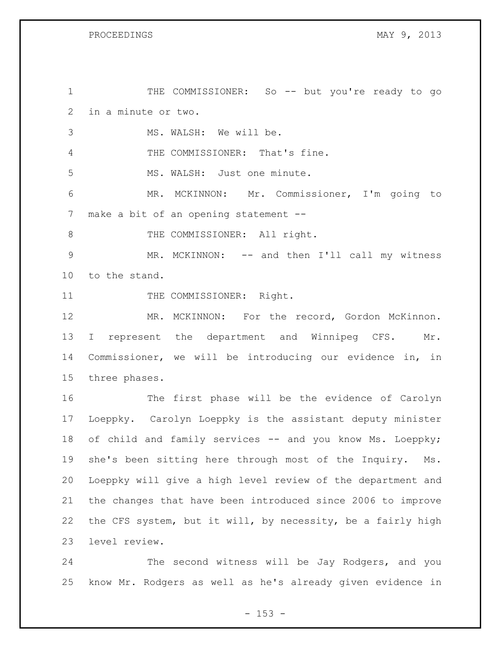1 THE COMMISSIONER: So -- but you're ready to go in a minute or two. MS. WALSH: We will be. THE COMMISSIONER: That's fine. MS. WALSH: Just one minute. MR. MCKINNON: Mr. Commissioner, I'm going to make a bit of an opening statement -- 8 THE COMMISSIONER: All right. MR. MCKINNON: -- and then I'll call my witness to the stand. 11 THE COMMISSIONER: Right. MR. MCKINNON: For the record, Gordon McKinnon. 13 I represent the department and Winnipeg CFS. Mr. Commissioner, we will be introducing our evidence in, in three phases. The first phase will be the evidence of Carolyn Loeppky. Carolyn Loeppky is the assistant deputy minister 18 of child and family services -- and you know Ms. Loeppky; she's been sitting here through most of the Inquiry. Ms. Loeppky will give a high level review of the department and the changes that have been introduced since 2006 to improve the CFS system, but it will, by necessity, be a fairly high level review.

 The second witness will be Jay Rodgers, and you know Mr. Rodgers as well as he's already given evidence in

 $- 153 -$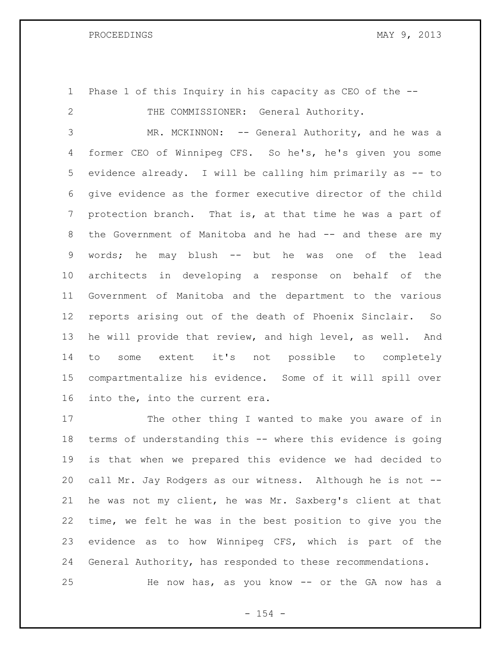Phase 1 of this Inquiry in his capacity as CEO of the -- 2 THE COMMISSIONER: General Authority.

3 MR. MCKINNON: -- General Authority, and he was a former CEO of Winnipeg CFS. So he's, he's given you some evidence already. I will be calling him primarily as -- to give evidence as the former executive director of the child protection branch. That is, at that time he was a part of 8 the Government of Manitoba and he had -- and these are my words; he may blush -- but he was one of the lead architects in developing a response on behalf of the Government of Manitoba and the department to the various reports arising out of the death of Phoenix Sinclair. So he will provide that review, and high level, as well. And to some extent it's not possible to completely compartmentalize his evidence. Some of it will spill over into the, into the current era.

 The other thing I wanted to make you aware of in terms of understanding this -- where this evidence is going is that when we prepared this evidence we had decided to call Mr. Jay Rodgers as our witness. Although he is not -- he was not my client, he was Mr. Saxberg's client at that time, we felt he was in the best position to give you the evidence as to how Winnipeg CFS, which is part of the General Authority, has responded to these recommendations. He now has, as you know -- or the GA now has a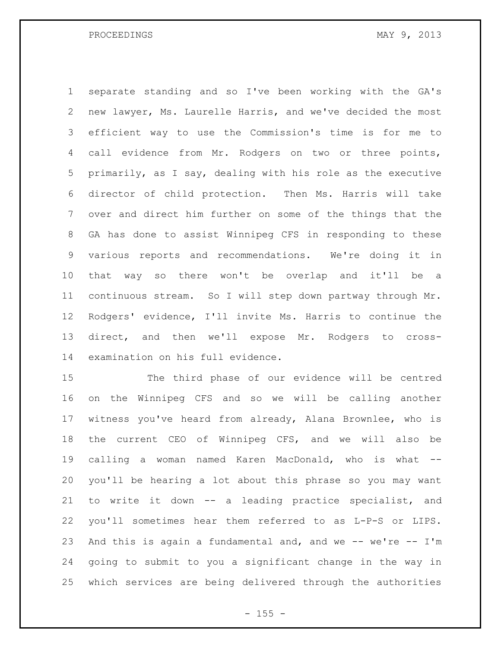separate standing and so I've been working with the GA's new lawyer, Ms. Laurelle Harris, and we've decided the most efficient way to use the Commission's time is for me to 4 call evidence from Mr. Rodgers on two or three points, primarily, as I say, dealing with his role as the executive director of child protection. Then Ms. Harris will take over and direct him further on some of the things that the GA has done to assist Winnipeg CFS in responding to these various reports and recommendations. We're doing it in that way so there won't be overlap and it'll be a 11 continuous stream. So I will step down partway through Mr. Rodgers' evidence, I'll invite Ms. Harris to continue the direct, and then we'll expose Mr. Rodgers to cross-examination on his full evidence.

 The third phase of our evidence will be centred on the Winnipeg CFS and so we will be calling another witness you've heard from already, Alana Brownlee, who is the current CEO of Winnipeg CFS, and we will also be calling a woman named Karen MacDonald, who is what -- you'll be hearing a lot about this phrase so you may want to write it down -- a leading practice specialist, and you'll sometimes hear them referred to as L-P-S or LIPS. And this is again a fundamental and, and we -- we're -- I'm going to submit to you a significant change in the way in which services are being delivered through the authorities

 $- 155 -$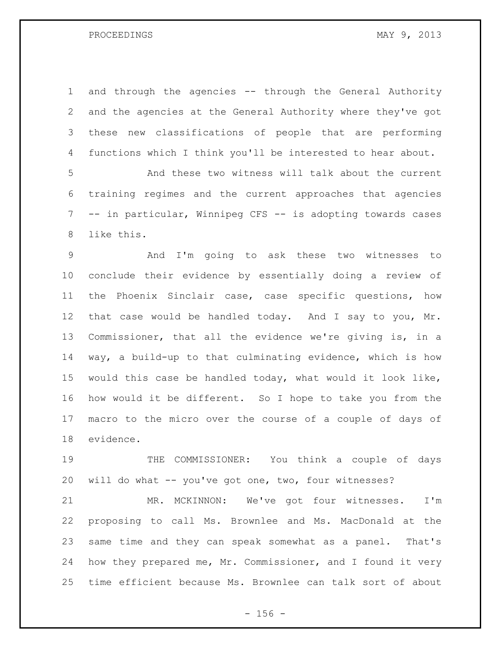and through the agencies -- through the General Authority and the agencies at the General Authority where they've got these new classifications of people that are performing functions which I think you'll be interested to hear about.

 And these two witness will talk about the current training regimes and the current approaches that agencies -- in particular, Winnipeg CFS -- is adopting towards cases like this.

 And I'm going to ask these two witnesses to conclude their evidence by essentially doing a review of the Phoenix Sinclair case, case specific questions, how that case would be handled today. And I say to you, Mr. Commissioner, that all the evidence we're giving is, in a way, a build-up to that culminating evidence, which is how would this case be handled today, what would it look like, how would it be different. So I hope to take you from the macro to the micro over the course of a couple of days of evidence.

 THE COMMISSIONER: You think a couple of days will do what -- you've got one, two, four witnesses?

 MR. MCKINNON: We've got four witnesses. I'm proposing to call Ms. Brownlee and Ms. MacDonald at the same time and they can speak somewhat as a panel. That's how they prepared me, Mr. Commissioner, and I found it very time efficient because Ms. Brownlee can talk sort of about

 $- 156 -$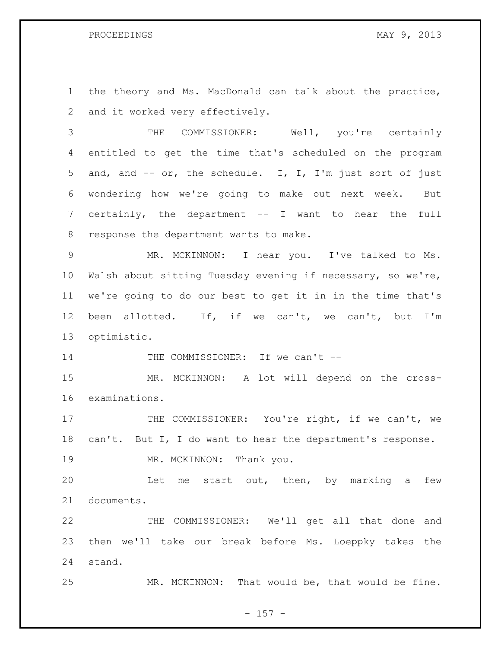the theory and Ms. MacDonald can talk about the practice, and it worked very effectively.

 THE COMMISSIONER: Well, you're certainly entitled to get the time that's scheduled on the program and, and -- or, the schedule. I, I, I'm just sort of just wondering how we're going to make out next week. But certainly, the department -- I want to hear the full response the department wants to make.

 MR. MCKINNON: I hear you. I've talked to Ms. Walsh about sitting Tuesday evening if necessary, so we're, we're going to do our best to get it in in the time that's been allotted. If, if we can't, we can't, but I'm optimistic.

14 THE COMMISSIONER: If we can't --

 MR. MCKINNON: A lot will depend on the cross-examinations.

17 THE COMMISSIONER: You're right, if we can't, we can't. But I, I do want to hear the department's response.

19 MR. MCKINNON: Thank you.

 Let me start out, then, by marking a few documents.

 THE COMMISSIONER: We'll get all that done and then we'll take our break before Ms. Loeppky takes the stand.

MR. MCKINNON: That would be, that would be fine.

- 157 -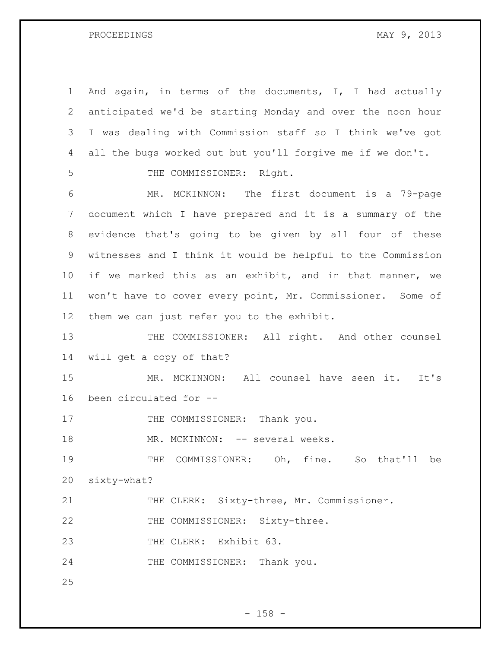And again, in terms of the documents, I, I had actually anticipated we'd be starting Monday and over the noon hour I was dealing with Commission staff so I think we've got all the bugs worked out but you'll forgive me if we don't. 5 THE COMMISSIONER: Right. MR. MCKINNON: The first document is a 79-page document which I have prepared and it is a summary of the evidence that's going to be given by all four of these witnesses and I think it would be helpful to the Commission if we marked this as an exhibit, and in that manner, we won't have to cover every point, Mr. Commissioner. Some of them we can just refer you to the exhibit. 13 THE COMMISSIONER: All right. And other counsel will get a copy of that? MR. MCKINNON: All counsel have seen it. It's been circulated for -- 17 THE COMMISSIONER: Thank you. 18 MR. MCKINNON: -- several weeks. THE COMMISSIONER: Oh, fine. So that'll be sixty-what? THE CLERK: Sixty-three, Mr. Commissioner. 22 THE COMMISSIONER: Sixty-three. 23 THE CLERK: Exhibit 63. 24 THE COMMISSIONER: Thank you.

- 158 -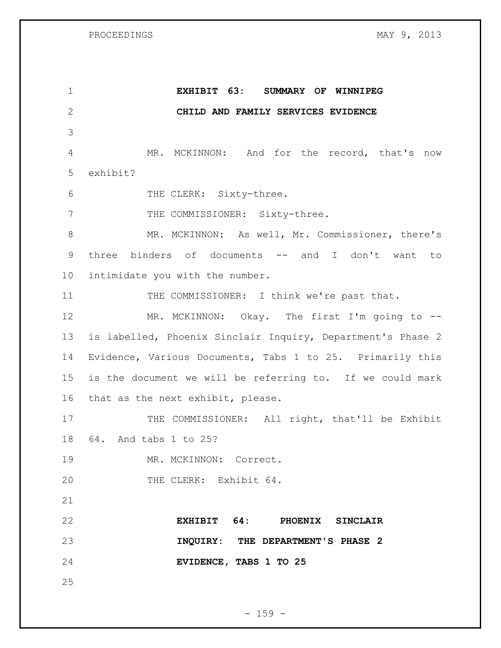| $\mathbf 1$  | EXHIBIT 63: SUMMARY OF WINNIPEG                             |
|--------------|-------------------------------------------------------------|
| $\mathbf{2}$ | CHILD AND FAMILY SERVICES EVIDENCE                          |
| 3            |                                                             |
| 4            | MR. MCKINNON: And for the record, that's now                |
| 5            | exhibit?                                                    |
| 6            | THE CLERK: Sixty-three.                                     |
| 7            | THE COMMISSIONER: Sixty-three.                              |
| $8\,$        | MR. MCKINNON: As well, Mr. Commissioner, there's            |
| 9            | three binders of documents -- and I don't want to           |
| 10           | intimidate you with the number.                             |
| 11           | THE COMMISSIONER: I think we're past that.                  |
| 12           | MR. MCKINNON: Okay. The first I'm going to --               |
| 13           | is labelled, Phoenix Sinclair Inquiry, Department's Phase 2 |
| 14           | Evidence, Various Documents, Tabs 1 to 25. Primarily this   |
| 15           | is the document we will be referring to. If we could mark   |
| 16           | that as the next exhibit, please.                           |
| 17           | THE COMMISSIONER: All right, that'll be Exhibit             |
| 18           | 64. And tabs 1 to 25?                                       |
| 19           | MR. MCKINNON: Correct.                                      |
| 20           | THE CLERK: Exhibit 64.                                      |
| 21           |                                                             |
| 22           | EXHIBIT 64: PHOENIX SINCLAIR                                |
| 23           | INQUIRY: THE DEPARTMENT'S PHASE 2                           |
| 24           | EVIDENCE, TABS 1 TO 25                                      |
| 25           |                                                             |

- 159 -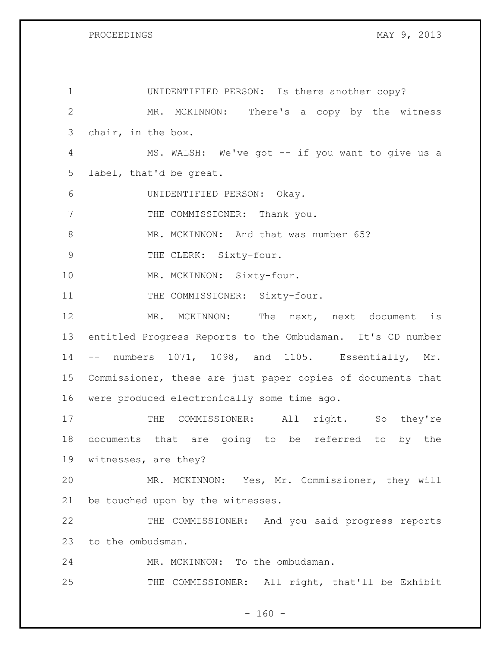| $\mathbf 1$   | UNIDENTIFIED PERSON: Is there another copy?                 |
|---------------|-------------------------------------------------------------|
| $\mathbf{2}$  | MR. MCKINNON: There's a copy by the witness                 |
| 3             | chair, in the box.                                          |
| 4             | MS. WALSH: We've got -- if you want to give us a            |
| 5             | label, that'd be great.                                     |
| 6             | UNIDENTIFIED PERSON: Okay.                                  |
| 7             | THE COMMISSIONER: Thank you.                                |
| 8             | MR. MCKINNON: And that was number 65?                       |
| $\mathcal{G}$ | THE CLERK: Sixty-four.                                      |
| 10            | MR. MCKINNON: Sixty-four.                                   |
| 11            | THE COMMISSIONER: Sixty-four.                               |
| 12            | MR. MCKINNON: The next, next document is                    |
| 13            | entitled Progress Reports to the Ombudsman. It's CD number  |
| 14            | -- numbers 1071, 1098, and 1105. Essentially, Mr.           |
| 15            | Commissioner, these are just paper copies of documents that |
| 16            | were produced electronically some time ago.                 |
| 17            | COMMISSIONER: All right. So they're<br>THE                  |
| 18            | documents that are going to be referred to<br>by the        |
| 19            | witnesses, are they?                                        |
| 20            | MR. MCKINNON: Yes, Mr. Commissioner, they will              |
| 21            | be touched upon by the witnesses.                           |
| 22            | THE COMMISSIONER: And you said progress reports             |
| 23            | to the ombudsman.                                           |
| 24            | MR. MCKINNON: To the ombudsman.                             |
| 25            | THE COMMISSIONER: All right, that'll be Exhibit             |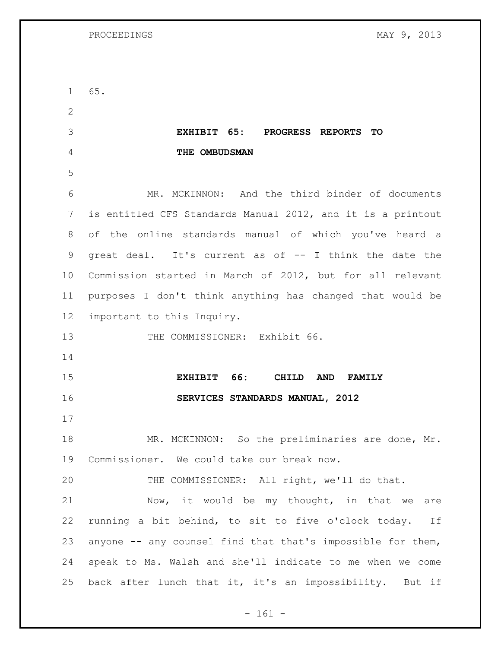| $\mathbf{1}$ | 65.                                                         |
|--------------|-------------------------------------------------------------|
| 2            |                                                             |
| 3            | EXHIBIT 65:<br>PROGRESS REPORTS TO                          |
| 4            | THE OMBUDSMAN                                               |
| 5            |                                                             |
| 6            | MR. MCKINNON: And the third binder of documents             |
| 7            | is entitled CFS Standards Manual 2012, and it is a printout |
| 8            | of the online standards manual of which you've heard a      |
| $\mathsf 9$  | great deal. It's current as of -- I think the date the      |
| 10           | Commission started in March of 2012, but for all relevant   |
| 11           | purposes I don't think anything has changed that would be   |
| 12           | important to this Inquiry.                                  |
| 13           | THE COMMISSIONER: Exhibit 66.                               |
| 14           |                                                             |
| 15           | EXHIBIT 66:<br>CHILD<br><b>AND</b><br><b>FAMILY</b>         |
| 16           | SERVICES STANDARDS MANUAL, 2012                             |
| 17           |                                                             |
| 18           | MR. MCKINNON: So the preliminaries are done, Mr.            |
| 19           | Commissioner. We could take our break now.                  |
| 20           | THE COMMISSIONER: All right, we'll do that.                 |
| 21           | Now, it would be my thought, in that we are                 |
| 22           | running a bit behind, to sit to five o'clock today. If      |
| 23           | anyone -- any counsel find that that's impossible for them, |
| 24           | speak to Ms. Walsh and she'll indicate to me when we come   |
| 25           | back after lunch that it, it's an impossibility. But if     |

- 161 -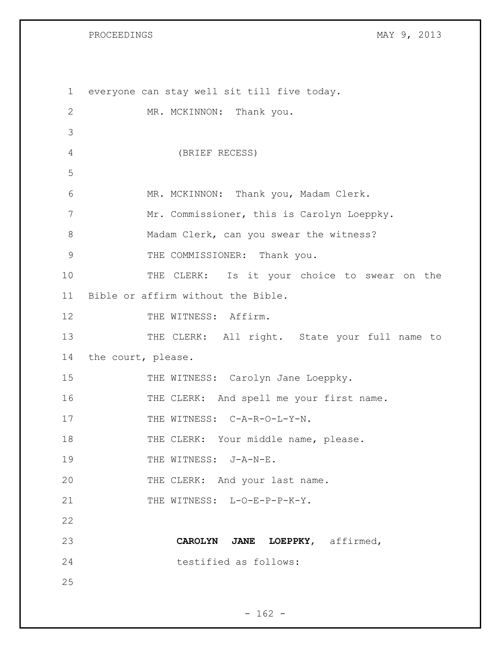| $\mathbf{1}$ | everyone can stay well sit till five today.   |
|--------------|-----------------------------------------------|
| $\mathbf{2}$ | MR. MCKINNON: Thank you.                      |
| 3            |                                               |
| 4            | (BRIEF RECESS)                                |
| 5            |                                               |
| 6            | MR. MCKINNON: Thank you, Madam Clerk.         |
| 7            | Mr. Commissioner, this is Carolyn Loeppky.    |
| 8            | Madam Clerk, can you swear the witness?       |
| 9            | THE COMMISSIONER: Thank you.                  |
| 10           | THE CLERK: Is it your choice to swear on the  |
| 11           | Bible or affirm without the Bible.            |
| 12           | THE WITNESS: Affirm.                          |
| 13           | THE CLERK: All right. State your full name to |
| 14           | the court, please.                            |
| 15           | THE WITNESS: Carolyn Jane Loeppky.            |
| 16           | THE CLERK: And spell me your first name.      |
| 17           | THE WITNESS: C-A-R-O-L-Y-N.                   |
| 18           | THE CLERK: Your middle name, please.          |
| 19           | THE WITNESS: J-A-N-E.                         |
| 20           | THE CLERK: And your last name.                |
| 21           | THE WITNESS: L-O-E-P-P-K-Y.                   |
| 22           |                                               |
| 23           | CAROLYN JANE LOEPPKY, affirmed,               |
| 24           | testified as follows:                         |
| 25           |                                               |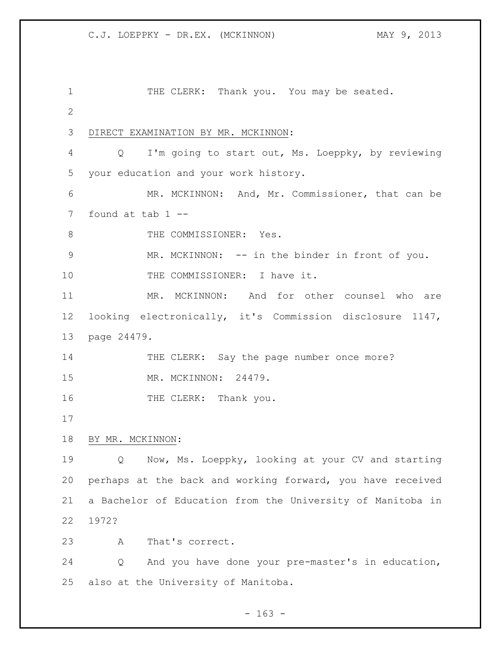1 THE CLERK: Thank you. You may be seated. DIRECT EXAMINATION BY MR. MCKINNON: Q I'm going to start out, Ms. Loeppky, by reviewing your education and your work history. MR. MCKINNON: And, Mr. Commissioner, that can be found at tab 1 -- 8 THE COMMISSIONER: Yes. MR. MCKINNON: -- in the binder in front of you. 10 THE COMMISSIONER: I have it. MR. MCKINNON: And for other counsel who are looking electronically, it's Commission disclosure 1147, page 24479. 14 THE CLERK: Say the page number once more? MR. MCKINNON: 24479. 16 THE CLERK: Thank you. BY MR. MCKINNON: Q Now, Ms. Loeppky, looking at your CV and starting perhaps at the back and working forward, you have received a Bachelor of Education from the University of Manitoba in 1972? A That's correct. Q And you have done your pre-master's in education, also at the University of Manitoba.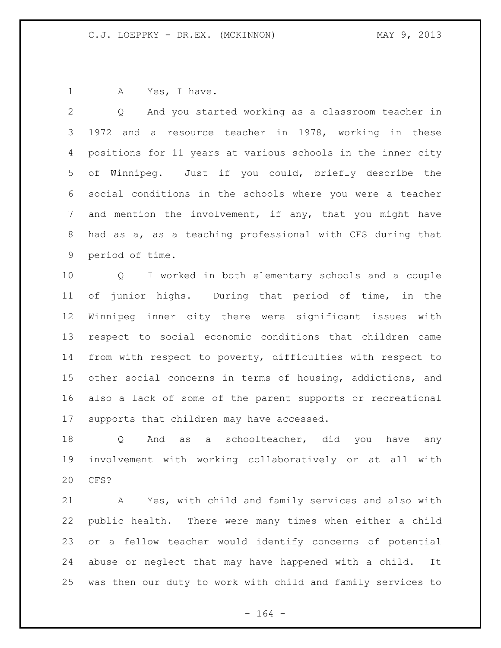1 A Yes, I have.

 Q And you started working as a classroom teacher in 1972 and a resource teacher in 1978, working in these positions for 11 years at various schools in the inner city of Winnipeg. Just if you could, briefly describe the social conditions in the schools where you were a teacher and mention the involvement, if any, that you might have had as a, as a teaching professional with CFS during that period of time.

 Q I worked in both elementary schools and a couple of junior highs. During that period of time, in the Winnipeg inner city there were significant issues with respect to social economic conditions that children came from with respect to poverty, difficulties with respect to other social concerns in terms of housing, addictions, and also a lack of some of the parent supports or recreational supports that children may have accessed.

18 Q And as a schoolteacher, did you have any involvement with working collaboratively or at all with CFS?

 A Yes, with child and family services and also with public health. There were many times when either a child or a fellow teacher would identify concerns of potential abuse or neglect that may have happened with a child. It was then our duty to work with child and family services to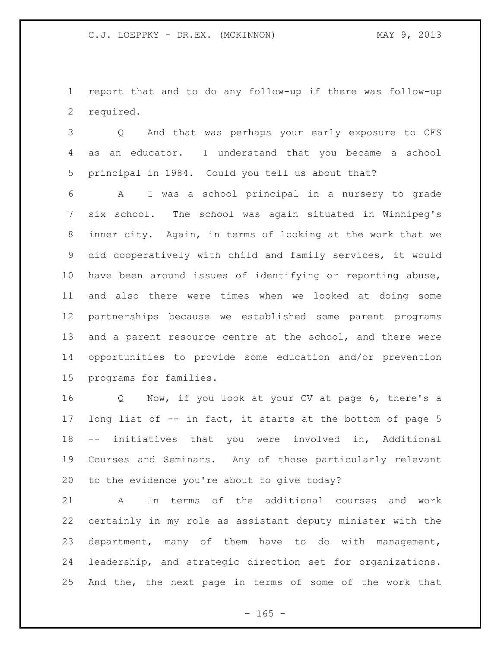report that and to do any follow-up if there was follow-up required.

 Q And that was perhaps your early exposure to CFS as an educator. I understand that you became a school principal in 1984. Could you tell us about that?

 A I was a school principal in a nursery to grade six school. The school was again situated in Winnipeg's inner city. Again, in terms of looking at the work that we did cooperatively with child and family services, it would have been around issues of identifying or reporting abuse, and also there were times when we looked at doing some partnerships because we established some parent programs 13 and a parent resource centre at the school, and there were opportunities to provide some education and/or prevention programs for families.

 Q Now, if you look at your CV at page 6, there's a long list of -- in fact, it starts at the bottom of page 5 -- initiatives that you were involved in, Additional Courses and Seminars. Any of those particularly relevant to the evidence you're about to give today?

 A In terms of the additional courses and work certainly in my role as assistant deputy minister with the department, many of them have to do with management, leadership, and strategic direction set for organizations. And the, the next page in terms of some of the work that

 $- 165 -$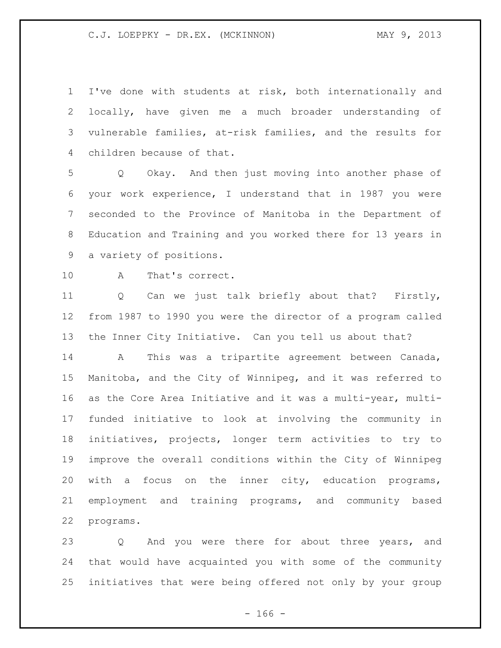I've done with students at risk, both internationally and locally, have given me a much broader understanding of vulnerable families, at-risk families, and the results for children because of that.

 Q Okay. And then just moving into another phase of your work experience, I understand that in 1987 you were seconded to the Province of Manitoba in the Department of Education and Training and you worked there for 13 years in a variety of positions.

A That's correct.

 Q Can we just talk briefly about that? Firstly, from 1987 to 1990 you were the director of a program called the Inner City Initiative. Can you tell us about that?

 A This was a tripartite agreement between Canada, Manitoba, and the City of Winnipeg, and it was referred to as the Core Area Initiative and it was a multi-year, multi- funded initiative to look at involving the community in initiatives, projects, longer term activities to try to improve the overall conditions within the City of Winnipeg with a focus on the inner city, education programs, employment and training programs, and community based programs.

23 Q And you were there for about three years, and that would have acquainted you with some of the community initiatives that were being offered not only by your group

 $- 166 -$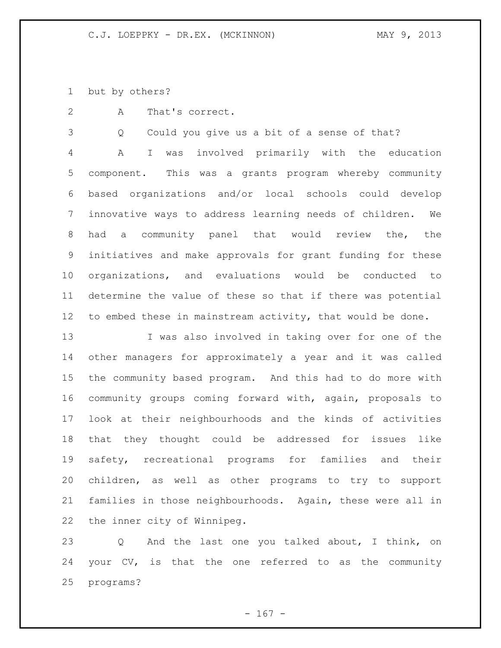but by others?

A That's correct.

Q Could you give us a bit of a sense of that?

 A I was involved primarily with the education component. This was a grants program whereby community based organizations and/or local schools could develop innovative ways to address learning needs of children. We had a community panel that would review the, the initiatives and make approvals for grant funding for these organizations, and evaluations would be conducted to determine the value of these so that if there was potential to embed these in mainstream activity, that would be done.

 I was also involved in taking over for one of the other managers for approximately a year and it was called the community based program. And this had to do more with community groups coming forward with, again, proposals to look at their neighbourhoods and the kinds of activities that they thought could be addressed for issues like safety, recreational programs for families and their children, as well as other programs to try to support families in those neighbourhoods. Again, these were all in the inner city of Winnipeg.

 Q And the last one you talked about, I think, on your CV, is that the one referred to as the community programs?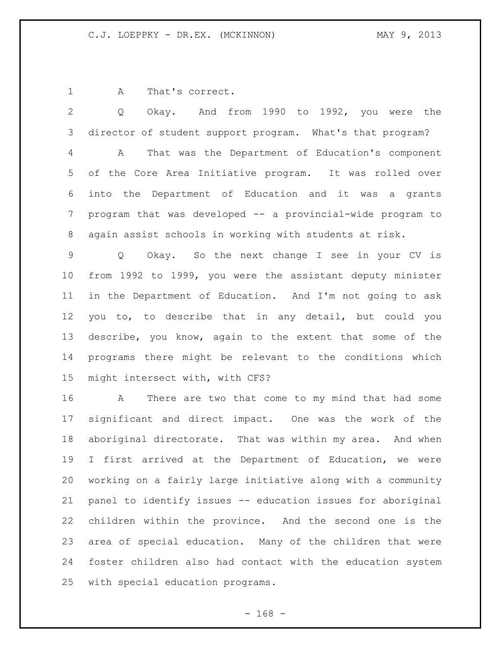1 A That's correct.

 Q Okay. And from 1990 to 1992, you were the director of student support program. What's that program? A That was the Department of Education's component of the Core Area Initiative program. It was rolled over into the Department of Education and it was a grants program that was developed -- a provincial-wide program to again assist schools in working with students at risk.

 Q Okay. So the next change I see in your CV is from 1992 to 1999, you were the assistant deputy minister in the Department of Education. And I'm not going to ask you to, to describe that in any detail, but could you describe, you know, again to the extent that some of the programs there might be relevant to the conditions which might intersect with, with CFS?

 A There are two that come to my mind that had some significant and direct impact. One was the work of the aboriginal directorate. That was within my area. And when I first arrived at the Department of Education, we were working on a fairly large initiative along with a community panel to identify issues -- education issues for aboriginal children within the province. And the second one is the area of special education. Many of the children that were foster children also had contact with the education system with special education programs.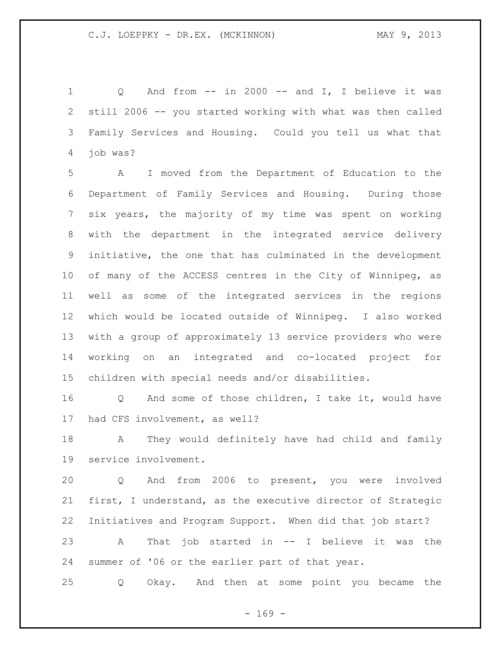Q And from -- in 2000 -- and I, I believe it was still 2006 -- you started working with what was then called Family Services and Housing. Could you tell us what that job was?

 A I moved from the Department of Education to the Department of Family Services and Housing. During those six years, the majority of my time was spent on working with the department in the integrated service delivery initiative, the one that has culminated in the development of many of the ACCESS centres in the City of Winnipeg, as well as some of the integrated services in the regions which would be located outside of Winnipeg. I also worked with a group of approximately 13 service providers who were working on an integrated and co-located project for children with special needs and/or disabilities.

 Q And some of those children, I take it, would have had CFS involvement, as well?

 A They would definitely have had child and family service involvement.

 Q And from 2006 to present, you were involved first, I understand, as the executive director of Strategic Initiatives and Program Support. When did that job start? A That job started in -- I believe it was the summer of '06 or the earlier part of that year.

Q Okay. And then at some point you became the

 $- 169 -$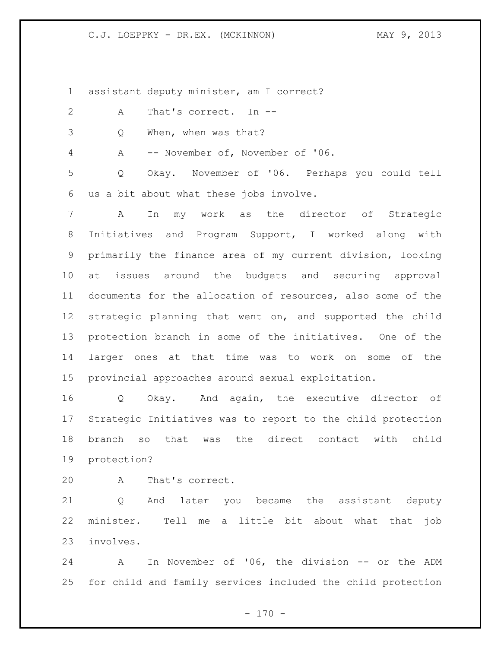### C.J. LOEPPKY - DR.EX. (MCKINNON) MAY 9, 2013

assistant deputy minister, am I correct?

- 2 A That's correct. In --
- Q When, when was that?

A -- November of, November of '06.

 Q Okay. November of '06. Perhaps you could tell us a bit about what these jobs involve.

 A In my work as the director of Strategic Initiatives and Program Support, I worked along with primarily the finance area of my current division, looking at issues around the budgets and securing approval documents for the allocation of resources, also some of the strategic planning that went on, and supported the child protection branch in some of the initiatives. One of the larger ones at that time was to work on some of the provincial approaches around sexual exploitation.

 Q Okay. And again, the executive director of Strategic Initiatives was to report to the child protection branch so that was the direct contact with child protection?

A That's correct.

 Q And later you became the assistant deputy minister. Tell me a little bit about what that job involves.

 A In November of '06, the division -- or the ADM for child and family services included the child protection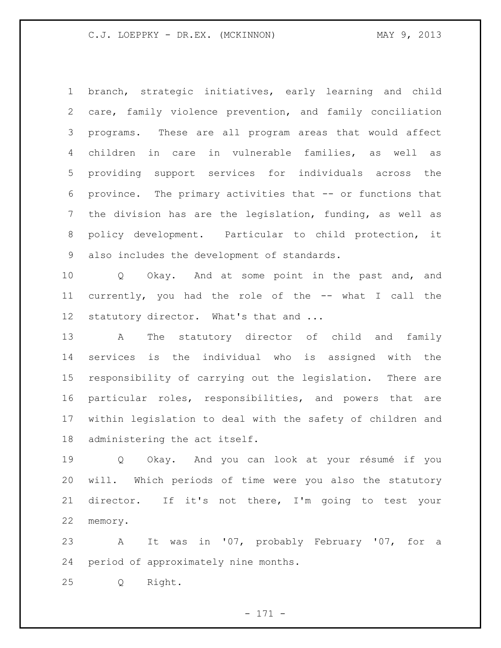branch, strategic initiatives, early learning and child care, family violence prevention, and family conciliation programs. These are all program areas that would affect children in care in vulnerable families, as well as providing support services for individuals across the province. The primary activities that -- or functions that the division has are the legislation, funding, as well as policy development. Particular to child protection, it also includes the development of standards.

 Q Okay. And at some point in the past and, and currently, you had the role of the -- what I call the 12 statutory director. What's that and ...

 A The statutory director of child and family services is the individual who is assigned with the responsibility of carrying out the legislation. There are particular roles, responsibilities, and powers that are within legislation to deal with the safety of children and administering the act itself.

 Q Okay. And you can look at your résumé if you will. Which periods of time were you also the statutory director. If it's not there, I'm going to test your memory.

 A It was in '07, probably February '07, for a period of approximately nine months.

Q Right.

- 171 -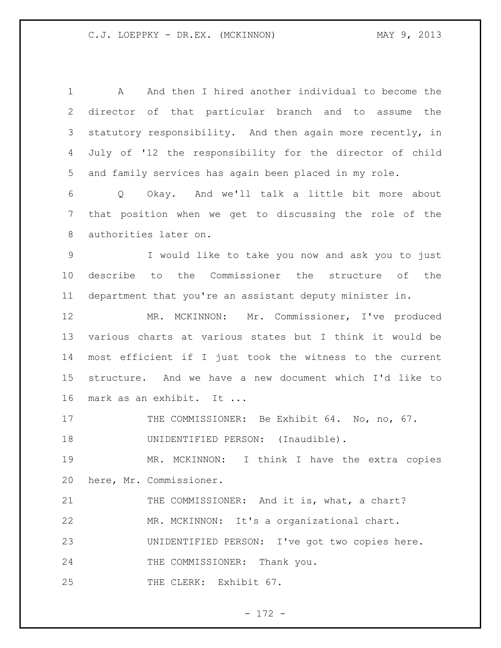A And then I hired another individual to become the director of that particular branch and to assume the statutory responsibility. And then again more recently, in July of '12 the responsibility for the director of child and family services has again been placed in my role. Q Okay. And we'll talk a little bit more about that position when we get to discussing the role of the authorities later on. I would like to take you now and ask you to just describe to the Commissioner the structure of the department that you're an assistant deputy minister in. MR. MCKINNON: Mr. Commissioner, I've produced various charts at various states but I think it would be most efficient if I just took the witness to the current structure. And we have a new document which I'd like to 16 mark as an exhibit. It ... 17 THE COMMISSIONER: Be Exhibit 64. No, no, 67. 18 UNIDENTIFIED PERSON: (Inaudible). MR. MCKINNON: I think I have the extra copies here, Mr. Commissioner. 21 THE COMMISSIONER: And it is, what, a chart? MR. MCKINNON: It's a organizational chart. UNIDENTIFIED PERSON: I've got two copies here. 24 THE COMMISSIONER: Thank you. 25 THE CLERK: Exhibit 67.

- 172 -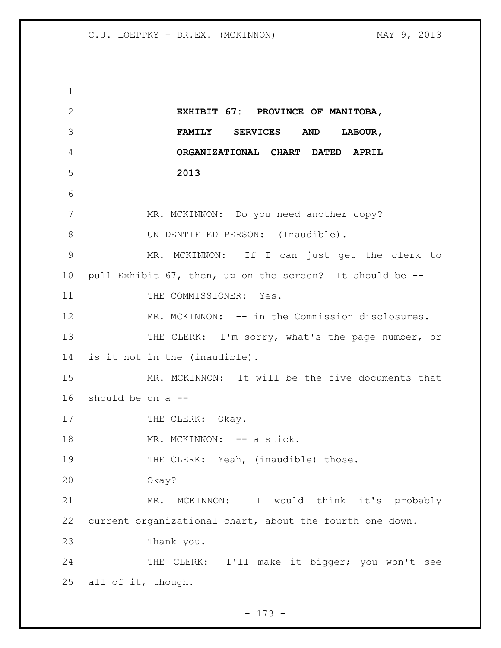**EXHIBIT 67: PROVINCE OF MANITOBA, FAMILY SERVICES AND LABOUR, ORGANIZATIONAL CHART DATED APRIL 2013** MR. MCKINNON: Do you need another copy? 8 UNIDENTIFIED PERSON: (Inaudible). MR. MCKINNON: If I can just get the clerk to pull Exhibit 67, then, up on the screen? It should be -- 11 THE COMMISSIONER: Yes. MR. MCKINNON: -- in the Commission disclosures. 13 THE CLERK: I'm sorry, what's the page number, or is it not in the (inaudible). MR. MCKINNON: It will be the five documents that 16 should be on  $a$  --17 THE CLERK: Okay. 18 MR. MCKINNON: -- a stick. 19 THE CLERK: Yeah, (inaudible) those. Okay? MR. MCKINNON: I would think it's probably current organizational chart, about the fourth one down. Thank you. 24 THE CLERK: I'll make it bigger; you won't see all of it, though.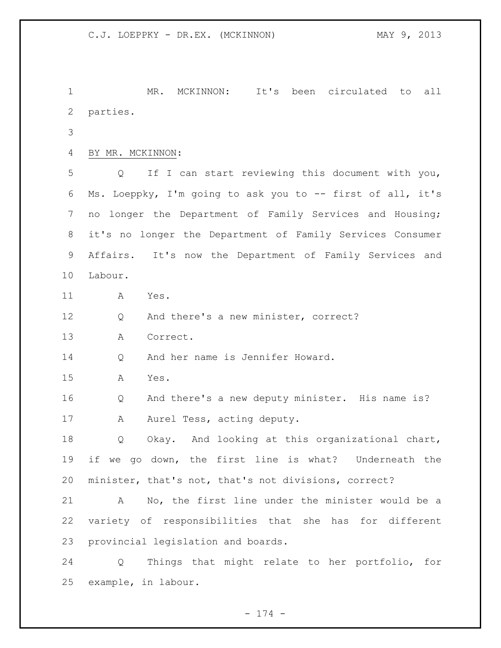MR. MCKINNON: It's been circulated to all parties. BY MR. MCKINNON: Q If I can start reviewing this document with you, Ms. Loeppky, I'm going to ask you to -- first of all, it's no longer the Department of Family Services and Housing; it's no longer the Department of Family Services Consumer Affairs. It's now the Department of Family Services and Labour. A Yes. Q And there's a new minister, correct? A Correct. Q And her name is Jennifer Howard. A Yes. Q And there's a new deputy minister. His name is? 17 A Aurel Tess, acting deputy. Q Okay. And looking at this organizational chart, if we go down, the first line is what? Underneath the minister, that's not, that's not divisions, correct? A No, the first line under the minister would be a variety of responsibilities that she has for different provincial legislation and boards. Q Things that might relate to her portfolio, for example, in labour.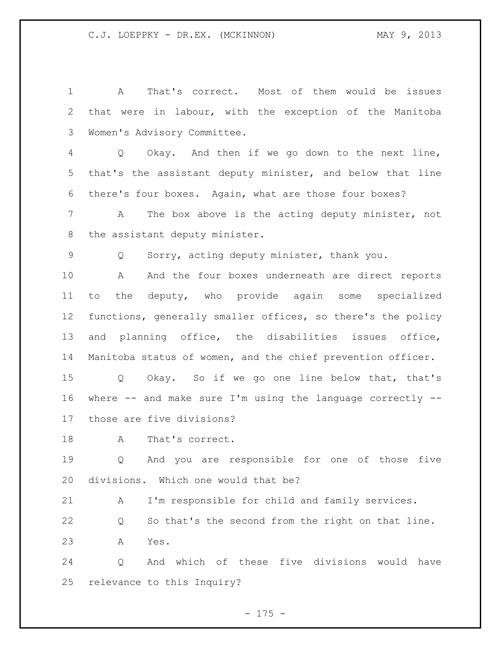A That's correct. Most of them would be issues that were in labour, with the exception of the Manitoba Women's Advisory Committee. Q Okay. And then if we go down to the next line, that's the assistant deputy minister, and below that line there's four boxes. Again, what are those four boxes? A The box above is the acting deputy minister, not the assistant deputy minister. Q Sorry, acting deputy minister, thank you. 10 A And the four boxes underneath are direct reports to the deputy, who provide again some specialized functions, generally smaller offices, so there's the policy and planning office, the disabilities issues office, Manitoba status of women, and the chief prevention officer. Q Okay. So if we go one line below that, that's where -- and make sure I'm using the language correctly -- those are five divisions? 18 A That's correct. Q And you are responsible for one of those five divisions. Which one would that be?

A I'm responsible for child and family services.

 Q So that's the second from the right on that line. A Yes.

 Q And which of these five divisions would have relevance to this Inquiry?

 $- 175 -$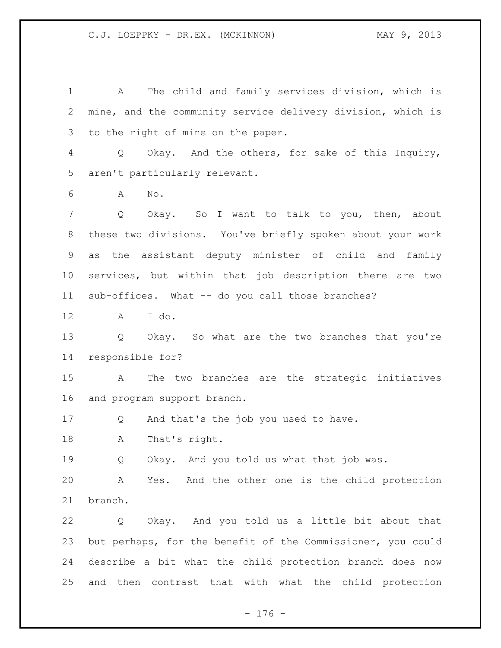A The child and family services division, which is mine, and the community service delivery division, which is to the right of mine on the paper. Q Okay. And the others, for sake of this Inquiry, aren't particularly relevant. A No. Q Okay. So I want to talk to you, then, about these two divisions. You've briefly spoken about your work as the assistant deputy minister of child and family services, but within that job description there are two sub-offices. What -- do you call those branches? A I do. Q Okay. So what are the two branches that you're responsible for? A The two branches are the strategic initiatives and program support branch. Q And that's the job you used to have. A That's right. 19 O Okay. And you told us what that job was. A Yes. And the other one is the child protection branch. Q Okay. And you told us a little bit about that but perhaps, for the benefit of the Commissioner, you could describe a bit what the child protection branch does now and then contrast that with what the child protection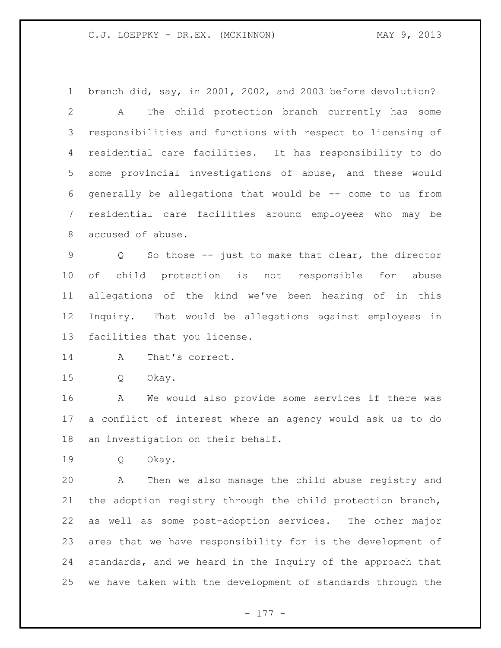branch did, say, in 2001, 2002, and 2003 before devolution?

 A The child protection branch currently has some responsibilities and functions with respect to licensing of residential care facilities. It has responsibility to do some provincial investigations of abuse, and these would generally be allegations that would be -- come to us from residential care facilities around employees who may be accused of abuse.

 Q So those -- just to make that clear, the director of child protection is not responsible for abuse allegations of the kind we've been hearing of in this Inquiry. That would be allegations against employees in facilities that you license.

14 A That's correct.

Q Okay.

 A We would also provide some services if there was a conflict of interest where an agency would ask us to do an investigation on their behalf.

Q Okay.

 A Then we also manage the child abuse registry and the adoption registry through the child protection branch, as well as some post-adoption services. The other major area that we have responsibility for is the development of standards, and we heard in the Inquiry of the approach that we have taken with the development of standards through the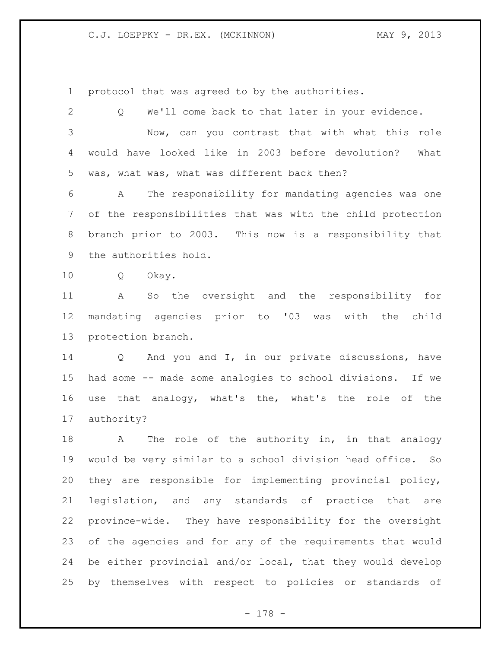protocol that was agreed to by the authorities.

| $\mathbf{2}$ | We'll come back to that later in your evidence.<br>Q          |
|--------------|---------------------------------------------------------------|
| 3            | Now, can you contrast that with what this role                |
| 4            | would have looked like in 2003 before devolution?<br>What     |
| 5            | was, what was, what was different back then?                  |
| 6            | The responsibility for mandating agencies was one<br>A        |
| 7            | of the responsibilities that was with the child protection    |
| 8            | branch prior to 2003. This now is a responsibility that       |
| 9            | the authorities hold.                                         |
| 10           | Q<br>Okay.                                                    |
| 11           | So the oversight and the responsibility for<br>A              |
| 12           | mandating agencies prior to '03 was with the child            |
| 13           | protection branch.                                            |
| 14           | Q And you and I, in our private discussions, have             |
| 15           | had some -- made some analogies to school divisions. If we    |
| 16           | use that analogy, what's the, what's the role of the          |
| 17           | authority?                                                    |
| 18           | The role of the authority in, in that analogy<br>$\mathbf{A}$ |
| 19           | would be very similar to a school division head office. So    |
| 20           | they are responsible for implementing provincial policy,      |
| 21           | legislation, and any standards of practice that<br>are        |
| 22           | province-wide. They have responsibility for the oversight     |
| 23           | of the agencies and for any of the requirements that would    |
| 24           | be either provincial and/or local, that they would develop    |
| 25           | by themselves with respect to policies or standards of        |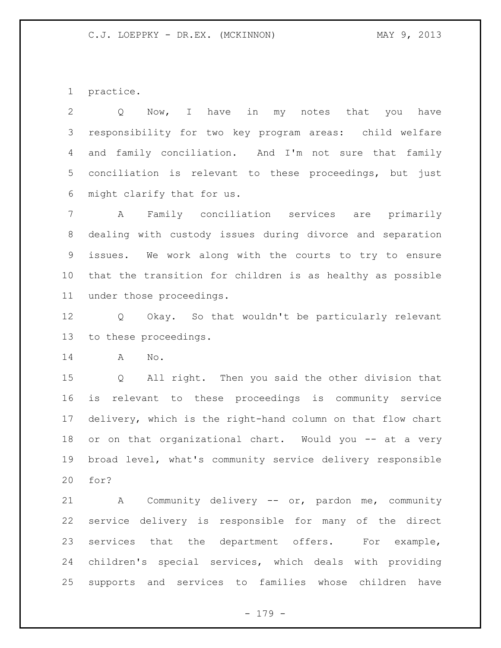practice.

 Q Now, I have in my notes that you have responsibility for two key program areas: child welfare and family conciliation. And I'm not sure that family conciliation is relevant to these proceedings, but just might clarify that for us.

 A Family conciliation services are primarily dealing with custody issues during divorce and separation issues. We work along with the courts to try to ensure that the transition for children is as healthy as possible under those proceedings.

 Q Okay. So that wouldn't be particularly relevant to these proceedings.

A No.

 Q All right. Then you said the other division that is relevant to these proceedings is community service delivery, which is the right-hand column on that flow chart 18 or on that organizational chart. Would you -- at a very broad level, what's community service delivery responsible for?

 A Community delivery -- or, pardon me, community service delivery is responsible for many of the direct services that the department offers. For example, children's special services, which deals with providing supports and services to families whose children have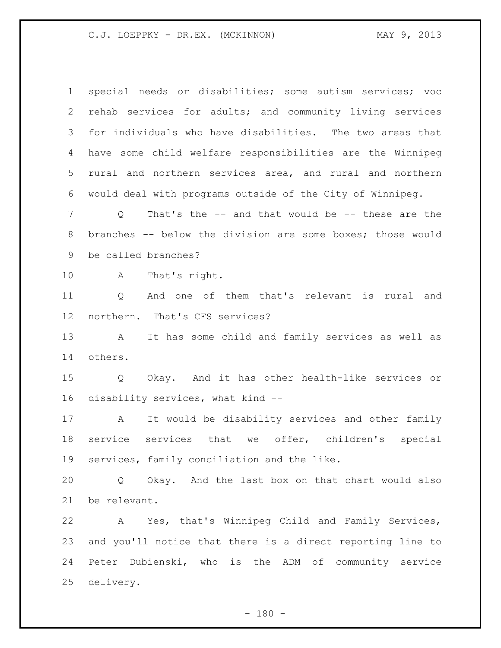| $\mathbf 1$  | special needs or disabilities; some autism services; voc             |
|--------------|----------------------------------------------------------------------|
| $\mathbf{2}$ | rehab services for adults; and community living services             |
| 3            | for individuals who have disabilities. The two areas that            |
| 4            | have some child welfare responsibilities are the Winnipeg            |
| 5            | rural and northern services area, and rural and northern             |
| 6            | would deal with programs outside of the City of Winnipeg.            |
| 7            | That's the -- and that would be -- these are the<br>Q                |
| 8            | branches -- below the division are some boxes; those would           |
| 9            | be called branches?                                                  |
| 10           | That's right.<br>A                                                   |
| 11           | And one of them that's relevant is rural and<br>Q                    |
| 12           | northern. That's CFS services?                                       |
| 13           | It has some child and family services as well as<br>A                |
| 14           | others.                                                              |
| 15           | Okay. And it has other health-like services or<br>$Q \qquad \qquad$  |
| 16           | disability services, what kind --                                    |
| 17           | It would be disability services and other family<br>A                |
| 18           | offer, children's<br>service<br>services<br>that we<br>special       |
|              | 19 services, family conciliation and the like.                       |
| 20           | Okay. And the last box on that chart would also<br>$Q \qquad \qquad$ |
| 21           | be relevant.                                                         |
| 22           | A Yes, that's Winnipeg Child and Family Services,                    |
| 23           | and you'll notice that there is a direct reporting line to           |
| 24           | Peter Dubienski, who is the ADM of community service                 |
| 25           | delivery.                                                            |

- 180 -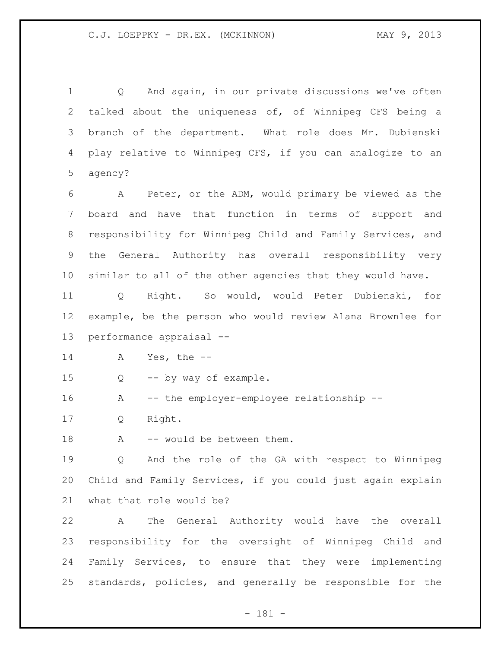Q And again, in our private discussions we've often talked about the uniqueness of, of Winnipeg CFS being a branch of the department. What role does Mr. Dubienski play relative to Winnipeg CFS, if you can analogize to an agency?

 A Peter, or the ADM, would primary be viewed as the board and have that function in terms of support and responsibility for Winnipeg Child and Family Services, and the General Authority has overall responsibility very similar to all of the other agencies that they would have.

 Q Right. So would, would Peter Dubienski, for example, be the person who would review Alana Brownlee for performance appraisal --

A Yes, the --

Q -- by way of example.

A -- the employer-employee relationship --

Q Right.

18 A -- would be between them.

 Q And the role of the GA with respect to Winnipeg Child and Family Services, if you could just again explain what that role would be?

 A The General Authority would have the overall responsibility for the oversight of Winnipeg Child and Family Services, to ensure that they were implementing standards, policies, and generally be responsible for the

- 181 -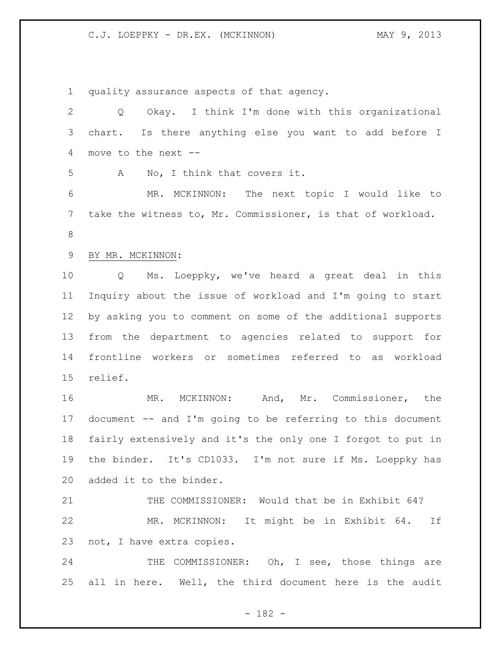quality assurance aspects of that agency. Q Okay. I think I'm done with this organizational chart. Is there anything else you want to add before I move to the next -- A No, I think that covers it. MR. MCKINNON: The next topic I would like to take the witness to, Mr. Commissioner, is that of workload. BY MR. MCKINNON: Q Ms. Loeppky, we've heard a great deal in this Inquiry about the issue of workload and I'm going to start by asking you to comment on some of the additional supports from the department to agencies related to support for frontline workers or sometimes referred to as workload relief. MR. MCKINNON: And, Mr. Commissioner, the document -- and I'm going to be referring to this document fairly extensively and it's the only one I forgot to put in the binder. It's CD1033. I'm not sure if Ms. Loeppky has added it to the binder. THE COMMISSIONER: Would that be in Exhibit 64? MR. MCKINNON: It might be in Exhibit 64. If not, I have extra copies. 24 THE COMMISSIONER: Oh, I see, those things are all in here. Well, the third document here is the audit

- 182 -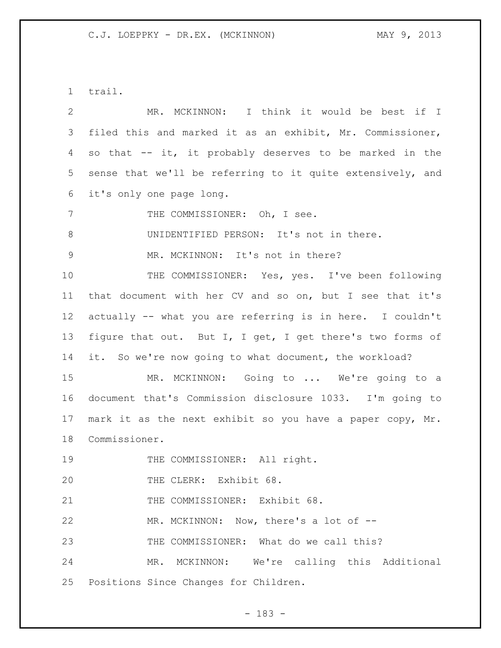trail.

 MR. MCKINNON: I think it would be best if I filed this and marked it as an exhibit, Mr. Commissioner, so that -- it, it probably deserves to be marked in the sense that we'll be referring to it quite extensively, and it's only one page long. 7 THE COMMISSIONER: Oh, I see. UNIDENTIFIED PERSON: It's not in there. 9 MR. MCKINNON: It's not in there? 10 THE COMMISSIONER: Yes, yes. I've been following that document with her CV and so on, but I see that it's actually -- what you are referring is in here. I couldn't figure that out. But I, I get, I get there's two forms of it. So we're now going to what document, the workload? MR. MCKINNON: Going to ... We're going to a document that's Commission disclosure 1033. I'm going to mark it as the next exhibit so you have a paper copy, Mr. Commissioner. 19 THE COMMISSIONER: All right. THE CLERK: Exhibit 68. 21 THE COMMISSIONER: Exhibit 68. MR. MCKINNON: Now, there's a lot of -- THE COMMISSIONER: What do we call this? MR. MCKINNON: We're calling this Additional Positions Since Changes for Children.

- 183 -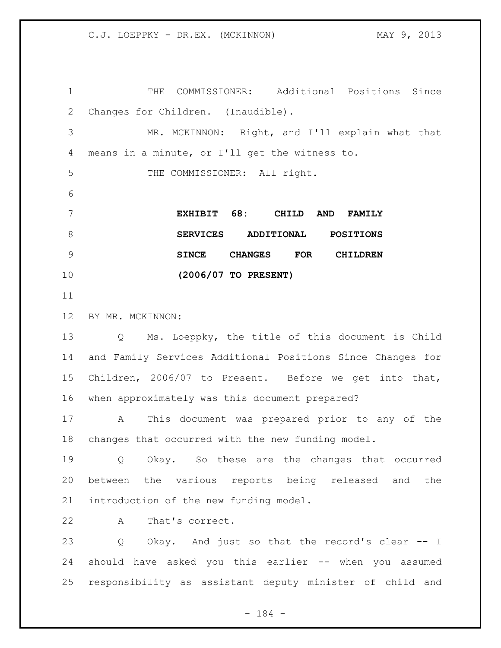THE COMMISSIONER: Additional Positions Since Changes for Children. (Inaudible). MR. MCKINNON: Right, and I'll explain what that means in a minute, or I'll get the witness to. THE COMMISSIONER: All right. **EXHIBIT 68: CHILD AND FAMILY SERVICES ADDITIONAL POSITIONS SINCE CHANGES FOR CHILDREN (2006/07 TO PRESENT)** BY MR. MCKINNON: Q Ms. Loeppky, the title of this document is Child and Family Services Additional Positions Since Changes for Children, 2006/07 to Present. Before we get into that, when approximately was this document prepared? A This document was prepared prior to any of the changes that occurred with the new funding model. Q Okay. So these are the changes that occurred between the various reports being released and the introduction of the new funding model. A That's correct. Q Okay. And just so that the record's clear -- I should have asked you this earlier -- when you assumed responsibility as assistant deputy minister of child and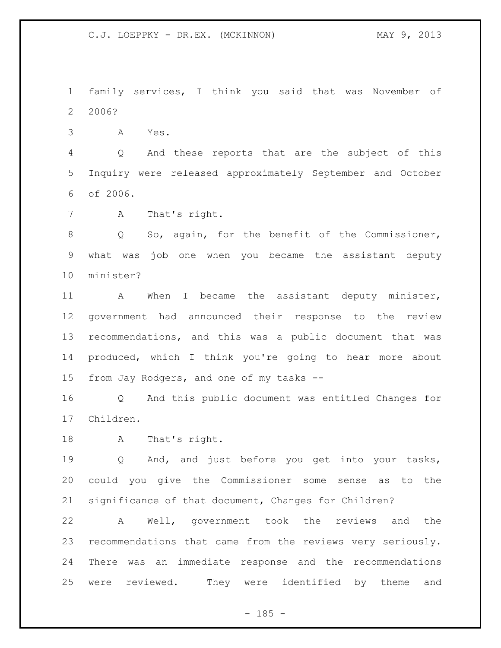family services, I think you said that was November of 2006?

A Yes.

 Q And these reports that are the subject of this Inquiry were released approximately September and October of 2006.

A That's right.

8 Q So, again, for the benefit of the Commissioner, what was job one when you became the assistant deputy minister?

 A When I became the assistant deputy minister, government had announced their response to the review recommendations, and this was a public document that was produced, which I think you're going to hear more about from Jay Rodgers, and one of my tasks --

 Q And this public document was entitled Changes for Children.

A That's right.

 Q And, and just before you get into your tasks, could you give the Commissioner some sense as to the significance of that document, Changes for Children?

 A Well, government took the reviews and the recommendations that came from the reviews very seriously. There was an immediate response and the recommendations were reviewed. They were identified by theme and

 $- 185 -$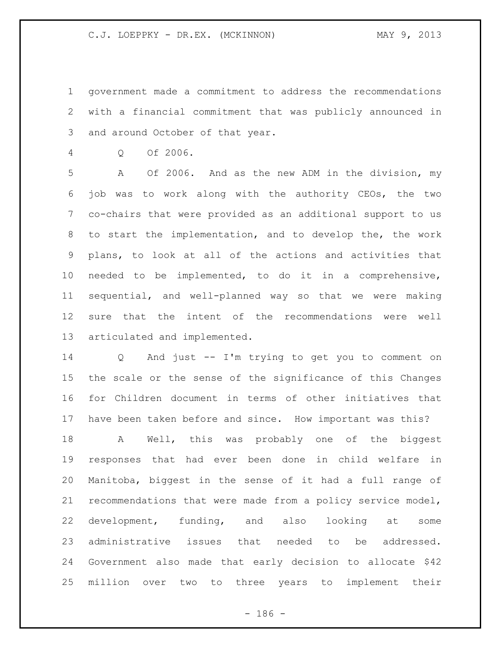government made a commitment to address the recommendations with a financial commitment that was publicly announced in and around October of that year.

Q Of 2006.

 A Of 2006. And as the new ADM in the division, my job was to work along with the authority CEOs, the two co-chairs that were provided as an additional support to us to start the implementation, and to develop the, the work plans, to look at all of the actions and activities that needed to be implemented, to do it in a comprehensive, sequential, and well-planned way so that we were making sure that the intent of the recommendations were well articulated and implemented.

 Q And just -- I'm trying to get you to comment on the scale or the sense of the significance of this Changes for Children document in terms of other initiatives that have been taken before and since. How important was this?

 A Well, this was probably one of the biggest responses that had ever been done in child welfare in Manitoba, biggest in the sense of it had a full range of recommendations that were made from a policy service model, development, funding, and also looking at some administrative issues that needed to be addressed. Government also made that early decision to allocate \$42 million over two to three years to implement their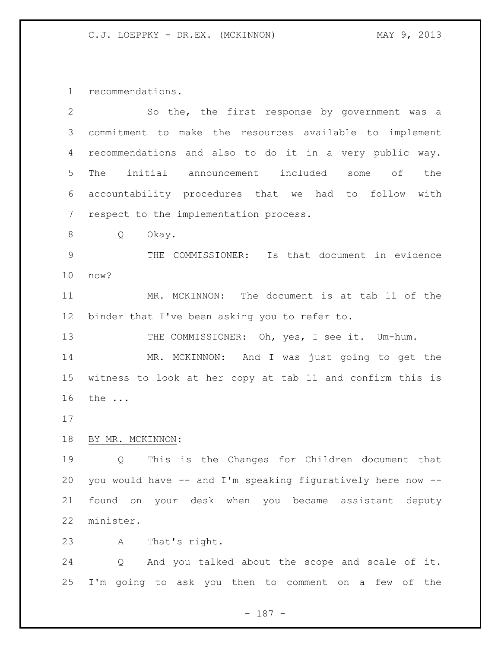recommendations.

| $\mathbf{2}$ | So the, the first response by government was a              |
|--------------|-------------------------------------------------------------|
| 3            | commitment to make the resources available to implement     |
| 4            | recommendations and also to do it in a very public way.     |
| 5            | initial announcement included<br>оf<br>The<br>the<br>some   |
| 6            | accountability procedures that we had to follow with        |
| 7            | respect to the implementation process.                      |
| 8            | Q<br>Okay.                                                  |
| 9            | THE COMMISSIONER: Is that document in evidence              |
| 10           | now?                                                        |
| 11           | MR. MCKINNON: The document is at tab 11 of the              |
| 12           | binder that I've been asking you to refer to.               |
| 13           | THE COMMISSIONER: Oh, yes, I see it. Um-hum.                |
| 14           | MR. MCKINNON: And I was just going to get the               |
| 15           | witness to look at her copy at tab 11 and confirm this is   |
| 16           | the                                                         |
| 17           |                                                             |
| 18           | BY MR. MCKINNON:                                            |
| 19           | This is the Changes for Children document that<br>Q         |
| 20           | you would have -- and I'm speaking figuratively here now -- |
| 21           | found on your desk when you became assistant deputy         |
| 22           | minister.                                                   |
| 23           | That's right.<br>Α                                          |
| 24           | Q<br>And you talked about the scope and scale of it.        |
| 25           | I'm going to ask you then to comment on a few of the        |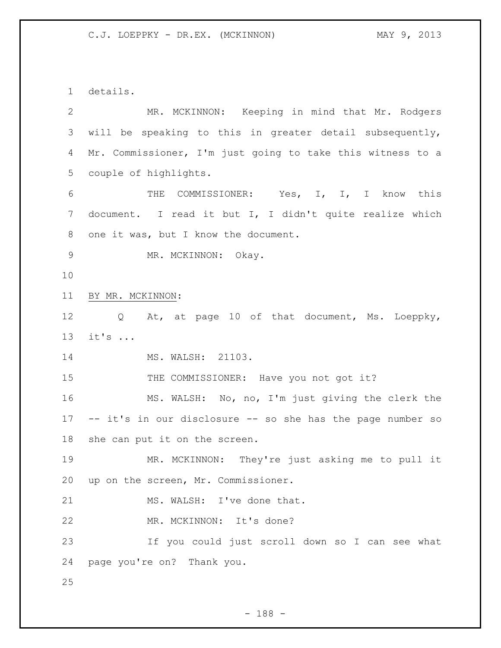details.

| $\mathbf{2}$  | MR. MCKINNON: Keeping in mind that Mr. Rodgers                     |
|---------------|--------------------------------------------------------------------|
| 3             | will be speaking to this in greater detail subsequently,           |
| 4             | Mr. Commissioner, I'm just going to take this witness to a         |
| 5             | couple of highlights.                                              |
| 6             | THE COMMISSIONER: Yes, I, I, I know this                           |
| 7             | document. I read it but I, I didn't quite realize which            |
| 8             | one it was, but I know the document.                               |
| $\mathcal{G}$ | MR. MCKINNON: Okay.                                                |
| 10            |                                                                    |
| 11            | BY MR. MCKINNON:                                                   |
| 12            | At, at page 10 of that document, Ms. Loeppky,<br>$Q \qquad \qquad$ |
| 13            | $it's$                                                             |
| 14            | MS. WALSH: 21103.                                                  |
| 15            | THE COMMISSIONER: Have you not got it?                             |
| 16            | MS. WALSH: No, no, I'm just giving the clerk the                   |
| 17            | -- it's in our disclosure -- so she has the page number so         |
| 18            | she can put it on the screen.                                      |
| 19            | MR. MCKINNON: They're just asking me to pull it                    |
| 20            | up on the screen, Mr. Commissioner.                                |
| 21            | MS. WALSH: I've done that.                                         |
| 22            | MR. MCKINNON: It's done?                                           |
| 23            | If you could just scroll down so I can see what                    |
| 24            | page you're on? Thank you.                                         |
| 25            |                                                                    |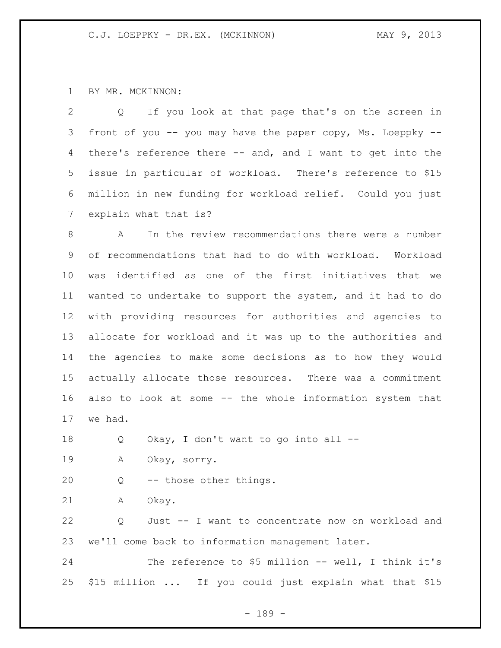## BY MR. MCKINNON:

 Q If you look at that page that's on the screen in 3 front of you -- you may have the paper copy, Ms. Loeppky -- there's reference there -- and, and I want to get into the issue in particular of workload. There's reference to \$15 million in new funding for workload relief. Could you just explain what that is?

 A In the review recommendations there were a number of recommendations that had to do with workload. Workload was identified as one of the first initiatives that we wanted to undertake to support the system, and it had to do with providing resources for authorities and agencies to allocate for workload and it was up to the authorities and the agencies to make some decisions as to how they would actually allocate those resources. There was a commitment also to look at some -- the whole information system that we had.

Q Okay, I don't want to go into all --

A Okay, sorry.

Q -- those other things.

A Okay.

 Q Just -- I want to concentrate now on workload and we'll come back to information management later.

 The reference to \$5 million -- well, I think it's \$15 million ... If you could just explain what that \$15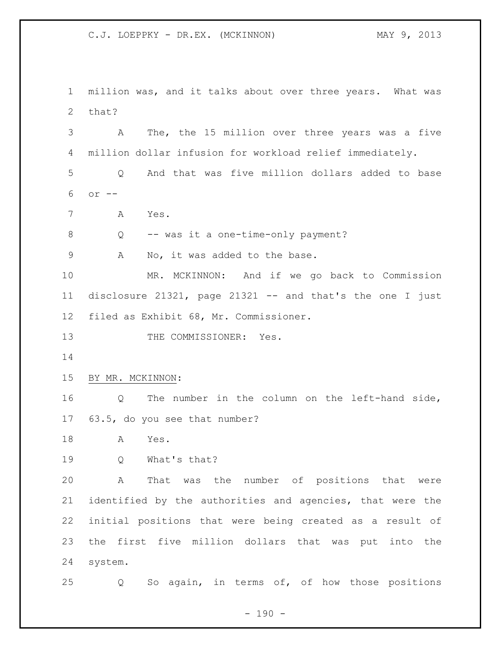million was, and it talks about over three years. What was that? A The, the 15 million over three years was a five million dollar infusion for workload relief immediately. Q And that was five million dollars added to base or -- A Yes. Q -- was it a one-time-only payment? 9 A No, it was added to the base. MR. MCKINNON: And if we go back to Commission disclosure 21321, page 21321 -- and that's the one I just filed as Exhibit 68, Mr. Commissioner. 13 THE COMMISSIONER: Yes. BY MR. MCKINNON: Q The number in the column on the left-hand side, 63.5, do you see that number? A Yes. Q What's that? A That was the number of positions that were identified by the authorities and agencies, that were the initial positions that were being created as a result of the first five million dollars that was put into the system. Q So again, in terms of, of how those positions

 $- 190 -$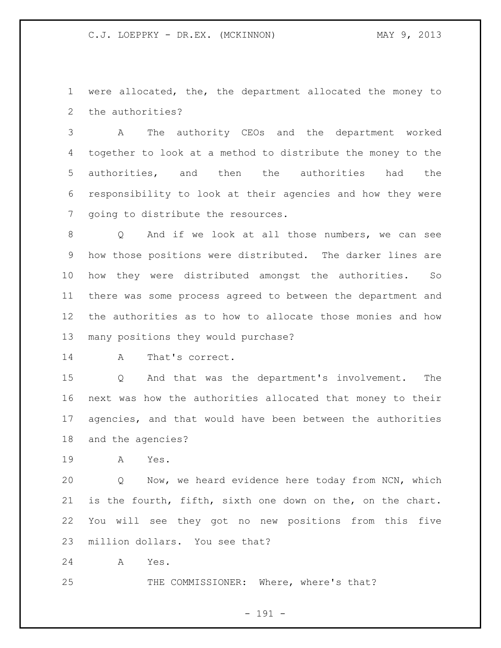were allocated, the, the department allocated the money to the authorities?

 A The authority CEOs and the department worked together to look at a method to distribute the money to the authorities, and then the authorities had the responsibility to look at their agencies and how they were going to distribute the resources.

 Q And if we look at all those numbers, we can see how those positions were distributed. The darker lines are how they were distributed amongst the authorities. So there was some process agreed to between the department and the authorities as to how to allocate those monies and how many positions they would purchase?

A That's correct.

 Q And that was the department's involvement. The next was how the authorities allocated that money to their agencies, and that would have been between the authorities and the agencies?

A Yes.

 Q Now, we heard evidence here today from NCN, which is the fourth, fifth, sixth one down on the, on the chart. You will see they got no new positions from this five million dollars. You see that?

A Yes.

THE COMMISSIONER: Where, where's that?

- 191 -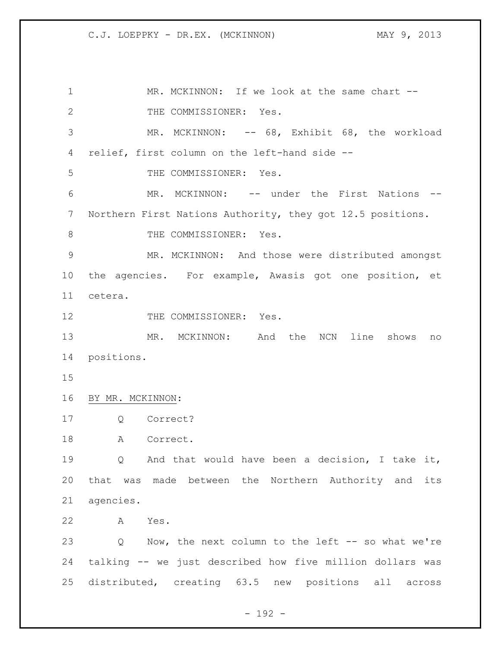1 MR. MCKINNON: If we look at the same chart --2 THE COMMISSIONER: Yes. MR. MCKINNON: -- 68, Exhibit 68, the workload relief, first column on the left-hand side -- THE COMMISSIONER: Yes. MR. MCKINNON: -- under the First Nations -- Northern First Nations Authority, they got 12.5 positions. 8 THE COMMISSIONER: Yes. MR. MCKINNON: And those were distributed amongst the agencies. For example, Awasis got one position, et cetera. 12 THE COMMISSIONER: Yes. MR. MCKINNON: And the NCN line shows no positions. BY MR. MCKINNON: Q Correct? 18 A Correct. 19 0 And that would have been a decision, I take it, that was made between the Northern Authority and its agencies. A Yes. Q Now, the next column to the left -- so what we're talking -- we just described how five million dollars was distributed, creating 63.5 new positions all across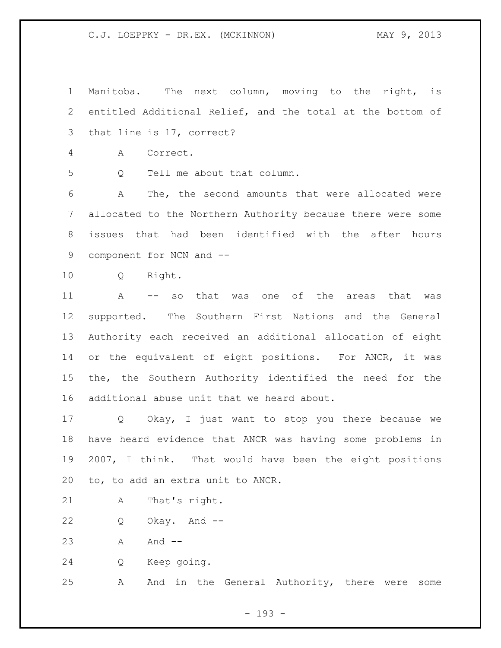Manitoba. The next column, moving to the right, is entitled Additional Relief, and the total at the bottom of that line is 17, correct? A Correct. Q Tell me about that column. A The, the second amounts that were allocated were allocated to the Northern Authority because there were some issues that had been identified with the after hours component for NCN and -- Q Right. A -- so that was one of the areas that was supported. The Southern First Nations and the General Authority each received an additional allocation of eight or the equivalent of eight positions. For ANCR, it was the, the Southern Authority identified the need for the additional abuse unit that we heard about. Q Okay, I just want to stop you there because we have heard evidence that ANCR was having some problems in 2007, I think. That would have been the eight positions to, to add an extra unit to ANCR. A That's right. Q Okay. And -- 23 A And -- Q Keep going. A And in the General Authority, there were some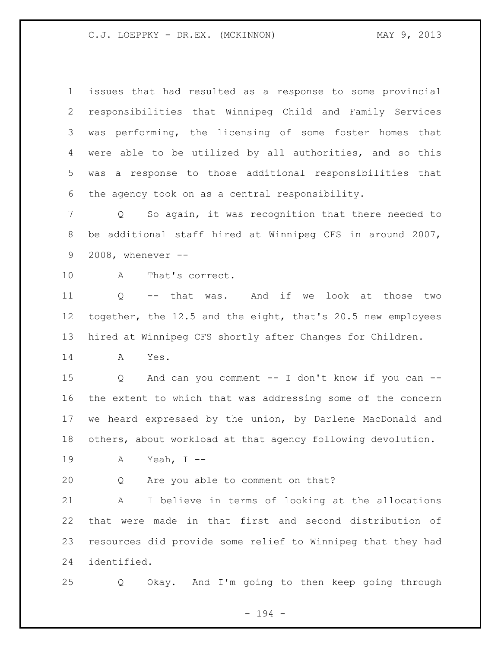issues that had resulted as a response to some provincial responsibilities that Winnipeg Child and Family Services was performing, the licensing of some foster homes that were able to be utilized by all authorities, and so this was a response to those additional responsibilities that the agency took on as a central responsibility.

 Q So again, it was recognition that there needed to be additional staff hired at Winnipeg CFS in around 2007, 2008, whenever --

A That's correct.

 Q -- that was. And if we look at those two together, the 12.5 and the eight, that's 20.5 new employees hired at Winnipeg CFS shortly after Changes for Children.

A Yes.

 Q And can you comment -- I don't know if you can -- the extent to which that was addressing some of the concern we heard expressed by the union, by Darlene MacDonald and others, about workload at that agency following devolution.

A Yeah, I --

Q Are you able to comment on that?

 A I believe in terms of looking at the allocations that were made in that first and second distribution of resources did provide some relief to Winnipeg that they had identified.

Q Okay. And I'm going to then keep going through

- 194 -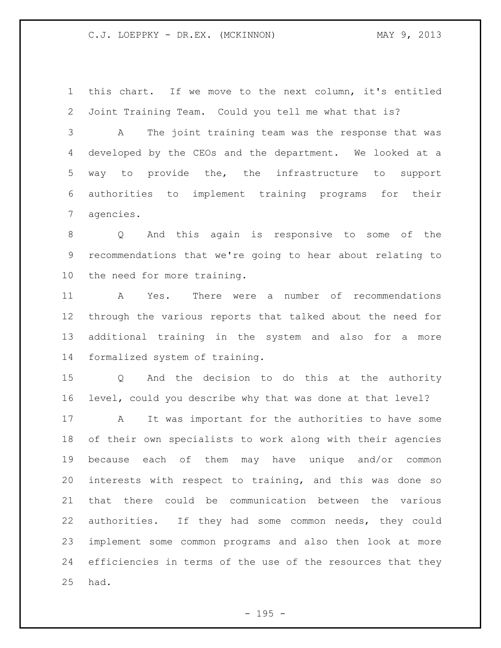this chart. If we move to the next column, it's entitled Joint Training Team. Could you tell me what that is?

 A The joint training team was the response that was developed by the CEOs and the department. We looked at a way to provide the, the infrastructure to support authorities to implement training programs for their agencies.

 Q And this again is responsive to some of the recommendations that we're going to hear about relating to the need for more training.

 A Yes. There were a number of recommendations through the various reports that talked about the need for additional training in the system and also for a more formalized system of training.

 Q And the decision to do this at the authority level, could you describe why that was done at that level?

 A It was important for the authorities to have some of their own specialists to work along with their agencies because each of them may have unique and/or common interests with respect to training, and this was done so that there could be communication between the various authorities. If they had some common needs, they could implement some common programs and also then look at more efficiencies in terms of the use of the resources that they had.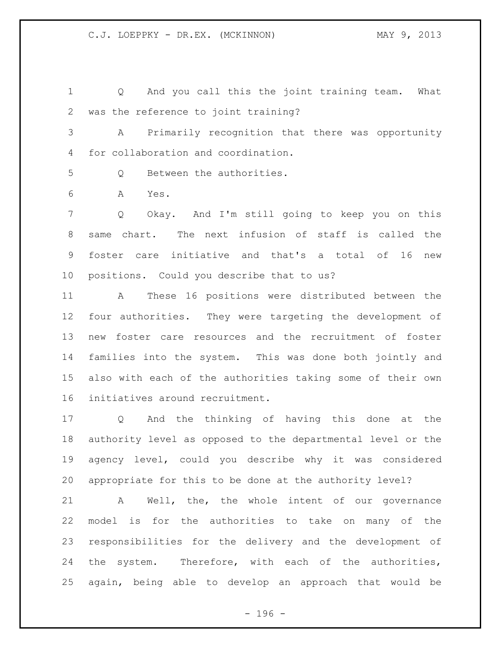Q And you call this the joint training team. What was the reference to joint training?

 A Primarily recognition that there was opportunity for collaboration and coordination.

Q Between the authorities.

A Yes.

 Q Okay. And I'm still going to keep you on this same chart. The next infusion of staff is called the foster care initiative and that's a total of 16 new positions. Could you describe that to us?

 A These 16 positions were distributed between the four authorities. They were targeting the development of new foster care resources and the recruitment of foster families into the system. This was done both jointly and also with each of the authorities taking some of their own initiatives around recruitment.

 Q And the thinking of having this done at the authority level as opposed to the departmental level or the agency level, could you describe why it was considered appropriate for this to be done at the authority level?

 A Well, the, the whole intent of our governance model is for the authorities to take on many of the responsibilities for the delivery and the development of 24 the system. Therefore, with each of the authorities, again, being able to develop an approach that would be

- 196 -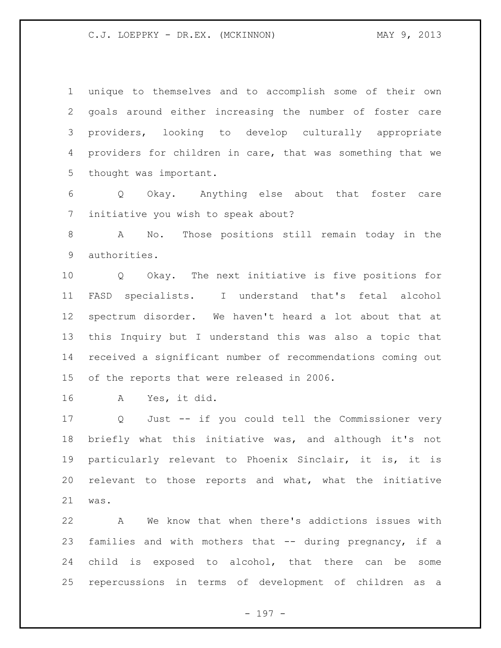unique to themselves and to accomplish some of their own goals around either increasing the number of foster care providers, looking to develop culturally appropriate providers for children in care, that was something that we thought was important.

 Q Okay. Anything else about that foster care initiative you wish to speak about?

 A No. Those positions still remain today in the authorities.

 Q Okay. The next initiative is five positions for FASD specialists. I understand that's fetal alcohol spectrum disorder. We haven't heard a lot about that at this Inquiry but I understand this was also a topic that received a significant number of recommendations coming out of the reports that were released in 2006.

A Yes, it did.

 Q Just -- if you could tell the Commissioner very briefly what this initiative was, and although it's not particularly relevant to Phoenix Sinclair, it is, it is relevant to those reports and what, what the initiative was.

 A We know that when there's addictions issues with families and with mothers that -- during pregnancy, if a child is exposed to alcohol, that there can be some repercussions in terms of development of children as a

- 197 -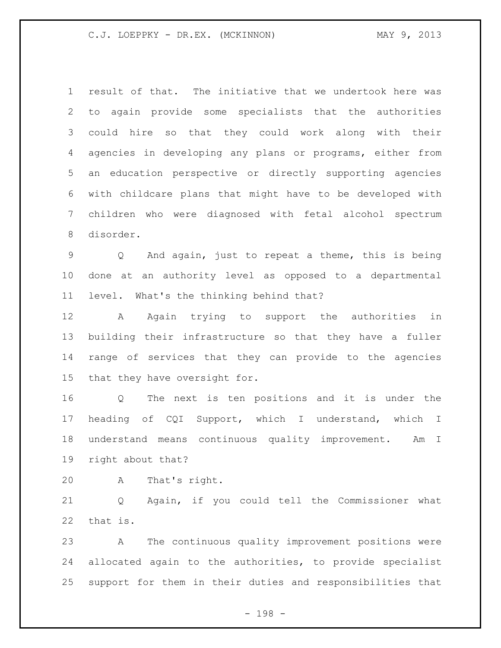result of that. The initiative that we undertook here was to again provide some specialists that the authorities could hire so that they could work along with their agencies in developing any plans or programs, either from an education perspective or directly supporting agencies with childcare plans that might have to be developed with children who were diagnosed with fetal alcohol spectrum disorder.

 Q And again, just to repeat a theme, this is being done at an authority level as opposed to a departmental level. What's the thinking behind that?

 A Again trying to support the authorities in building their infrastructure so that they have a fuller range of services that they can provide to the agencies that they have oversight for.

 Q The next is ten positions and it is under the heading of CQI Support, which I understand, which I understand means continuous quality improvement. Am I right about that?

A That's right.

 Q Again, if you could tell the Commissioner what that is.

 A The continuous quality improvement positions were allocated again to the authorities, to provide specialist support for them in their duties and responsibilities that

- 198 -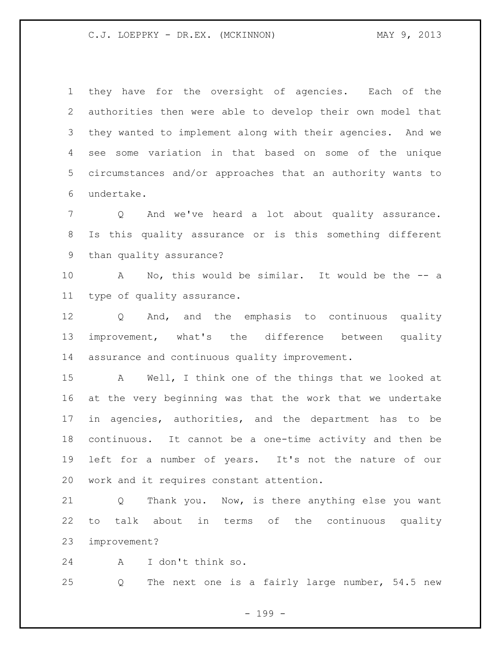they have for the oversight of agencies. Each of the authorities then were able to develop their own model that they wanted to implement along with their agencies. And we see some variation in that based on some of the unique circumstances and/or approaches that an authority wants to undertake.

 Q And we've heard a lot about quality assurance. Is this quality assurance or is this something different than quality assurance?

 A No, this would be similar. It would be the -- a type of quality assurance.

 Q And, and the emphasis to continuous quality improvement, what's the difference between quality assurance and continuous quality improvement.

 A Well, I think one of the things that we looked at at the very beginning was that the work that we undertake in agencies, authorities, and the department has to be continuous. It cannot be a one-time activity and then be left for a number of years. It's not the nature of our work and it requires constant attention.

 Q Thank you. Now, is there anything else you want to talk about in terms of the continuous quality improvement?

A I don't think so.

Q The next one is a fairly large number, 54.5 new

- 199 -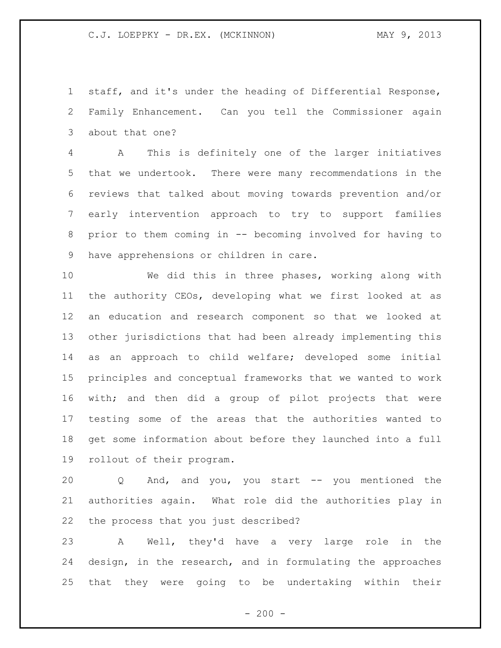staff, and it's under the heading of Differential Response, Family Enhancement. Can you tell the Commissioner again about that one?

 A This is definitely one of the larger initiatives that we undertook. There were many recommendations in the reviews that talked about moving towards prevention and/or early intervention approach to try to support families prior to them coming in -- becoming involved for having to have apprehensions or children in care.

 We did this in three phases, working along with the authority CEOs, developing what we first looked at as an education and research component so that we looked at other jurisdictions that had been already implementing this as an approach to child welfare; developed some initial principles and conceptual frameworks that we wanted to work with; and then did a group of pilot projects that were testing some of the areas that the authorities wanted to get some information about before they launched into a full rollout of their program.

 Q And, and you, you start -- you mentioned the authorities again. What role did the authorities play in the process that you just described?

 A Well, they'd have a very large role in the design, in the research, and in formulating the approaches that they were going to be undertaking within their

 $-200 -$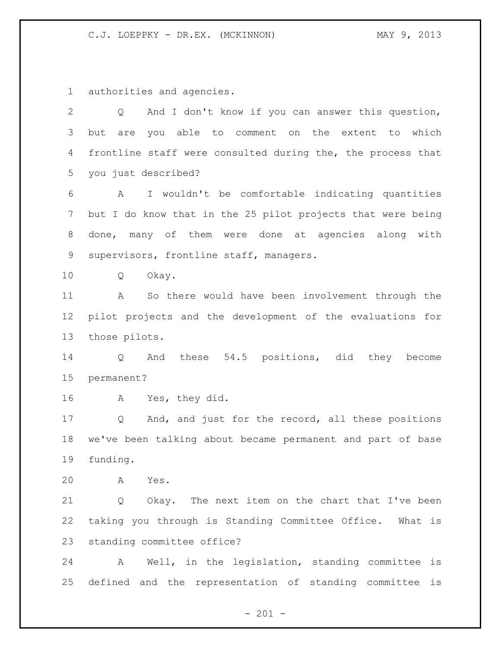authorities and agencies.

| 2  | And I don't know if you can answer this question,<br>Q      |
|----|-------------------------------------------------------------|
| 3  | are you able to comment on the extent to which<br>but       |
| 4  | frontline staff were consulted during the, the process that |
| 5  | you just described?                                         |
| 6  | I wouldn't be comfortable indicating quantities<br>A        |
| 7  | but I do know that in the 25 pilot projects that were being |
| 8  | done, many of them were done at agencies along with         |
| 9  | supervisors, frontline staff, managers.                     |
| 10 | Okay.<br>Q                                                  |
| 11 | So there would have been involvement through the<br>A       |
| 12 | pilot projects and the development of the evaluations for   |
| 13 | those pilots.                                               |
| 14 | And these 54.5 positions, did they become<br>Q              |
| 15 | permanent?                                                  |
| 16 | Yes, they did.<br>A                                         |
| 17 | And, and just for the record, all these positions<br>Q      |
| 18 | we've been talking about became permanent and part of base  |
| 19 | funding.                                                    |
| 20 | Yes.<br>Α                                                   |
| 21 | Okay. The next item on the chart that I've been<br>Q        |
| 22 | taking you through is Standing Committee Office.<br>What is |
| 23 | standing committee office?                                  |
| 24 | Well, in the legislation, standing committee<br>is<br>Α     |

- 201 -

defined and the representation of standing committee is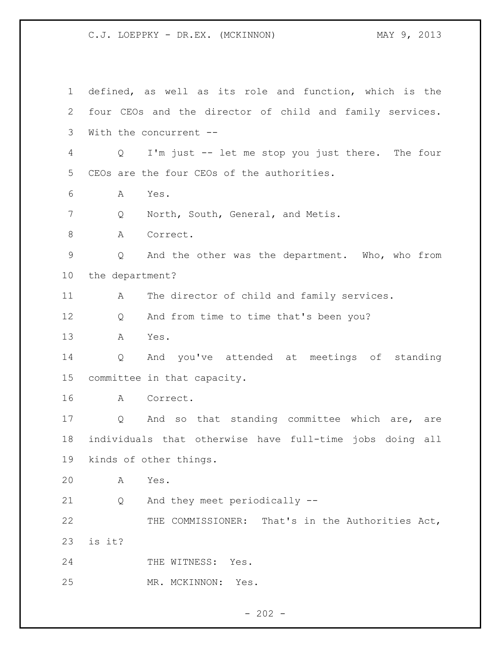defined, as well as its role and function, which is the four CEOs and the director of child and family services. With the concurrent -- Q I'm just -- let me stop you just there. The four CEOs are the four CEOs of the authorities. A Yes. 7 Q North, South, General, and Metis. 8 A Correct. Q And the other was the department. Who, who from the department? 11 A The director of child and family services. 12 Q And from time to time that's been you? A Yes. Q And you've attended at meetings of standing committee in that capacity. A Correct. 17 Q And so that standing committee which are, are individuals that otherwise have full-time jobs doing all kinds of other things. A Yes. Q And they meet periodically -- THE COMMISSIONER: That's in the Authorities Act, is it? 24 THE WITNESS: Yes. MR. MCKINNON: Yes.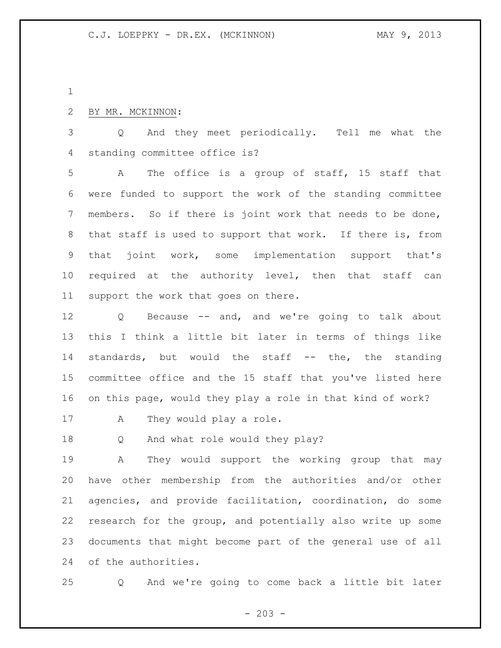## BY MR. MCKINNON:

 Q And they meet periodically. Tell me what the standing committee office is?

 A The office is a group of staff, 15 staff that were funded to support the work of the standing committee members. So if there is joint work that needs to be done, that staff is used to support that work. If there is, from that joint work, some implementation support that's required at the authority level, then that staff can support the work that goes on there.

 Q Because -- and, and we're going to talk about this I think a little bit later in terms of things like standards, but would the staff -- the, the standing committee office and the 15 staff that you've listed here on this page, would they play a role in that kind of work?

17 A They would play a role.

Q And what role would they play?

 A They would support the working group that may have other membership from the authorities and/or other agencies, and provide facilitation, coordination, do some research for the group, and potentially also write up some documents that might become part of the general use of all of the authorities.

Q And we're going to come back a little bit later

 $-203 -$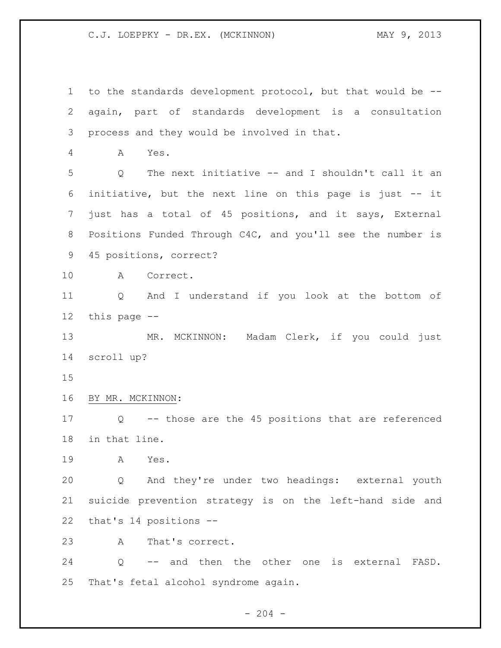to the standards development protocol, but that would be -- again, part of standards development is a consultation process and they would be involved in that. A Yes. Q The next initiative -- and I shouldn't call it an initiative, but the next line on this page is just -- it just has a total of 45 positions, and it says, External Positions Funded Through C4C, and you'll see the number is 45 positions, correct? A Correct. Q And I understand if you look at the bottom of this page -- MR. MCKINNON: Madam Clerk, if you could just scroll up? BY MR. MCKINNON: Q -- those are the 45 positions that are referenced in that line. A Yes. Q And they're under two headings: external youth suicide prevention strategy is on the left-hand side and that's 14 positions -- A That's correct. Q -- and then the other one is external FASD. That's fetal alcohol syndrome again.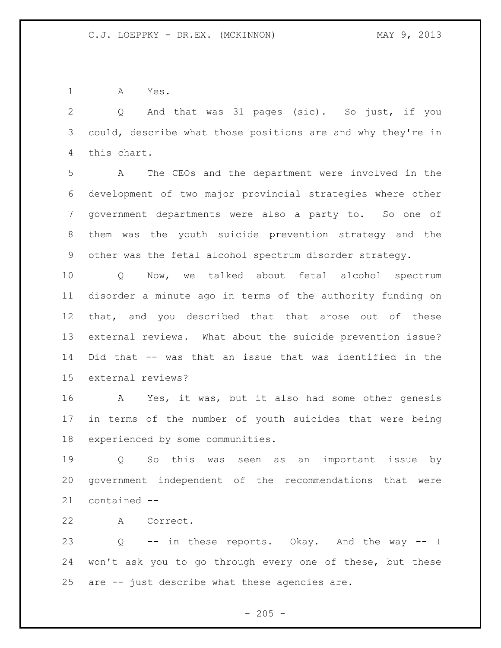A Yes.

 Q And that was 31 pages (sic). So just, if you could, describe what those positions are and why they're in this chart.

 A The CEOs and the department were involved in the development of two major provincial strategies where other government departments were also a party to. So one of them was the youth suicide prevention strategy and the other was the fetal alcohol spectrum disorder strategy.

 Q Now, we talked about fetal alcohol spectrum disorder a minute ago in terms of the authority funding on that, and you described that that arose out of these external reviews. What about the suicide prevention issue? Did that -- was that an issue that was identified in the external reviews?

 A Yes, it was, but it also had some other genesis in terms of the number of youth suicides that were being experienced by some communities.

 Q So this was seen as an important issue by government independent of the recommendations that were contained --

A Correct.

 Q -- in these reports. Okay. And the way -- I won't ask you to go through every one of these, but these are -- just describe what these agencies are.

 $- 205 -$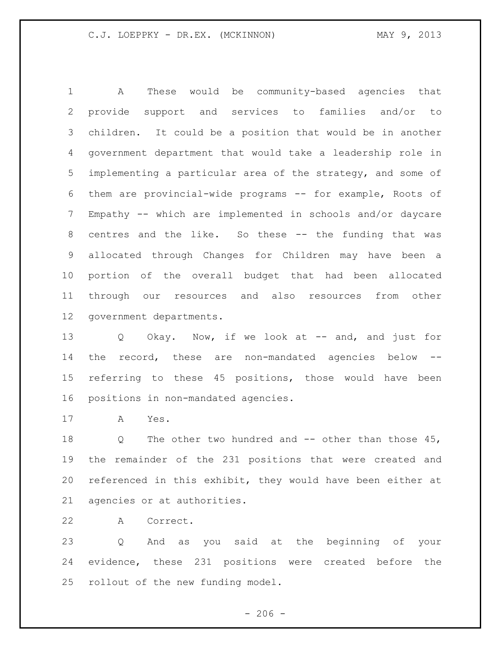A These would be community-based agencies that provide support and services to families and/or to children. It could be a position that would be in another government department that would take a leadership role in implementing a particular area of the strategy, and some of them are provincial-wide programs -- for example, Roots of Empathy -- which are implemented in schools and/or daycare centres and the like. So these -- the funding that was allocated through Changes for Children may have been a portion of the overall budget that had been allocated through our resources and also resources from other government departments.

13 Q Okay. Now, if we look at -- and, and just for the record, these are non-mandated agencies below -- referring to these 45 positions, those would have been positions in non-mandated agencies.

A Yes.

18 Q The other two hundred and -- other than those 45, the remainder of the 231 positions that were created and referenced in this exhibit, they would have been either at agencies or at authorities.

A Correct.

 Q And as you said at the beginning of your evidence, these 231 positions were created before the rollout of the new funding model.

 $-206 -$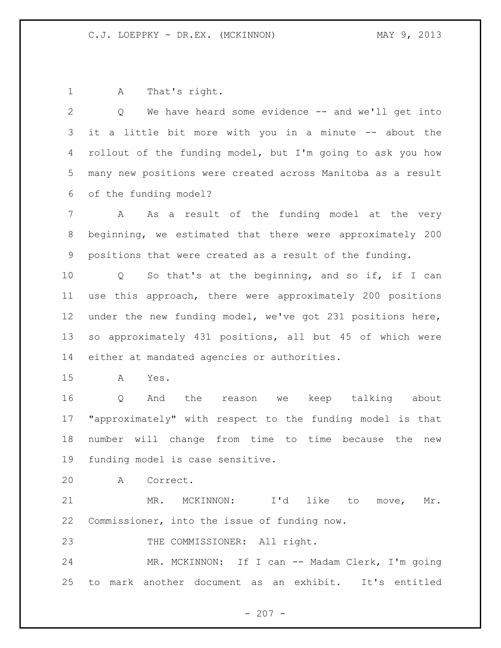A That's right.

 Q We have heard some evidence -- and we'll get into it a little bit more with you in a minute -- about the rollout of the funding model, but I'm going to ask you how many new positions were created across Manitoba as a result of the funding model?

 A As a result of the funding model at the very beginning, we estimated that there were approximately 200 positions that were created as a result of the funding.

 Q So that's at the beginning, and so if, if I can use this approach, there were approximately 200 positions under the new funding model, we've got 231 positions here, so approximately 431 positions, all but 45 of which were either at mandated agencies or authorities.

A Yes.

 Q And the reason we keep talking about "approximately" with respect to the funding model is that number will change from time to time because the new funding model is case sensitive.

A Correct.

 MR. MCKINNON: I'd like to move, Mr. Commissioner, into the issue of funding now.

23 THE COMMISSIONER: All right.

 MR. MCKINNON: If I can -- Madam Clerk, I'm going to mark another document as an exhibit. It's entitled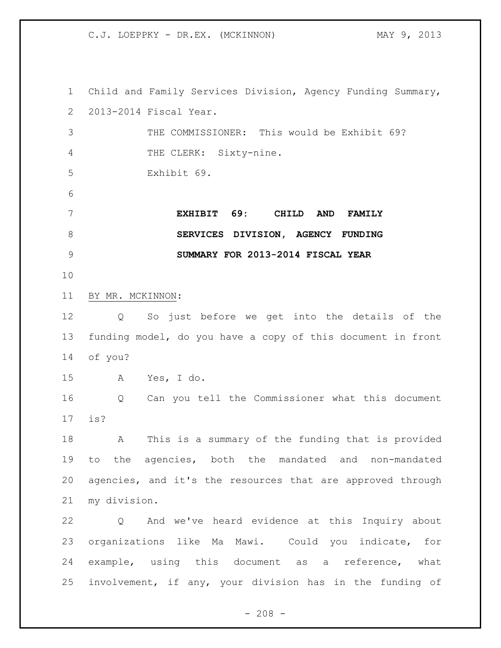Child and Family Services Division, Agency Funding Summary, 2013-2014 Fiscal Year. THE COMMISSIONER: This would be Exhibit 69? THE CLERK: Sixty-nine. Exhibit 69. **EXHIBIT 69: CHILD AND FAMILY SERVICES DIVISION, AGENCY FUNDING SUMMARY FOR 2013-2014 FISCAL YEAR** BY MR. MCKINNON: Q So just before we get into the details of the funding model, do you have a copy of this document in front of you? A Yes, I do. Q Can you tell the Commissioner what this document is? A This is a summary of the funding that is provided to the agencies, both the mandated and non-mandated agencies, and it's the resources that are approved through my division. Q And we've heard evidence at this Inquiry about organizations like Ma Mawi. Could you indicate, for example, using this document as a reference, what involvement, if any, your division has in the funding of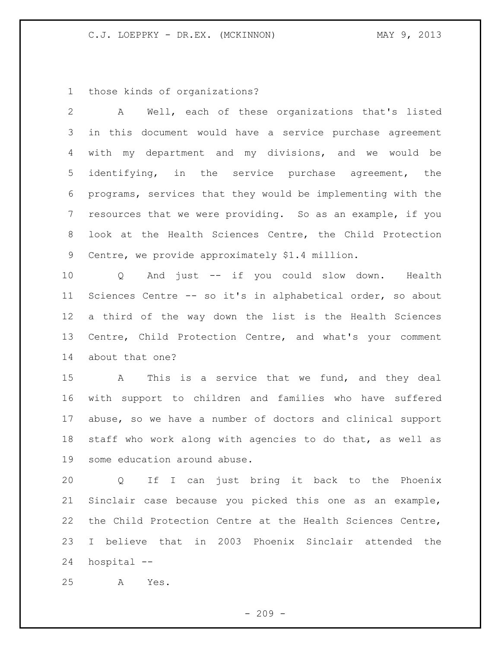those kinds of organizations?

 A Well, each of these organizations that's listed in this document would have a service purchase agreement with my department and my divisions, and we would be identifying, in the service purchase agreement, the programs, services that they would be implementing with the resources that we were providing. So as an example, if you look at the Health Sciences Centre, the Child Protection Centre, we provide approximately \$1.4 million. Q And just -- if you could slow down. Health

 Sciences Centre -- so it's in alphabetical order, so about a third of the way down the list is the Health Sciences Centre, Child Protection Centre, and what's your comment about that one?

 A This is a service that we fund, and they deal with support to children and families who have suffered abuse, so we have a number of doctors and clinical support staff who work along with agencies to do that, as well as some education around abuse.

 Q If I can just bring it back to the Phoenix Sinclair case because you picked this one as an example, the Child Protection Centre at the Health Sciences Centre, I believe that in 2003 Phoenix Sinclair attended the hospital --

A Yes.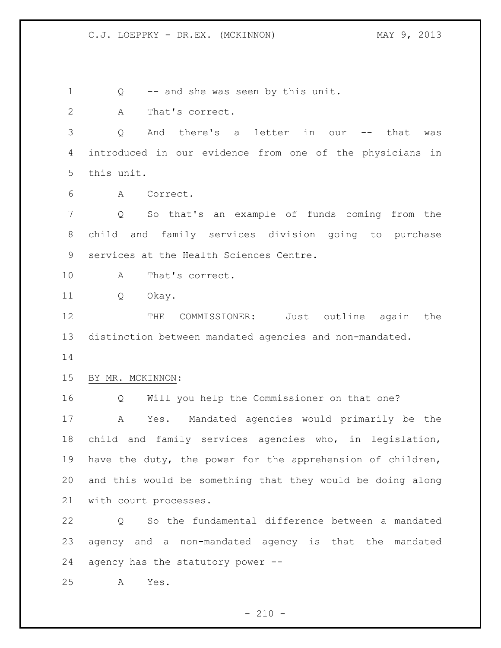Q -- and she was seen by this unit. A That's correct. Q And there's a letter in our -- that was introduced in our evidence from one of the physicians in this unit. A Correct. Q So that's an example of funds coming from the child and family services division going to purchase services at the Health Sciences Centre. A That's correct. Q Okay. 12 THE COMMISSIONER: Just outline again the distinction between mandated agencies and non-mandated. BY MR. MCKINNON: Q Will you help the Commissioner on that one? A Yes. Mandated agencies would primarily be the child and family services agencies who, in legislation, have the duty, the power for the apprehension of children, and this would be something that they would be doing along with court processes. Q So the fundamental difference between a mandated agency and a non-mandated agency is that the mandated agency has the statutory power -- A Yes.

 $- 210 -$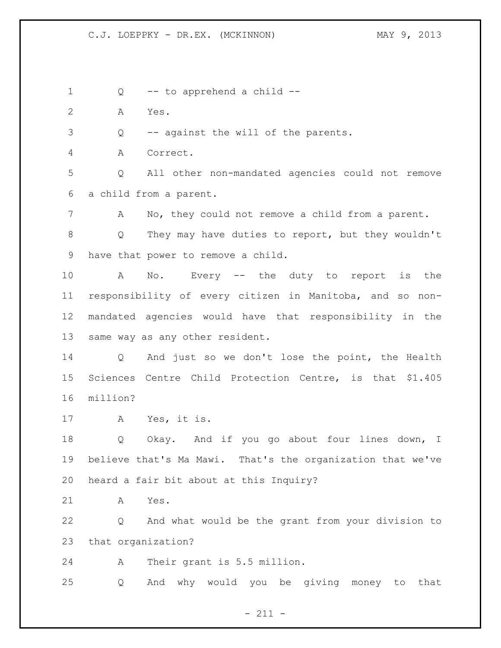1 Q -- to apprehend a child --

A Yes.

Q -- against the will of the parents.

A Correct.

 Q All other non-mandated agencies could not remove a child from a parent.

A No, they could not remove a child from a parent.

 Q They may have duties to report, but they wouldn't have that power to remove a child.

 A No. Every -- the duty to report is the responsibility of every citizen in Manitoba, and so non- mandated agencies would have that responsibility in the same way as any other resident.

 Q And just so we don't lose the point, the Health Sciences Centre Child Protection Centre, is that \$1.405 million?

A Yes, it is.

 Q Okay. And if you go about four lines down, I believe that's Ma Mawi. That's the organization that we've heard a fair bit about at this Inquiry?

A Yes.

 Q And what would be the grant from your division to that organization?

A Their grant is 5.5 million.

Q And why would you be giving money to that

- 211 -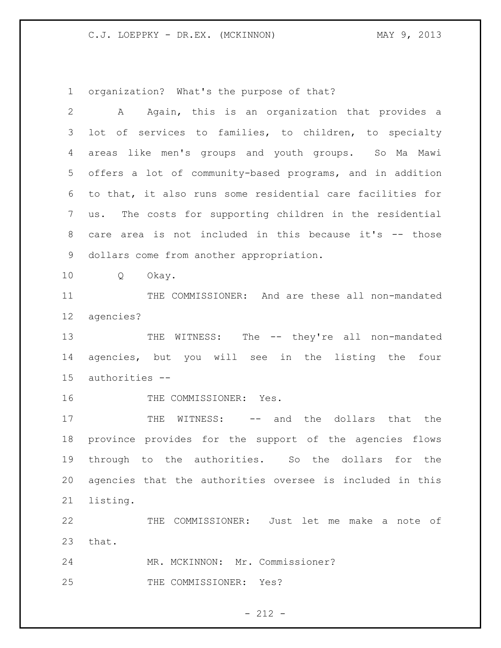organization? What's the purpose of that?

| $\mathbf{2}$ | Again, this is an organization that provides a<br>А         |
|--------------|-------------------------------------------------------------|
| 3            | of services to families, to children, to specialty<br>lot   |
| 4            | areas like men's groups and youth groups. So Ma Mawi        |
| 5            | offers a lot of community-based programs, and in addition   |
| 6            | to that, it also runs some residential care facilities for  |
| 7            | The costs for supporting children in the residential<br>us. |
| 8            | care area is not included in this because it's -- those     |
| 9            | dollars come from another appropriation.                    |
| 10           | Q<br>Okay.                                                  |
| 11           | THE COMMISSIONER: And are these all non-mandated            |
| 12           | agencies?                                                   |
| 13           | WITNESS: The -- they're all non-mandated<br>THE             |
| 14           | agencies, but you will see in the listing the four          |
| 15           | authorities --                                              |
| 16           | THE COMMISSIONER: Yes.                                      |
| 17           | WITNESS: -- and the dollars that the<br>THE                 |
| 18           | province provides for the support of the agencies flows     |
| 19           |                                                             |
|              | through to the authorities. So the dollars for the          |
| 20           | agencies that the authorities oversee is included in this   |
| 21           | listing.                                                    |
| 22           | COMMISSIONER: Just let me make a note of<br>THE             |
| 23           | that.                                                       |
| 24           | MR. MCKINNON: Mr. Commissioner?                             |

- 212 -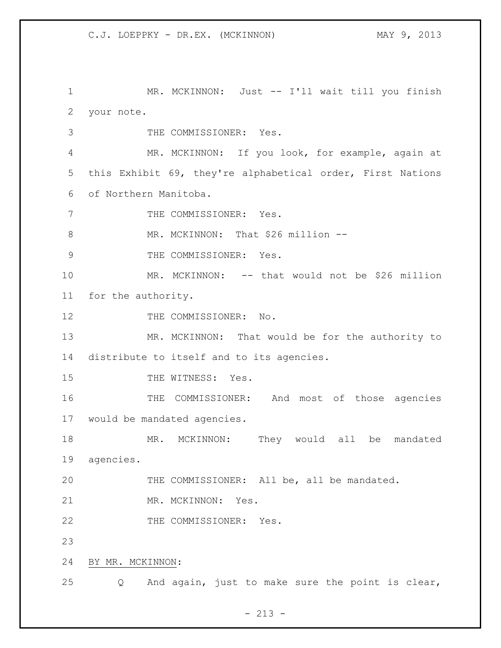MR. MCKINNON: Just -- I'll wait till you finish your note.

THE COMMISSIONER: Yes.

 MR. MCKINNON: If you look, for example, again at this Exhibit 69, they're alphabetical order, First Nations of Northern Manitoba.

7 THE COMMISSIONER: Yes.

8 MR. MCKINNON: That \$26 million --

9 THE COMMISSIONER: Yes.

 MR. MCKINNON: -- that would not be \$26 million for the authority.

12 THE COMMISSIONER: No.

 MR. MCKINNON: That would be for the authority to distribute to itself and to its agencies.

15 THE WITNESS: Yes.

 THE COMMISSIONER: And most of those agencies would be mandated agencies.

18 MR. MCKINNON: They would all be mandated agencies.

THE COMMISSIONER: All be, all be mandated.

21 MR. MCKINNON: Yes.

22 THE COMMISSIONER: Yes.

BY MR. MCKINNON:

Q And again, just to make sure the point is clear,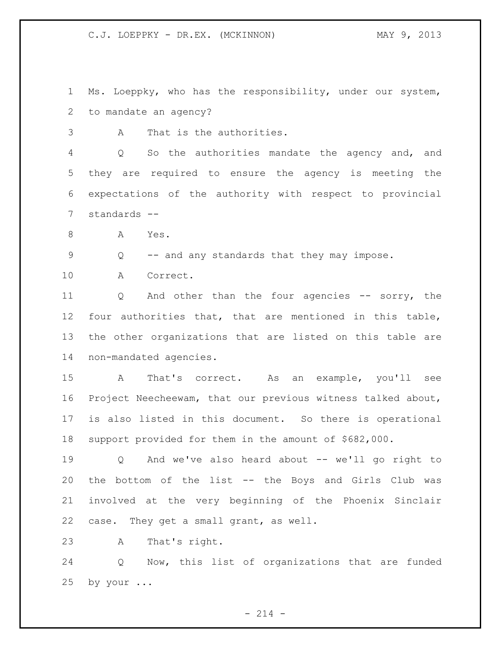C.J. LOEPPKY - DR.EX. (MCKINNON) MAY 9, 2013

 Ms. Loeppky, who has the responsibility, under our system, to mandate an agency?

A That is the authorities.

 Q So the authorities mandate the agency and, and they are required to ensure the agency is meeting the expectations of the authority with respect to provincial standards --

A Yes.

Q -- and any standards that they may impose.

A Correct.

11 Q And other than the four agencies -- sorry, the four authorities that, that are mentioned in this table, the other organizations that are listed on this table are non-mandated agencies.

 A That's correct. As an example, you'll see Project Neecheewam, that our previous witness talked about, is also listed in this document. So there is operational support provided for them in the amount of \$682,000.

 Q And we've also heard about -- we'll go right to the bottom of the list -- the Boys and Girls Club was involved at the very beginning of the Phoenix Sinclair case. They get a small grant, as well.

A That's right.

 Q Now, this list of organizations that are funded by your ...

 $- 214 -$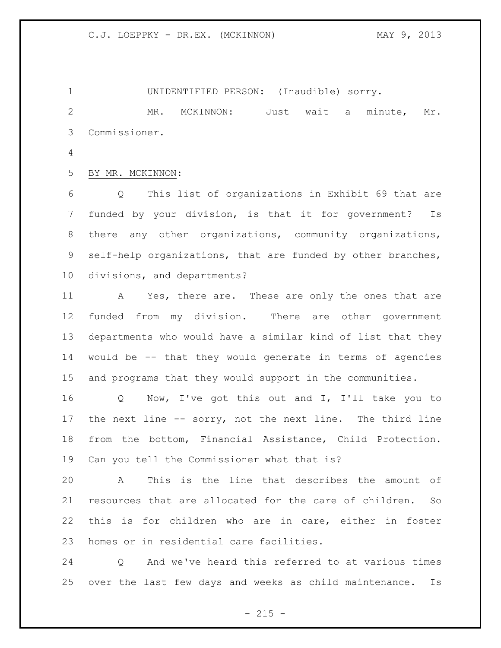UNIDENTIFIED PERSON: (Inaudible) sorry. MR. MCKINNON: Just wait a minute, Mr. Commissioner.

BY MR. MCKINNON:

 Q This list of organizations in Exhibit 69 that are funded by your division, is that it for government? Is there any other organizations, community organizations, self-help organizations, that are funded by other branches, divisions, and departments?

11 A Yes, there are. These are only the ones that are funded from my division. There are other government departments who would have a similar kind of list that they would be -- that they would generate in terms of agencies and programs that they would support in the communities.

 Q Now, I've got this out and I, I'll take you to the next line -- sorry, not the next line. The third line from the bottom, Financial Assistance, Child Protection. Can you tell the Commissioner what that is?

 A This is the line that describes the amount of resources that are allocated for the care of children. So this is for children who are in care, either in foster homes or in residential care facilities.

 Q And we've heard this referred to at various times over the last few days and weeks as child maintenance. Is

 $- 215 -$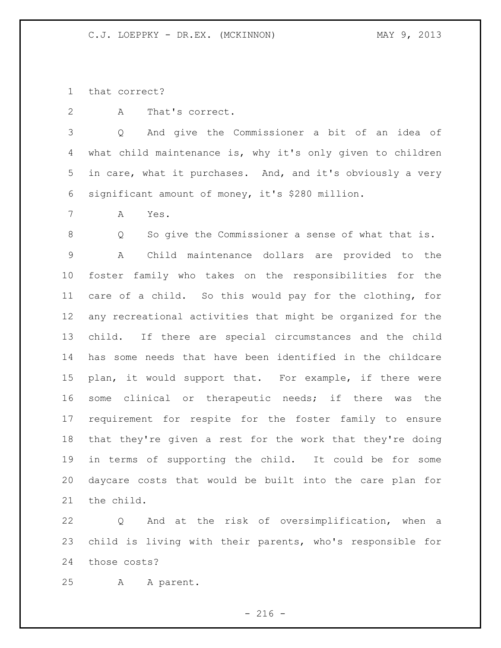that correct?

A That's correct.

 Q And give the Commissioner a bit of an idea of what child maintenance is, why it's only given to children in care, what it purchases. And, and it's obviously a very significant amount of money, it's \$280 million.

A Yes.

 Q So give the Commissioner a sense of what that is. A Child maintenance dollars are provided to the foster family who takes on the responsibilities for the care of a child. So this would pay for the clothing, for any recreational activities that might be organized for the child. If there are special circumstances and the child has some needs that have been identified in the childcare plan, it would support that. For example, if there were some clinical or therapeutic needs; if there was the requirement for respite for the foster family to ensure that they're given a rest for the work that they're doing in terms of supporting the child. It could be for some daycare costs that would be built into the care plan for the child.

 Q And at the risk of oversimplification, when a child is living with their parents, who's responsible for those costs?

A A parent.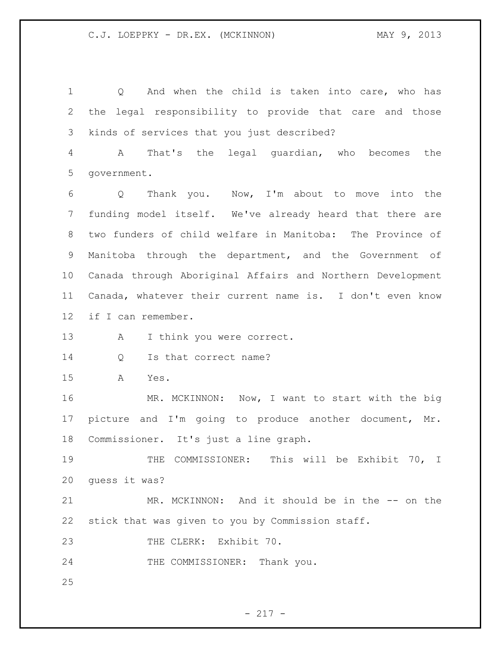Q And when the child is taken into care, who has the legal responsibility to provide that care and those kinds of services that you just described? A That's the legal guardian, who becomes the

government.

 Q Thank you. Now, I'm about to move into the funding model itself. We've already heard that there are two funders of child welfare in Manitoba: The Province of Manitoba through the department, and the Government of Canada through Aboriginal Affairs and Northern Development Canada, whatever their current name is. I don't even know if I can remember.

13 A I think you were correct.

14 Q Is that correct name?

A Yes.

16 MR. MCKINNON: Now, I want to start with the big picture and I'm going to produce another document, Mr. Commissioner. It's just a line graph.

 THE COMMISSIONER: This will be Exhibit 70, I guess it was?

 MR. MCKINNON: And it should be in the -- on the stick that was given to you by Commission staff.

23 THE CLERK: Exhibit 70.

24 THE COMMISSIONER: Thank you.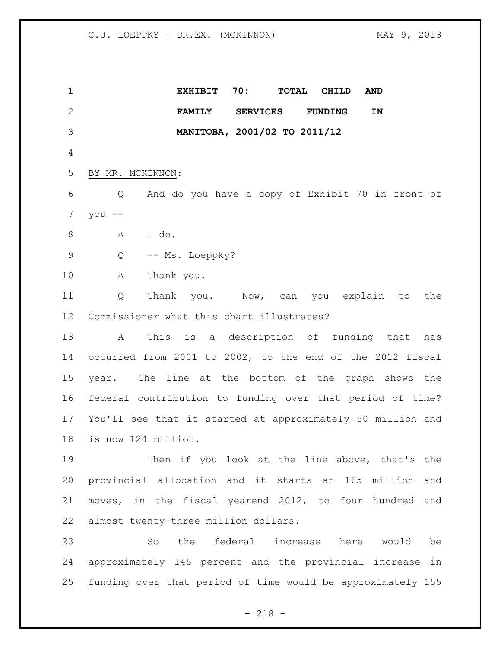**EXHIBIT 70: TOTAL CHILD AND FAMILY SERVICES FUNDING IN MANITOBA, 2001/02 TO 2011/12** BY MR. MCKINNON: Q And do you have a copy of Exhibit 70 in front of you  $-$  A I do. 9 Q -- Ms. Loeppky? A Thank you. Q Thank you. Now, can you explain to the Commissioner what this chart illustrates? A This is a description of funding that has occurred from 2001 to 2002, to the end of the 2012 fiscal year. The line at the bottom of the graph shows the federal contribution to funding over that period of time? You'll see that it started at approximately 50 million and is now 124 million. Then if you look at the line above, that's the provincial allocation and it starts at 165 million and moves, in the fiscal yearend 2012, to four hundred and almost twenty-three million dollars. So the federal increase here would be approximately 145 percent and the provincial increase in funding over that period of time would be approximately 155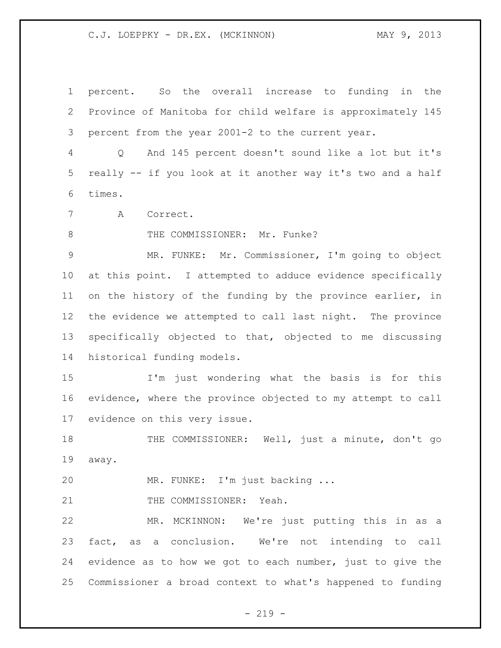C.J. LOEPPKY - DR.EX. (MCKINNON) MAY 9, 2013

 percent. So the overall increase to funding in the Province of Manitoba for child welfare is approximately 145 percent from the year 2001-2 to the current year.

 Q And 145 percent doesn't sound like a lot but it's really -- if you look at it another way it's two and a half times.

A Correct.

8 THE COMMISSIONER: Mr. Funke?

 MR. FUNKE: Mr. Commissioner, I'm going to object at this point. I attempted to adduce evidence specifically on the history of the funding by the province earlier, in the evidence we attempted to call last night. The province specifically objected to that, objected to me discussing historical funding models.

 I'm just wondering what the basis is for this evidence, where the province objected to my attempt to call evidence on this very issue.

 THE COMMISSIONER: Well, just a minute, don't go away.

MR. FUNKE: I'm just backing ...

21 THE COMMISSIONER: Yeah.

 MR. MCKINNON: We're just putting this in as a fact, as a conclusion. We're not intending to call evidence as to how we got to each number, just to give the Commissioner a broad context to what's happened to funding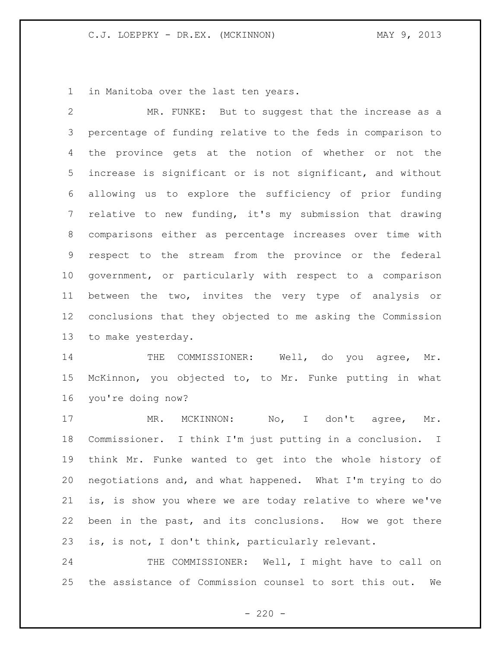in Manitoba over the last ten years.

 MR. FUNKE: But to suggest that the increase as a percentage of funding relative to the feds in comparison to the province gets at the notion of whether or not the increase is significant or is not significant, and without allowing us to explore the sufficiency of prior funding relative to new funding, it's my submission that drawing comparisons either as percentage increases over time with respect to the stream from the province or the federal government, or particularly with respect to a comparison between the two, invites the very type of analysis or conclusions that they objected to me asking the Commission to make yesterday.

14 THE COMMISSIONER: Well, do you agree, Mr. McKinnon, you objected to, to Mr. Funke putting in what you're doing now?

17 MR. MCKINNON: No, I don't agree, Mr. Commissioner. I think I'm just putting in a conclusion. I think Mr. Funke wanted to get into the whole history of negotiations and, and what happened. What I'm trying to do is, is show you where we are today relative to where we've been in the past, and its conclusions. How we got there is, is not, I don't think, particularly relevant.

24 THE COMMISSIONER: Well, I might have to call on the assistance of Commission counsel to sort this out. We

 $-220 -$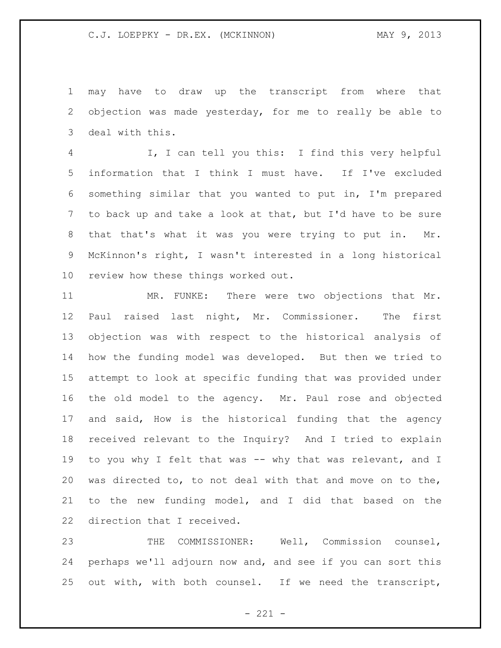may have to draw up the transcript from where that objection was made yesterday, for me to really be able to deal with this.

 I, I can tell you this: I find this very helpful information that I think I must have. If I've excluded something similar that you wanted to put in, I'm prepared to back up and take a look at that, but I'd have to be sure that that's what it was you were trying to put in. Mr. McKinnon's right, I wasn't interested in a long historical review how these things worked out.

 MR. FUNKE: There were two objections that Mr. Paul raised last night, Mr. Commissioner. The first objection was with respect to the historical analysis of how the funding model was developed. But then we tried to attempt to look at specific funding that was provided under the old model to the agency. Mr. Paul rose and objected and said, How is the historical funding that the agency received relevant to the Inquiry? And I tried to explain 19 to you why I felt that was -- why that was relevant, and I was directed to, to not deal with that and move on to the, to the new funding model, and I did that based on the direction that I received.

 THE COMMISSIONER: Well, Commission counsel, perhaps we'll adjourn now and, and see if you can sort this out with, with both counsel. If we need the transcript,

 $- 221 -$